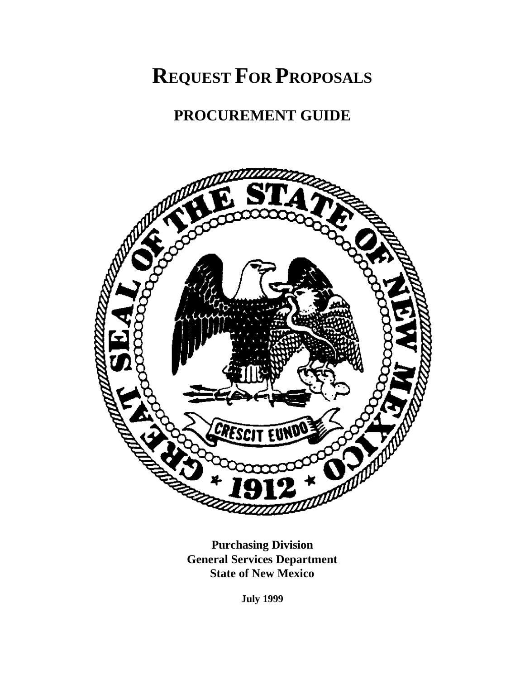# **REQUEST FOR PROPOSALS**

## **PROCUREMENT GUIDE**



**Purchasing Division General Services Department State of New Mexico**

**July 1999**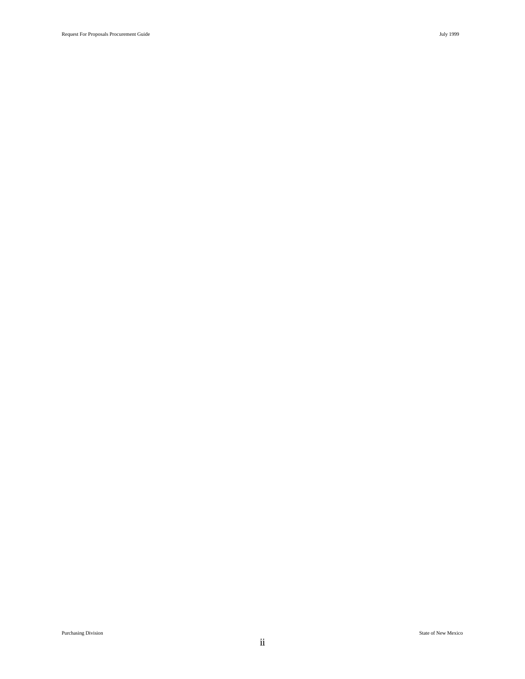Request For Proposals Procurement Guide July 1999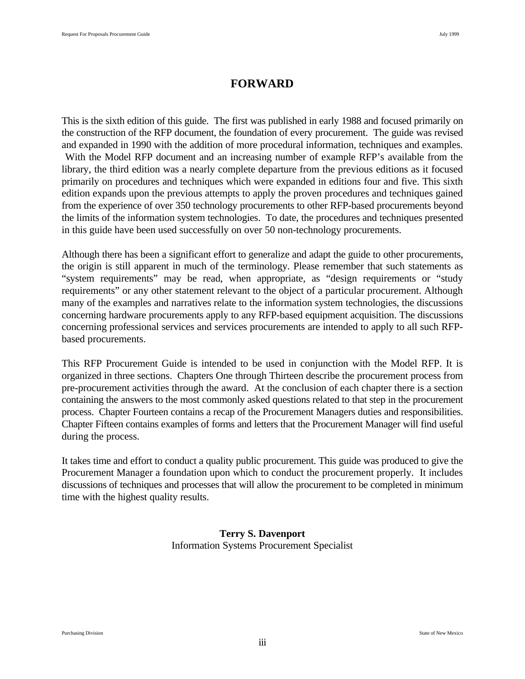### **FORWARD**

This is the sixth edition of this guide. The first was published in early 1988 and focused primarily on the construction of the RFP document, the foundation of every procurement. The guide was revised and expanded in 1990 with the addition of more procedural information, techniques and examples. With the Model RFP document and an increasing number of example RFP's available from the library, the third edition was a nearly complete departure from the previous editions as it focused primarily on procedures and techniques which were expanded in editions four and five. This sixth edition expands upon the previous attempts to apply the proven procedures and techniques gained from the experience of over 350 technology procurements to other RFP-based procurements beyond the limits of the information system technologies. To date, the procedures and techniques presented in this guide have been used successfully on over 50 non-technology procurements.

Although there has been a significant effort to generalize and adapt the guide to other procurements, the origin is still apparent in much of the terminology. Please remember that such statements as "system requirements" may be read, when appropriate, as "design requirements or "study requirements" or any other statement relevant to the object of a particular procurement. Although many of the examples and narratives relate to the information system technologies, the discussions concerning hardware procurements apply to any RFP-based equipment acquisition. The discussions concerning professional services and services procurements are intended to apply to all such RFPbased procurements.

This RFP Procurement Guide is intended to be used in conjunction with the Model RFP. It is organized in three sections. Chapters One through Thirteen describe the procurement process from pre-procurement activities through the award. At the conclusion of each chapter there is a section containing the answers to the most commonly asked questions related to that step in the procurement process. Chapter Fourteen contains a recap of the Procurement Managers duties and responsibilities. Chapter Fifteen contains examples of forms and letters that the Procurement Manager will find useful during the process.

It takes time and effort to conduct a quality public procurement. This guide was produced to give the Procurement Manager a foundation upon which to conduct the procurement properly. It includes discussions of techniques and processes that will allow the procurement to be completed in minimum time with the highest quality results.

#### **Terry S. Davenport** Information Systems Procurement Specialist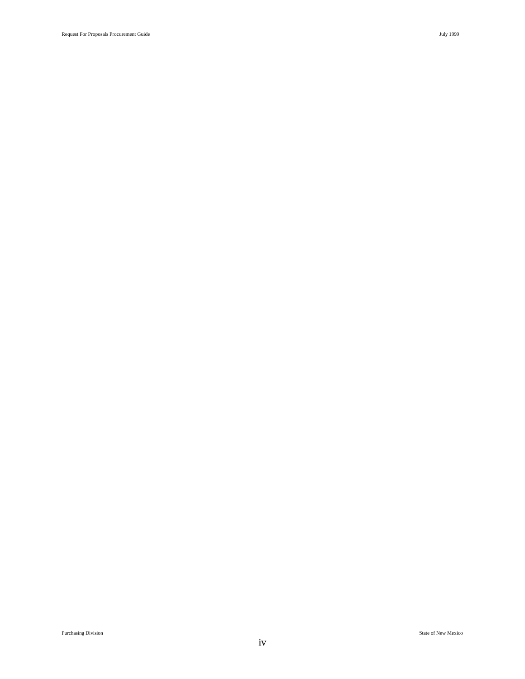Request For Proposals Procurement Guide July 1999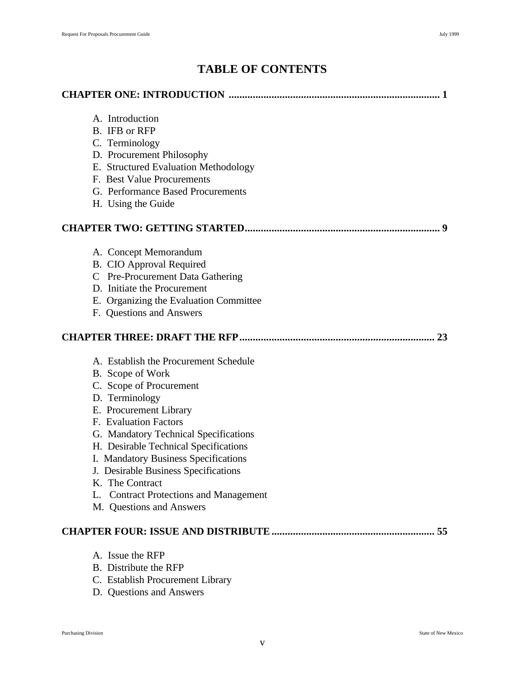## **TABLE OF CONTENTS**

| A. Introduction                        |
|----------------------------------------|
| B. IFB or RFP                          |
| C. Terminology                         |
| D. Procurement Philosophy              |
| E. Structured Evaluation Methodology   |
| F. Best Value Procurements             |
| G. Performance Based Procurements      |
| H. Using the Guide                     |
|                                        |
| A. Concept Memorandum                  |
| <b>B.</b> CIO Approval Required        |
| C Pre-Procurement Data Gathering       |
| D. Initiate the Procurement            |
| E. Organizing the Evaluation Committee |
| F. Questions and Answers               |
| 23                                     |
|                                        |
| A. Establish the Procurement Schedule  |
| B. Scope of Work                       |
| C. Scope of Procurement                |
| D. Terminology                         |
| E. Procurement Library                 |
| F. Evaluation Factors                  |
| G. Mandatory Technical Specifications  |
| H. Desirable Technical Specifications  |
| I. Mandatory Business Specifications   |
| J. Desirable Business Specifications   |
| K. The Contract                        |
| L. Contract Protections and Management |
| M. Questions and Answers               |
|                                        |

- B. Distribute the RFP
- C. Establish Procurement Library
- D. Questions and Answers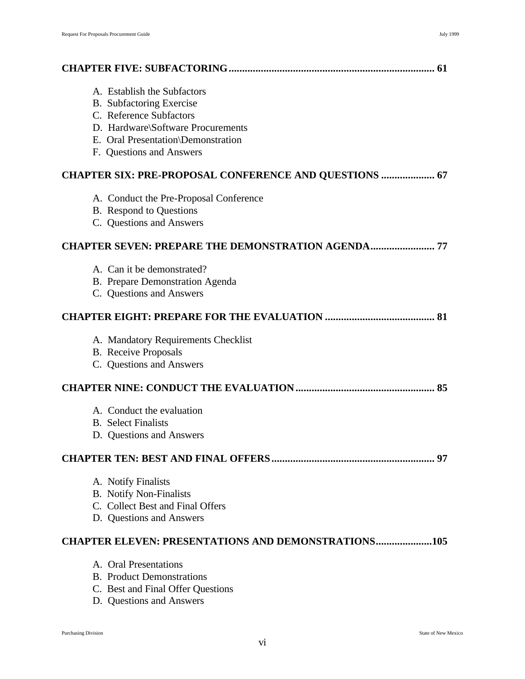| A. Establish the Subfactors                                   |
|---------------------------------------------------------------|
| <b>B.</b> Subfactoring Exercise                               |
| C. Reference Subfactors                                       |
| D. Hardware\Software Procurements                             |
| E. Oral Presentation\Demonstration                            |
| F. Questions and Answers                                      |
| <b>CHAPTER SIX: PRE-PROPOSAL CONFERENCE AND QUESTIONS  67</b> |
| A. Conduct the Pre-Proposal Conference                        |
| B. Respond to Questions                                       |
| C. Questions and Answers                                      |
| <b>CHAPTER SEVEN: PREPARE THE DEMONSTRATION AGENDA 77</b>     |
| A. Can it be demonstrated?                                    |
| B. Prepare Demonstration Agenda                               |
| C. Questions and Answers                                      |
|                                                               |
| A. Mandatory Requirements Checklist                           |
| <b>B.</b> Receive Proposals                                   |
| C. Questions and Answers                                      |
| 85                                                            |
| A. Conduct the evaluation                                     |
| <b>B.</b> Select Finalists                                    |
| D. Questions and Answers                                      |
| 97                                                            |
| A. Notify Finalists                                           |
| <b>B.</b> Notify Non-Finalists                                |
| C. Collect Best and Final Offers                              |
| D. Questions and Answers                                      |
| <b>CHAPTER ELEVEN: PRESENTATIONS AND DEMONSTRATIONS105</b>    |
| A. Oral Presentations                                         |
| <b>B.</b> Product Demonstrations                              |
|                                                               |

- C. Best and Final Offer Questions
- D. Questions and Answers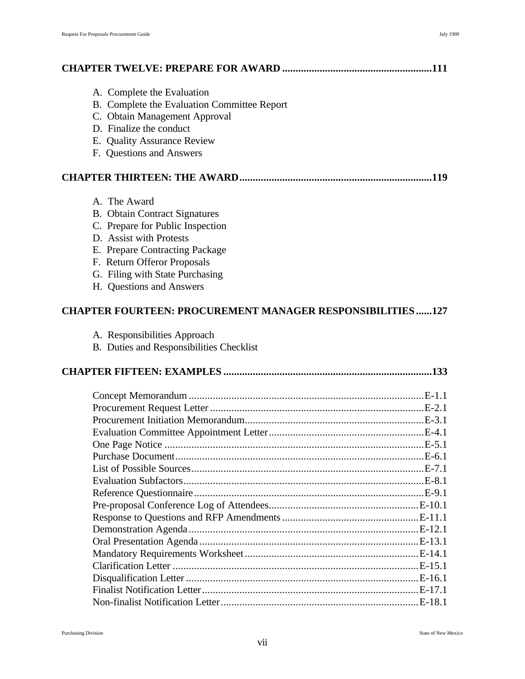| A. Complete the Evaluation                                       |
|------------------------------------------------------------------|
| B. Complete the Evaluation Committee Report                      |
| C. Obtain Management Approval                                    |
| D. Finalize the conduct                                          |
| E. Quality Assurance Review                                      |
| F. Questions and Answers                                         |
| .119                                                             |
| A. The Award                                                     |
| <b>B.</b> Obtain Contract Signatures                             |
| C. Prepare for Public Inspection                                 |
| D. Assist with Protests                                          |
| E. Prepare Contracting Package                                   |
| F. Return Offeror Proposals                                      |
| G. Filing with State Purchasing                                  |
| H. Questions and Answers                                         |
| <b>CHAPTER FOURTEEN: PROCUREMENT MANAGER RESPONSIBILITIES127</b> |
| A. Responsibilities Approach                                     |
| B. Duties and Responsibilities Checklist                         |

|--|--|

| .E-1.1 |
|--------|
|        |
|        |
|        |
|        |
|        |
|        |
|        |
|        |
|        |
|        |
|        |
|        |
|        |
|        |
|        |
|        |
|        |
|        |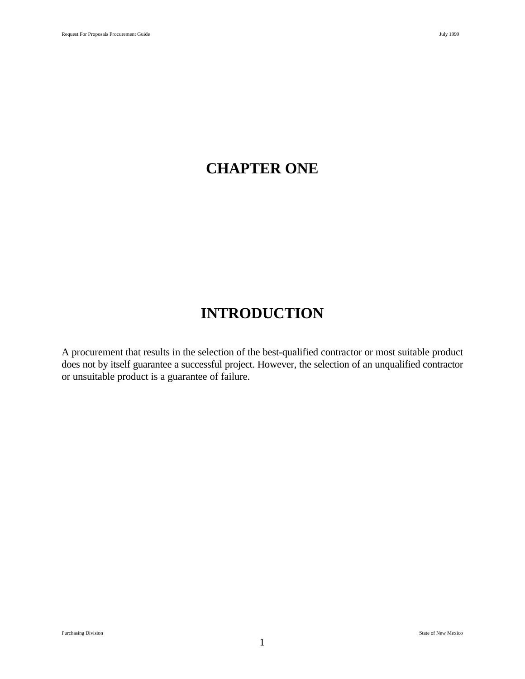## **CHAPTER ONE**

## **INTRODUCTION**

A procurement that results in the selection of the best-qualified contractor or most suitable product does not by itself guarantee a successful project. However, the selection of an unqualified contractor or unsuitable product is a guarantee of failure.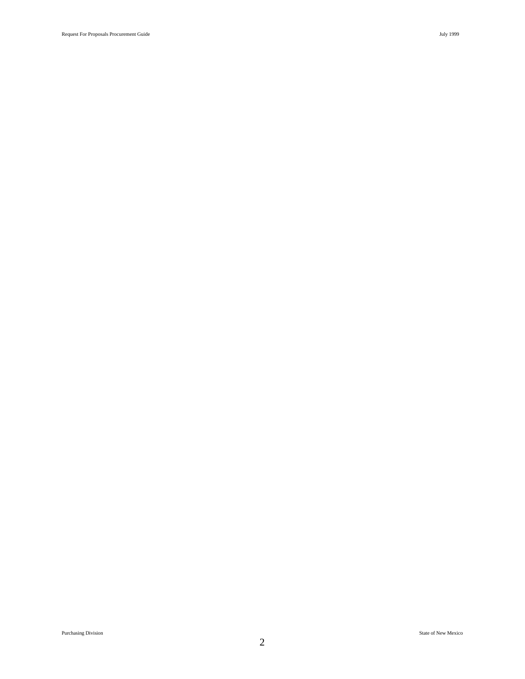Request For Proposals Procurement Guide July 1999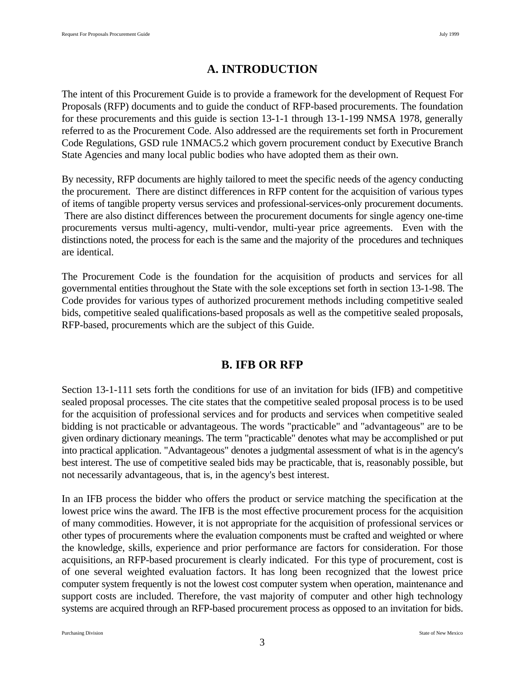### **A. INTRODUCTION**

The intent of this Procurement Guide is to provide a framework for the development of Request For Proposals (RFP) documents and to guide the conduct of RFP-based procurements. The foundation for these procurements and this guide is section 13-1-1 through 13-1-199 NMSA 1978, generally referred to as the Procurement Code. Also addressed are the requirements set forth in Procurement Code Regulations, GSD rule 1NMAC5.2 which govern procurement conduct by Executive Branch State Agencies and many local public bodies who have adopted them as their own.

By necessity, RFP documents are highly tailored to meet the specific needs of the agency conducting the procurement. There are distinct differences in RFP content for the acquisition of various types of items of tangible property versus services and professional-services-only procurement documents. There are also distinct differences between the procurement documents for single agency one-time procurements versus multi-agency, multi-vendor, multi-year price agreements. Even with the distinctions noted, the process for each is the same and the majority of the procedures and techniques are identical.

The Procurement Code is the foundation for the acquisition of products and services for all governmental entities throughout the State with the sole exceptions set forth in section 13-1-98. The Code provides for various types of authorized procurement methods including competitive sealed bids, competitive sealed qualifications-based proposals as well as the competitive sealed proposals, RFP-based, procurements which are the subject of this Guide.

### **B. IFB OR RFP**

Section 13-1-111 sets forth the conditions for use of an invitation for bids (IFB) and competitive sealed proposal processes. The cite states that the competitive sealed proposal process is to be used for the acquisition of professional services and for products and services when competitive sealed bidding is not practicable or advantageous. The words "practicable" and "advantageous" are to be given ordinary dictionary meanings. The term "practicable" denotes what may be accomplished or put into practical application. "Advantageous" denotes a judgmental assessment of what is in the agency's best interest. The use of competitive sealed bids may be practicable, that is, reasonably possible, but not necessarily advantageous, that is, in the agency's best interest.

In an IFB process the bidder who offers the product or service matching the specification at the lowest price wins the award. The IFB is the most effective procurement process for the acquisition of many commodities. However, it is not appropriate for the acquisition of professional services or other types of procurements where the evaluation components must be crafted and weighted or where the knowledge, skills, experience and prior performance are factors for consideration. For those acquisitions, an RFP-based procurement is clearly indicated. For this type of procurement, cost is of one several weighted evaluation factors. It has long been recognized that the lowest price computer system frequently is not the lowest cost computer system when operation, maintenance and support costs are included. Therefore, the vast majority of computer and other high technology systems are acquired through an RFP-based procurement process as opposed to an invitation for bids.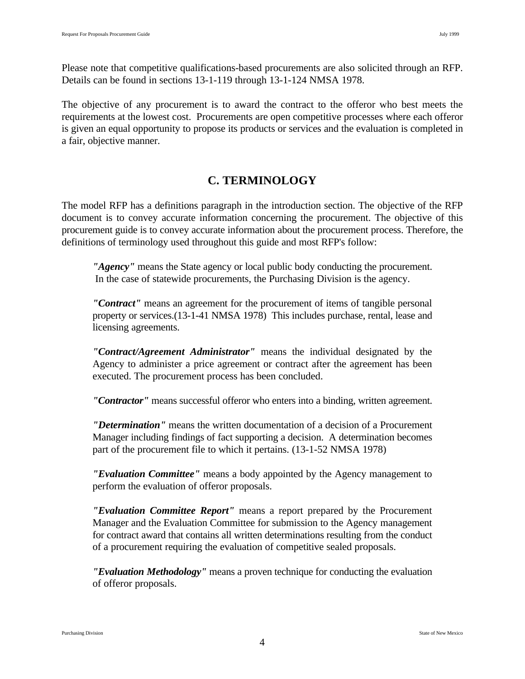Please note that competitive qualifications-based procurements are also solicited through an RFP. Details can be found in sections 13-1-119 through 13-1-124 NMSA 1978.

The objective of any procurement is to award the contract to the offeror who best meets the requirements at the lowest cost. Procurements are open competitive processes where each offeror is given an equal opportunity to propose its products or services and the evaluation is completed in a fair, objective manner.

## **C. TERMINOLOGY**

The model RFP has a definitions paragraph in the introduction section. The objective of the RFP document is to convey accurate information concerning the procurement. The objective of this procurement guide is to convey accurate information about the procurement process. Therefore, the definitions of terminology used throughout this guide and most RFP's follow:

*"Agency"* means the State agency or local public body conducting the procurement. In the case of statewide procurements, the Purchasing Division is the agency.

*"Contract"* means an agreement for the procurement of items of tangible personal property or services.(13-1-41 NMSA 1978) This includes purchase, rental, lease and licensing agreements.

*"Contract/Agreement Administrator"* means the individual designated by the Agency to administer a price agreement or contract after the agreement has been executed. The procurement process has been concluded.

*"Contractor"* means successful offeror who enters into a binding, written agreement.

*"Determination"* means the written documentation of a decision of a Procurement Manager including findings of fact supporting a decision. A determination becomes part of the procurement file to which it pertains. (13-1-52 NMSA 1978)

*"Evaluation Committee"* means a body appointed by the Agency management to perform the evaluation of offeror proposals.

*"Evaluation Committee Report"* means a report prepared by the Procurement Manager and the Evaluation Committee for submission to the Agency management for contract award that contains all written determinations resulting from the conduct of a procurement requiring the evaluation of competitive sealed proposals.

*"Evaluation Methodology"* means a proven technique for conducting the evaluation of offeror proposals.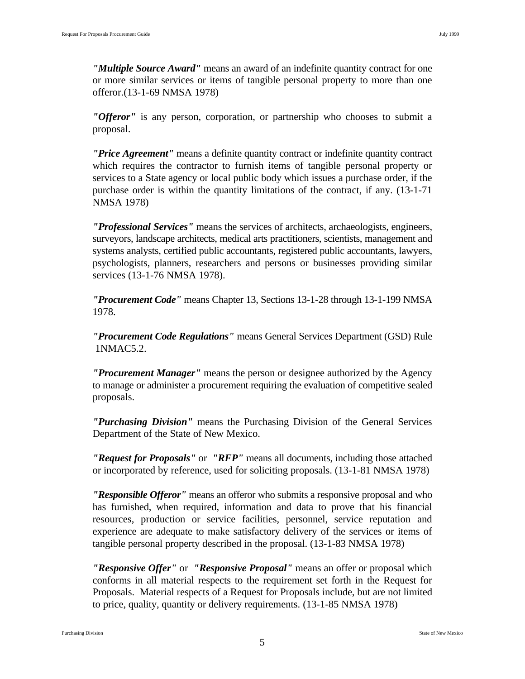*"Multiple Source Award"* means an award of an indefinite quantity contract for one or more similar services or items of tangible personal property to more than one offeror.(13-1-69 NMSA 1978)

*"Offeror"* is any person, corporation, or partnership who chooses to submit a proposal.

*"Price Agreement"* means a definite quantity contract or indefinite quantity contract which requires the contractor to furnish items of tangible personal property or services to a State agency or local public body which issues a purchase order, if the purchase order is within the quantity limitations of the contract, if any. (13-1-71 NMSA 1978)

*"Professional Services"* means the services of architects, archaeologists, engineers, surveyors, landscape architects, medical arts practitioners, scientists, management and systems analysts, certified public accountants, registered public accountants, lawyers, psychologists, planners, researchers and persons or businesses providing similar services (13-1-76 NMSA 1978).

*"Procurement Code"* means Chapter 13, Sections 13-1-28 through 13-1-199 NMSA 1978.

*"Procurement Code Regulations"* means General Services Department (GSD) Rule 1NMAC5.2.

*"Procurement Manager"* means the person or designee authorized by the Agency to manage or administer a procurement requiring the evaluation of competitive sealed proposals.

*"Purchasing Division"* means the Purchasing Division of the General Services Department of the State of New Mexico.

*"Request for Proposals"* or *"RFP"* means all documents, including those attached or incorporated by reference, used for soliciting proposals. (13-1-81 NMSA 1978)

*"Responsible Offeror"* means an offeror who submits a responsive proposal and who has furnished, when required, information and data to prove that his financial resources, production or service facilities, personnel, service reputation and experience are adequate to make satisfactory delivery of the services or items of tangible personal property described in the proposal. (13-1-83 NMSA 1978)

*"Responsive Offer"* or *"Responsive Proposal"* means an offer or proposal which conforms in all material respects to the requirement set forth in the Request for Proposals. Material respects of a Request for Proposals include, but are not limited to price, quality, quantity or delivery requirements. (13-1-85 NMSA 1978)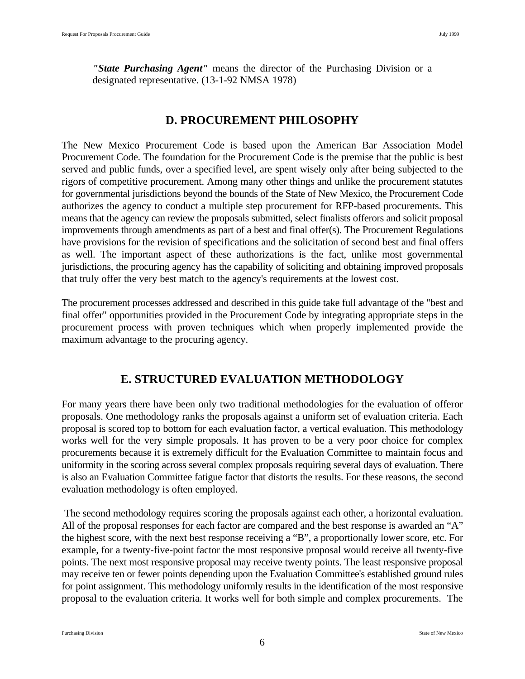*"State Purchasing Agent"* means the director of the Purchasing Division or a designated representative. (13-1-92 NMSA 1978)

#### **D. PROCUREMENT PHILOSOPHY**

The New Mexico Procurement Code is based upon the American Bar Association Model Procurement Code. The foundation for the Procurement Code is the premise that the public is best served and public funds, over a specified level, are spent wisely only after being subjected to the rigors of competitive procurement. Among many other things and unlike the procurement statutes for governmental jurisdictions beyond the bounds of the State of New Mexico, the Procurement Code authorizes the agency to conduct a multiple step procurement for RFP-based procurements. This means that the agency can review the proposals submitted, select finalists offerors and solicit proposal improvements through amendments as part of a best and final offer(s). The Procurement Regulations have provisions for the revision of specifications and the solicitation of second best and final offers as well. The important aspect of these authorizations is the fact, unlike most governmental jurisdictions, the procuring agency has the capability of soliciting and obtaining improved proposals that truly offer the very best match to the agency's requirements at the lowest cost.

The procurement processes addressed and described in this guide take full advantage of the "best and final offer" opportunities provided in the Procurement Code by integrating appropriate steps in the procurement process with proven techniques which when properly implemented provide the maximum advantage to the procuring agency.

### **E. STRUCTURED EVALUATION METHODOLOGY**

For many years there have been only two traditional methodologies for the evaluation of offeror proposals. One methodology ranks the proposals against a uniform set of evaluation criteria. Each proposal is scored top to bottom for each evaluation factor, a vertical evaluation. This methodology works well for the very simple proposals. It has proven to be a very poor choice for complex procurements because it is extremely difficult for the Evaluation Committee to maintain focus and uniformity in the scoring across several complex proposals requiring several days of evaluation. There is also an Evaluation Committee fatigue factor that distorts the results. For these reasons, the second evaluation methodology is often employed.

 The second methodology requires scoring the proposals against each other, a horizontal evaluation. All of the proposal responses for each factor are compared and the best response is awarded an "A" the highest score, with the next best response receiving a "B", a proportionally lower score, etc. For example, for a twenty-five-point factor the most responsive proposal would receive all twenty-five points. The next most responsive proposal may receive twenty points. The least responsive proposal may receive ten or fewer points depending upon the Evaluation Committee's established ground rules for point assignment. This methodology uniformly results in the identification of the most responsive proposal to the evaluation criteria. It works well for both simple and complex procurements. The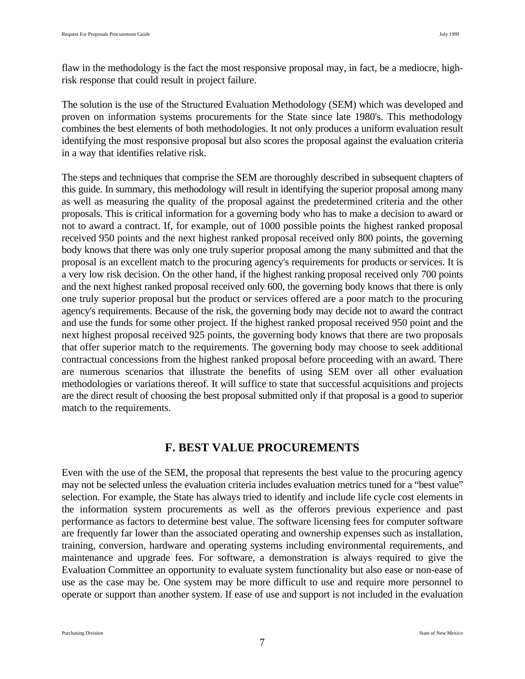flaw in the methodology is the fact the most responsive proposal may, in fact, be a mediocre, highrisk response that could result in project failure.

The solution is the use of the Structured Evaluation Methodology (SEM) which was developed and proven on information systems procurements for the State since late 1980's. This methodology combines the best elements of both methodologies. It not only produces a uniform evaluation result identifying the most responsive proposal but also scores the proposal against the evaluation criteria in a way that identifies relative risk.

The steps and techniques that comprise the SEM are thoroughly described in subsequent chapters of this guide. In summary, this methodology will result in identifying the superior proposal among many as well as measuring the quality of the proposal against the predetermined criteria and the other proposals. This is critical information for a governing body who has to make a decision to award or not to award a contract. If, for example, out of 1000 possible points the highest ranked proposal received 950 points and the next highest ranked proposal received only 800 points, the governing body knows that there was only one truly superior proposal among the many submitted and that the proposal is an excellent match to the procuring agency's requirements for products or services. It is a very low risk decision. On the other hand, if the highest ranking proposal received only 700 points and the next highest ranked proposal received only 600, the governing body knows that there is only one truly superior proposal but the product or services offered are a poor match to the procuring agency's requirements. Because of the risk, the governing body may decide not to award the contract and use the funds for some other project. If the highest ranked proposal received 950 point and the next highest proposal received 925 points, the governing body knows that there are two proposals that offer superior match to the requirements. The governing body may choose to seek additional contractual concessions from the highest ranked proposal before proceeding with an award. There are numerous scenarios that illustrate the benefits of using SEM over all other evaluation methodologies or variations thereof. It will suffice to state that successful acquisitions and projects are the direct result of choosing the best proposal submitted only if that proposal is a good to superior match to the requirements.

### **F. BEST VALUE PROCUREMENTS**

Even with the use of the SEM, the proposal that represents the best value to the procuring agency may not be selected unless the evaluation criteria includes evaluation metrics tuned for a "best value" selection. For example, the State has always tried to identify and include life cycle cost elements in the information system procurements as well as the offerors previous experience and past performance as factors to determine best value. The software licensing fees for computer software are frequently far lower than the associated operating and ownership expenses such as installation, training, conversion, hardware and operating systems including environmental requirements, and maintenance and upgrade fees. For software, a demonstration is always required to give the Evaluation Committee an opportunity to evaluate system functionality but also ease or non-ease of use as the case may be. One system may be more difficult to use and require more personnel to operate or support than another system. If ease of use and support is not included in the evaluation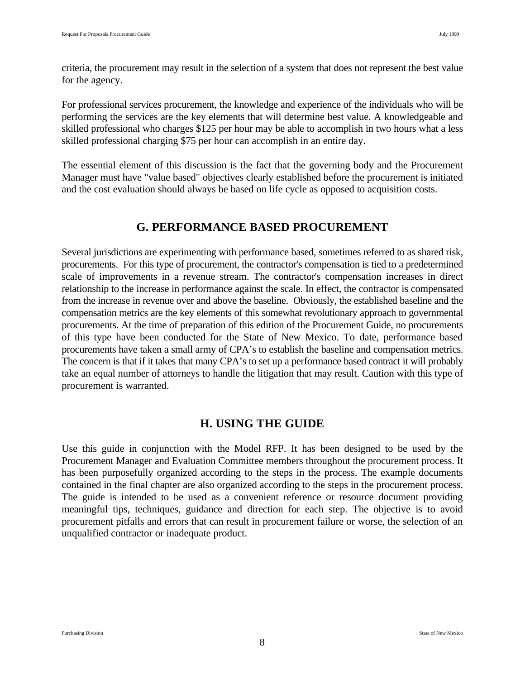For professional services procurement, the knowledge and experience of the individuals who will be performing the services are the key elements that will determine best value. A knowledgeable and skilled professional who charges \$125 per hour may be able to accomplish in two hours what a less skilled professional charging \$75 per hour can accomplish in an entire day.

The essential element of this discussion is the fact that the governing body and the Procurement Manager must have "value based" objectives clearly established before the procurement is initiated and the cost evaluation should always be based on life cycle as opposed to acquisition costs.

## **G. PERFORMANCE BASED PROCUREMENT**

Several jurisdictions are experimenting with performance based, sometimes referred to as shared risk, procurements. For this type of procurement, the contractor's compensation is tied to a predetermined scale of improvements in a revenue stream. The contractor's compensation increases in direct relationship to the increase in performance against the scale. In effect, the contractor is compensated from the increase in revenue over and above the baseline. Obviously, the established baseline and the compensation metrics are the key elements of this somewhat revolutionary approach to governmental procurements. At the time of preparation of this edition of the Procurement Guide, no procurements of this type have been conducted for the State of New Mexico. To date, performance based procurements have taken a small army of CPA's to establish the baseline and compensation metrics. The concern is that if it takes that many CPA's to set up a performance based contract it will probably take an equal number of attorneys to handle the litigation that may result. Caution with this type of procurement is warranted.

## **H. USING THE GUIDE**

Use this guide in conjunction with the Model RFP. It has been designed to be used by the Procurement Manager and Evaluation Committee members throughout the procurement process. It has been purposefully organized according to the steps in the process. The example documents contained in the final chapter are also organized according to the steps in the procurement process. The guide is intended to be used as a convenient reference or resource document providing meaningful tips, techniques, guidance and direction for each step. The objective is to avoid procurement pitfalls and errors that can result in procurement failure or worse, the selection of an unqualified contractor or inadequate product.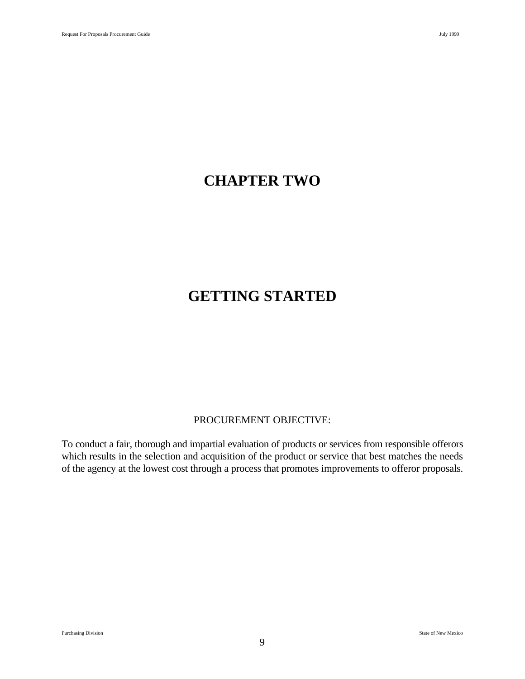## **CHAPTER TWO**

## **GETTING STARTED**

#### PROCUREMENT OBJECTIVE:

To conduct a fair, thorough and impartial evaluation of products or services from responsible offerors which results in the selection and acquisition of the product or service that best matches the needs of the agency at the lowest cost through a process that promotes improvements to offeror proposals.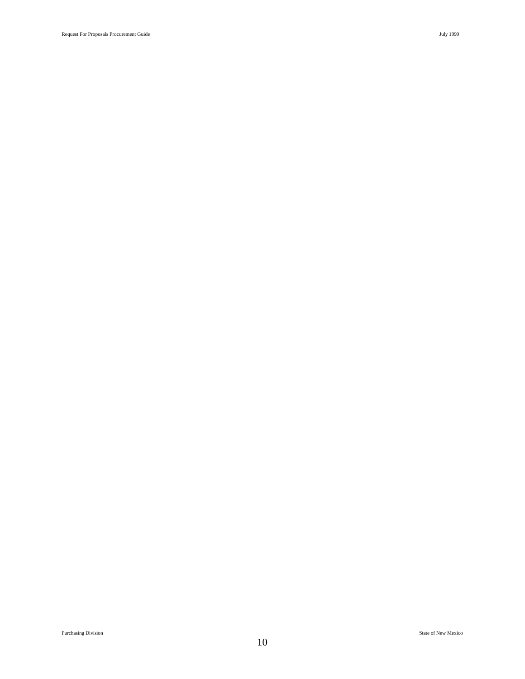Request For Proposals Procurement Guide July 1999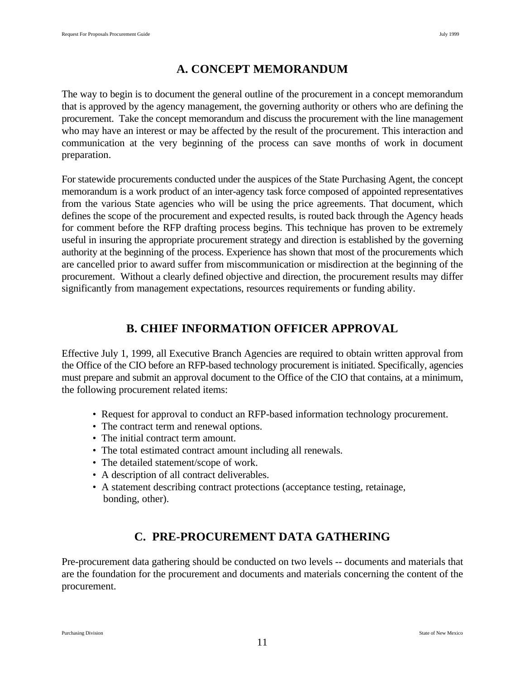### **A. CONCEPT MEMORANDUM**

The way to begin is to document the general outline of the procurement in a concept memorandum that is approved by the agency management, the governing authority or others who are defining the procurement. Take the concept memorandum and discuss the procurement with the line management who may have an interest or may be affected by the result of the procurement. This interaction and communication at the very beginning of the process can save months of work in document preparation.

For statewide procurements conducted under the auspices of the State Purchasing Agent, the concept memorandum is a work product of an inter-agency task force composed of appointed representatives from the various State agencies who will be using the price agreements. That document, which defines the scope of the procurement and expected results, is routed back through the Agency heads for comment before the RFP drafting process begins. This technique has proven to be extremely useful in insuring the appropriate procurement strategy and direction is established by the governing authority at the beginning of the process. Experience has shown that most of the procurements which are cancelled prior to award suffer from miscommunication or misdirection at the beginning of the procurement. Without a clearly defined objective and direction, the procurement results may differ significantly from management expectations, resources requirements or funding ability.

### **B. CHIEF INFORMATION OFFICER APPROVAL**

Effective July 1, 1999, all Executive Branch Agencies are required to obtain written approval from the Office of the CIO before an RFP-based technology procurement is initiated. Specifically, agencies must prepare and submit an approval document to the Office of the CIO that contains, at a minimum, the following procurement related items:

- Request for approval to conduct an RFP-based information technology procurement.
- The contract term and renewal options.
- The initial contract term amount.
- The total estimated contract amount including all renewals.
- The detailed statement/scope of work.
- A description of all contract deliverables.
- A statement describing contract protections (acceptance testing, retainage, bonding, other).

## **C. PRE-PROCUREMENT DATA GATHERING**

Pre-procurement data gathering should be conducted on two levels -- documents and materials that are the foundation for the procurement and documents and materials concerning the content of the procurement.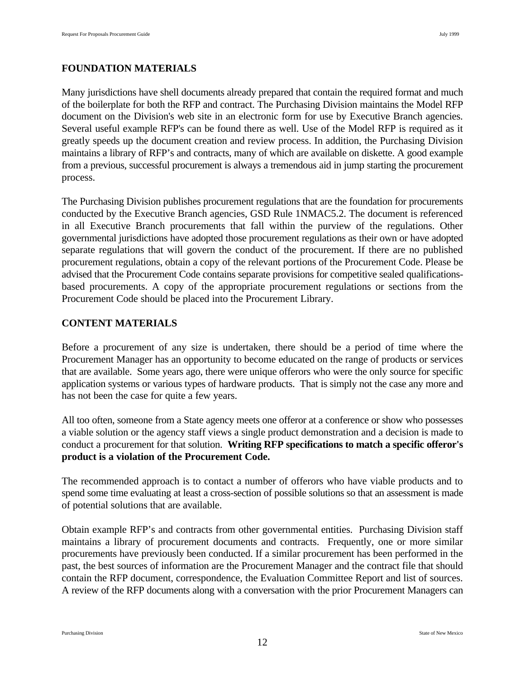#### **FOUNDATION MATERIALS**

Many jurisdictions have shell documents already prepared that contain the required format and much of the boilerplate for both the RFP and contract. The Purchasing Division maintains the Model RFP document on the Division's web site in an electronic form for use by Executive Branch agencies. Several useful example RFP's can be found there as well. Use of the Model RFP is required as it greatly speeds up the document creation and review process. In addition, the Purchasing Division maintains a library of RFP's and contracts, many of which are available on diskette. A good example from a previous, successful procurement is always a tremendous aid in jump starting the procurement process.

The Purchasing Division publishes procurement regulations that are the foundation for procurements conducted by the Executive Branch agencies, GSD Rule 1NMAC5.2. The document is referenced in all Executive Branch procurements that fall within the purview of the regulations. Other governmental jurisdictions have adopted those procurement regulations as their own or have adopted separate regulations that will govern the conduct of the procurement. If there are no published procurement regulations, obtain a copy of the relevant portions of the Procurement Code. Please be advised that the Procurement Code contains separate provisions for competitive sealed qualificationsbased procurements. A copy of the appropriate procurement regulations or sections from the Procurement Code should be placed into the Procurement Library.

#### **CONTENT MATERIALS**

Before a procurement of any size is undertaken, there should be a period of time where the Procurement Manager has an opportunity to become educated on the range of products or services that are available. Some years ago, there were unique offerors who were the only source for specific application systems or various types of hardware products. That is simply not the case any more and has not been the case for quite a few years.

All too often, someone from a State agency meets one offeror at a conference or show who possesses a viable solution or the agency staff views a single product demonstration and a decision is made to conduct a procurement for that solution. **Writing RFP specifications to match a specific offeror's product is a violation of the Procurement Code.**

The recommended approach is to contact a number of offerors who have viable products and to spend some time evaluating at least a cross-section of possible solutions so that an assessment is made of potential solutions that are available.

Obtain example RFP's and contracts from other governmental entities. Purchasing Division staff maintains a library of procurement documents and contracts. Frequently, one or more similar procurements have previously been conducted. If a similar procurement has been performed in the past, the best sources of information are the Procurement Manager and the contract file that should contain the RFP document, correspondence, the Evaluation Committee Report and list of sources. A review of the RFP documents along with a conversation with the prior Procurement Managers can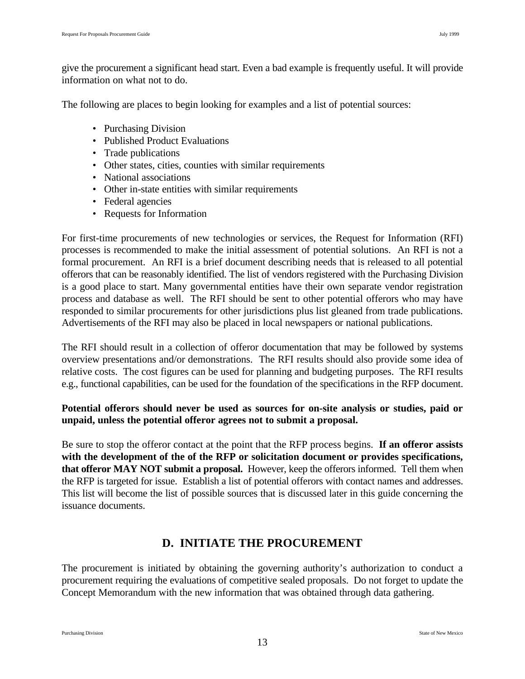give the procurement a significant head start. Even a bad example is frequently useful. It will provide information on what not to do.

The following are places to begin looking for examples and a list of potential sources:

- Purchasing Division
- Published Product Evaluations
- Trade publications
- Other states, cities, counties with similar requirements
- National associations
- Other in-state entities with similar requirements
- Federal agencies
- Requests for Information

For first-time procurements of new technologies or services, the Request for Information (RFI) processes is recommended to make the initial assessment of potential solutions. An RFI is not a formal procurement. An RFI is a brief document describing needs that is released to all potential offerors that can be reasonably identified. The list of vendors registered with the Purchasing Division is a good place to start. Many governmental entities have their own separate vendor registration process and database as well. The RFI should be sent to other potential offerors who may have responded to similar procurements for other jurisdictions plus list gleaned from trade publications. Advertisements of the RFI may also be placed in local newspapers or national publications.

The RFI should result in a collection of offeror documentation that may be followed by systems overview presentations and/or demonstrations. The RFI results should also provide some idea of relative costs. The cost figures can be used for planning and budgeting purposes. The RFI results e.g., functional capabilities, can be used for the foundation of the specifications in the RFP document.

**Potential offerors should never be used as sources for on-site analysis or studies, paid or unpaid, unless the potential offeror agrees not to submit a proposal.**

Be sure to stop the offeror contact at the point that the RFP process begins. **If an offeror assists with the development of the of the RFP or solicitation document or provides specifications, that offeror MAY NOT submit a proposal.** However, keep the offerors informed. Tell them when the RFP is targeted for issue. Establish a list of potential offerors with contact names and addresses. This list will become the list of possible sources that is discussed later in this guide concerning the issuance documents.

### **D. INITIATE THE PROCUREMENT**

The procurement is initiated by obtaining the governing authority's authorization to conduct a procurement requiring the evaluations of competitive sealed proposals. Do not forget to update the Concept Memorandum with the new information that was obtained through data gathering.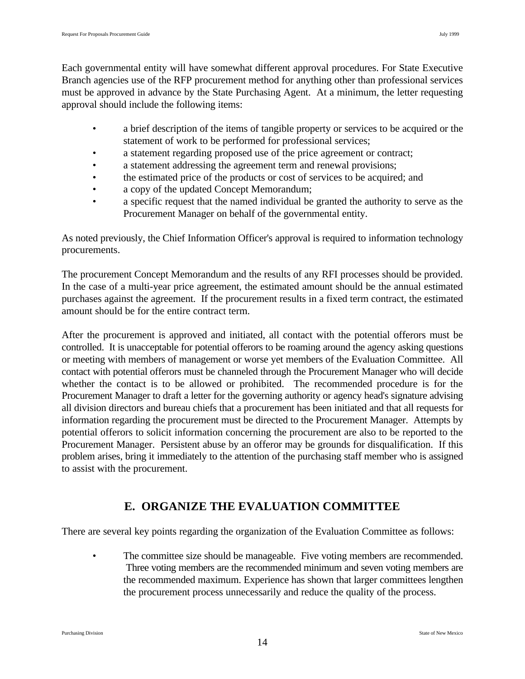Each governmental entity will have somewhat different approval procedures. For State Executive Branch agencies use of the RFP procurement method for anything other than professional services must be approved in advance by the State Purchasing Agent. At a minimum, the letter requesting approval should include the following items:

- a brief description of the items of tangible property or services to be acquired or the statement of work to be performed for professional services;
- a statement regarding proposed use of the price agreement or contract;
- a statement addressing the agreement term and renewal provisions;
- the estimated price of the products or cost of services to be acquired; and
- a copy of the updated Concept Memorandum;
- a specific request that the named individual be granted the authority to serve as the Procurement Manager on behalf of the governmental entity.

As noted previously, the Chief Information Officer's approval is required to information technology procurements.

The procurement Concept Memorandum and the results of any RFI processes should be provided. In the case of a multi-year price agreement, the estimated amount should be the annual estimated purchases against the agreement. If the procurement results in a fixed term contract, the estimated amount should be for the entire contract term.

After the procurement is approved and initiated, all contact with the potential offerors must be controlled. It is unacceptable for potential offerors to be roaming around the agency asking questions or meeting with members of management or worse yet members of the Evaluation Committee. All contact with potential offerors must be channeled through the Procurement Manager who will decide whether the contact is to be allowed or prohibited. The recommended procedure is for the Procurement Manager to draft a letter for the governing authority or agency head's signature advising all division directors and bureau chiefs that a procurement has been initiated and that all requests for information regarding the procurement must be directed to the Procurement Manager. Attempts by potential offerors to solicit information concerning the procurement are also to be reported to the Procurement Manager. Persistent abuse by an offeror may be grounds for disqualification. If this problem arises, bring it immediately to the attention of the purchasing staff member who is assigned to assist with the procurement.

## **E. ORGANIZE THE EVALUATION COMMITTEE**

There are several key points regarding the organization of the Evaluation Committee as follows:

• The committee size should be manageable. Five voting members are recommended. Three voting members are the recommended minimum and seven voting members are the recommended maximum. Experience has shown that larger committees lengthen the procurement process unnecessarily and reduce the quality of the process.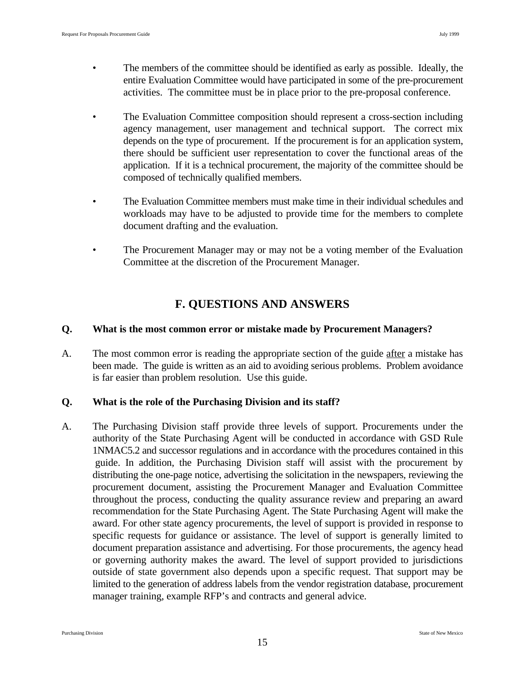- The members of the committee should be identified as early as possible. Ideally, the entire Evaluation Committee would have participated in some of the pre-procurement activities. The committee must be in place prior to the pre-proposal conference.
- The Evaluation Committee composition should represent a cross-section including agency management, user management and technical support. The correct mix depends on the type of procurement. If the procurement is for an application system, there should be sufficient user representation to cover the functional areas of the application. If it is a technical procurement, the majority of the committee should be composed of technically qualified members.
- The Evaluation Committee members must make time in their individual schedules and workloads may have to be adjusted to provide time for the members to complete document drafting and the evaluation.
- The Procurement Manager may or may not be a voting member of the Evaluation Committee at the discretion of the Procurement Manager.

## **F. QUESTIONS AND ANSWERS**

#### **Q. What is the most common error or mistake made by Procurement Managers?**

A. The most common error is reading the appropriate section of the guide after a mistake has been made. The guide is written as an aid to avoiding serious problems. Problem avoidance is far easier than problem resolution. Use this guide.

#### **Q. What is the role of the Purchasing Division and its staff?**

A. The Purchasing Division staff provide three levels of support. Procurements under the authority of the State Purchasing Agent will be conducted in accordance with GSD Rule 1NMAC5.2 and successor regulations and in accordance with the procedures contained in this guide. In addition, the Purchasing Division staff will assist with the procurement by distributing the one-page notice, advertising the solicitation in the newspapers, reviewing the procurement document, assisting the Procurement Manager and Evaluation Committee throughout the process, conducting the quality assurance review and preparing an award recommendation for the State Purchasing Agent. The State Purchasing Agent will make the award. For other state agency procurements, the level of support is provided in response to specific requests for guidance or assistance. The level of support is generally limited to document preparation assistance and advertising. For those procurements, the agency head or governing authority makes the award. The level of support provided to jurisdictions outside of state government also depends upon a specific request. That support may be limited to the generation of address labels from the vendor registration database, procurement manager training, example RFP's and contracts and general advice.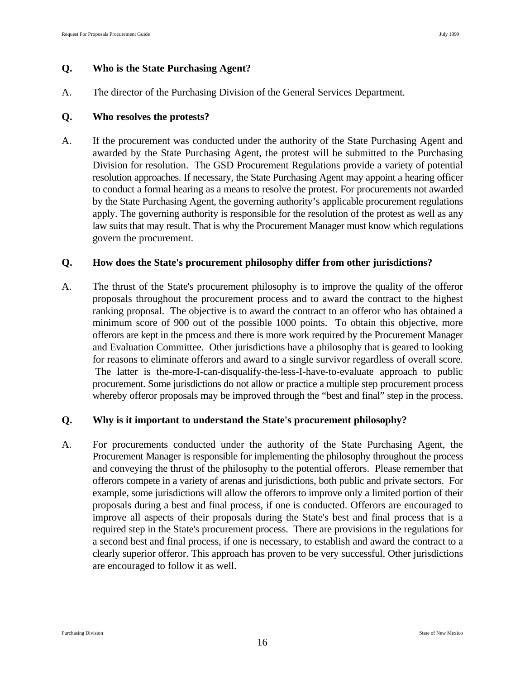#### **Q. Who is the State Purchasing Agent?**

A. The director of the Purchasing Division of the General Services Department.

#### **Q. Who resolves the protests?**

A. If the procurement was conducted under the authority of the State Purchasing Agent and awarded by the State Purchasing Agent, the protest will be submitted to the Purchasing Division for resolution. The GSD Procurement Regulations provide a variety of potential resolution approaches. If necessary, the State Purchasing Agent may appoint a hearing officer to conduct a formal hearing as a means to resolve the protest. For procurements not awarded by the State Purchasing Agent, the governing authority's applicable procurement regulations apply. The governing authority is responsible for the resolution of the protest as well as any law suits that may result. That is why the Procurement Manager must know which regulations govern the procurement.

#### **Q. How does the State's procurement philosophy differ from other jurisdictions?**

A. The thrust of the State's procurement philosophy is to improve the quality of the offeror proposals throughout the procurement process and to award the contract to the highest ranking proposal. The objective is to award the contract to an offeror who has obtained a minimum score of 900 out of the possible 1000 points. To obtain this objective, more offerors are kept in the process and there is more work required by the Procurement Manager and Evaluation Committee. Other jurisdictions have a philosophy that is geared to looking for reasons to eliminate offerors and award to a single survivor regardless of overall score. The latter is the-more-I-can-disqualify-the-less-I-have-to-evaluate approach to public procurement. Some jurisdictions do not allow or practice a multiple step procurement process whereby offeror proposals may be improved through the "best and final" step in the process.

#### **Q. Why is it important to understand the State's procurement philosophy?**

A. For procurements conducted under the authority of the State Purchasing Agent, the Procurement Manager is responsible for implementing the philosophy throughout the process and conveying the thrust of the philosophy to the potential offerors. Please remember that offerors compete in a variety of arenas and jurisdictions, both public and private sectors. For example, some jurisdictions will allow the offerors to improve only a limited portion of their proposals during a best and final process, if one is conducted. Offerors are encouraged to improve all aspects of their proposals during the State's best and final process that is a required step in the State's procurement process. There are provisions in the regulations for a second best and final process, if one is necessary, to establish and award the contract to a clearly superior offeror. This approach has proven to be very successful. Other jurisdictions are encouraged to follow it as well.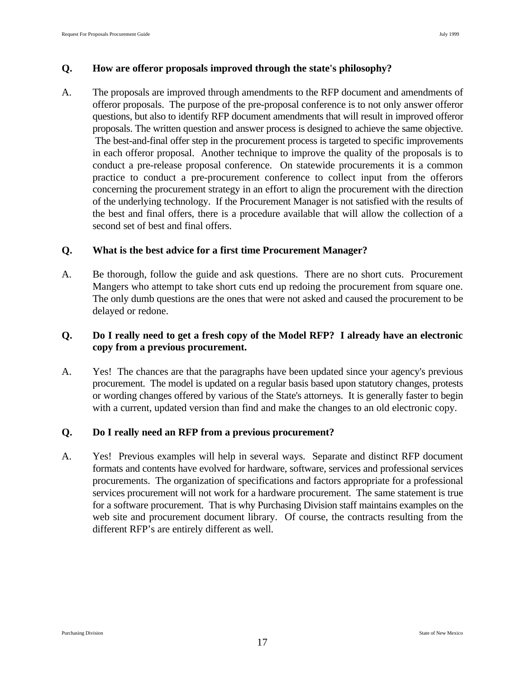#### **Q. How are offeror proposals improved through the state's philosophy?**

A. The proposals are improved through amendments to the RFP document and amendments of offeror proposals. The purpose of the pre-proposal conference is to not only answer offeror questions, but also to identify RFP document amendments that will result in improved offeror proposals. The written question and answer process is designed to achieve the same objective. The best-and-final offer step in the procurement process is targeted to specific improvements in each offeror proposal. Another technique to improve the quality of the proposals is to conduct a pre-release proposal conference. On statewide procurements it is a common practice to conduct a pre-procurement conference to collect input from the offerors concerning the procurement strategy in an effort to align the procurement with the direction of the underlying technology. If the Procurement Manager is not satisfied with the results of the best and final offers, there is a procedure available that will allow the collection of a second set of best and final offers.

#### **Q. What is the best advice for a first time Procurement Manager?**

A. Be thorough, follow the guide and ask questions. There are no short cuts. Procurement Mangers who attempt to take short cuts end up redoing the procurement from square one. The only dumb questions are the ones that were not asked and caused the procurement to be delayed or redone.

#### **Q. Do I really need to get a fresh copy of the Model RFP? I already have an electronic copy from a previous procurement.**

A. Yes! The chances are that the paragraphs have been updated since your agency's previous procurement. The model is updated on a regular basis based upon statutory changes, protests or wording changes offered by various of the State's attorneys. It is generally faster to begin with a current, updated version than find and make the changes to an old electronic copy.

#### **Q. Do I really need an RFP from a previous procurement?**

A. Yes! Previous examples will help in several ways. Separate and distinct RFP document formats and contents have evolved for hardware, software, services and professional services procurements. The organization of specifications and factors appropriate for a professional services procurement will not work for a hardware procurement. The same statement is true for a software procurement. That is why Purchasing Division staff maintains examples on the web site and procurement document library. Of course, the contracts resulting from the different RFP's are entirely different as well.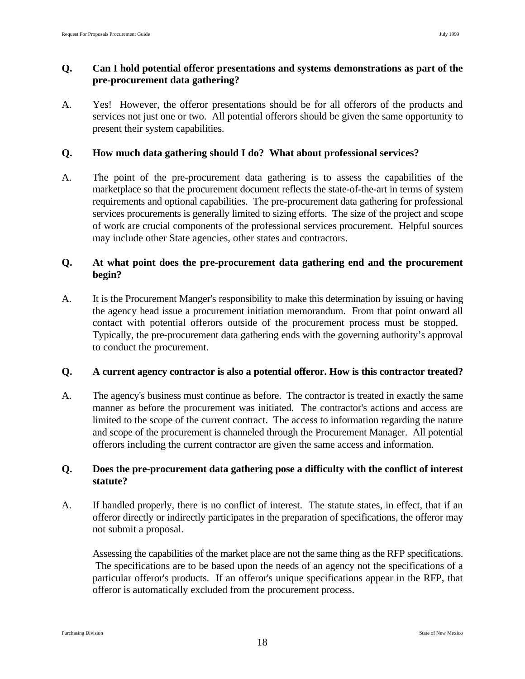#### **Q. Can I hold potential offeror presentations and systems demonstrations as part of the pre-procurement data gathering?**

A. Yes! However, the offeror presentations should be for all offerors of the products and services not just one or two. All potential offerors should be given the same opportunity to present their system capabilities.

#### **Q. How much data gathering should I do? What about professional services?**

A. The point of the pre-procurement data gathering is to assess the capabilities of the marketplace so that the procurement document reflects the state-of-the-art in terms of system requirements and optional capabilities. The pre-procurement data gathering for professional services procurements is generally limited to sizing efforts. The size of the project and scope of work are crucial components of the professional services procurement. Helpful sources may include other State agencies, other states and contractors.

#### **Q. At what point does the pre-procurement data gathering end and the procurement begin?**

A. It is the Procurement Manger's responsibility to make this determination by issuing or having the agency head issue a procurement initiation memorandum. From that point onward all contact with potential offerors outside of the procurement process must be stopped. Typically, the pre-procurement data gathering ends with the governing authority's approval to conduct the procurement.

#### **Q. A current agency contractor is also a potential offeror. How is this contractor treated?**

A. The agency's business must continue as before. The contractor is treated in exactly the same manner as before the procurement was initiated. The contractor's actions and access are limited to the scope of the current contract. The access to information regarding the nature and scope of the procurement is channeled through the Procurement Manager. All potential offerors including the current contractor are given the same access and information.

#### **Q. Does the pre-procurement data gathering pose a difficulty with the conflict of interest statute?**

A. If handled properly, there is no conflict of interest. The statute states, in effect, that if an offeror directly or indirectly participates in the preparation of specifications, the offeror may not submit a proposal.

Assessing the capabilities of the market place are not the same thing as the RFP specifications. The specifications are to be based upon the needs of an agency not the specifications of a particular offeror's products. If an offeror's unique specifications appear in the RFP, that offeror is automatically excluded from the procurement process.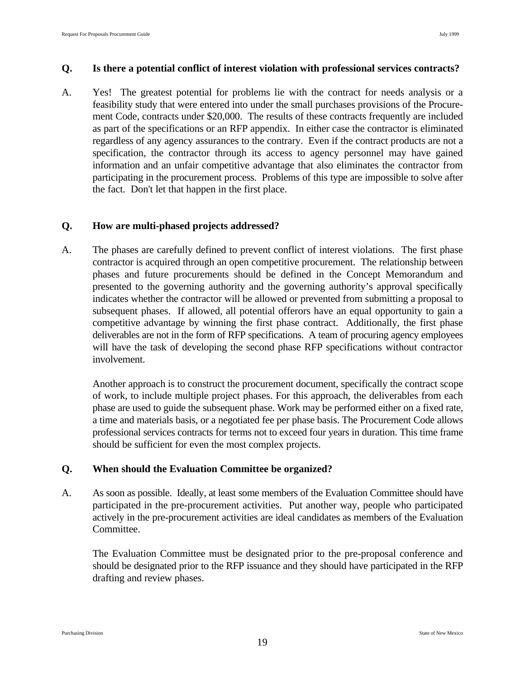#### **Q. Is there a potential conflict of interest violation with professional services contracts?**

A. Yes! The greatest potential for problems lie with the contract for needs analysis or a feasibility study that were entered into under the small purchases provisions of the Procurement Code, contracts under \$20,000. The results of these contracts frequently are included as part of the specifications or an RFP appendix. In either case the contractor is eliminated regardless of any agency assurances to the contrary. Even if the contract products are not a specification, the contractor through its access to agency personnel may have gained information and an unfair competitive advantage that also eliminates the contractor from participating in the procurement process. Problems of this type are impossible to solve after the fact. Don't let that happen in the first place.

#### **Q. How are multi-phased projects addressed?**

A. The phases are carefully defined to prevent conflict of interest violations. The first phase contractor is acquired through an open competitive procurement. The relationship between phases and future procurements should be defined in the Concept Memorandum and presented to the governing authority and the governing authority's approval specifically indicates whether the contractor will be allowed or prevented from submitting a proposal to subsequent phases. If allowed, all potential offerors have an equal opportunity to gain a competitive advantage by winning the first phase contract. Additionally, the first phase deliverables are not in the form of RFP specifications. A team of procuring agency employees will have the task of developing the second phase RFP specifications without contractor involvement.

Another approach is to construct the procurement document, specifically the contract scope of work, to include multiple project phases. For this approach, the deliverables from each phase are used to guide the subsequent phase. Work may be performed either on a fixed rate, a time and materials basis, or a negotiated fee per phase basis. The Procurement Code allows professional services contracts for terms not to exceed four years in duration. This time frame should be sufficient for even the most complex projects.

#### **Q. When should the Evaluation Committee be organized?**

A. As soon as possible. Ideally, at least some members of the Evaluation Committee should have participated in the pre-procurement activities. Put another way, people who participated actively in the pre-procurement activities are ideal candidates as members of the Evaluation Committee.

The Evaluation Committee must be designated prior to the pre-proposal conference and should be designated prior to the RFP issuance and they should have participated in the RFP drafting and review phases.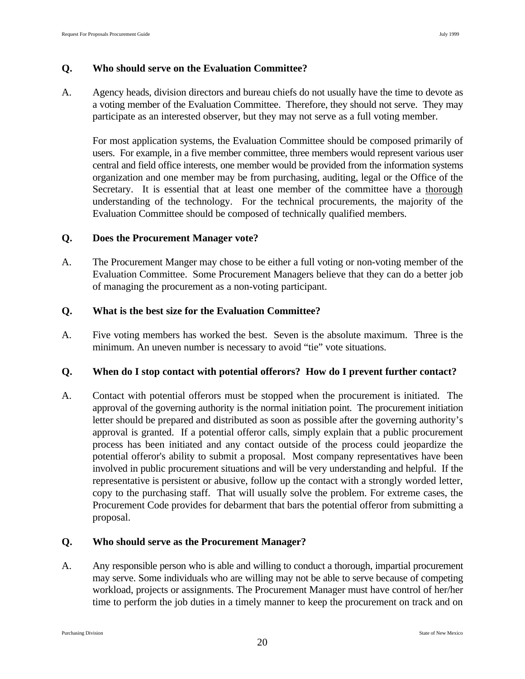#### **Q. Who should serve on the Evaluation Committee?**

A. Agency heads, division directors and bureau chiefs do not usually have the time to devote as a voting member of the Evaluation Committee. Therefore, they should not serve. They may participate as an interested observer, but they may not serve as a full voting member.

For most application systems, the Evaluation Committee should be composed primarily of users. For example, in a five member committee, three members would represent various user central and field office interests, one member would be provided from the information systems organization and one member may be from purchasing, auditing, legal or the Office of the Secretary. It is essential that at least one member of the committee have a thorough understanding of the technology. For the technical procurements, the majority of the Evaluation Committee should be composed of technically qualified members.

#### **Q. Does the Procurement Manager vote?**

A. The Procurement Manger may chose to be either a full voting or non-voting member of the Evaluation Committee. Some Procurement Managers believe that they can do a better job of managing the procurement as a non-voting participant.

#### **Q. What is the best size for the Evaluation Committee?**

A. Five voting members has worked the best. Seven is the absolute maximum. Three is the minimum. An uneven number is necessary to avoid "tie" vote situations.

#### **Q. When do I stop contact with potential offerors? How do I prevent further contact?**

A. Contact with potential offerors must be stopped when the procurement is initiated. The approval of the governing authority is the normal initiation point. The procurement initiation letter should be prepared and distributed as soon as possible after the governing authority's approval is granted. If a potential offeror calls, simply explain that a public procurement process has been initiated and any contact outside of the process could jeopardize the potential offeror's ability to submit a proposal. Most company representatives have been involved in public procurement situations and will be very understanding and helpful. If the representative is persistent or abusive, follow up the contact with a strongly worded letter, copy to the purchasing staff. That will usually solve the problem. For extreme cases, the Procurement Code provides for debarment that bars the potential offeror from submitting a proposal.

#### **Q. Who should serve as the Procurement Manager?**

A. Any responsible person who is able and willing to conduct a thorough, impartial procurement may serve. Some individuals who are willing may not be able to serve because of competing workload, projects or assignments. The Procurement Manager must have control of her/her time to perform the job duties in a timely manner to keep the procurement on track and on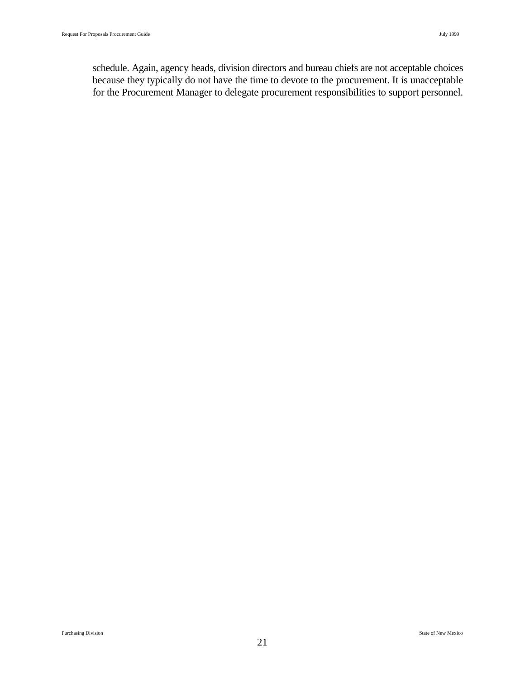schedule. Again, agency heads, division directors and bureau chiefs are not acceptable choices because they typically do not have the time to devote to the procurement. It is unacceptable for the Procurement Manager to delegate procurement responsibilities to support personnel.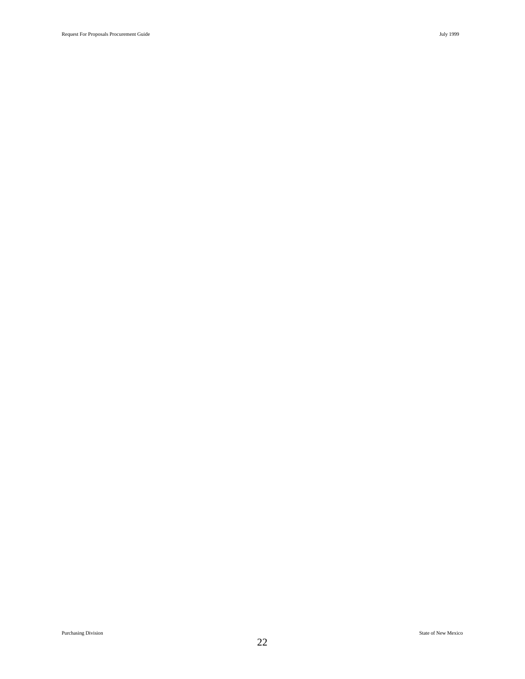Request For Proposals Procurement Guide July 1999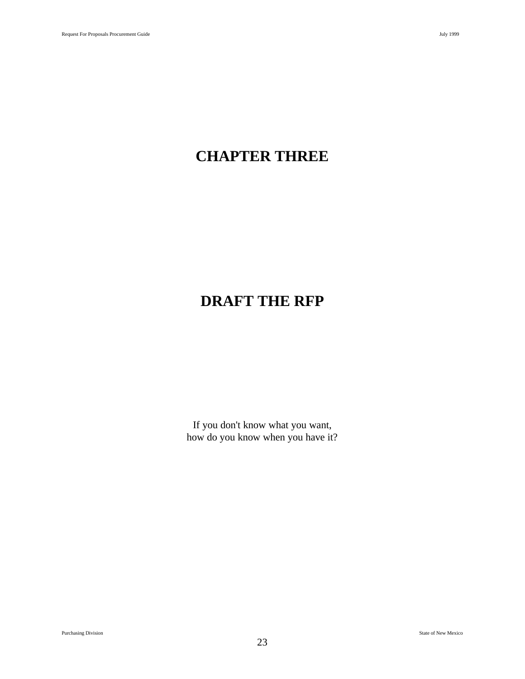## **CHAPTER THREE**

## **DRAFT THE RFP**

If you don't know what you want, how do you know when you have it?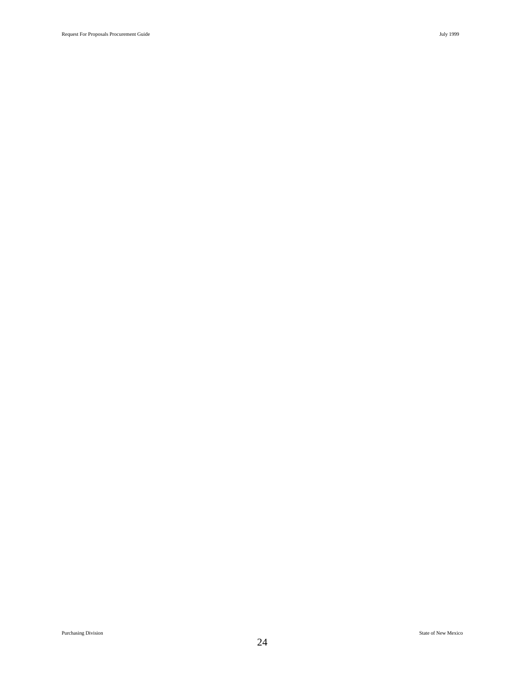Request For Proposals Procurement Guide July 1999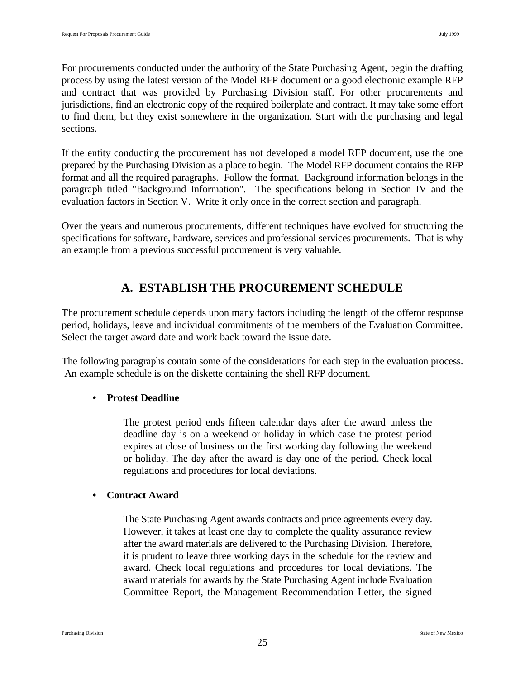For procurements conducted under the authority of the State Purchasing Agent, begin the drafting process by using the latest version of the Model RFP document or a good electronic example RFP and contract that was provided by Purchasing Division staff. For other procurements and jurisdictions, find an electronic copy of the required boilerplate and contract. It may take some effort to find them, but they exist somewhere in the organization. Start with the purchasing and legal sections.

If the entity conducting the procurement has not developed a model RFP document, use the one prepared by the Purchasing Division as a place to begin. The Model RFP document contains the RFP format and all the required paragraphs. Follow the format. Background information belongs in the paragraph titled "Background Information". The specifications belong in Section IV and the evaluation factors in Section V. Write it only once in the correct section and paragraph.

Over the years and numerous procurements, different techniques have evolved for structuring the specifications for software, hardware, services and professional services procurements. That is why an example from a previous successful procurement is very valuable.

## **A. ESTABLISH THE PROCUREMENT SCHEDULE**

The procurement schedule depends upon many factors including the length of the offeror response period, holidays, leave and individual commitments of the members of the Evaluation Committee. Select the target award date and work back toward the issue date.

The following paragraphs contain some of the considerations for each step in the evaluation process. An example schedule is on the diskette containing the shell RFP document.

#### **• Protest Deadline**

The protest period ends fifteen calendar days after the award unless the deadline day is on a weekend or holiday in which case the protest period expires at close of business on the first working day following the weekend or holiday. The day after the award is day one of the period. Check local regulations and procedures for local deviations.

#### **• Contract Award**

The State Purchasing Agent awards contracts and price agreements every day. However, it takes at least one day to complete the quality assurance review after the award materials are delivered to the Purchasing Division. Therefore, it is prudent to leave three working days in the schedule for the review and award. Check local regulations and procedures for local deviations. The award materials for awards by the State Purchasing Agent include Evaluation Committee Report, the Management Recommendation Letter, the signed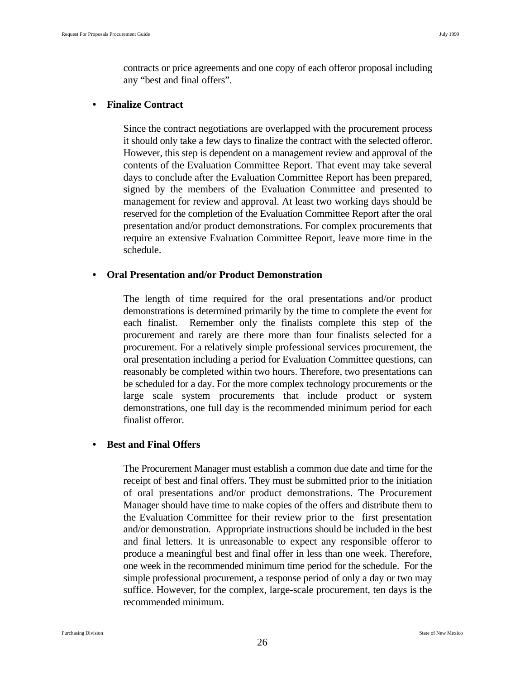contracts or price agreements and one copy of each offeror proposal including any "best and final offers".

#### **• Finalize Contract**

Since the contract negotiations are overlapped with the procurement process it should only take a few days to finalize the contract with the selected offeror. However, this step is dependent on a management review and approval of the contents of the Evaluation Committee Report. That event may take several days to conclude after the Evaluation Committee Report has been prepared, signed by the members of the Evaluation Committee and presented to management for review and approval. At least two working days should be reserved for the completion of the Evaluation Committee Report after the oral presentation and/or product demonstrations. For complex procurements that require an extensive Evaluation Committee Report, leave more time in the schedule.

#### **• Oral Presentation and/or Product Demonstration**

The length of time required for the oral presentations and/or product demonstrations is determined primarily by the time to complete the event for each finalist. Remember only the finalists complete this step of the procurement and rarely are there more than four finalists selected for a procurement. For a relatively simple professional services procurement, the oral presentation including a period for Evaluation Committee questions, can reasonably be completed within two hours. Therefore, two presentations can be scheduled for a day. For the more complex technology procurements or the large scale system procurements that include product or system demonstrations, one full day is the recommended minimum period for each finalist offeror.

#### **• Best and Final Offers**

The Procurement Manager must establish a common due date and time for the receipt of best and final offers. They must be submitted prior to the initiation of oral presentations and/or product demonstrations. The Procurement Manager should have time to make copies of the offers and distribute them to the Evaluation Committee for their review prior to the first presentation and/or demonstration. Appropriate instructions should be included in the best and final letters. It is unreasonable to expect any responsible offeror to produce a meaningful best and final offer in less than one week. Therefore, one week in the recommended minimum time period for the schedule. For the simple professional procurement, a response period of only a day or two may suffice. However, for the complex, large-scale procurement, ten days is the recommended minimum.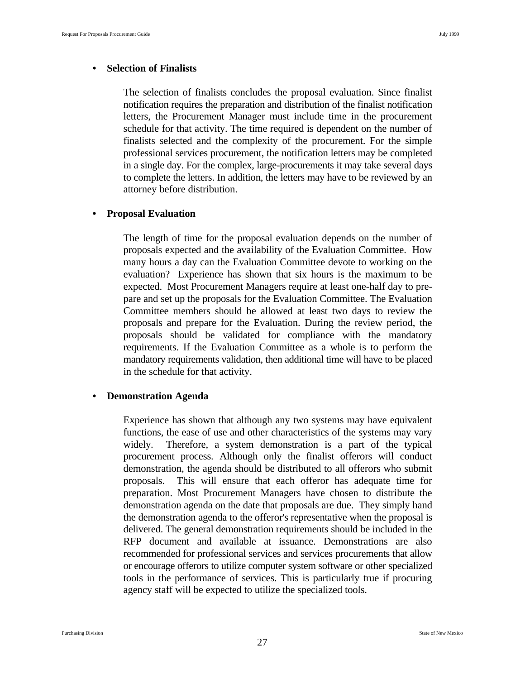#### **• Selection of Finalists**

The selection of finalists concludes the proposal evaluation. Since finalist notification requires the preparation and distribution of the finalist notification letters, the Procurement Manager must include time in the procurement schedule for that activity. The time required is dependent on the number of finalists selected and the complexity of the procurement. For the simple professional services procurement, the notification letters may be completed in a single day. For the complex, large-procurements it may take several days to complete the letters. In addition, the letters may have to be reviewed by an attorney before distribution.

#### **• Proposal Evaluation**

The length of time for the proposal evaluation depends on the number of proposals expected and the availability of the Evaluation Committee. How many hours a day can the Evaluation Committee devote to working on the evaluation? Experience has shown that six hours is the maximum to be expected. Most Procurement Managers require at least one-half day to prepare and set up the proposals for the Evaluation Committee. The Evaluation Committee members should be allowed at least two days to review the proposals and prepare for the Evaluation. During the review period, the proposals should be validated for compliance with the mandatory requirements. If the Evaluation Committee as a whole is to perform the mandatory requirements validation, then additional time will have to be placed in the schedule for that activity.

#### **• Demonstration Agenda**

Experience has shown that although any two systems may have equivalent functions, the ease of use and other characteristics of the systems may vary widely. Therefore, a system demonstration is a part of the typical procurement process. Although only the finalist offerors will conduct demonstration, the agenda should be distributed to all offerors who submit proposals. This will ensure that each offeror has adequate time for preparation. Most Procurement Managers have chosen to distribute the demonstration agenda on the date that proposals are due. They simply hand the demonstration agenda to the offeror's representative when the proposal is delivered. The general demonstration requirements should be included in the RFP document and available at issuance. Demonstrations are also recommended for professional services and services procurements that allow or encourage offerors to utilize computer system software or other specialized tools in the performance of services. This is particularly true if procuring agency staff will be expected to utilize the specialized tools.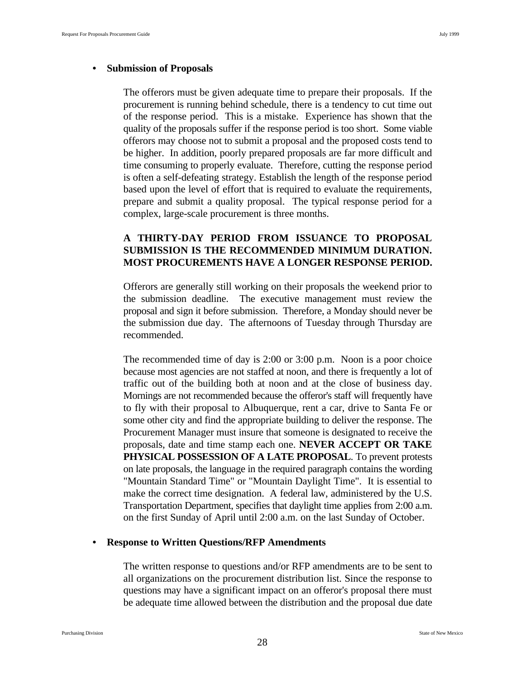#### **• Submission of Proposals**

The offerors must be given adequate time to prepare their proposals. If the procurement is running behind schedule, there is a tendency to cut time out of the response period. This is a mistake. Experience has shown that the quality of the proposals suffer if the response period is too short. Some viable offerors may choose not to submit a proposal and the proposed costs tend to be higher. In addition, poorly prepared proposals are far more difficult and time consuming to properly evaluate. Therefore, cutting the response period is often a self-defeating strategy. Establish the length of the response period based upon the level of effort that is required to evaluate the requirements, prepare and submit a quality proposal. The typical response period for a complex, large-scale procurement is three months.

#### **A THIRTY-DAY PERIOD FROM ISSUANCE TO PROPOSAL SUBMISSION IS THE RECOMMENDED MINIMUM DURATION. MOST PROCUREMENTS HAVE A LONGER RESPONSE PERIOD.**

Offerors are generally still working on their proposals the weekend prior to the submission deadline. The executive management must review the proposal and sign it before submission. Therefore, a Monday should never be the submission due day. The afternoons of Tuesday through Thursday are recommended.

The recommended time of day is 2:00 or 3:00 p.m. Noon is a poor choice because most agencies are not staffed at noon, and there is frequently a lot of traffic out of the building both at noon and at the close of business day. Mornings are not recommended because the offeror's staff will frequently have to fly with their proposal to Albuquerque, rent a car, drive to Santa Fe or some other city and find the appropriate building to deliver the response. The Procurement Manager must insure that someone is designated to receive the proposals, date and time stamp each one. **NEVER ACCEPT OR TAKE PHYSICAL POSSESSION OF A LATE PROPOSAL**. To prevent protests on late proposals, the language in the required paragraph contains the wording "Mountain Standard Time" or "Mountain Daylight Time". It is essential to make the correct time designation. A federal law, administered by the U.S. Transportation Department, specifies that daylight time applies from 2:00 a.m. on the first Sunday of April until 2:00 a.m. on the last Sunday of October.

#### **• Response to Written Questions/RFP Amendments**

The written response to questions and/or RFP amendments are to be sent to all organizations on the procurement distribution list. Since the response to questions may have a significant impact on an offeror's proposal there must be adequate time allowed between the distribution and the proposal due date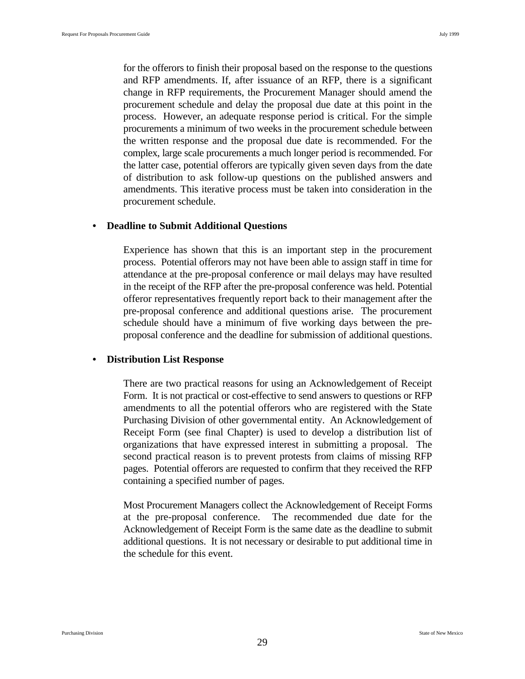for the offerors to finish their proposal based on the response to the questions and RFP amendments. If, after issuance of an RFP, there is a significant change in RFP requirements, the Procurement Manager should amend the procurement schedule and delay the proposal due date at this point in the process. However, an adequate response period is critical. For the simple procurements a minimum of two weeks in the procurement schedule between the written response and the proposal due date is recommended. For the complex, large scale procurements a much longer period is recommended. For the latter case, potential offerors are typically given seven days from the date of distribution to ask follow-up questions on the published answers and amendments. This iterative process must be taken into consideration in the procurement schedule.

#### **• Deadline to Submit Additional Questions**

Experience has shown that this is an important step in the procurement process. Potential offerors may not have been able to assign staff in time for attendance at the pre-proposal conference or mail delays may have resulted in the receipt of the RFP after the pre-proposal conference was held. Potential offeror representatives frequently report back to their management after the pre-proposal conference and additional questions arise. The procurement schedule should have a minimum of five working days between the preproposal conference and the deadline for submission of additional questions.

#### **• Distribution List Response**

There are two practical reasons for using an Acknowledgement of Receipt Form. It is not practical or cost-effective to send answers to questions or RFP amendments to all the potential offerors who are registered with the State Purchasing Division of other governmental entity. An Acknowledgement of Receipt Form (see final Chapter) is used to develop a distribution list of organizations that have expressed interest in submitting a proposal. The second practical reason is to prevent protests from claims of missing RFP pages. Potential offerors are requested to confirm that they received the RFP containing a specified number of pages.

Most Procurement Managers collect the Acknowledgement of Receipt Forms at the pre-proposal conference. The recommended due date for the Acknowledgement of Receipt Form is the same date as the deadline to submit additional questions. It is not necessary or desirable to put additional time in the schedule for this event.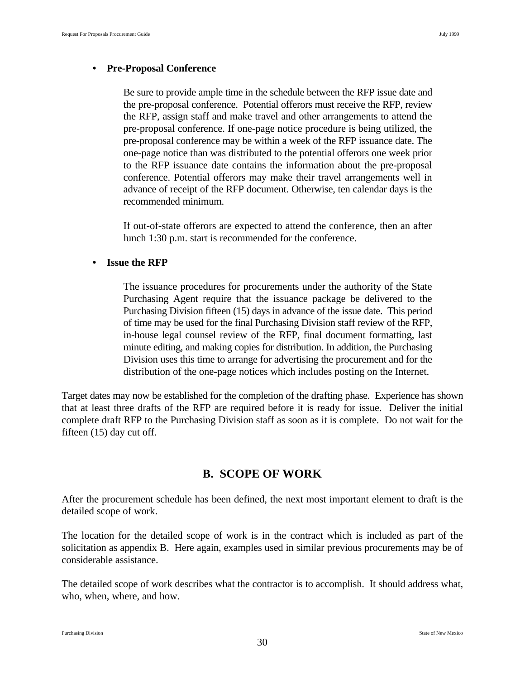### **• Pre-Proposal Conference**

Be sure to provide ample time in the schedule between the RFP issue date and the pre-proposal conference. Potential offerors must receive the RFP, review the RFP, assign staff and make travel and other arrangements to attend the pre-proposal conference. If one-page notice procedure is being utilized, the pre-proposal conference may be within a week of the RFP issuance date. The one-page notice than was distributed to the potential offerors one week prior to the RFP issuance date contains the information about the pre-proposal conference. Potential offerors may make their travel arrangements well in advance of receipt of the RFP document. Otherwise, ten calendar days is the recommended minimum.

If out-of-state offerors are expected to attend the conference, then an after lunch 1:30 p.m. start is recommended for the conference.

### **• Issue the RFP**

The issuance procedures for procurements under the authority of the State Purchasing Agent require that the issuance package be delivered to the Purchasing Division fifteen (15) days in advance of the issue date. This period of time may be used for the final Purchasing Division staff review of the RFP, in-house legal counsel review of the RFP, final document formatting, last minute editing, and making copies for distribution. In addition, the Purchasing Division uses this time to arrange for advertising the procurement and for the distribution of the one-page notices which includes posting on the Internet.

Target dates may now be established for the completion of the drafting phase. Experience has shown that at least three drafts of the RFP are required before it is ready for issue. Deliver the initial complete draft RFP to the Purchasing Division staff as soon as it is complete. Do not wait for the fifteen (15) day cut off.

## **B. SCOPE OF WORK**

After the procurement schedule has been defined, the next most important element to draft is the detailed scope of work.

The location for the detailed scope of work is in the contract which is included as part of the solicitation as appendix B. Here again, examples used in similar previous procurements may be of considerable assistance.

The detailed scope of work describes what the contractor is to accomplish. It should address what, who, when, where, and how.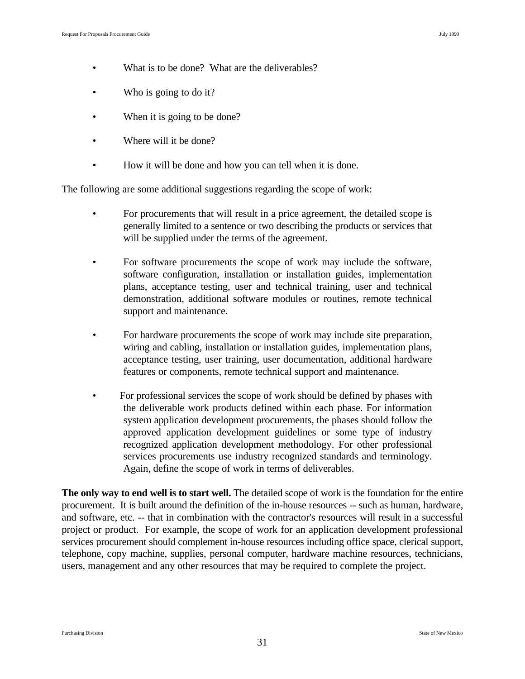- What is to be done? What are the deliverables?
- Who is going to do it?
- When it is going to be done?
- Where will it be done?
- How it will be done and how you can tell when it is done.

The following are some additional suggestions regarding the scope of work:

- For procurements that will result in a price agreement, the detailed scope is generally limited to a sentence or two describing the products or services that will be supplied under the terms of the agreement.
- For software procurements the scope of work may include the software, software configuration, installation or installation guides, implementation plans, acceptance testing, user and technical training, user and technical demonstration, additional software modules or routines, remote technical support and maintenance.
- For hardware procurements the scope of work may include site preparation, wiring and cabling, installation or installation guides, implementation plans, acceptance testing, user training, user documentation, additional hardware features or components, remote technical support and maintenance.
- For professional services the scope of work should be defined by phases with the deliverable work products defined within each phase. For information system application development procurements, the phases should follow the approved application development guidelines or some type of industry recognized application development methodology. For other professional services procurements use industry recognized standards and terminology. Again, define the scope of work in terms of deliverables.

**The only way to end well is to start well.** The detailed scope of work is the foundation for the entire procurement. It is built around the definition of the in-house resources -- such as human, hardware, and software, etc. -- that in combination with the contractor's resources will result in a successful project or product. For example, the scope of work for an application development professional services procurement should complement in-house resources including office space, clerical support, telephone, copy machine, supplies, personal computer, hardware machine resources, technicians, users, management and any other resources that may be required to complete the project.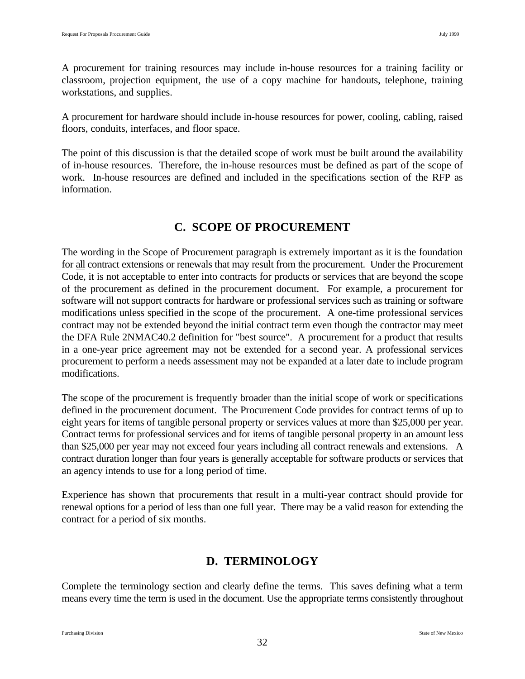A procurement for training resources may include in-house resources for a training facility or classroom, projection equipment, the use of a copy machine for handouts, telephone, training workstations, and supplies.

A procurement for hardware should include in-house resources for power, cooling, cabling, raised floors, conduits, interfaces, and floor space.

The point of this discussion is that the detailed scope of work must be built around the availability of in-house resources. Therefore, the in-house resources must be defined as part of the scope of work. In-house resources are defined and included in the specifications section of the RFP as information.

# **C. SCOPE OF PROCUREMENT**

The wording in the Scope of Procurement paragraph is extremely important as it is the foundation for all contract extensions or renewals that may result from the procurement. Under the Procurement Code, it is not acceptable to enter into contracts for products or services that are beyond the scope of the procurement as defined in the procurement document. For example, a procurement for software will not support contracts for hardware or professional services such as training or software modifications unless specified in the scope of the procurement. A one-time professional services contract may not be extended beyond the initial contract term even though the contractor may meet the DFA Rule 2NMAC40.2 definition for "best source". A procurement for a product that results in a one-year price agreement may not be extended for a second year. A professional services procurement to perform a needs assessment may not be expanded at a later date to include program modifications.

The scope of the procurement is frequently broader than the initial scope of work or specifications defined in the procurement document. The Procurement Code provides for contract terms of up to eight years for items of tangible personal property or services values at more than \$25,000 per year. Contract terms for professional services and for items of tangible personal property in an amount less than \$25,000 per year may not exceed four years including all contract renewals and extensions. A contract duration longer than four years is generally acceptable for software products or services that an agency intends to use for a long period of time.

Experience has shown that procurements that result in a multi-year contract should provide for renewal options for a period of less than one full year. There may be a valid reason for extending the contract for a period of six months.

# **D. TERMINOLOGY**

Complete the terminology section and clearly define the terms. This saves defining what a term means every time the term is used in the document. Use the appropriate terms consistently throughout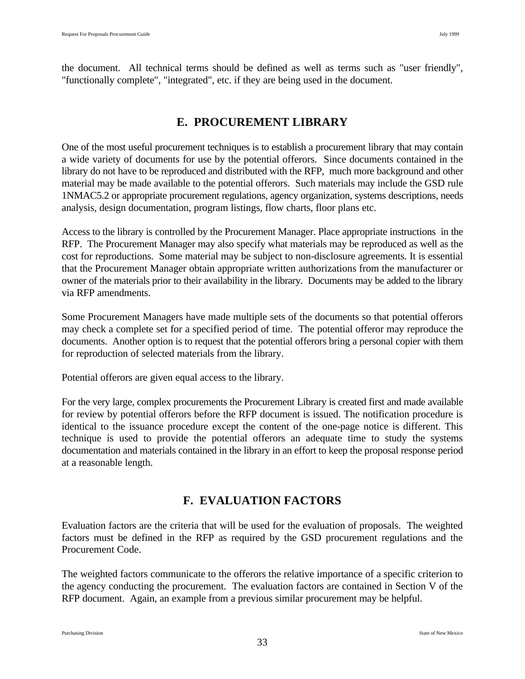the document. All technical terms should be defined as well as terms such as "user friendly", "functionally complete", "integrated", etc. if they are being used in the document.

## **E. PROCUREMENT LIBRARY**

One of the most useful procurement techniques is to establish a procurement library that may contain a wide variety of documents for use by the potential offerors. Since documents contained in the library do not have to be reproduced and distributed with the RFP, much more background and other material may be made available to the potential offerors. Such materials may include the GSD rule 1NMAC5.2 or appropriate procurement regulations, agency organization, systems descriptions, needs analysis, design documentation, program listings, flow charts, floor plans etc.

Access to the library is controlled by the Procurement Manager. Place appropriate instructions in the RFP. The Procurement Manager may also specify what materials may be reproduced as well as the cost for reproductions. Some material may be subject to non-disclosure agreements. It is essential that the Procurement Manager obtain appropriate written authorizations from the manufacturer or owner of the materials prior to their availability in the library. Documents may be added to the library via RFP amendments.

Some Procurement Managers have made multiple sets of the documents so that potential offerors may check a complete set for a specified period of time. The potential offeror may reproduce the documents. Another option is to request that the potential offerors bring a personal copier with them for reproduction of selected materials from the library.

Potential offerors are given equal access to the library.

For the very large, complex procurements the Procurement Library is created first and made available for review by potential offerors before the RFP document is issued. The notification procedure is identical to the issuance procedure except the content of the one-page notice is different. This technique is used to provide the potential offerors an adequate time to study the systems documentation and materials contained in the library in an effort to keep the proposal response period at a reasonable length.

# **F. EVALUATION FACTORS**

Evaluation factors are the criteria that will be used for the evaluation of proposals. The weighted factors must be defined in the RFP as required by the GSD procurement regulations and the Procurement Code.

The weighted factors communicate to the offerors the relative importance of a specific criterion to the agency conducting the procurement. The evaluation factors are contained in Section V of the RFP document. Again, an example from a previous similar procurement may be helpful.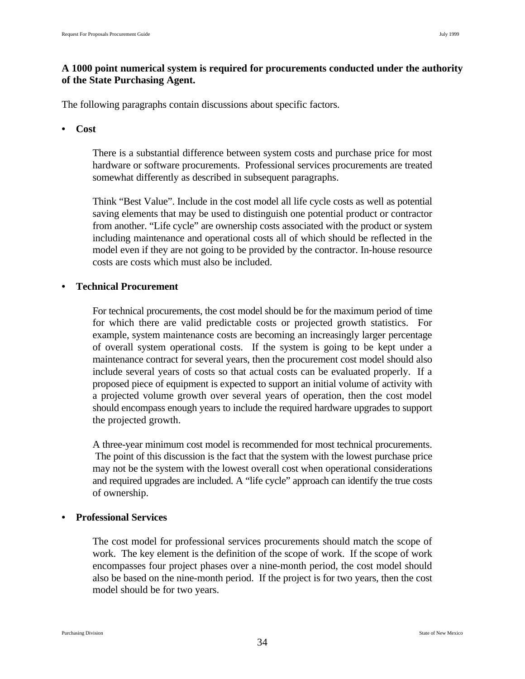## **A 1000 point numerical system is required for procurements conducted under the authority of the State Purchasing Agent.**

The following paragraphs contain discussions about specific factors.

#### **• Cost**

There is a substantial difference between system costs and purchase price for most hardware or software procurements. Professional services procurements are treated somewhat differently as described in subsequent paragraphs.

Think "Best Value". Include in the cost model all life cycle costs as well as potential saving elements that may be used to distinguish one potential product or contractor from another. "Life cycle" are ownership costs associated with the product or system including maintenance and operational costs all of which should be reflected in the model even if they are not going to be provided by the contractor. In-house resource costs are costs which must also be included.

### **• Technical Procurement**

For technical procurements, the cost model should be for the maximum period of time for which there are valid predictable costs or projected growth statistics. For example, system maintenance costs are becoming an increasingly larger percentage of overall system operational costs. If the system is going to be kept under a maintenance contract for several years, then the procurement cost model should also include several years of costs so that actual costs can be evaluated properly. If a proposed piece of equipment is expected to support an initial volume of activity with a projected volume growth over several years of operation, then the cost model should encompass enough years to include the required hardware upgrades to support the projected growth.

A three-year minimum cost model is recommended for most technical procurements. The point of this discussion is the fact that the system with the lowest purchase price may not be the system with the lowest overall cost when operational considerations and required upgrades are included. A "life cycle" approach can identify the true costs of ownership.

### **• Professional Services**

The cost model for professional services procurements should match the scope of work. The key element is the definition of the scope of work. If the scope of work encompasses four project phases over a nine-month period, the cost model should also be based on the nine-month period. If the project is for two years, then the cost model should be for two years.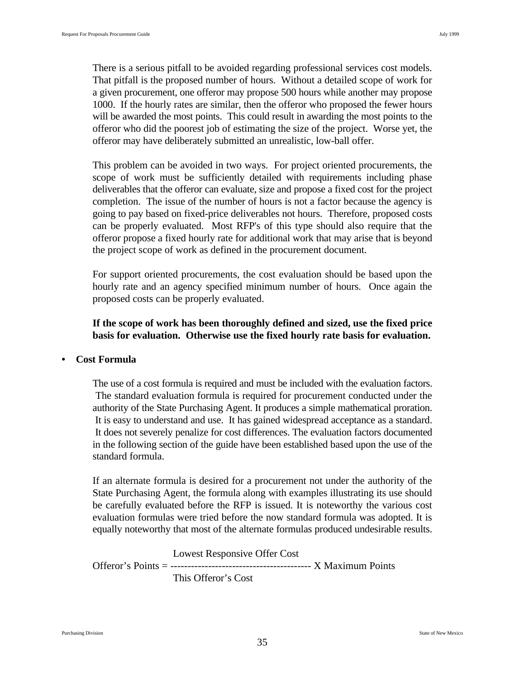There is a serious pitfall to be avoided regarding professional services cost models. That pitfall is the proposed number of hours. Without a detailed scope of work for a given procurement, one offeror may propose 500 hours while another may propose 1000. If the hourly rates are similar, then the offeror who proposed the fewer hours will be awarded the most points. This could result in awarding the most points to the offeror who did the poorest job of estimating the size of the project. Worse yet, the offeror may have deliberately submitted an unrealistic, low-ball offer.

This problem can be avoided in two ways. For project oriented procurements, the scope of work must be sufficiently detailed with requirements including phase deliverables that the offeror can evaluate, size and propose a fixed cost for the project completion. The issue of the number of hours is not a factor because the agency is going to pay based on fixed-price deliverables not hours. Therefore, proposed costs can be properly evaluated. Most RFP's of this type should also require that the offeror propose a fixed hourly rate for additional work that may arise that is beyond the project scope of work as defined in the procurement document.

For support oriented procurements, the cost evaluation should be based upon the hourly rate and an agency specified minimum number of hours. Once again the proposed costs can be properly evaluated.

**If the scope of work has been thoroughly defined and sized, use the fixed price basis for evaluation. Otherwise use the fixed hourly rate basis for evaluation.**

#### **• Cost Formula**

The use of a cost formula is required and must be included with the evaluation factors. The standard evaluation formula is required for procurement conducted under the authority of the State Purchasing Agent. It produces a simple mathematical proration. It is easy to understand and use. It has gained widespread acceptance as a standard. It does not severely penalize for cost differences. The evaluation factors documented in the following section of the guide have been established based upon the use of the standard formula.

If an alternate formula is desired for a procurement not under the authority of the State Purchasing Agent, the formula along with examples illustrating its use should be carefully evaluated before the RFP is issued. It is noteworthy the various cost evaluation formulas were tried before the now standard formula was adopted. It is equally noteworthy that most of the alternate formulas produced undesirable results.

Lowest Responsive Offer Cost

Offeror's Points = ----------------------------------------- X Maximum Points This Offeror's Cost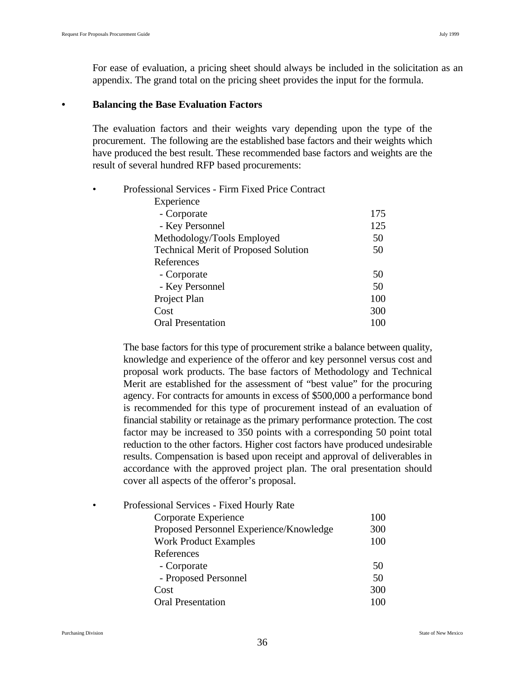#### **• Balancing the Base Evaluation Factors**

The evaluation factors and their weights vary depending upon the type of the procurement. The following are the established base factors and their weights which have produced the best result. These recommended base factors and weights are the result of several hundred RFP based procurements:

| Professional Services - Firm Fixed Price Contract |     |
|---------------------------------------------------|-----|
| Experience                                        |     |
| - Corporate                                       | 175 |
| - Key Personnel                                   | 125 |
| Methodology/Tools Employed                        | 50  |
| <b>Technical Merit of Proposed Solution</b>       | 50  |
| References                                        |     |
| - Corporate                                       | 50  |
| - Key Personnel                                   | 50  |
| Project Plan                                      | 100 |
| Cost                                              | 300 |
| <b>Oral Presentation</b>                          |     |

The base factors for this type of procurement strike a balance between quality, knowledge and experience of the offeror and key personnel versus cost and proposal work products. The base factors of Methodology and Technical Merit are established for the assessment of "best value" for the procuring agency. For contracts for amounts in excess of \$500,000 a performance bond is recommended for this type of procurement instead of an evaluation of financial stability or retainage as the primary performance protection. The cost factor may be increased to 350 points with a corresponding 50 point total reduction to the other factors. Higher cost factors have produced undesirable results. Compensation is based upon receipt and approval of deliverables in accordance with the approved project plan. The oral presentation should cover all aspects of the offeror's proposal.

| $\bullet$ | Professional Services - Fixed Hourly Rate |     |
|-----------|-------------------------------------------|-----|
|           | Corporate Experience                      | 100 |
|           | Proposed Personnel Experience/Knowledge   | 300 |
|           | <b>Work Product Examples</b>              | 100 |
|           | References                                |     |
|           | - Corporate                               | 50  |
|           | - Proposed Personnel                      | 50  |
|           | Cost                                      | 300 |
|           | <b>Oral Presentation</b>                  | 100 |
|           |                                           |     |

36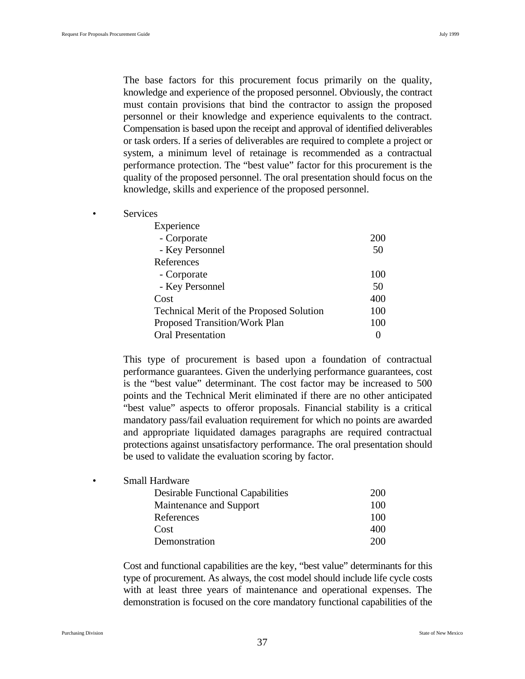The base factors for this procurement focus primarily on the quality, knowledge and experience of the proposed personnel. Obviously, the contract must contain provisions that bind the contractor to assign the proposed personnel or their knowledge and experience equivalents to the contract. Compensation is based upon the receipt and approval of identified deliverables or task orders. If a series of deliverables are required to complete a project or system, a minimum level of retainage is recommended as a contractual performance protection. The "best value" factor for this procurement is the quality of the proposed personnel. The oral presentation should focus on the knowledge, skills and experience of the proposed personnel.

#### **Services**

| Experience                                      |     |
|-------------------------------------------------|-----|
| - Corporate                                     | 200 |
| - Key Personnel                                 | 50  |
| References                                      |     |
| - Corporate                                     | 100 |
| - Key Personnel                                 | 50  |
| Cost                                            | 400 |
| <b>Technical Merit of the Proposed Solution</b> | 100 |
| Proposed Transition/Work Plan                   | 100 |
| <b>Oral Presentation</b>                        |     |

This type of procurement is based upon a foundation of contractual performance guarantees. Given the underlying performance guarantees, cost is the "best value" determinant. The cost factor may be increased to 500 points and the Technical Merit eliminated if there are no other anticipated "best value" aspects to offeror proposals. Financial stability is a critical mandatory pass/fail evaluation requirement for which no points are awarded and appropriate liquidated damages paragraphs are required contractual protections against unsatisfactory performance. The oral presentation should be used to validate the evaluation scoring by factor.

|  |  | <b>Small Hardware</b> |
|--|--|-----------------------|
|--|--|-----------------------|

| <b>Desirable Functional Capabilities</b> | 200 |
|------------------------------------------|-----|
| Maintenance and Support                  | 100 |
| References                               | 100 |
| Cost                                     | 400 |
| Demonstration                            | 200 |

Cost and functional capabilities are the key, "best value" determinants for this type of procurement. As always, the cost model should include life cycle costs with at least three years of maintenance and operational expenses. The demonstration is focused on the core mandatory functional capabilities of the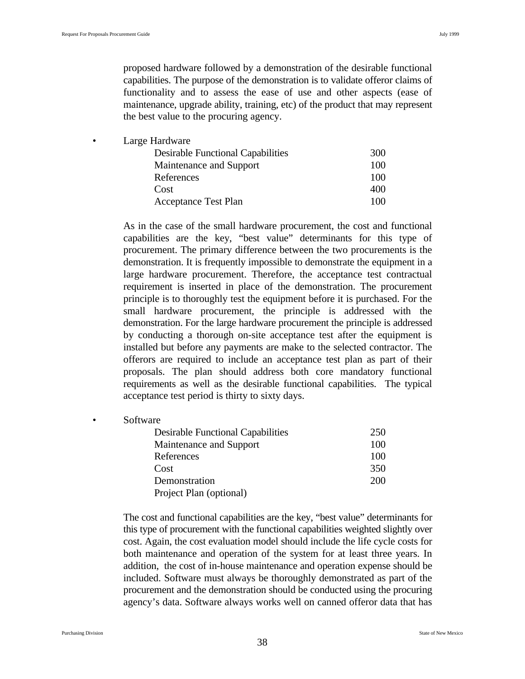proposed hardware followed by a demonstration of the desirable functional capabilities. The purpose of the demonstration is to validate offeror claims of functionality and to assess the ease of use and other aspects (ease of maintenance, upgrade ability, training, etc) of the product that may represent the best value to the procuring agency.

Large Hardware

| <b>Desirable Functional Capabilities</b> | 300 |
|------------------------------------------|-----|
| Maintenance and Support                  | 100 |
| References                               | 100 |
| Cost                                     | 400 |
| <b>Acceptance Test Plan</b>              | 100 |

As in the case of the small hardware procurement, the cost and functional capabilities are the key, "best value" determinants for this type of procurement. The primary difference between the two procurements is the demonstration. It is frequently impossible to demonstrate the equipment in a large hardware procurement. Therefore, the acceptance test contractual requirement is inserted in place of the demonstration. The procurement principle is to thoroughly test the equipment before it is purchased. For the small hardware procurement, the principle is addressed with the demonstration. For the large hardware procurement the principle is addressed by conducting a thorough on-site acceptance test after the equipment is installed but before any payments are make to the selected contractor. The offerors are required to include an acceptance test plan as part of their proposals. The plan should address both core mandatory functional requirements as well as the desirable functional capabilities. The typical acceptance test period is thirty to sixty days.

**Software** 

| <b>Desirable Functional Capabilities</b> | 250 |
|------------------------------------------|-----|
| Maintenance and Support                  | 100 |
| References                               | 100 |
| Cost                                     | 350 |
| Demonstration                            | 200 |
| Project Plan (optional)                  |     |

The cost and functional capabilities are the key, "best value" determinants for this type of procurement with the functional capabilities weighted slightly over cost. Again, the cost evaluation model should include the life cycle costs for both maintenance and operation of the system for at least three years. In addition, the cost of in-house maintenance and operation expense should be included. Software must always be thoroughly demonstrated as part of the procurement and the demonstration should be conducted using the procuring agency's data. Software always works well on canned offeror data that has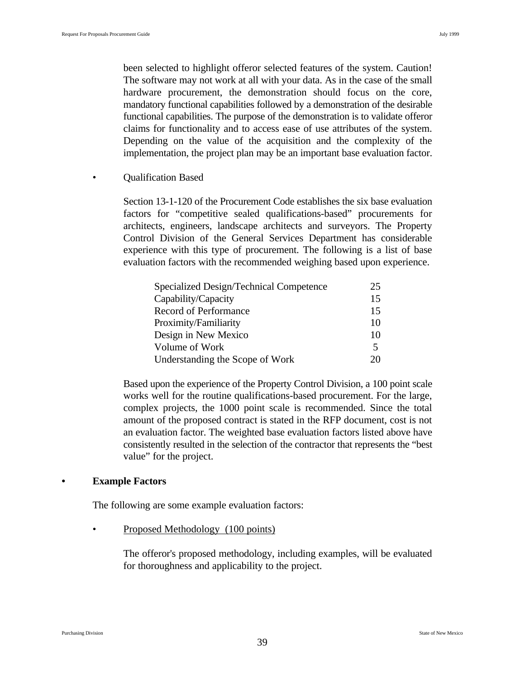been selected to highlight offeror selected features of the system. Caution! The software may not work at all with your data. As in the case of the small hardware procurement, the demonstration should focus on the core, mandatory functional capabilities followed by a demonstration of the desirable functional capabilities. The purpose of the demonstration is to validate offeror claims for functionality and to access ease of use attributes of the system. Depending on the value of the acquisition and the complexity of the implementation, the project plan may be an important base evaluation factor.

• Qualification Based

Section 13-1-120 of the Procurement Code establishes the six base evaluation factors for "competitive sealed qualifications-based" procurements for architects, engineers, landscape architects and surveyors. The Property Control Division of the General Services Department has considerable experience with this type of procurement. The following is a list of base evaluation factors with the recommended weighing based upon experience.

| Specialized Design/Technical Competence | 25 |
|-----------------------------------------|----|
| Capability/Capacity                     | 15 |
| Record of Performance                   | 15 |
| Proximity/Familiarity                   | 10 |
| Design in New Mexico                    | 10 |
| Volume of Work                          | 5  |
| Understanding the Scope of Work         | 20 |

Based upon the experience of the Property Control Division, a 100 point scale works well for the routine qualifications-based procurement. For the large, complex projects, the 1000 point scale is recommended. Since the total amount of the proposed contract is stated in the RFP document, cost is not an evaluation factor. The weighted base evaluation factors listed above have consistently resulted in the selection of the contractor that represents the "best value" for the project.

## **• Example Factors**

The following are some example evaluation factors:

• Proposed Methodology (100 points)

The offeror's proposed methodology, including examples, will be evaluated for thoroughness and applicability to the project.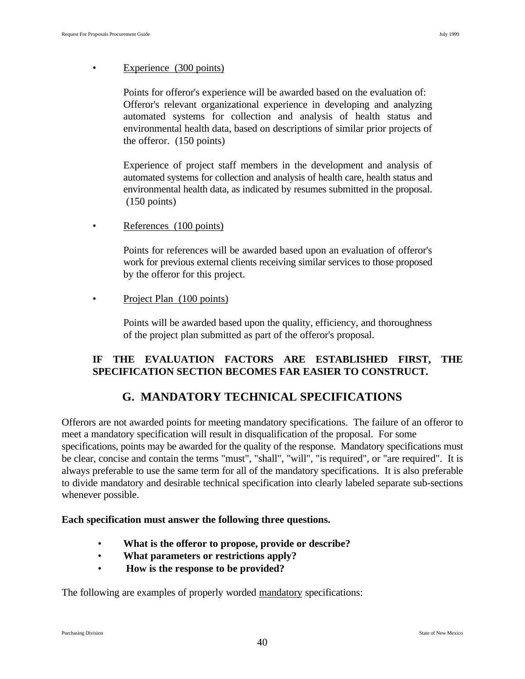• Experience (300 points)

Points for offeror's experience will be awarded based on the evaluation of: Offeror's relevant organizational experience in developing and analyzing automated systems for collection and analysis of health status and environmental health data, based on descriptions of similar prior projects of the offeror. (150 points)

Experience of project staff members in the development and analysis of automated systems for collection and analysis of health care, health status and environmental health data, as indicated by resumes submitted in the proposal. (150 points)

• References (100 points)

Points for references will be awarded based upon an evaluation of offeror's work for previous external clients receiving similar services to those proposed by the offeror for this project.

• Project Plan (100 points)

Points will be awarded based upon the quality, efficiency, and thoroughness of the project plan submitted as part of the offeror's proposal.

## **IF THE EVALUATION FACTORS ARE ESTABLISHED FIRST, THE SPECIFICATION SECTION BECOMES FAR EASIER TO CONSTRUCT.**

# **G. MANDATORY TECHNICAL SPECIFICATIONS**

Offerors are not awarded points for meeting mandatory specifications. The failure of an offeror to meet a mandatory specification will result in disqualification of the proposal. For some specifications, points may be awarded for the quality of the response. Mandatory specifications must be clear, concise and contain the terms "must", "shall", "will", "is required", or "are required". It is always preferable to use the same term for all of the mandatory specifications. It is also preferable to divide mandatory and desirable technical specification into clearly labeled separate sub-sections whenever possible.

### **Each specification must answer the following three questions.**

- **What is the offeror to propose, provide or describe?**
- **What parameters or restrictions apply?**
- • **How is the response to be provided?**

The following are examples of properly worded mandatory specifications: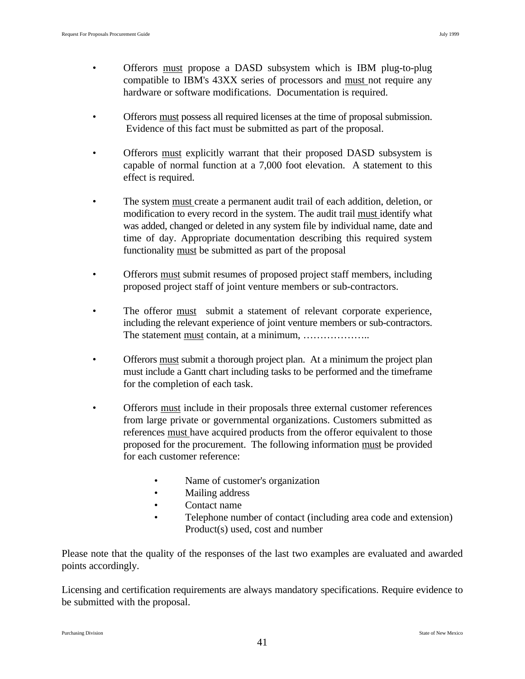- Offerors must propose a DASD subsystem which is IBM plug-to-plug compatible to IBM's 43XX series of processors and must not require any hardware or software modifications. Documentation is required.
- Offerors must possess all required licenses at the time of proposal submission. Evidence of this fact must be submitted as part of the proposal.
- Offerors must explicitly warrant that their proposed DASD subsystem is capable of normal function at a 7,000 foot elevation. A statement to this effect is required.
- The system must create a permanent audit trail of each addition, deletion, or modification to every record in the system. The audit trail must identify what was added, changed or deleted in any system file by individual name, date and time of day. Appropriate documentation describing this required system functionality must be submitted as part of the proposal
- Offerors must submit resumes of proposed project staff members, including proposed project staff of joint venture members or sub-contractors.
- The offeror must submit a statement of relevant corporate experience, including the relevant experience of joint venture members or sub-contractors. The statement must contain, at a minimum, ……………………
- Offerors must submit a thorough project plan. At a minimum the project plan must include a Gantt chart including tasks to be performed and the timeframe for the completion of each task.
- Offerors must include in their proposals three external customer references from large private or governmental organizations. Customers submitted as references must have acquired products from the offeror equivalent to those proposed for the procurement. The following information must be provided for each customer reference:
	- Name of customer's organization
	- Mailing address
	- Contact name
	- Telephone number of contact (including area code and extension) Product(s) used, cost and number

Please note that the quality of the responses of the last two examples are evaluated and awarded points accordingly.

Licensing and certification requirements are always mandatory specifications. Require evidence to be submitted with the proposal.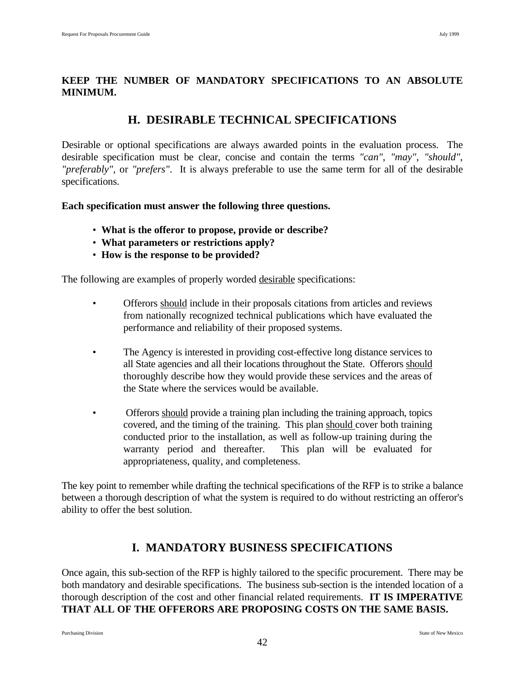# **H. DESIRABLE TECHNICAL SPECIFICATIONS**

Desirable or optional specifications are always awarded points in the evaluation process. The desirable specification must be clear, concise and contain the terms *"can"*, *"may"*, *"should"*, *"preferably"*, or *"prefers"*. It is always preferable to use the same term for all of the desirable specifications.

## **Each specification must answer the following three questions.**

- • **What is the offeror to propose, provide or describe?**
- • **What parameters or restrictions apply?**
- • **How is the response to be provided?**

The following are examples of properly worded desirable specifications:

- Offerors should include in their proposals citations from articles and reviews from nationally recognized technical publications which have evaluated the performance and reliability of their proposed systems.
- The Agency is interested in providing cost-effective long distance services to all State agencies and all their locations throughout the State. Offerors should thoroughly describe how they would provide these services and the areas of the State where the services would be available.
- Offerors should provide a training plan including the training approach, topics covered, and the timing of the training. This plan should cover both training conducted prior to the installation, as well as follow-up training during the warranty period and thereafter. This plan will be evaluated for appropriateness, quality, and completeness.

The key point to remember while drafting the technical specifications of the RFP is to strike a balance between a thorough description of what the system is required to do without restricting an offeror's ability to offer the best solution.

# **I. MANDATORY BUSINESS SPECIFICATIONS**

Once again, this sub-section of the RFP is highly tailored to the specific procurement. There may be both mandatory and desirable specifications. The business sub-section is the intended location of a thorough description of the cost and other financial related requirements. **IT IS IMPERATIVE THAT ALL OF THE OFFERORS ARE PROPOSING COSTS ON THE SAME BASIS.**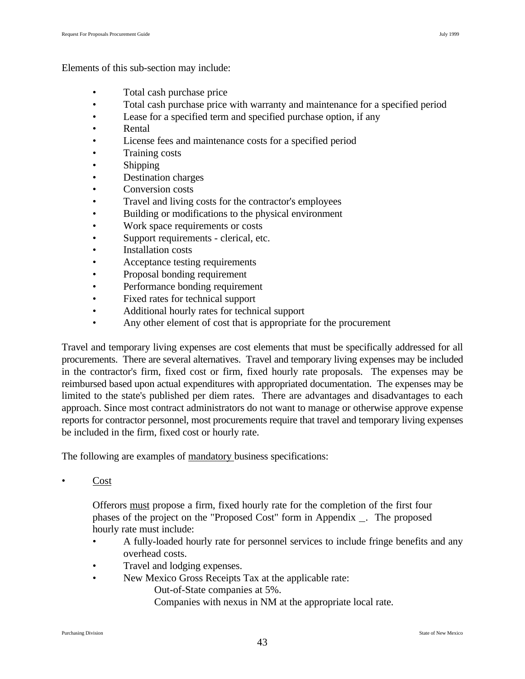Elements of this sub-section may include:

- Total cash purchase price
- Total cash purchase price with warranty and maintenance for a specified period
- Lease for a specified term and specified purchase option, if any
- Rental
- License fees and maintenance costs for a specified period
- Training costs
- Shipping
- Destination charges
- Conversion costs
- Travel and living costs for the contractor's employees
- Building or modifications to the physical environment
- Work space requirements or costs
- Support requirements clerical, etc.
- **Installation costs**
- Acceptance testing requirements
- Proposal bonding requirement
- Performance bonding requirement
- Fixed rates for technical support
- Additional hourly rates for technical support
- Any other element of cost that is appropriate for the procurement

Travel and temporary living expenses are cost elements that must be specifically addressed for all procurements. There are several alternatives. Travel and temporary living expenses may be included in the contractor's firm, fixed cost or firm, fixed hourly rate proposals. The expenses may be reimbursed based upon actual expenditures with appropriated documentation. The expenses may be limited to the state's published per diem rates. There are advantages and disadvantages to each approach. Since most contract administrators do not want to manage or otherwise approve expense reports for contractor personnel, most procurements require that travel and temporary living expenses be included in the firm, fixed cost or hourly rate.

The following are examples of <u>mandatory</u> business specifications:

• Cost

Offerors must propose a firm, fixed hourly rate for the completion of the first four phases of the project on the "Proposed Cost" form in Appendix \_. The proposed hourly rate must include:

- A fully-loaded hourly rate for personnel services to include fringe benefits and any overhead costs.
- Travel and lodging expenses.
- New Mexico Gross Receipts Tax at the applicable rate:

Out-of-State companies at 5%.

Companies with nexus in NM at the appropriate local rate.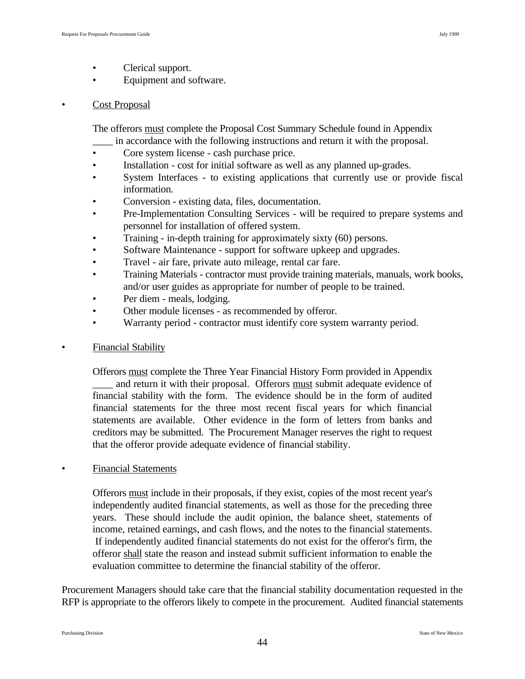- Clerical support.
- Equipment and software.

## • Cost Proposal

The offerors must complete the Proposal Cost Summary Schedule found in Appendix

- \_\_\_\_ in accordance with the following instructions and return it with the proposal.
- Core system license cash purchase price.
- Installation cost for initial software as well as any planned up-grades.
- System Interfaces to existing applications that currently use or provide fiscal information.
- Conversion existing data, files, documentation.
- Pre-Implementation Consulting Services will be required to prepare systems and personnel for installation of offered system.
- Training in-depth training for approximately sixty (60) persons.
- Software Maintenance support for software upkeep and upgrades.
- Travel air fare, private auto mileage, rental car fare.
- Training Materials contractor must provide training materials, manuals, work books, and/or user guides as appropriate for number of people to be trained.
- Per diem meals, lodging.
- Other module licenses as recommended by offeror.
- Warranty period contractor must identify core system warranty period.

## • Financial Stability

Offerors must complete the Three Year Financial History Form provided in Appendix and return it with their proposal. Offerors must submit adequate evidence of financial stability with the form. The evidence should be in the form of audited financial statements for the three most recent fiscal years for which financial statements are available. Other evidence in the form of letters from banks and creditors may be submitted. The Procurement Manager reserves the right to request that the offeror provide adequate evidence of financial stability.

• Financial Statements

Offerors must include in their proposals, if they exist, copies of the most recent year's independently audited financial statements, as well as those for the preceding three years. These should include the audit opinion, the balance sheet, statements of income, retained earnings, and cash flows, and the notes to the financial statements. If independently audited financial statements do not exist for the offeror's firm, the offeror shall state the reason and instead submit sufficient information to enable the evaluation committee to determine the financial stability of the offeror.

Procurement Managers should take care that the financial stability documentation requested in the RFP is appropriate to the offerors likely to compete in the procurement. Audited financial statements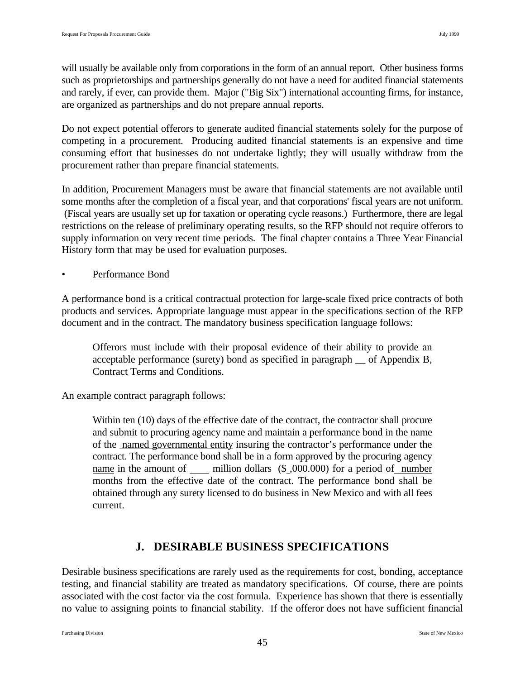will usually be available only from corporations in the form of an annual report. Other business forms such as proprietorships and partnerships generally do not have a need for audited financial statements and rarely, if ever, can provide them. Major ("Big Six") international accounting firms, for instance, are organized as partnerships and do not prepare annual reports.

Do not expect potential offerors to generate audited financial statements solely for the purpose of competing in a procurement. Producing audited financial statements is an expensive and time consuming effort that businesses do not undertake lightly; they will usually withdraw from the procurement rather than prepare financial statements.

In addition, Procurement Managers must be aware that financial statements are not available until some months after the completion of a fiscal year, and that corporations' fiscal years are not uniform. (Fiscal years are usually set up for taxation or operating cycle reasons.) Furthermore, there are legal restrictions on the release of preliminary operating results, so the RFP should not require offerors to supply information on very recent time periods. The final chapter contains a Three Year Financial History form that may be used for evaluation purposes.

• Performance Bond

A performance bond is a critical contractual protection for large-scale fixed price contracts of both products and services. Appropriate language must appear in the specifications section of the RFP document and in the contract. The mandatory business specification language follows:

Offerors must include with their proposal evidence of their ability to provide an acceptable performance (surety) bond as specified in paragraph \_\_ of Appendix B, Contract Terms and Conditions.

An example contract paragraph follows:

Within ten (10) days of the effective date of the contract, the contractor shall procure and submit to procuring agency name and maintain a performance bond in the name of the named governmental entity insuring the contractor's performance under the contract. The performance bond shall be in a form approved by the procuring agency name in the amount of  $\_\_$  million dollars  $(\$_0,000.000)$  for a period of number months from the effective date of the contract. The performance bond shall be obtained through any surety licensed to do business in New Mexico and with all fees current.

# **J. DESIRABLE BUSINESS SPECIFICATIONS**

Desirable business specifications are rarely used as the requirements for cost, bonding, acceptance testing, and financial stability are treated as mandatory specifications. Of course, there are points associated with the cost factor via the cost formula. Experience has shown that there is essentially no value to assigning points to financial stability. If the offeror does not have sufficient financial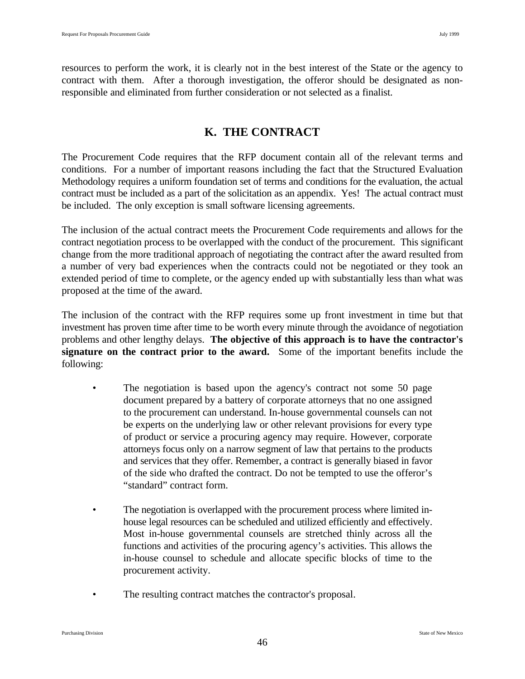resources to perform the work, it is clearly not in the best interest of the State or the agency to contract with them. After a thorough investigation, the offeror should be designated as nonresponsible and eliminated from further consideration or not selected as a finalist.

# **K. THE CONTRACT**

The Procurement Code requires that the RFP document contain all of the relevant terms and conditions. For a number of important reasons including the fact that the Structured Evaluation Methodology requires a uniform foundation set of terms and conditions for the evaluation, the actual contract must be included as a part of the solicitation as an appendix. Yes! The actual contract must be included. The only exception is small software licensing agreements.

The inclusion of the actual contract meets the Procurement Code requirements and allows for the contract negotiation process to be overlapped with the conduct of the procurement. This significant change from the more traditional approach of negotiating the contract after the award resulted from a number of very bad experiences when the contracts could not be negotiated or they took an extended period of time to complete, or the agency ended up with substantially less than what was proposed at the time of the award.

The inclusion of the contract with the RFP requires some up front investment in time but that investment has proven time after time to be worth every minute through the avoidance of negotiation problems and other lengthy delays. **The objective of this approach is to have the contractor's signature on the contract prior to the award.** Some of the important benefits include the following:

- The negotiation is based upon the agency's contract not some 50 page document prepared by a battery of corporate attorneys that no one assigned to the procurement can understand. In-house governmental counsels can not be experts on the underlying law or other relevant provisions for every type of product or service a procuring agency may require. However, corporate attorneys focus only on a narrow segment of law that pertains to the products and services that they offer. Remember, a contract is generally biased in favor of the side who drafted the contract. Do not be tempted to use the offeror's "standard" contract form.
- The negotiation is overlapped with the procurement process where limited inhouse legal resources can be scheduled and utilized efficiently and effectively. Most in-house governmental counsels are stretched thinly across all the functions and activities of the procuring agency's activities. This allows the in-house counsel to schedule and allocate specific blocks of time to the procurement activity.
- The resulting contract matches the contractor's proposal.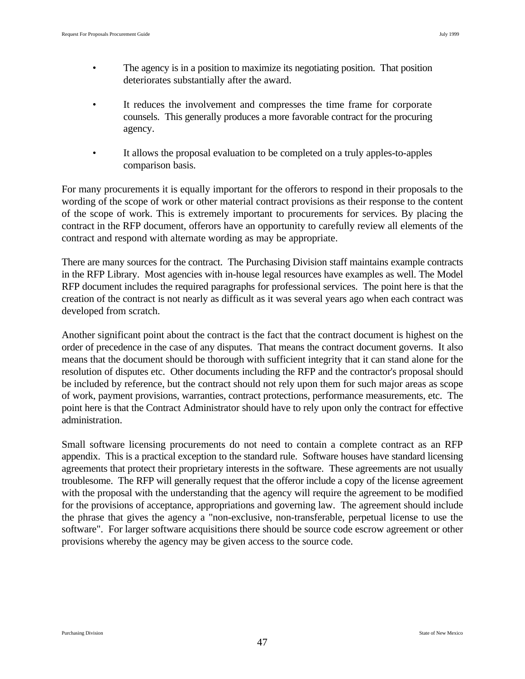- The agency is in a position to maximize its negotiating position. That position deteriorates substantially after the award.
- It reduces the involvement and compresses the time frame for corporate counsels. This generally produces a more favorable contract for the procuring agency.
- It allows the proposal evaluation to be completed on a truly apples-to-apples comparison basis.

For many procurements it is equally important for the offerors to respond in their proposals to the wording of the scope of work or other material contract provisions as their response to the content of the scope of work. This is extremely important to procurements for services. By placing the contract in the RFP document, offerors have an opportunity to carefully review all elements of the contract and respond with alternate wording as may be appropriate.

There are many sources for the contract. The Purchasing Division staff maintains example contracts in the RFP Library. Most agencies with in-house legal resources have examples as well. The Model RFP document includes the required paragraphs for professional services. The point here is that the creation of the contract is not nearly as difficult as it was several years ago when each contract was developed from scratch.

Another significant point about the contract is the fact that the contract document is highest on the order of precedence in the case of any disputes. That means the contract document governs. It also means that the document should be thorough with sufficient integrity that it can stand alone for the resolution of disputes etc. Other documents including the RFP and the contractor's proposal should be included by reference, but the contract should not rely upon them for such major areas as scope of work, payment provisions, warranties, contract protections, performance measurements, etc. The point here is that the Contract Administrator should have to rely upon only the contract for effective administration.

Small software licensing procurements do not need to contain a complete contract as an RFP appendix. This is a practical exception to the standard rule. Software houses have standard licensing agreements that protect their proprietary interests in the software. These agreements are not usually troublesome. The RFP will generally request that the offeror include a copy of the license agreement with the proposal with the understanding that the agency will require the agreement to be modified for the provisions of acceptance, appropriations and governing law. The agreement should include the phrase that gives the agency a "non-exclusive, non-transferable, perpetual license to use the software". For larger software acquisitions there should be source code escrow agreement or other provisions whereby the agency may be given access to the source code.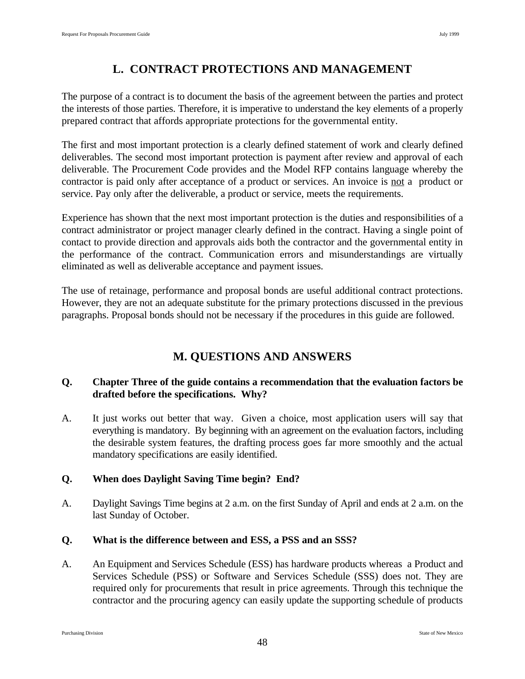# **L. CONTRACT PROTECTIONS AND MANAGEMENT**

The purpose of a contract is to document the basis of the agreement between the parties and protect the interests of those parties. Therefore, it is imperative to understand the key elements of a properly prepared contract that affords appropriate protections for the governmental entity.

The first and most important protection is a clearly defined statement of work and clearly defined deliverables. The second most important protection is payment after review and approval of each deliverable. The Procurement Code provides and the Model RFP contains language whereby the contractor is paid only after acceptance of a product or services. An invoice is not a product or service. Pay only after the deliverable, a product or service, meets the requirements.

Experience has shown that the next most important protection is the duties and responsibilities of a contract administrator or project manager clearly defined in the contract. Having a single point of contact to provide direction and approvals aids both the contractor and the governmental entity in the performance of the contract. Communication errors and misunderstandings are virtually eliminated as well as deliverable acceptance and payment issues.

The use of retainage, performance and proposal bonds are useful additional contract protections. However, they are not an adequate substitute for the primary protections discussed in the previous paragraphs. Proposal bonds should not be necessary if the procedures in this guide are followed.

# **M. QUESTIONS AND ANSWERS**

## **Q. Chapter Three of the guide contains a recommendation that the evaluation factors be drafted before the specifications. Why?**

A. It just works out better that way. Given a choice, most application users will say that everything is mandatory. By beginning with an agreement on the evaluation factors, including the desirable system features, the drafting process goes far more smoothly and the actual mandatory specifications are easily identified.

## **Q. When does Daylight Saving Time begin? End?**

A. Daylight Savings Time begins at 2 a.m. on the first Sunday of April and ends at 2 a.m. on the last Sunday of October.

## **Q. What is the difference between and ESS, a PSS and an SSS?**

A. An Equipment and Services Schedule (ESS) has hardware products whereas a Product and Services Schedule (PSS) or Software and Services Schedule (SSS) does not. They are required only for procurements that result in price agreements. Through this technique the contractor and the procuring agency can easily update the supporting schedule of products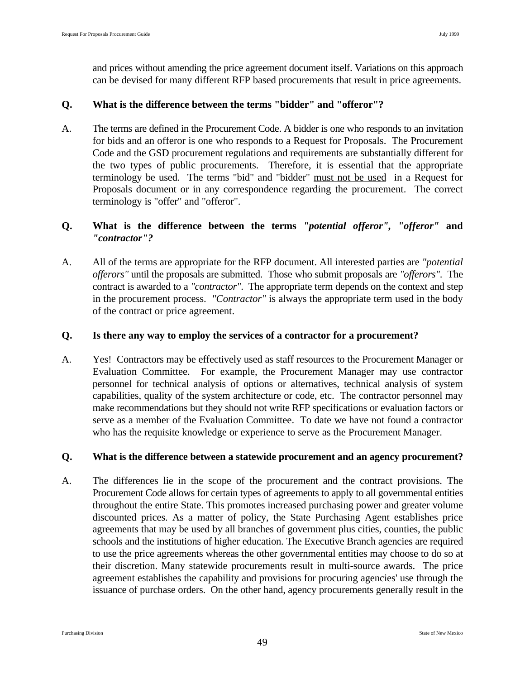and prices without amending the price agreement document itself. Variations on this approach can be devised for many different RFP based procurements that result in price agreements.

## **Q. What is the difference between the terms "bidder" and "offeror"?**

A. The terms are defined in the Procurement Code. A bidder is one who responds to an invitation for bids and an offeror is one who responds to a Request for Proposals. The Procurement Code and the GSD procurement regulations and requirements are substantially different for the two types of public procurements. Therefore, it is essential that the appropriate terminology be used. The terms "bid" and "bidder" must not be used in a Request for Proposals document or in any correspondence regarding the procurement. The correct terminology is "offer" and "offeror".

## **Q. What is the difference between the terms** *"potential offeror", "offeror"* **and** *"contractor"?*

A. All of the terms are appropriate for the RFP document. All interested parties are *"potential offerors"* until the proposals are submitted. Those who submit proposals are *"offerors"*. The contract is awarded to a *"contractor"*. The appropriate term depends on the context and step in the procurement process. *"Contractor"* is always the appropriate term used in the body of the contract or price agreement.

## **Q. Is there any way to employ the services of a contractor for a procurement?**

A. Yes! Contractors may be effectively used as staff resources to the Procurement Manager or Evaluation Committee. For example, the Procurement Manager may use contractor personnel for technical analysis of options or alternatives, technical analysis of system capabilities, quality of the system architecture or code, etc. The contractor personnel may make recommendations but they should not write RFP specifications or evaluation factors or serve as a member of the Evaluation Committee. To date we have not found a contractor who has the requisite knowledge or experience to serve as the Procurement Manager.

### **Q. What is the difference between a statewide procurement and an agency procurement?**

A. The differences lie in the scope of the procurement and the contract provisions. The Procurement Code allows for certain types of agreements to apply to all governmental entities throughout the entire State. This promotes increased purchasing power and greater volume discounted prices. As a matter of policy, the State Purchasing Agent establishes price agreements that may be used by all branches of government plus cities, counties, the public schools and the institutions of higher education. The Executive Branch agencies are required to use the price agreements whereas the other governmental entities may choose to do so at their discretion. Many statewide procurements result in multi-source awards. The price agreement establishes the capability and provisions for procuring agencies' use through the issuance of purchase orders. On the other hand, agency procurements generally result in the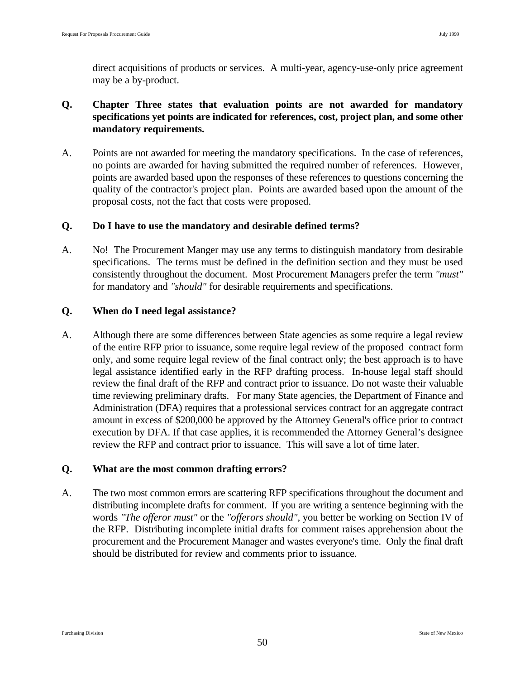direct acquisitions of products or services. A multi-year, agency-use-only price agreement may be a by-product.

- **Q. Chapter Three states that evaluation points are not awarded for mandatory specifications yet points are indicated for references, cost, project plan, and some other mandatory requirements.**
- A. Points are not awarded for meeting the mandatory specifications. In the case of references, no points are awarded for having submitted the required number of references. However, points are awarded based upon the responses of these references to questions concerning the quality of the contractor's project plan. Points are awarded based upon the amount of the proposal costs, not the fact that costs were proposed.

## **Q. Do I have to use the mandatory and desirable defined terms?**

A. No! The Procurement Manger may use any terms to distinguish mandatory from desirable specifications. The terms must be defined in the definition section and they must be used consistently throughout the document. Most Procurement Managers prefer the term *"must"* for mandatory and *"should"* for desirable requirements and specifications.

## **Q. When do I need legal assistance?**

A. Although there are some differences between State agencies as some require a legal review of the entire RFP prior to issuance, some require legal review of the proposed contract form only, and some require legal review of the final contract only; the best approach is to have legal assistance identified early in the RFP drafting process. In-house legal staff should review the final draft of the RFP and contract prior to issuance. Do not waste their valuable time reviewing preliminary drafts. For many State agencies, the Department of Finance and Administration (DFA) requires that a professional services contract for an aggregate contract amount in excess of \$200,000 be approved by the Attorney General's office prior to contract execution by DFA. If that case applies, it is recommended the Attorney General's designee review the RFP and contract prior to issuance. This will save a lot of time later.

## **Q. What are the most common drafting errors?**

A. The two most common errors are scattering RFP specifications throughout the document and distributing incomplete drafts for comment. If you are writing a sentence beginning with the words *"The offeror must"* or the *"offerors should",* you better be working on Section IV of the RFP. Distributing incomplete initial drafts for comment raises apprehension about the procurement and the Procurement Manager and wastes everyone's time. Only the final draft should be distributed for review and comments prior to issuance.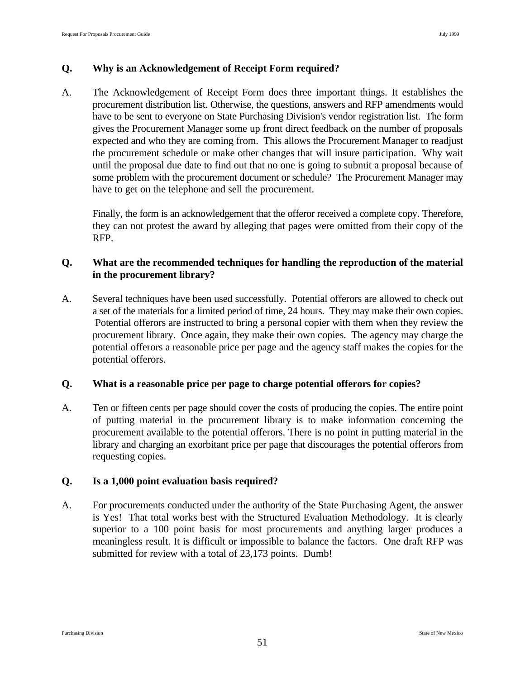### **Q. Why is an Acknowledgement of Receipt Form required?**

A. The Acknowledgement of Receipt Form does three important things. It establishes the procurement distribution list. Otherwise, the questions, answers and RFP amendments would have to be sent to everyone on State Purchasing Division's vendor registration list. The form gives the Procurement Manager some up front direct feedback on the number of proposals expected and who they are coming from. This allows the Procurement Manager to readjust the procurement schedule or make other changes that will insure participation. Why wait until the proposal due date to find out that no one is going to submit a proposal because of some problem with the procurement document or schedule? The Procurement Manager may have to get on the telephone and sell the procurement.

Finally, the form is an acknowledgement that the offeror received a complete copy. Therefore, they can not protest the award by alleging that pages were omitted from their copy of the RFP.

## **Q. What are the recommended techniques for handling the reproduction of the material in the procurement library?**

A. Several techniques have been used successfully. Potential offerors are allowed to check out a set of the materials for a limited period of time, 24 hours. They may make their own copies. Potential offerors are instructed to bring a personal copier with them when they review the procurement library. Once again, they make their own copies. The agency may charge the potential offerors a reasonable price per page and the agency staff makes the copies for the potential offerors.

### **Q. What is a reasonable price per page to charge potential offerors for copies?**

A. Ten or fifteen cents per page should cover the costs of producing the copies. The entire point of putting material in the procurement library is to make information concerning the procurement available to the potential offerors. There is no point in putting material in the library and charging an exorbitant price per page that discourages the potential offerors from requesting copies.

### **Q. Is a 1,000 point evaluation basis required?**

A. For procurements conducted under the authority of the State Purchasing Agent, the answer is Yes! That total works best with the Structured Evaluation Methodology. It is clearly superior to a 100 point basis for most procurements and anything larger produces a meaningless result. It is difficult or impossible to balance the factors. One draft RFP was submitted for review with a total of 23,173 points. Dumb!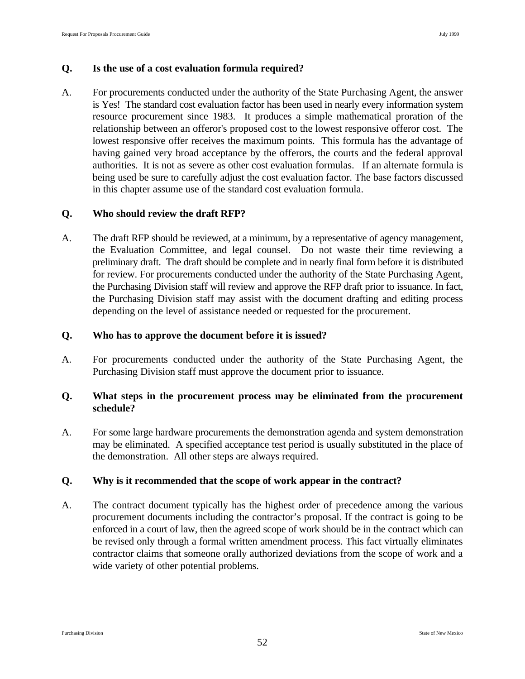#### **Q. Is the use of a cost evaluation formula required?**

A. For procurements conducted under the authority of the State Purchasing Agent, the answer is Yes! The standard cost evaluation factor has been used in nearly every information system resource procurement since 1983. It produces a simple mathematical proration of the relationship between an offeror's proposed cost to the lowest responsive offeror cost. The lowest responsive offer receives the maximum points. This formula has the advantage of having gained very broad acceptance by the offerors, the courts and the federal approval authorities. It is not as severe as other cost evaluation formulas. If an alternate formula is being used be sure to carefully adjust the cost evaluation factor. The base factors discussed in this chapter assume use of the standard cost evaluation formula.

#### **Q. Who should review the draft RFP?**

A. The draft RFP should be reviewed, at a minimum, by a representative of agency management, the Evaluation Committee, and legal counsel. Do not waste their time reviewing a preliminary draft. The draft should be complete and in nearly final form before it is distributed for review. For procurements conducted under the authority of the State Purchasing Agent, the Purchasing Division staff will review and approve the RFP draft prior to issuance. In fact, the Purchasing Division staff may assist with the document drafting and editing process depending on the level of assistance needed or requested for the procurement.

#### **Q. Who has to approve the document before it is issued?**

A. For procurements conducted under the authority of the State Purchasing Agent, the Purchasing Division staff must approve the document prior to issuance.

### **Q. What steps in the procurement process may be eliminated from the procurement schedule?**

A. For some large hardware procurements the demonstration agenda and system demonstration may be eliminated. A specified acceptance test period is usually substituted in the place of the demonstration. All other steps are always required.

### **Q. Why is it recommended that the scope of work appear in the contract?**

A. The contract document typically has the highest order of precedence among the various procurement documents including the contractor's proposal. If the contract is going to be enforced in a court of law, then the agreed scope of work should be in the contract which can be revised only through a formal written amendment process. This fact virtually eliminates contractor claims that someone orally authorized deviations from the scope of work and a wide variety of other potential problems.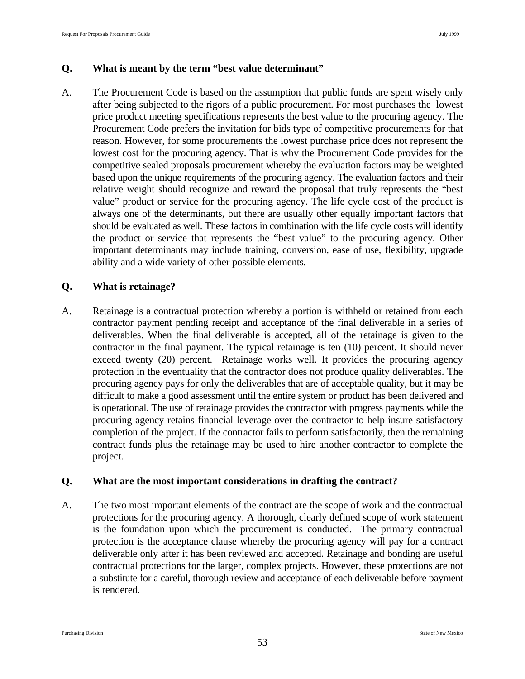#### **Q. What is meant by the term "best value determinant"**

A. The Procurement Code is based on the assumption that public funds are spent wisely only after being subjected to the rigors of a public procurement. For most purchases the lowest price product meeting specifications represents the best value to the procuring agency. The Procurement Code prefers the invitation for bids type of competitive procurements for that reason. However, for some procurements the lowest purchase price does not represent the lowest cost for the procuring agency. That is why the Procurement Code provides for the competitive sealed proposals procurement whereby the evaluation factors may be weighted based upon the unique requirements of the procuring agency. The evaluation factors and their relative weight should recognize and reward the proposal that truly represents the "best value" product or service for the procuring agency. The life cycle cost of the product is always one of the determinants, but there are usually other equally important factors that should be evaluated as well. These factors in combination with the life cycle costs will identify the product or service that represents the "best value" to the procuring agency. Other important determinants may include training, conversion, ease of use, flexibility, upgrade ability and a wide variety of other possible elements.

### **Q. What is retainage?**

A. Retainage is a contractual protection whereby a portion is withheld or retained from each contractor payment pending receipt and acceptance of the final deliverable in a series of deliverables. When the final deliverable is accepted, all of the retainage is given to the contractor in the final payment. The typical retainage is ten (10) percent. It should never exceed twenty (20) percent. Retainage works well. It provides the procuring agency protection in the eventuality that the contractor does not produce quality deliverables. The procuring agency pays for only the deliverables that are of acceptable quality, but it may be difficult to make a good assessment until the entire system or product has been delivered and is operational. The use of retainage provides the contractor with progress payments while the procuring agency retains financial leverage over the contractor to help insure satisfactory completion of the project. If the contractor fails to perform satisfactorily, then the remaining contract funds plus the retainage may be used to hire another contractor to complete the project.

#### **Q. What are the most important considerations in drafting the contract?**

A. The two most important elements of the contract are the scope of work and the contractual protections for the procuring agency. A thorough, clearly defined scope of work statement is the foundation upon which the procurement is conducted. The primary contractual protection is the acceptance clause whereby the procuring agency will pay for a contract deliverable only after it has been reviewed and accepted. Retainage and bonding are useful contractual protections for the larger, complex projects. However, these protections are not a substitute for a careful, thorough review and acceptance of each deliverable before payment is rendered.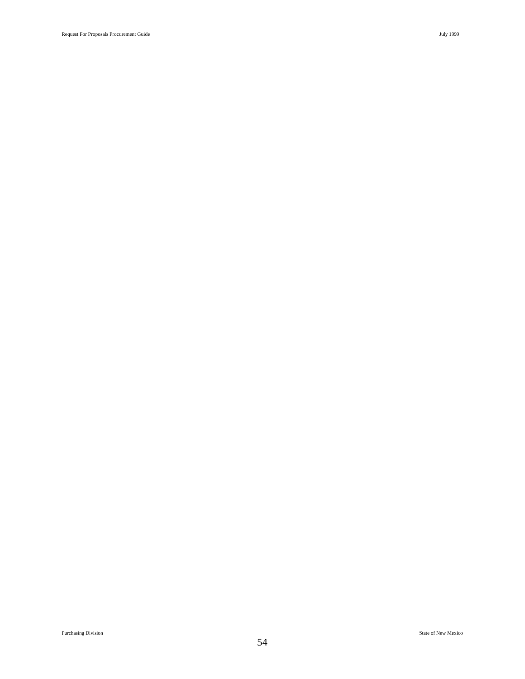Request For Proposals Procurement Guide July 1999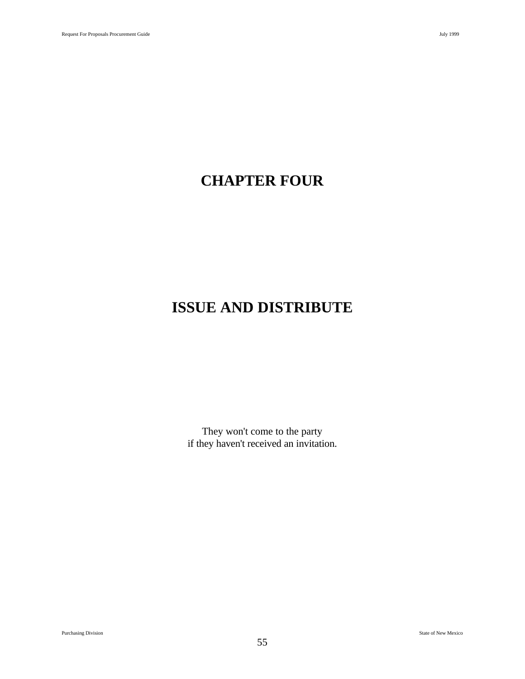# **CHAPTER FOUR**

# **ISSUE AND DISTRIBUTE**

They won't come to the party if they haven't received an invitation.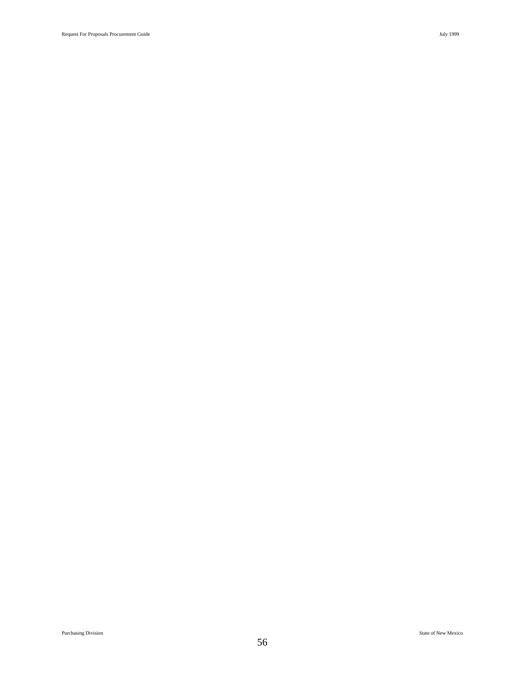Request For Proposals Procurement Guide July 1999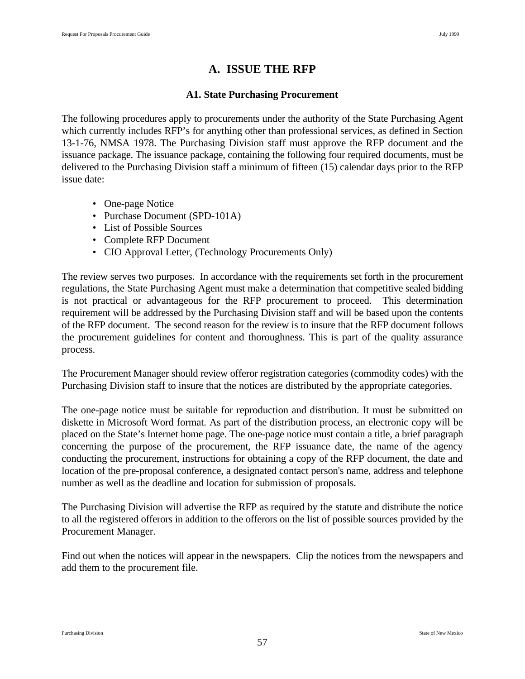## **A. ISSUE THE RFP**

### **A1. State Purchasing Procurement**

The following procedures apply to procurements under the authority of the State Purchasing Agent which currently includes RFP's for anything other than professional services, as defined in Section 13-1-76, NMSA 1978. The Purchasing Division staff must approve the RFP document and the issuance package. The issuance package, containing the following four required documents, must be delivered to the Purchasing Division staff a minimum of fifteen (15) calendar days prior to the RFP issue date:

- One-page Notice
- Purchase Document (SPD-101A)
- List of Possible Sources
- Complete RFP Document
- CIO Approval Letter, (Technology Procurements Only)

The review serves two purposes. In accordance with the requirements set forth in the procurement regulations, the State Purchasing Agent must make a determination that competitive sealed bidding is not practical or advantageous for the RFP procurement to proceed. This determination requirement will be addressed by the Purchasing Division staff and will be based upon the contents of the RFP document. The second reason for the review is to insure that the RFP document follows the procurement guidelines for content and thoroughness. This is part of the quality assurance process.

The Procurement Manager should review offeror registration categories (commodity codes) with the Purchasing Division staff to insure that the notices are distributed by the appropriate categories.

The one-page notice must be suitable for reproduction and distribution. It must be submitted on diskette in Microsoft Word format. As part of the distribution process, an electronic copy will be placed on the State's Internet home page. The one-page notice must contain a title, a brief paragraph concerning the purpose of the procurement, the RFP issuance date, the name of the agency conducting the procurement, instructions for obtaining a copy of the RFP document, the date and location of the pre-proposal conference, a designated contact person's name, address and telephone number as well as the deadline and location for submission of proposals.

The Purchasing Division will advertise the RFP as required by the statute and distribute the notice to all the registered offerors in addition to the offerors on the list of possible sources provided by the Procurement Manager.

Find out when the notices will appear in the newspapers. Clip the notices from the newspapers and add them to the procurement file.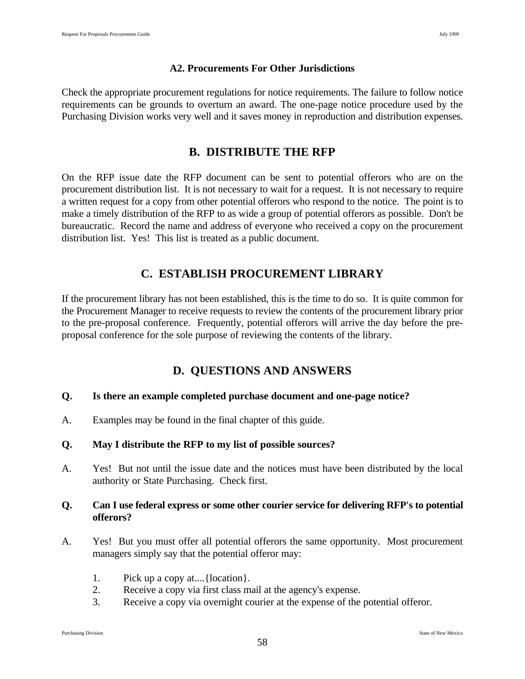#### **A2. Procurements For Other Jurisdictions**

Check the appropriate procurement regulations for notice requirements. The failure to follow notice requirements can be grounds to overturn an award. The one-page notice procedure used by the Purchasing Division works very well and it saves money in reproduction and distribution expenses.

## **B. DISTRIBUTE THE RFP**

On the RFP issue date the RFP document can be sent to potential offerors who are on the procurement distribution list. It is not necessary to wait for a request. It is not necessary to require a written request for a copy from other potential offerors who respond to the notice. The point is to make a timely distribution of the RFP to as wide a group of potential offerors as possible. Don't be bureaucratic. Record the name and address of everyone who received a copy on the procurement distribution list. Yes! This list is treated as a public document.

# **C. ESTABLISH PROCUREMENT LIBRARY**

If the procurement library has not been established, this is the time to do so. It is quite common for the Procurement Manager to receive requests to review the contents of the procurement library prior to the pre-proposal conference. Frequently, potential offerors will arrive the day before the preproposal conference for the sole purpose of reviewing the contents of the library.

# **D. QUESTIONS AND ANSWERS**

## **Q. Is there an example completed purchase document and one-page notice?**

A. Examples may be found in the final chapter of this guide.

### **Q. May I distribute the RFP to my list of possible sources?**

A. Yes! But not until the issue date and the notices must have been distributed by the local authority or State Purchasing. Check first.

## **Q. Can I use federal express or some other courier service for delivering RFP's to potential offerors?**

- A. Yes! But you must offer all potential offerors the same opportunity. Most procurement managers simply say that the potential offeror may:
	- 1. Pick up a copy at....{location}.
	- 2. Receive a copy via first class mail at the agency's expense.
	- 3. Receive a copy via overnight courier at the expense of the potential offeror.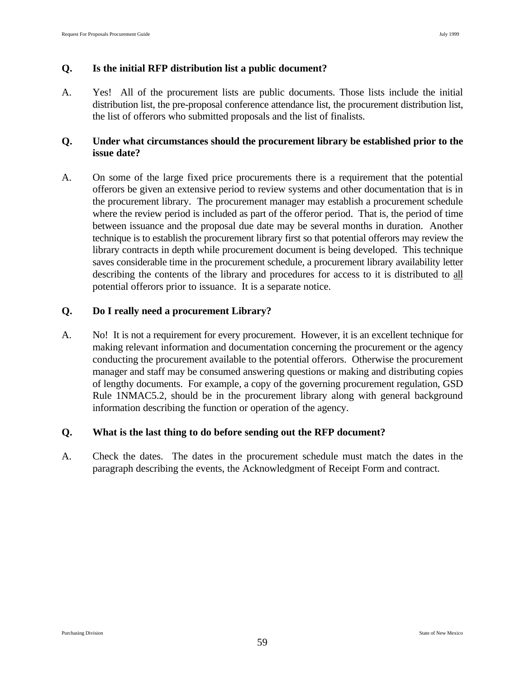## **Q. Is the initial RFP distribution list a public document?**

A. Yes! All of the procurement lists are public documents. Those lists include the initial distribution list, the pre-proposal conference attendance list, the procurement distribution list, the list of offerors who submitted proposals and the list of finalists.

## **Q. Under what circumstances should the procurement library be established prior to the issue date?**

A. On some of the large fixed price procurements there is a requirement that the potential offerors be given an extensive period to review systems and other documentation that is in the procurement library. The procurement manager may establish a procurement schedule where the review period is included as part of the offeror period. That is, the period of time between issuance and the proposal due date may be several months in duration. Another technique is to establish the procurement library first so that potential offerors may review the library contracts in depth while procurement document is being developed. This technique saves considerable time in the procurement schedule, a procurement library availability letter describing the contents of the library and procedures for access to it is distributed to all potential offerors prior to issuance. It is a separate notice.

## **Q. Do I really need a procurement Library?**

A. No! It is not a requirement for every procurement. However, it is an excellent technique for making relevant information and documentation concerning the procurement or the agency conducting the procurement available to the potential offerors. Otherwise the procurement manager and staff may be consumed answering questions or making and distributing copies of lengthy documents. For example, a copy of the governing procurement regulation, GSD Rule 1NMAC5.2, should be in the procurement library along with general background information describing the function or operation of the agency.

### **Q. What is the last thing to do before sending out the RFP document?**

A. Check the dates. The dates in the procurement schedule must match the dates in the paragraph describing the events, the Acknowledgment of Receipt Form and contract.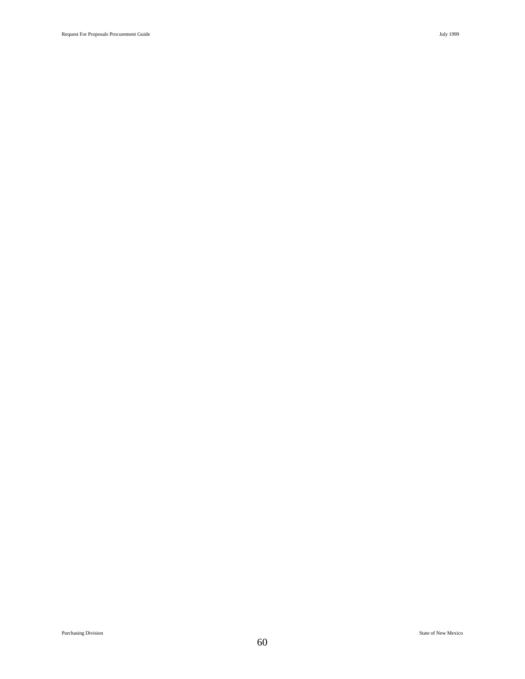Request For Proposals Procurement Guide July 1999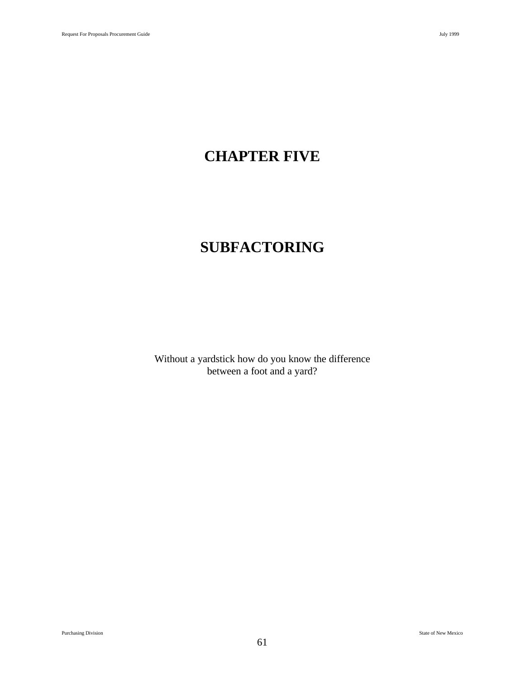# **CHAPTER FIVE**

# **SUBFACTORING**

Without a yardstick how do you know the difference between a foot and a yard?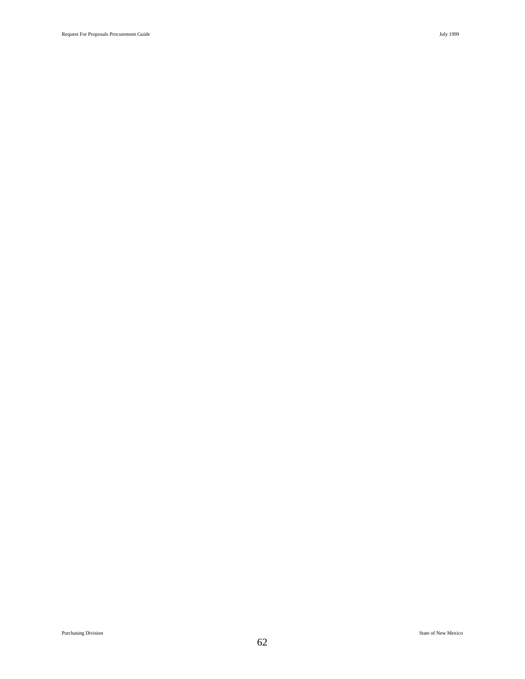Request For Proposals Procurement Guide July 1999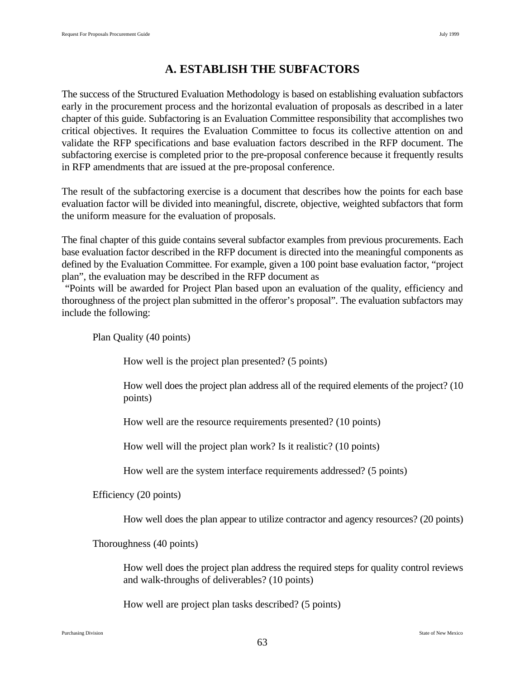# **A. ESTABLISH THE SUBFACTORS**

The success of the Structured Evaluation Methodology is based on establishing evaluation subfactors early in the procurement process and the horizontal evaluation of proposals as described in a later chapter of this guide. Subfactoring is an Evaluation Committee responsibility that accomplishes two critical objectives. It requires the Evaluation Committee to focus its collective attention on and validate the RFP specifications and base evaluation factors described in the RFP document. The subfactoring exercise is completed prior to the pre-proposal conference because it frequently results in RFP amendments that are issued at the pre-proposal conference.

The result of the subfactoring exercise is a document that describes how the points for each base evaluation factor will be divided into meaningful, discrete, objective, weighted subfactors that form the uniform measure for the evaluation of proposals.

The final chapter of this guide contains several subfactor examples from previous procurements. Each base evaluation factor described in the RFP document is directed into the meaningful components as defined by the Evaluation Committee. For example, given a 100 point base evaluation factor, "project plan", the evaluation may be described in the RFP document as

 "Points will be awarded for Project Plan based upon an evaluation of the quality, efficiency and thoroughness of the project plan submitted in the offeror's proposal". The evaluation subfactors may include the following:

Plan Quality (40 points)

How well is the project plan presented? (5 points)

How well does the project plan address all of the required elements of the project? (10 points)

How well are the resource requirements presented? (10 points)

How well will the project plan work? Is it realistic? (10 points)

How well are the system interface requirements addressed? (5 points)

Efficiency (20 points)

How well does the plan appear to utilize contractor and agency resources? (20 points)

Thoroughness (40 points)

How well does the project plan address the required steps for quality control reviews and walk-throughs of deliverables? (10 points)

How well are project plan tasks described? (5 points)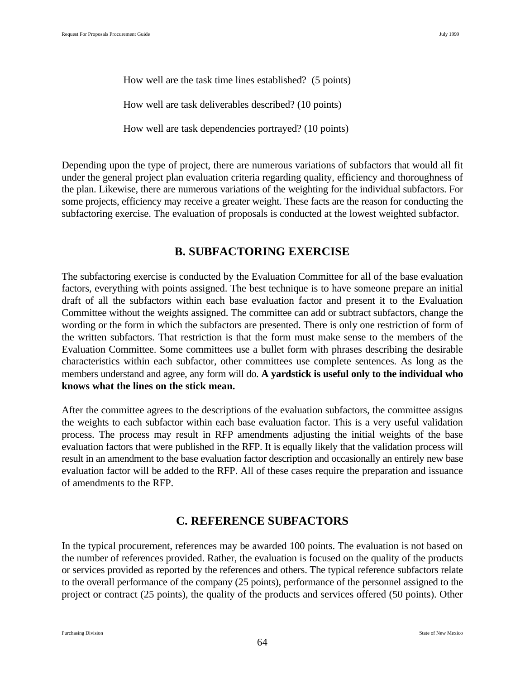How well are the task time lines established? (5 points)

How well are task deliverables described? (10 points)

How well are task dependencies portrayed? (10 points)

Depending upon the type of project, there are numerous variations of subfactors that would all fit under the general project plan evaluation criteria regarding quality, efficiency and thoroughness of the plan. Likewise, there are numerous variations of the weighting for the individual subfactors. For some projects, efficiency may receive a greater weight. These facts are the reason for conducting the subfactoring exercise. The evaluation of proposals is conducted at the lowest weighted subfactor.

## **B. SUBFACTORING EXERCISE**

The subfactoring exercise is conducted by the Evaluation Committee for all of the base evaluation factors, everything with points assigned. The best technique is to have someone prepare an initial draft of all the subfactors within each base evaluation factor and present it to the Evaluation Committee without the weights assigned. The committee can add or subtract subfactors, change the wording or the form in which the subfactors are presented. There is only one restriction of form of the written subfactors. That restriction is that the form must make sense to the members of the Evaluation Committee. Some committees use a bullet form with phrases describing the desirable characteristics within each subfactor, other committees use complete sentences. As long as the members understand and agree, any form will do. **A yardstick is useful only to the individual who knows what the lines on the stick mean.**

After the committee agrees to the descriptions of the evaluation subfactors, the committee assigns the weights to each subfactor within each base evaluation factor. This is a very useful validation process. The process may result in RFP amendments adjusting the initial weights of the base evaluation factors that were published in the RFP. It is equally likely that the validation process will result in an amendment to the base evaluation factor description and occasionally an entirely new base evaluation factor will be added to the RFP. All of these cases require the preparation and issuance of amendments to the RFP.

## **C. REFERENCE SUBFACTORS**

In the typical procurement, references may be awarded 100 points. The evaluation is not based on the number of references provided. Rather, the evaluation is focused on the quality of the products or services provided as reported by the references and others. The typical reference subfactors relate to the overall performance of the company (25 points), performance of the personnel assigned to the project or contract (25 points), the quality of the products and services offered (50 points). Other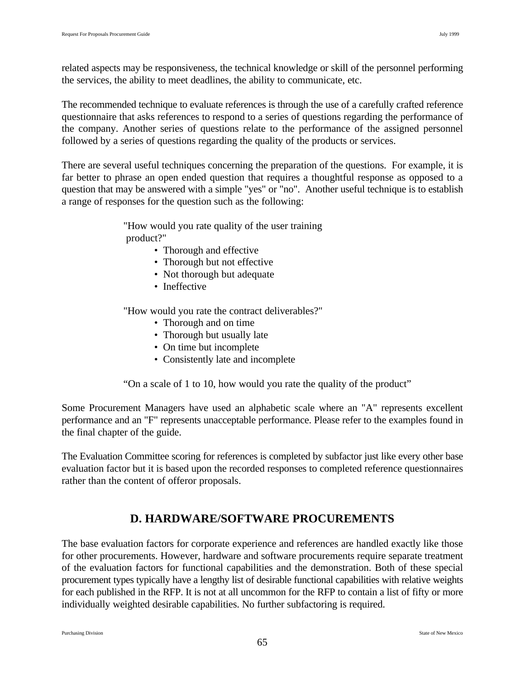related aspects may be responsiveness, the technical knowledge or skill of the personnel performing the services, the ability to meet deadlines, the ability to communicate, etc.

The recommended technique to evaluate references is through the use of a carefully crafted reference questionnaire that asks references to respond to a series of questions regarding the performance of the company. Another series of questions relate to the performance of the assigned personnel followed by a series of questions regarding the quality of the products or services.

There are several useful techniques concerning the preparation of the questions. For example, it is far better to phrase an open ended question that requires a thoughtful response as opposed to a question that may be answered with a simple "yes" or "no". Another useful technique is to establish a range of responses for the question such as the following:

> "How would you rate quality of the user training product?"

- Thorough and effective
- Thorough but not effective
- Not thorough but adequate
- Ineffective

"How would you rate the contract deliverables?"

- Thorough and on time
- Thorough but usually late
- On time but incomplete
- Consistently late and incomplete

"On a scale of 1 to 10, how would you rate the quality of the product"

Some Procurement Managers have used an alphabetic scale where an "A" represents excellent performance and an "F" represents unacceptable performance. Please refer to the examples found in the final chapter of the guide.

The Evaluation Committee scoring for references is completed by subfactor just like every other base evaluation factor but it is based upon the recorded responses to completed reference questionnaires rather than the content of offeror proposals.

# **D. HARDWARE/SOFTWARE PROCUREMENTS**

The base evaluation factors for corporate experience and references are handled exactly like those for other procurements. However, hardware and software procurements require separate treatment of the evaluation factors for functional capabilities and the demonstration. Both of these special procurement types typically have a lengthy list of desirable functional capabilities with relative weights for each published in the RFP. It is not at all uncommon for the RFP to contain a list of fifty or more individually weighted desirable capabilities. No further subfactoring is required.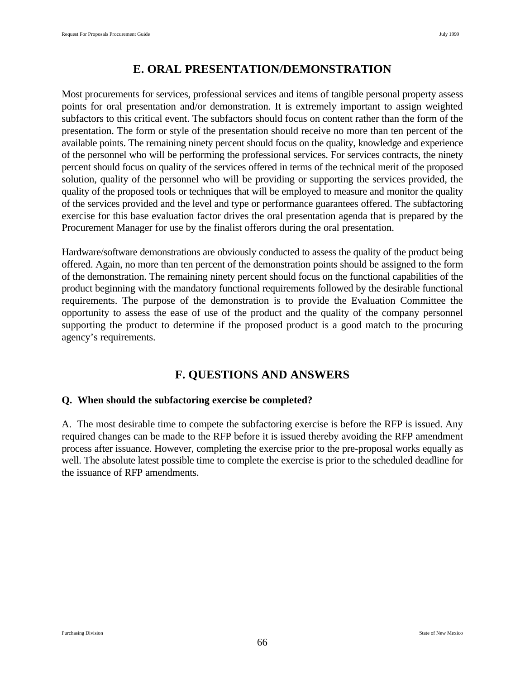# **E. ORAL PRESENTATION/DEMONSTRATION**

Most procurements for services, professional services and items of tangible personal property assess points for oral presentation and/or demonstration. It is extremely important to assign weighted subfactors to this critical event. The subfactors should focus on content rather than the form of the presentation. The form or style of the presentation should receive no more than ten percent of the available points. The remaining ninety percent should focus on the quality, knowledge and experience of the personnel who will be performing the professional services. For services contracts, the ninety percent should focus on quality of the services offered in terms of the technical merit of the proposed solution, quality of the personnel who will be providing or supporting the services provided, the quality of the proposed tools or techniques that will be employed to measure and monitor the quality of the services provided and the level and type or performance guarantees offered. The subfactoring exercise for this base evaluation factor drives the oral presentation agenda that is prepared by the Procurement Manager for use by the finalist offerors during the oral presentation.

Hardware/software demonstrations are obviously conducted to assess the quality of the product being offered. Again, no more than ten percent of the demonstration points should be assigned to the form of the demonstration. The remaining ninety percent should focus on the functional capabilities of the product beginning with the mandatory functional requirements followed by the desirable functional requirements. The purpose of the demonstration is to provide the Evaluation Committee the opportunity to assess the ease of use of the product and the quality of the company personnel supporting the product to determine if the proposed product is a good match to the procuring agency's requirements.

# **F. QUESTIONS AND ANSWERS**

## **Q. When should the subfactoring exercise be completed?**

A. The most desirable time to compete the subfactoring exercise is before the RFP is issued. Any required changes can be made to the RFP before it is issued thereby avoiding the RFP amendment process after issuance. However, completing the exercise prior to the pre-proposal works equally as well. The absolute latest possible time to complete the exercise is prior to the scheduled deadline for the issuance of RFP amendments.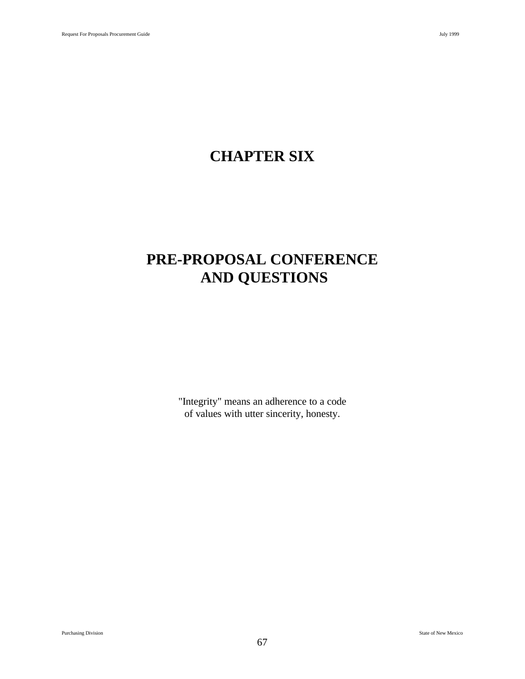# **CHAPTER SIX**

# **PRE-PROPOSAL CONFERENCE AND QUESTIONS**

"Integrity" means an adherence to a code of values with utter sincerity, honesty.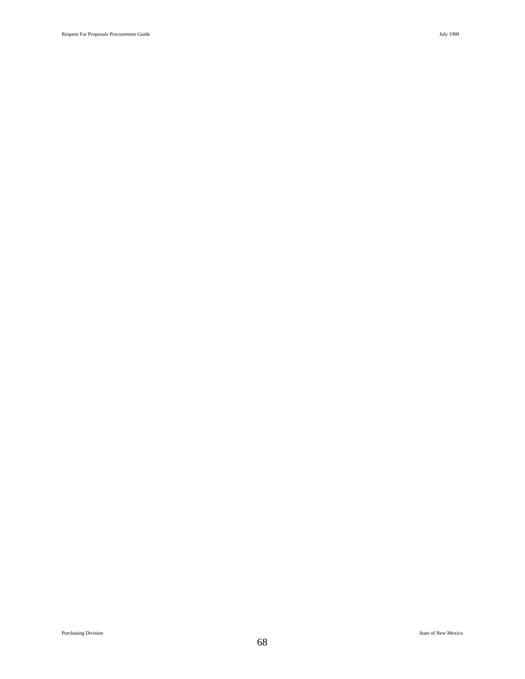Request For Proposals Procurement Guide July 1999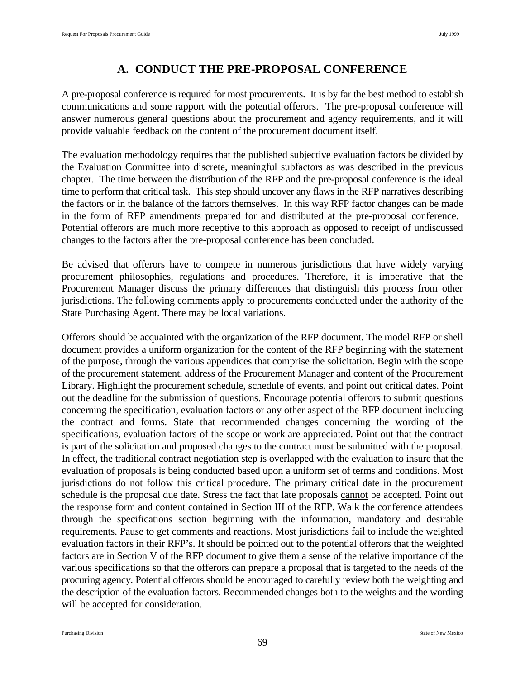# **A. CONDUCT THE PRE-PROPOSAL CONFERENCE**

A pre-proposal conference is required for most procurements. It is by far the best method to establish communications and some rapport with the potential offerors. The pre-proposal conference will answer numerous general questions about the procurement and agency requirements, and it will provide valuable feedback on the content of the procurement document itself.

The evaluation methodology requires that the published subjective evaluation factors be divided by the Evaluation Committee into discrete, meaningful subfactors as was described in the previous chapter. The time between the distribution of the RFP and the pre-proposal conference is the ideal time to perform that critical task. This step should uncover any flaws in the RFP narratives describing the factors or in the balance of the factors themselves. In this way RFP factor changes can be made in the form of RFP amendments prepared for and distributed at the pre-proposal conference. Potential offerors are much more receptive to this approach as opposed to receipt of undiscussed changes to the factors after the pre-proposal conference has been concluded.

Be advised that offerors have to compete in numerous jurisdictions that have widely varying procurement philosophies, regulations and procedures. Therefore, it is imperative that the Procurement Manager discuss the primary differences that distinguish this process from other jurisdictions. The following comments apply to procurements conducted under the authority of the State Purchasing Agent. There may be local variations.

Offerors should be acquainted with the organization of the RFP document. The model RFP or shell document provides a uniform organization for the content of the RFP beginning with the statement of the purpose, through the various appendices that comprise the solicitation. Begin with the scope of the procurement statement, address of the Procurement Manager and content of the Procurement Library. Highlight the procurement schedule, schedule of events, and point out critical dates. Point out the deadline for the submission of questions. Encourage potential offerors to submit questions concerning the specification, evaluation factors or any other aspect of the RFP document including the contract and forms. State that recommended changes concerning the wording of the specifications, evaluation factors of the scope or work are appreciated. Point out that the contract is part of the solicitation and proposed changes to the contract must be submitted with the proposal. In effect, the traditional contract negotiation step is overlapped with the evaluation to insure that the evaluation of proposals is being conducted based upon a uniform set of terms and conditions. Most jurisdictions do not follow this critical procedure. The primary critical date in the procurement schedule is the proposal due date. Stress the fact that late proposals cannot be accepted. Point out the response form and content contained in Section III of the RFP. Walk the conference attendees through the specifications section beginning with the information, mandatory and desirable requirements. Pause to get comments and reactions. Most jurisdictions fail to include the weighted evaluation factors in their RFP's. It should be pointed out to the potential offerors that the weighted factors are in Section V of the RFP document to give them a sense of the relative importance of the various specifications so that the offerors can prepare a proposal that is targeted to the needs of the procuring agency. Potential offerors should be encouraged to carefully review both the weighting and the description of the evaluation factors. Recommended changes both to the weights and the wording will be accepted for consideration.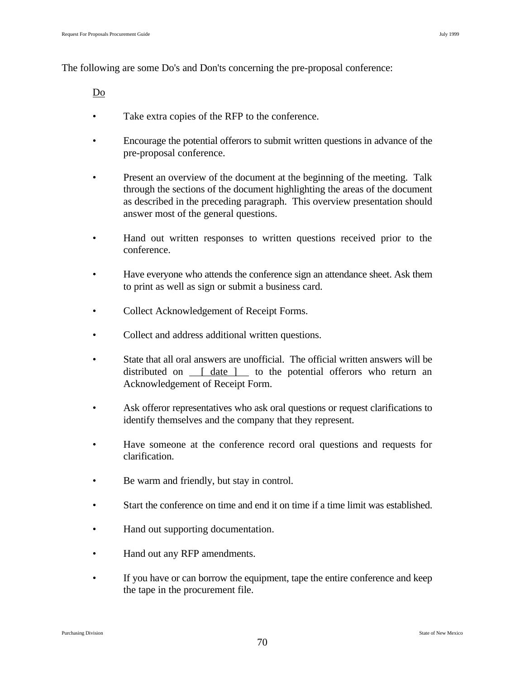### Do

- Take extra copies of the RFP to the conference.
- Encourage the potential offerors to submit written questions in advance of the pre-proposal conference.
- Present an overview of the document at the beginning of the meeting. Talk through the sections of the document highlighting the areas of the document as described in the preceding paragraph. This overview presentation should answer most of the general questions.
- Hand out written responses to written questions received prior to the conference.
- Have everyone who attends the conference sign an attendance sheet. Ask them to print as well as sign or submit a business card.
- Collect Acknowledgement of Receipt Forms.
- Collect and address additional written questions.
- State that all oral answers are unofficial. The official written answers will be distributed on [ date ] to the potential offerors who return an Acknowledgement of Receipt Form.
- Ask offeror representatives who ask oral questions or request clarifications to identify themselves and the company that they represent.
- Have someone at the conference record oral questions and requests for clarification.
- Be warm and friendly, but stay in control.
- Start the conference on time and end it on time if a time limit was established.
- Hand out supporting documentation.
- Hand out any RFP amendments.
- If you have or can borrow the equipment, tape the entire conference and keep the tape in the procurement file.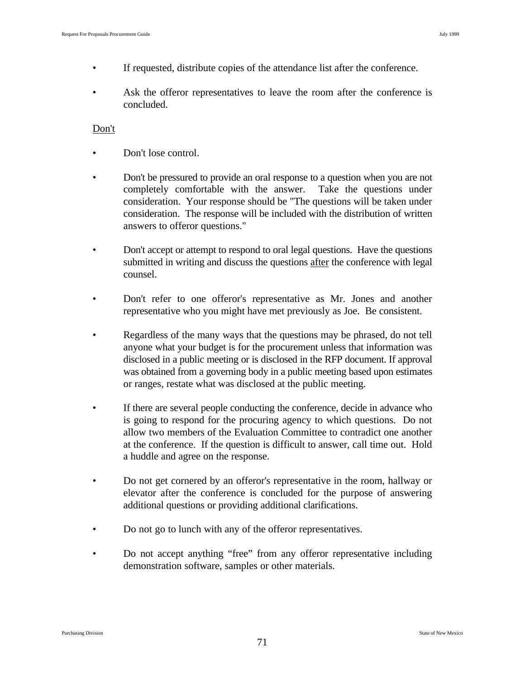- If requested, distribute copies of the attendance list after the conference.
- Ask the offeror representatives to leave the room after the conference is concluded.

#### Don't

- Don't lose control.
- Don't be pressured to provide an oral response to a question when you are not completely comfortable with the answer. Take the questions under consideration. Your response should be "The questions will be taken under consideration. The response will be included with the distribution of written answers to offeror questions."
- Don't accept or attempt to respond to oral legal questions. Have the questions submitted in writing and discuss the questions after the conference with legal counsel.
- Don't refer to one offeror's representative as Mr. Jones and another representative who you might have met previously as Joe. Be consistent.
- Regardless of the many ways that the questions may be phrased, do not tell anyone what your budget is for the procurement unless that information was disclosed in a public meeting or is disclosed in the RFP document. If approval was obtained from a governing body in a public meeting based upon estimates or ranges, restate what was disclosed at the public meeting.
- If there are several people conducting the conference, decide in advance who is going to respond for the procuring agency to which questions. Do not allow two members of the Evaluation Committee to contradict one another at the conference. If the question is difficult to answer, call time out. Hold a huddle and agree on the response.
- Do not get cornered by an offeror's representative in the room, hallway or elevator after the conference is concluded for the purpose of answering additional questions or providing additional clarifications.
- Do not go to lunch with any of the offeror representatives.
- Do not accept anything "free" from any offeror representative including demonstration software, samples or other materials.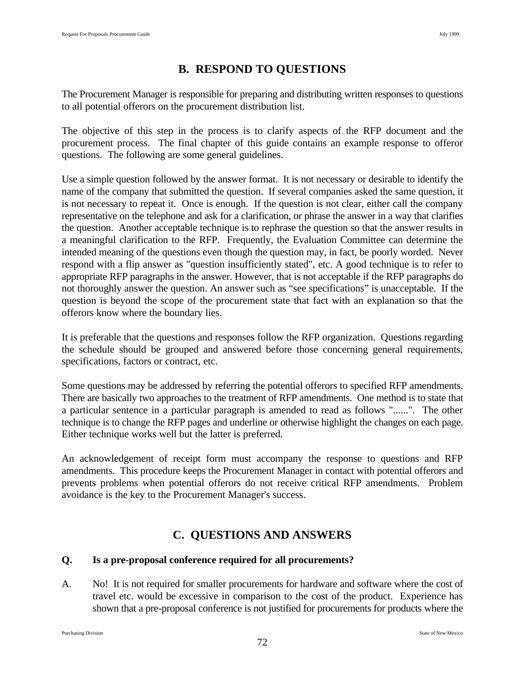# **B. RESPOND TO QUESTIONS**

The Procurement Manager is responsible for preparing and distributing written responses to questions to all potential offerors on the procurement distribution list.

The objective of this step in the process is to clarify aspects of the RFP document and the procurement process. The final chapter of this guide contains an example response to offeror questions. The following are some general guidelines.

Use a simple question followed by the answer format. It is not necessary or desirable to identify the name of the company that submitted the question. If several companies asked the same question, it is not necessary to repeat it. Once is enough. If the question is not clear, either call the company representative on the telephone and ask for a clarification, or phrase the answer in a way that clarifies the question. Another acceptable technique is to rephrase the question so that the answer results in a meaningful clarification to the RFP. Frequently, the Evaluation Committee can determine the intended meaning of the questions even though the question may, in fact, be poorly worded. Never respond with a flip answer as "question insufficiently stated", etc. A good technique is to refer to appropriate RFP paragraphs in the answer. However, that is not acceptable if the RFP paragraphs do not thoroughly answer the question. An answer such as "see specifications" is unacceptable. If the question is beyond the scope of the procurement state that fact with an explanation so that the offerors know where the boundary lies.

It is preferable that the questions and responses follow the RFP organization. Questions regarding the schedule should be grouped and answered before those concerning general requirements, specifications, factors or contract, etc.

Some questions may be addressed by referring the potential offerors to specified RFP amendments. There are basically two approaches to the treatment of RFP amendments. One method is to state that a particular sentence in a particular paragraph is amended to read as follows "......". The other technique is to change the RFP pages and underline or otherwise highlight the changes on each page. Either technique works well but the latter is preferred.

An acknowledgement of receipt form must accompany the response to questions and RFP amendments. This procedure keeps the Procurement Manager in contact with potential offerors and prevents problems when potential offerors do not receive critical RFP amendments. Problem avoidance is the key to the Procurement Manager's success.

# **C. QUESTIONS AND ANSWERS**

## **Q. Is a pre-proposal conference required for all procurements?**

A. No! It is not required for smaller procurements for hardware and software where the cost of travel etc. would be excessive in comparison to the cost of the product. Experience has shown that a pre-proposal conference is not justified for procurements for products where the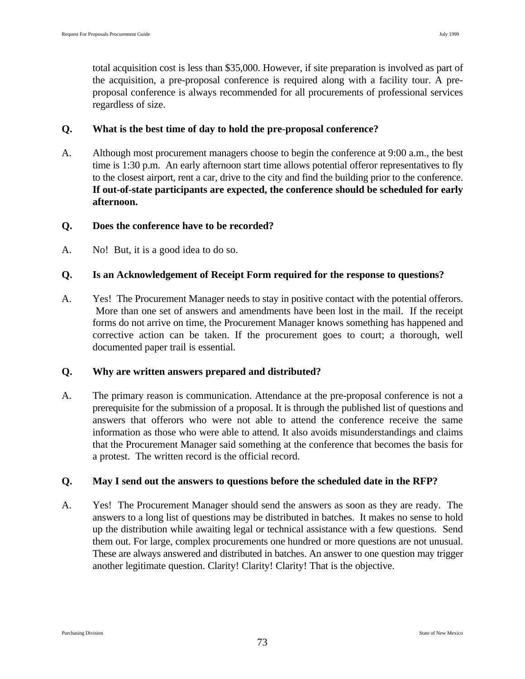total acquisition cost is less than \$35,000. However, if site preparation is involved as part of the acquisition, a pre-proposal conference is required along with a facility tour. A preproposal conference is always recommended for all procurements of professional services regardless of size.

### **Q. What is the best time of day to hold the pre-proposal conference?**

A. Although most procurement managers choose to begin the conference at 9:00 a.m., the best time is 1:30 p.m. An early afternoon start time allows potential offeror representatives to fly to the closest airport, rent a car, drive to the city and find the building prior to the conference. **If out-of-state participants are expected, the conference should be scheduled for early afternoon.**

### **Q. Does the conference have to be recorded?**

A. No! But, it is a good idea to do so.

## **Q. Is an Acknowledgement of Receipt Form required for the response to questions?**

A. Yes! The Procurement Manager needs to stay in positive contact with the potential offerors. More than one set of answers and amendments have been lost in the mail. If the receipt forms do not arrive on time, the Procurement Manager knows something has happened and corrective action can be taken. If the procurement goes to court; a thorough, well documented paper trail is essential.

### **Q. Why are written answers prepared and distributed?**

A. The primary reason is communication. Attendance at the pre-proposal conference is not a prerequisite for the submission of a proposal. It is through the published list of questions and answers that offerors who were not able to attend the conference receive the same information as those who were able to attend. It also avoids misunderstandings and claims that the Procurement Manager said something at the conference that becomes the basis for a protest. The written record is the official record.

### **Q. May I send out the answers to questions before the scheduled date in the RFP?**

A. Yes! The Procurement Manager should send the answers as soon as they are ready. The answers to a long list of questions may be distributed in batches. It makes no sense to hold up the distribution while awaiting legal or technical assistance with a few questions. Send them out. For large, complex procurements one hundred or more questions are not unusual. These are always answered and distributed in batches. An answer to one question may trigger another legitimate question. Clarity! Clarity! Clarity! That is the objective.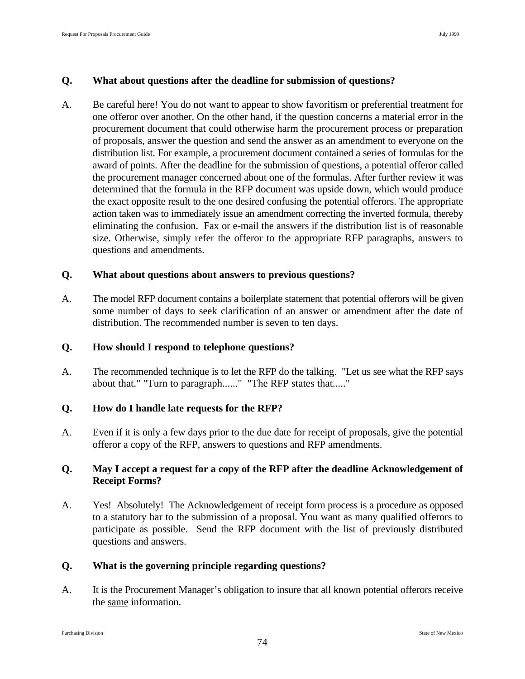#### **Q. What about questions after the deadline for submission of questions?**

A. Be careful here! You do not want to appear to show favoritism or preferential treatment for one offeror over another. On the other hand, if the question concerns a material error in the procurement document that could otherwise harm the procurement process or preparation of proposals, answer the question and send the answer as an amendment to everyone on the distribution list. For example, a procurement document contained a series of formulas for the award of points. After the deadline for the submission of questions, a potential offeror called the procurement manager concerned about one of the formulas. After further review it was determined that the formula in the RFP document was upside down, which would produce the exact opposite result to the one desired confusing the potential offerors. The appropriate action taken was to immediately issue an amendment correcting the inverted formula, thereby eliminating the confusion. Fax or e-mail the answers if the distribution list is of reasonable size. Otherwise, simply refer the offeror to the appropriate RFP paragraphs, answers to questions and amendments.

#### **Q. What about questions about answers to previous questions?**

A. The model RFP document contains a boilerplate statement that potential offerors will be given some number of days to seek clarification of an answer or amendment after the date of distribution. The recommended number is seven to ten days.

#### **Q. How should I respond to telephone questions?**

A. The recommended technique is to let the RFP do the talking. "Let us see what the RFP says about that." "Turn to paragraph......" "The RFP states that....."

### **Q. How do I handle late requests for the RFP?**

A. Even if it is only a few days prior to the due date for receipt of proposals, give the potential offeror a copy of the RFP, answers to questions and RFP amendments.

### **Q. May I accept a request for a copy of the RFP after the deadline Acknowledgement of Receipt Forms?**

A. Yes! Absolutely! The Acknowledgement of receipt form process is a procedure as opposed to a statutory bar to the submission of a proposal. You want as many qualified offerors to participate as possible. Send the RFP document with the list of previously distributed questions and answers.

### **Q. What is the governing principle regarding questions?**

A. It is the Procurement Manager's obligation to insure that all known potential offerors receive the same information.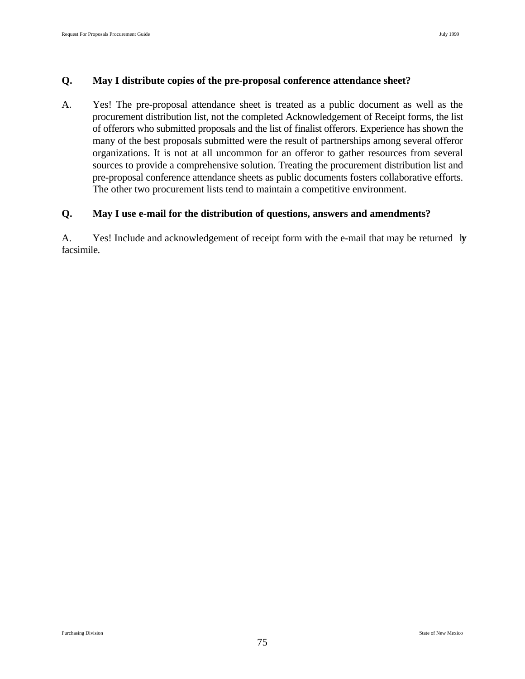#### **Q. May I distribute copies of the pre-proposal conference attendance sheet?**

A. Yes! The pre-proposal attendance sheet is treated as a public document as well as the procurement distribution list, not the completed Acknowledgement of Receipt forms, the list of offerors who submitted proposals and the list of finalist offerors. Experience has shown the many of the best proposals submitted were the result of partnerships among several offeror organizations. It is not at all uncommon for an offeror to gather resources from several sources to provide a comprehensive solution. Treating the procurement distribution list and pre-proposal conference attendance sheets as public documents fosters collaborative efforts. The other two procurement lists tend to maintain a competitive environment.

### **Q. May I use e-mail for the distribution of questions, answers and amendments?**

A. Yes! Include and acknowledgement of receipt form with the e-mail that may be returned by facsimile.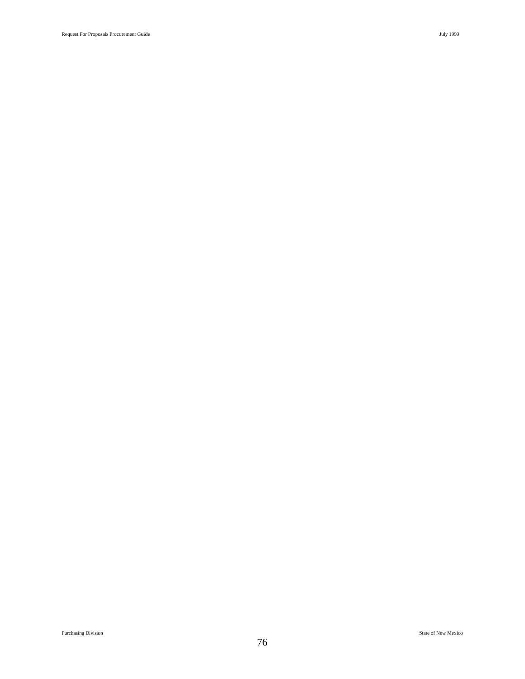Request For Proposals Procurement Guide July 1999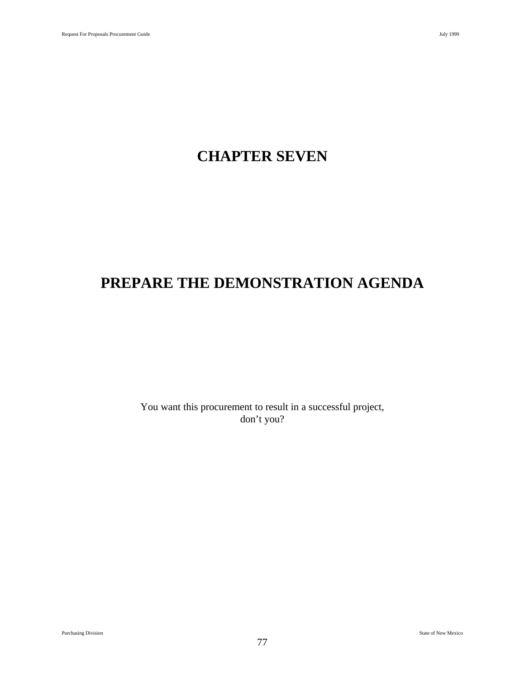# **CHAPTER SEVEN**

# **PREPARE THE DEMONSTRATION AGENDA**

You want this procurement to result in a successful project, don't you?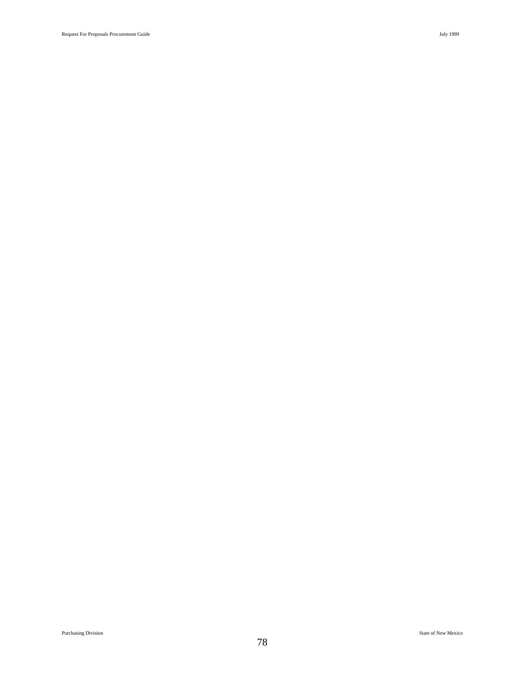Request For Proposals Procurement Guide July 1999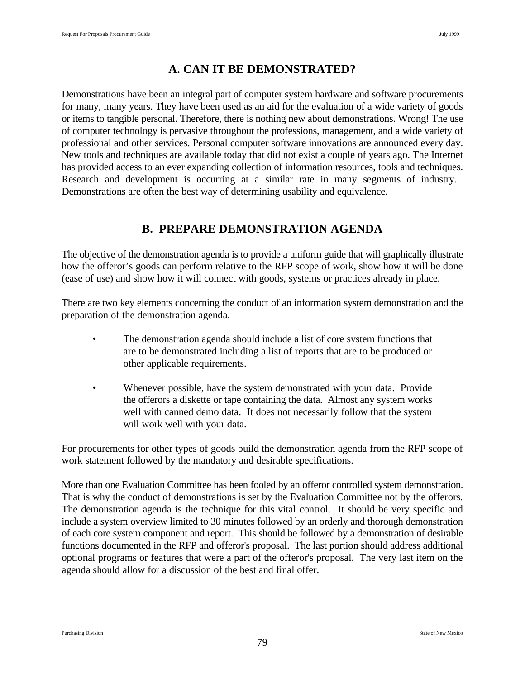## **A. CAN IT BE DEMONSTRATED?**

Demonstrations have been an integral part of computer system hardware and software procurements for many, many years. They have been used as an aid for the evaluation of a wide variety of goods or items to tangible personal. Therefore, there is nothing new about demonstrations. Wrong! The use of computer technology is pervasive throughout the professions, management, and a wide variety of professional and other services. Personal computer software innovations are announced every day. New tools and techniques are available today that did not exist a couple of years ago. The Internet has provided access to an ever expanding collection of information resources, tools and techniques. Research and development is occurring at a similar rate in many segments of industry. Demonstrations are often the best way of determining usability and equivalence.

# **B. PREPARE DEMONSTRATION AGENDA**

The objective of the demonstration agenda is to provide a uniform guide that will graphically illustrate how the offeror's goods can perform relative to the RFP scope of work, show how it will be done (ease of use) and show how it will connect with goods, systems or practices already in place.

There are two key elements concerning the conduct of an information system demonstration and the preparation of the demonstration agenda.

- The demonstration agenda should include a list of core system functions that are to be demonstrated including a list of reports that are to be produced or other applicable requirements.
- Whenever possible, have the system demonstrated with your data. Provide the offerors a diskette or tape containing the data. Almost any system works well with canned demo data. It does not necessarily follow that the system will work well with your data.

For procurements for other types of goods build the demonstration agenda from the RFP scope of work statement followed by the mandatory and desirable specifications.

More than one Evaluation Committee has been fooled by an offeror controlled system demonstration. That is why the conduct of demonstrations is set by the Evaluation Committee not by the offerors. The demonstration agenda is the technique for this vital control. It should be very specific and include a system overview limited to 30 minutes followed by an orderly and thorough demonstration of each core system component and report. This should be followed by a demonstration of desirable functions documented in the RFP and offeror's proposal. The last portion should address additional optional programs or features that were a part of the offeror's proposal. The very last item on the agenda should allow for a discussion of the best and final offer.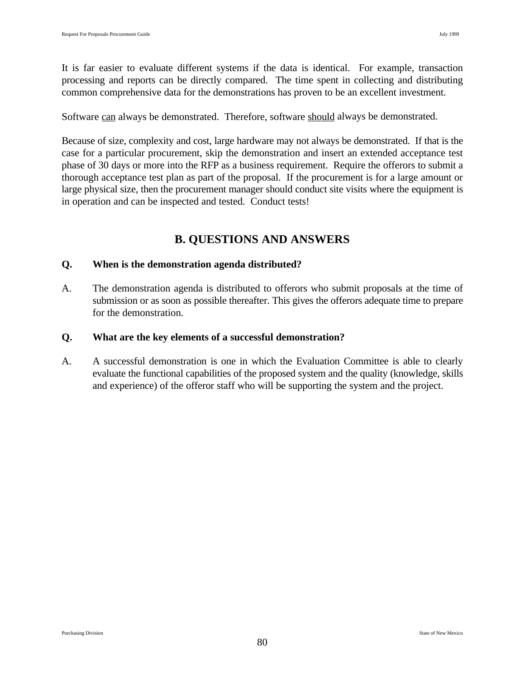It is far easier to evaluate different systems if the data is identical. For example, transaction processing and reports can be directly compared. The time spent in collecting and distributing common comprehensive data for the demonstrations has proven to be an excellent investment.

Software can always be demonstrated. Therefore, software should always be demonstrated.

Because of size, complexity and cost, large hardware may not always be demonstrated. If that is the case for a particular procurement, skip the demonstration and insert an extended acceptance test phase of 30 days or more into the RFP as a business requirement. Require the offerors to submit a thorough acceptance test plan as part of the proposal. If the procurement is for a large amount or large physical size, then the procurement manager should conduct site visits where the equipment is in operation and can be inspected and tested. Conduct tests!

# **B. QUESTIONS AND ANSWERS**

### **Q. When is the demonstration agenda distributed?**

A. The demonstration agenda is distributed to offerors who submit proposals at the time of submission or as soon as possible thereafter. This gives the offerors adequate time to prepare for the demonstration.

### **Q. What are the key elements of a successful demonstration?**

A. A successful demonstration is one in which the Evaluation Committee is able to clearly evaluate the functional capabilities of the proposed system and the quality (knowledge, skills and experience) of the offeror staff who will be supporting the system and the project.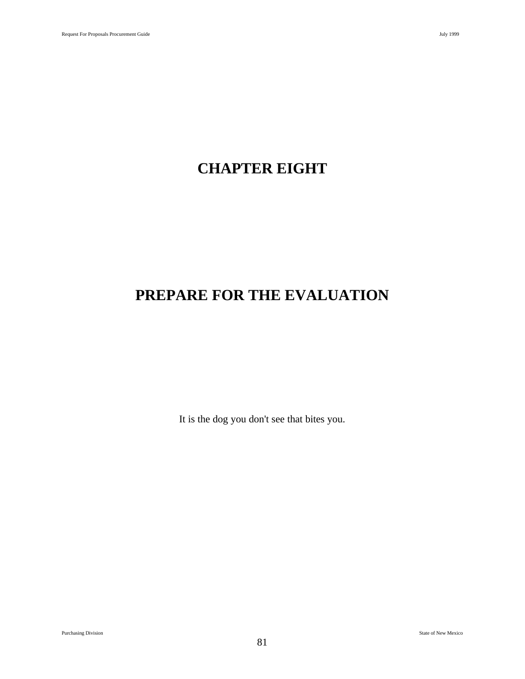# **CHAPTER EIGHT**

# **PREPARE FOR THE EVALUATION**

It is the dog you don't see that bites you.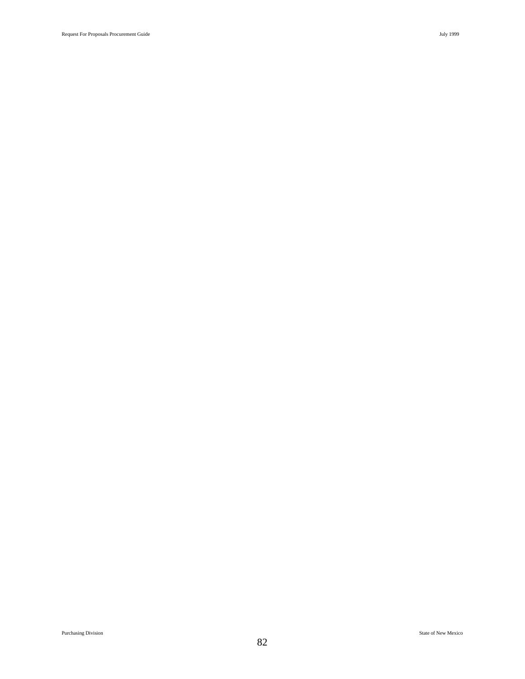Request For Proposals Procurement Guide July 1999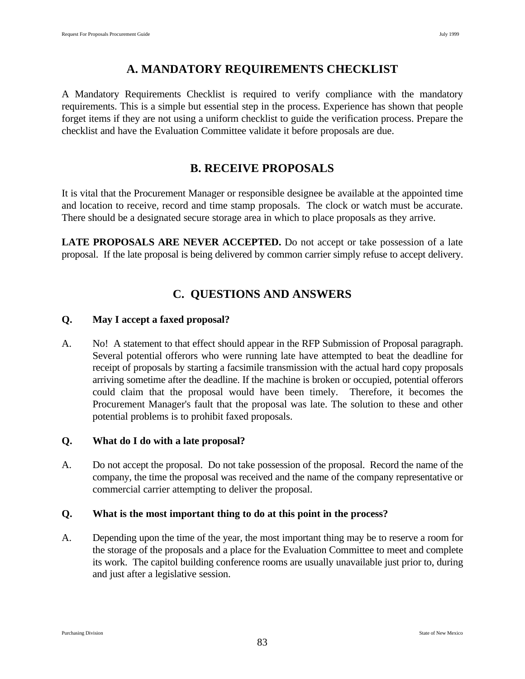# **A. MANDATORY REQUIREMENTS CHECKLIST**

A Mandatory Requirements Checklist is required to verify compliance with the mandatory requirements. This is a simple but essential step in the process. Experience has shown that people forget items if they are not using a uniform checklist to guide the verification process. Prepare the checklist and have the Evaluation Committee validate it before proposals are due.

# **B. RECEIVE PROPOSALS**

It is vital that the Procurement Manager or responsible designee be available at the appointed time and location to receive, record and time stamp proposals. The clock or watch must be accurate. There should be a designated secure storage area in which to place proposals as they arrive.

LATE PROPOSALS ARE NEVER ACCEPTED. Do not accept or take possession of a late proposal. If the late proposal is being delivered by common carrier simply refuse to accept delivery.

# **C. QUESTIONS AND ANSWERS**

### **Q. May I accept a faxed proposal?**

A. No! A statement to that effect should appear in the RFP Submission of Proposal paragraph. Several potential offerors who were running late have attempted to beat the deadline for receipt of proposals by starting a facsimile transmission with the actual hard copy proposals arriving sometime after the deadline. If the machine is broken or occupied, potential offerors could claim that the proposal would have been timely. Therefore, it becomes the Procurement Manager's fault that the proposal was late. The solution to these and other potential problems is to prohibit faxed proposals.

## **Q. What do I do with a late proposal?**

A. Do not accept the proposal. Do not take possession of the proposal. Record the name of the company, the time the proposal was received and the name of the company representative or commercial carrier attempting to deliver the proposal.

### **Q. What is the most important thing to do at this point in the process?**

A. Depending upon the time of the year, the most important thing may be to reserve a room for the storage of the proposals and a place for the Evaluation Committee to meet and complete its work. The capitol building conference rooms are usually unavailable just prior to, during and just after a legislative session.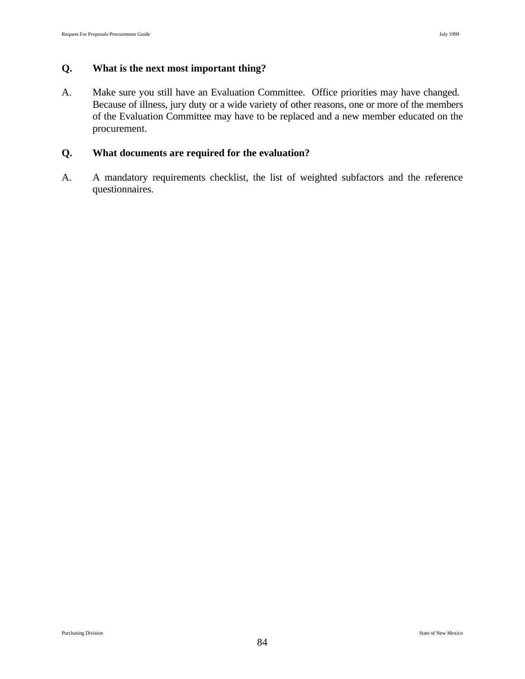## **Q. What is the next most important thing?**

A. Make sure you still have an Evaluation Committee. Office priorities may have changed. Because of illness, jury duty or a wide variety of other reasons, one or more of the members of the Evaluation Committee may have to be replaced and a new member educated on the procurement.

## **Q. What documents are required for the evaluation?**

A. A mandatory requirements checklist, the list of weighted subfactors and the reference questionnaires.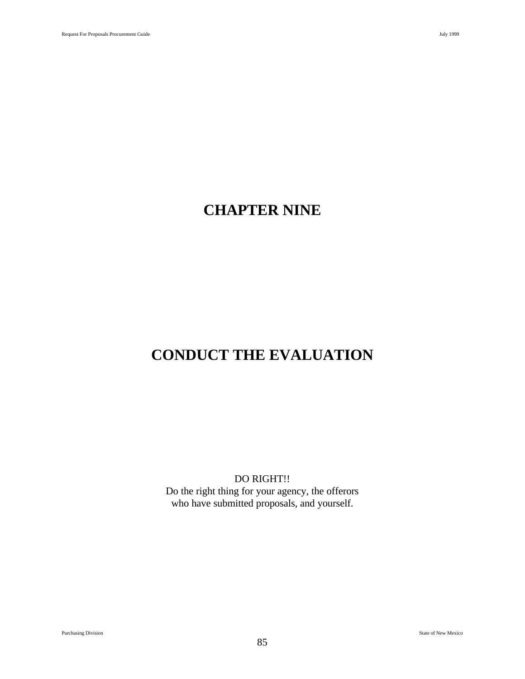# **CHAPTER NINE**

# **CONDUCT THE EVALUATION**

## DO RIGHT!!

Do the right thing for your agency, the offerors who have submitted proposals, and yourself.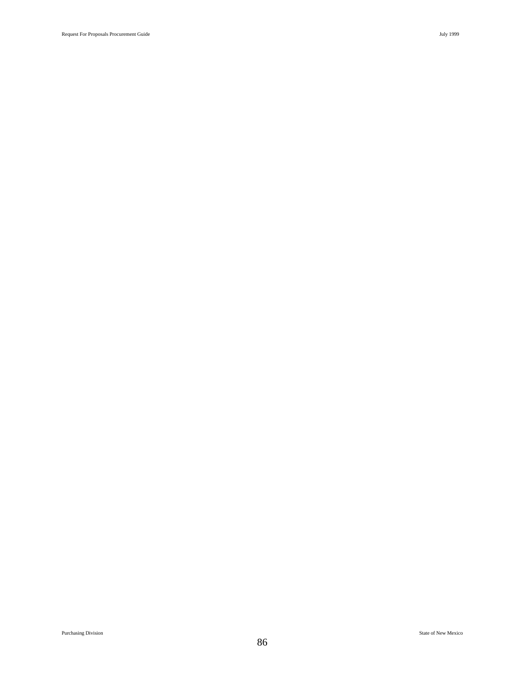Request For Proposals Procurement Guide July 1999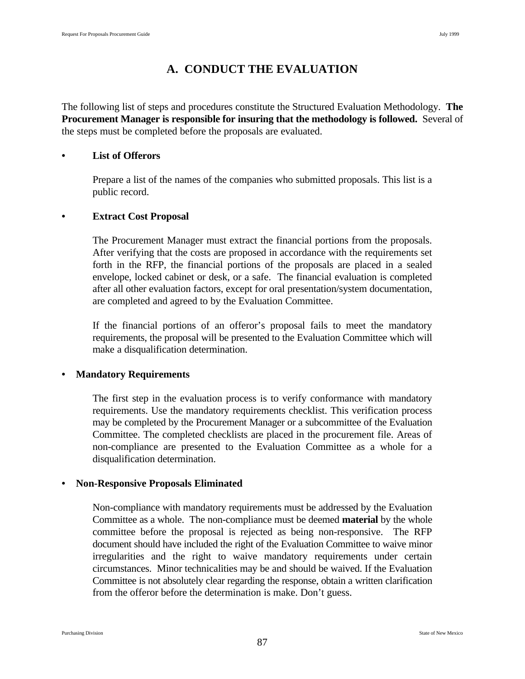# **A. CONDUCT THE EVALUATION**

The following list of steps and procedures constitute the Structured Evaluation Methodology. **The Procurement Manager is responsible for insuring that the methodology is followed.** Several of the steps must be completed before the proposals are evaluated.

### **• List of Offerors**

Prepare a list of the names of the companies who submitted proposals. This list is a public record.

### **• Extract Cost Proposal**

The Procurement Manager must extract the financial portions from the proposals. After verifying that the costs are proposed in accordance with the requirements set forth in the RFP, the financial portions of the proposals are placed in a sealed envelope, locked cabinet or desk, or a safe. The financial evaluation is completed after all other evaluation factors, except for oral presentation/system documentation, are completed and agreed to by the Evaluation Committee.

If the financial portions of an offeror's proposal fails to meet the mandatory requirements, the proposal will be presented to the Evaluation Committee which will make a disqualification determination.

### **• Mandatory Requirements**

The first step in the evaluation process is to verify conformance with mandatory requirements. Use the mandatory requirements checklist. This verification process may be completed by the Procurement Manager or a subcommittee of the Evaluation Committee. The completed checklists are placed in the procurement file. Areas of non-compliance are presented to the Evaluation Committee as a whole for a disqualification determination.

### **• Non-Responsive Proposals Eliminated**

Non-compliance with mandatory requirements must be addressed by the Evaluation Committee as a whole. The non-compliance must be deemed **material** by the whole committee before the proposal is rejected as being non-responsive. The RFP document should have included the right of the Evaluation Committee to waive minor irregularities and the right to waive mandatory requirements under certain circumstances. Minor technicalities may be and should be waived. If the Evaluation Committee is not absolutely clear regarding the response, obtain a written clarification from the offeror before the determination is make. Don't guess.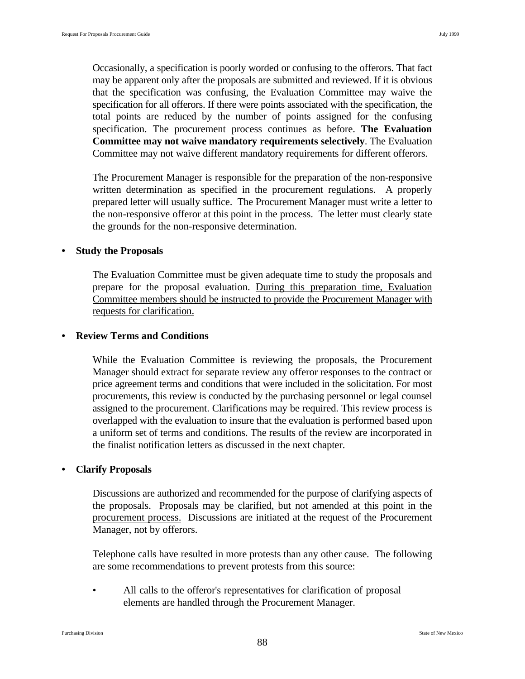Occasionally, a specification is poorly worded or confusing to the offerors. That fact may be apparent only after the proposals are submitted and reviewed. If it is obvious that the specification was confusing, the Evaluation Committee may waive the specification for all offerors. If there were points associated with the specification, the total points are reduced by the number of points assigned for the confusing specification. The procurement process continues as before. **The Evaluation Committee may not waive mandatory requirements selectively**. The Evaluation Committee may not waive different mandatory requirements for different offerors.

The Procurement Manager is responsible for the preparation of the non-responsive written determination as specified in the procurement regulations. A properly prepared letter will usually suffice. The Procurement Manager must write a letter to the non-responsive offeror at this point in the process. The letter must clearly state the grounds for the non-responsive determination.

#### **• Study the Proposals**

The Evaluation Committee must be given adequate time to study the proposals and prepare for the proposal evaluation. During this preparation time, Evaluation Committee members should be instructed to provide the Procurement Manager with requests for clarification.

### **• Review Terms and Conditions**

While the Evaluation Committee is reviewing the proposals, the Procurement Manager should extract for separate review any offeror responses to the contract or price agreement terms and conditions that were included in the solicitation. For most procurements, this review is conducted by the purchasing personnel or legal counsel assigned to the procurement. Clarifications may be required. This review process is overlapped with the evaluation to insure that the evaluation is performed based upon a uniform set of terms and conditions. The results of the review are incorporated in the finalist notification letters as discussed in the next chapter.

### **• Clarify Proposals**

Discussions are authorized and recommended for the purpose of clarifying aspects of the proposals. Proposals may be clarified, but not amended at this point in the procurement process. Discussions are initiated at the request of the Procurement Manager, not by offerors.

Telephone calls have resulted in more protests than any other cause. The following are some recommendations to prevent protests from this source:

All calls to the offeror's representatives for clarification of proposal elements are handled through the Procurement Manager.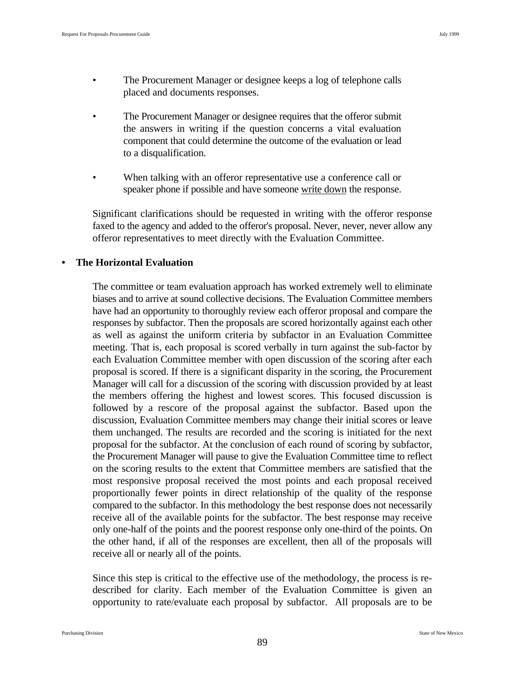- The Procurement Manager or designee keeps a log of telephone calls placed and documents responses.
- The Procurement Manager or designee requires that the offeror submit the answers in writing if the question concerns a vital evaluation component that could determine the outcome of the evaluation or lead to a disqualification.
- When talking with an offeror representative use a conference call or speaker phone if possible and have someone write down the response.

Significant clarifications should be requested in writing with the offeror response faxed to the agency and added to the offeror's proposal. Never, never, never allow any offeror representatives to meet directly with the Evaluation Committee.

### **• The Horizontal Evaluation**

The committee or team evaluation approach has worked extremely well to eliminate biases and to arrive at sound collective decisions. The Evaluation Committee members have had an opportunity to thoroughly review each offeror proposal and compare the responses by subfactor. Then the proposals are scored horizontally against each other as well as against the uniform criteria by subfactor in an Evaluation Committee meeting. That is, each proposal is scored verbally in turn against the sub-factor by each Evaluation Committee member with open discussion of the scoring after each proposal is scored. If there is a significant disparity in the scoring, the Procurement Manager will call for a discussion of the scoring with discussion provided by at least the members offering the highest and lowest scores. This focused discussion is followed by a rescore of the proposal against the subfactor. Based upon the discussion, Evaluation Committee members may change their initial scores or leave them unchanged. The results are recorded and the scoring is initiated for the next proposal for the subfactor. At the conclusion of each round of scoring by subfactor, the Procurement Manager will pause to give the Evaluation Committee time to reflect on the scoring results to the extent that Committee members are satisfied that the most responsive proposal received the most points and each proposal received proportionally fewer points in direct relationship of the quality of the response compared to the subfactor. In this methodology the best response does not necessarily receive all of the available points for the subfactor. The best response may receive only one-half of the points and the poorest response only one-third of the points. On the other hand, if all of the responses are excellent, then all of the proposals will receive all or nearly all of the points.

Since this step is critical to the effective use of the methodology, the process is redescribed for clarity. Each member of the Evaluation Committee is given an opportunity to rate/evaluate each proposal by subfactor. All proposals are to be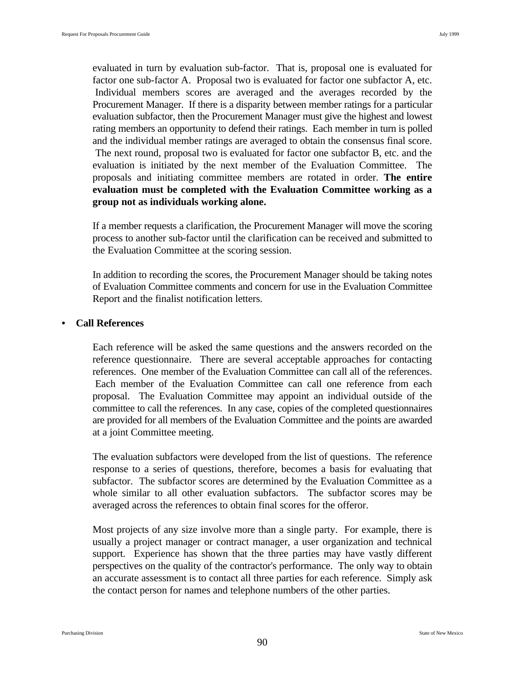evaluated in turn by evaluation sub-factor. That is, proposal one is evaluated for factor one sub-factor A. Proposal two is evaluated for factor one subfactor A, etc. Individual members scores are averaged and the averages recorded by the Procurement Manager. If there is a disparity between member ratings for a particular evaluation subfactor, then the Procurement Manager must give the highest and lowest rating members an opportunity to defend their ratings. Each member in turn is polled and the individual member ratings are averaged to obtain the consensus final score. The next round, proposal two is evaluated for factor one subfactor B, etc. and the evaluation is initiated by the next member of the Evaluation Committee. The proposals and initiating committee members are rotated in order. **The entire evaluation must be completed with the Evaluation Committee working as a group not as individuals working alone.**

If a member requests a clarification, the Procurement Manager will move the scoring process to another sub-factor until the clarification can be received and submitted to the Evaluation Committee at the scoring session.

In addition to recording the scores, the Procurement Manager should be taking notes of Evaluation Committee comments and concern for use in the Evaluation Committee Report and the finalist notification letters.

#### **• Call References**

Each reference will be asked the same questions and the answers recorded on the reference questionnaire. There are several acceptable approaches for contacting references. One member of the Evaluation Committee can call all of the references. Each member of the Evaluation Committee can call one reference from each proposal. The Evaluation Committee may appoint an individual outside of the committee to call the references. In any case, copies of the completed questionnaires are provided for all members of the Evaluation Committee and the points are awarded at a joint Committee meeting.

The evaluation subfactors were developed from the list of questions. The reference response to a series of questions, therefore, becomes a basis for evaluating that subfactor. The subfactor scores are determined by the Evaluation Committee as a whole similar to all other evaluation subfactors. The subfactor scores may be averaged across the references to obtain final scores for the offeror.

Most projects of any size involve more than a single party. For example, there is usually a project manager or contract manager, a user organization and technical support. Experience has shown that the three parties may have vastly different perspectives on the quality of the contractor's performance. The only way to obtain an accurate assessment is to contact all three parties for each reference. Simply ask the contact person for names and telephone numbers of the other parties.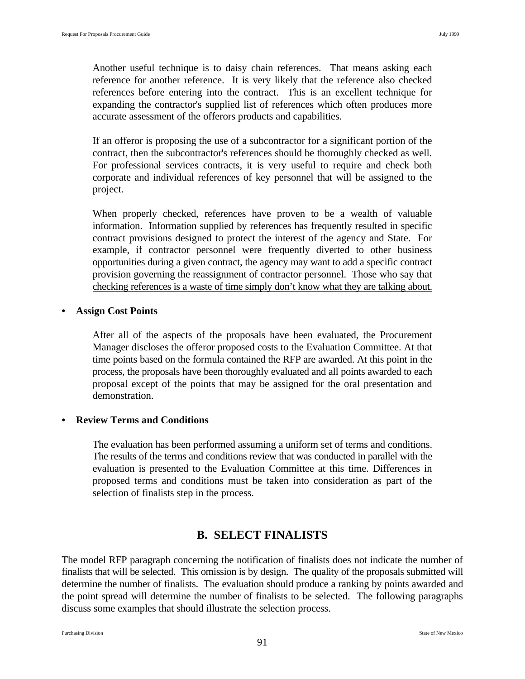Another useful technique is to daisy chain references. That means asking each reference for another reference. It is very likely that the reference also checked references before entering into the contract. This is an excellent technique for expanding the contractor's supplied list of references which often produces more accurate assessment of the offerors products and capabilities.

If an offeror is proposing the use of a subcontractor for a significant portion of the contract, then the subcontractor's references should be thoroughly checked as well. For professional services contracts, it is very useful to require and check both corporate and individual references of key personnel that will be assigned to the project.

When properly checked, references have proven to be a wealth of valuable information. Information supplied by references has frequently resulted in specific contract provisions designed to protect the interest of the agency and State. For example, if contractor personnel were frequently diverted to other business opportunities during a given contract, the agency may want to add a specific contract provision governing the reassignment of contractor personnel. Those who say that checking references is a waste of time simply don't know what they are talking about.

### **• Assign Cost Points**

After all of the aspects of the proposals have been evaluated, the Procurement Manager discloses the offeror proposed costs to the Evaluation Committee. At that time points based on the formula contained the RFP are awarded. At this point in the process, the proposals have been thoroughly evaluated and all points awarded to each proposal except of the points that may be assigned for the oral presentation and demonstration.

### **• Review Terms and Conditions**

The evaluation has been performed assuming a uniform set of terms and conditions. The results of the terms and conditions review that was conducted in parallel with the evaluation is presented to the Evaluation Committee at this time. Differences in proposed terms and conditions must be taken into consideration as part of the selection of finalists step in the process.

## **B. SELECT FINALISTS**

The model RFP paragraph concerning the notification of finalists does not indicate the number of finalists that will be selected. This omission is by design. The quality of the proposals submitted will determine the number of finalists. The evaluation should produce a ranking by points awarded and the point spread will determine the number of finalists to be selected. The following paragraphs discuss some examples that should illustrate the selection process.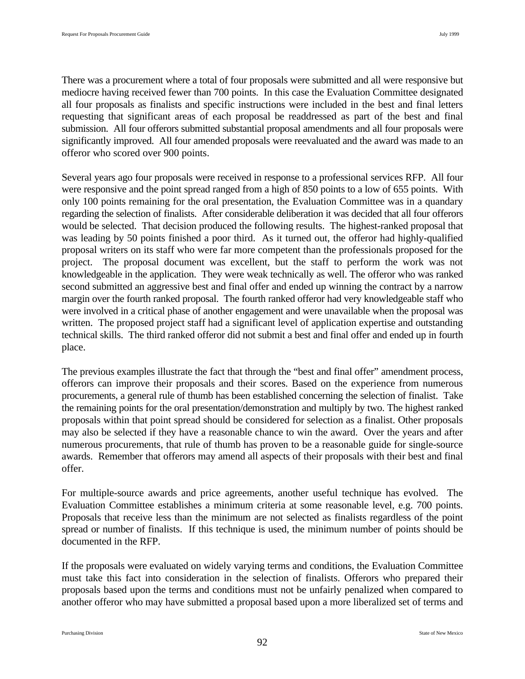There was a procurement where a total of four proposals were submitted and all were responsive but mediocre having received fewer than 700 points. In this case the Evaluation Committee designated all four proposals as finalists and specific instructions were included in the best and final letters requesting that significant areas of each proposal be readdressed as part of the best and final submission. All four offerors submitted substantial proposal amendments and all four proposals were significantly improved. All four amended proposals were reevaluated and the award was made to an offeror who scored over 900 points.

Several years ago four proposals were received in response to a professional services RFP. All four were responsive and the point spread ranged from a high of 850 points to a low of 655 points. With only 100 points remaining for the oral presentation, the Evaluation Committee was in a quandary regarding the selection of finalists. After considerable deliberation it was decided that all four offerors would be selected. That decision produced the following results. The highest-ranked proposal that was leading by 50 points finished a poor third. As it turned out, the offeror had highly-qualified proposal writers on its staff who were far more competent than the professionals proposed for the project. The proposal document was excellent, but the staff to perform the work was not knowledgeable in the application. They were weak technically as well. The offeror who was ranked second submitted an aggressive best and final offer and ended up winning the contract by a narrow margin over the fourth ranked proposal. The fourth ranked offeror had very knowledgeable staff who were involved in a critical phase of another engagement and were unavailable when the proposal was written. The proposed project staff had a significant level of application expertise and outstanding technical skills. The third ranked offeror did not submit a best and final offer and ended up in fourth place.

The previous examples illustrate the fact that through the "best and final offer" amendment process, offerors can improve their proposals and their scores. Based on the experience from numerous procurements, a general rule of thumb has been established concerning the selection of finalist. Take the remaining points for the oral presentation/demonstration and multiply by two. The highest ranked proposals within that point spread should be considered for selection as a finalist. Other proposals may also be selected if they have a reasonable chance to win the award. Over the years and after numerous procurements, that rule of thumb has proven to be a reasonable guide for single-source awards. Remember that offerors may amend all aspects of their proposals with their best and final offer.

For multiple-source awards and price agreements, another useful technique has evolved. The Evaluation Committee establishes a minimum criteria at some reasonable level, e.g. 700 points. Proposals that receive less than the minimum are not selected as finalists regardless of the point spread or number of finalists. If this technique is used, the minimum number of points should be documented in the RFP.

If the proposals were evaluated on widely varying terms and conditions, the Evaluation Committee must take this fact into consideration in the selection of finalists. Offerors who prepared their proposals based upon the terms and conditions must not be unfairly penalized when compared to another offeror who may have submitted a proposal based upon a more liberalized set of terms and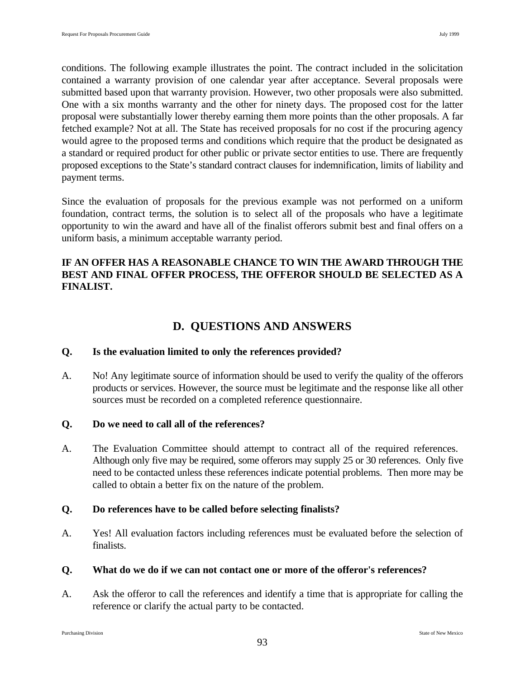conditions. The following example illustrates the point. The contract included in the solicitation contained a warranty provision of one calendar year after acceptance. Several proposals were submitted based upon that warranty provision. However, two other proposals were also submitted. One with a six months warranty and the other for ninety days. The proposed cost for the latter proposal were substantially lower thereby earning them more points than the other proposals. A far fetched example? Not at all. The State has received proposals for no cost if the procuring agency would agree to the proposed terms and conditions which require that the product be designated as a standard or required product for other public or private sector entities to use. There are frequently proposed exceptions to the State's standard contract clauses for indemnification, limits of liability and payment terms.

Since the evaluation of proposals for the previous example was not performed on a uniform foundation, contract terms, the solution is to select all of the proposals who have a legitimate opportunity to win the award and have all of the finalist offerors submit best and final offers on a uniform basis, a minimum acceptable warranty period.

### **IF AN OFFER HAS A REASONABLE CHANCE TO WIN THE AWARD THROUGH THE BEST AND FINAL OFFER PROCESS, THE OFFEROR SHOULD BE SELECTED AS A FINALIST.**

# **D. QUESTIONS AND ANSWERS**

### **Q. Is the evaluation limited to only the references provided?**

A. No! Any legitimate source of information should be used to verify the quality of the offerors products or services. However, the source must be legitimate and the response like all other sources must be recorded on a completed reference questionnaire.

## **Q. Do we need to call all of the references?**

A. The Evaluation Committee should attempt to contract all of the required references. Although only five may be required, some offerors may supply 25 or 30 references. Only five need to be contacted unless these references indicate potential problems. Then more may be called to obtain a better fix on the nature of the problem.

### **Q. Do references have to be called before selecting finalists?**

A. Yes! All evaluation factors including references must be evaluated before the selection of finalists.

### **Q. What do we do if we can not contact one or more of the offeror's references?**

A. Ask the offeror to call the references and identify a time that is appropriate for calling the reference or clarify the actual party to be contacted.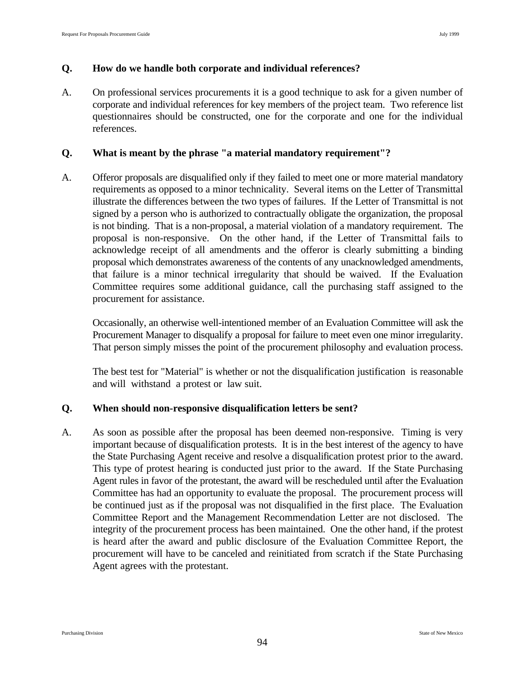### **Q. How do we handle both corporate and individual references?**

A. On professional services procurements it is a good technique to ask for a given number of corporate and individual references for key members of the project team. Two reference list questionnaires should be constructed, one for the corporate and one for the individual references.

#### **Q. What is meant by the phrase "a material mandatory requirement"?**

A. Offeror proposals are disqualified only if they failed to meet one or more material mandatory requirements as opposed to a minor technicality. Several items on the Letter of Transmittal illustrate the differences between the two types of failures. If the Letter of Transmittal is not signed by a person who is authorized to contractually obligate the organization, the proposal is not binding. That is a non-proposal, a material violation of a mandatory requirement. The proposal is non-responsive. On the other hand, if the Letter of Transmittal fails to acknowledge receipt of all amendments and the offeror is clearly submitting a binding proposal which demonstrates awareness of the contents of any unacknowledged amendments, that failure is a minor technical irregularity that should be waived. If the Evaluation Committee requires some additional guidance, call the purchasing staff assigned to the procurement for assistance.

Occasionally, an otherwise well-intentioned member of an Evaluation Committee will ask the Procurement Manager to disqualify a proposal for failure to meet even one minor irregularity. That person simply misses the point of the procurement philosophy and evaluation process.

The best test for "Material" is whether or not the disqualification justification is reasonable and will withstand a protest or law suit.

#### **Q. When should non-responsive disqualification letters be sent?**

A. As soon as possible after the proposal has been deemed non-responsive. Timing is very important because of disqualification protests. It is in the best interest of the agency to have the State Purchasing Agent receive and resolve a disqualification protest prior to the award. This type of protest hearing is conducted just prior to the award. If the State Purchasing Agent rules in favor of the protestant, the award will be rescheduled until after the Evaluation Committee has had an opportunity to evaluate the proposal. The procurement process will be continued just as if the proposal was not disqualified in the first place. The Evaluation Committee Report and the Management Recommendation Letter are not disclosed. The integrity of the procurement process has been maintained. One the other hand, if the protest is heard after the award and public disclosure of the Evaluation Committee Report, the procurement will have to be canceled and reinitiated from scratch if the State Purchasing Agent agrees with the protestant.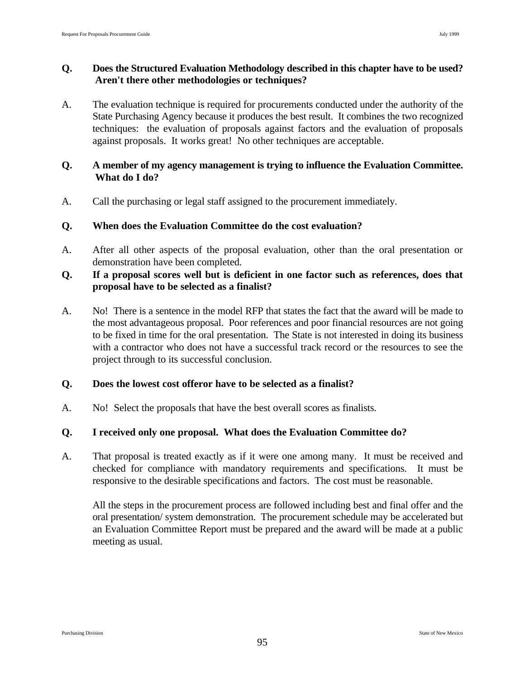### **Q. Does the Structured Evaluation Methodology described in this chapter have to be used? Aren't there other methodologies or techniques?**

A. The evaluation technique is required for procurements conducted under the authority of the State Purchasing Agency because it produces the best result. It combines the two recognized techniques: the evaluation of proposals against factors and the evaluation of proposals against proposals. It works great! No other techniques are acceptable.

## **Q. A member of my agency management is trying to influence the Evaluation Committee. What do I do?**

A. Call the purchasing or legal staff assigned to the procurement immediately.

## **Q. When does the Evaluation Committee do the cost evaluation?**

A. After all other aspects of the proposal evaluation, other than the oral presentation or demonstration have been completed.

## **Q. If a proposal scores well but is deficient in one factor such as references, does that proposal have to be selected as a finalist?**

A. No! There is a sentence in the model RFP that states the fact that the award will be made to the most advantageous proposal. Poor references and poor financial resources are not going to be fixed in time for the oral presentation. The State is not interested in doing its business with a contractor who does not have a successful track record or the resources to see the project through to its successful conclusion.

## **Q. Does the lowest cost offeror have to be selected as a finalist?**

A. No! Select the proposals that have the best overall scores as finalists.

## **Q. I received only one proposal. What does the Evaluation Committee do?**

A. That proposal is treated exactly as if it were one among many. It must be received and checked for compliance with mandatory requirements and specifications. It must be responsive to the desirable specifications and factors. The cost must be reasonable.

All the steps in the procurement process are followed including best and final offer and the oral presentation/ system demonstration. The procurement schedule may be accelerated but an Evaluation Committee Report must be prepared and the award will be made at a public meeting as usual.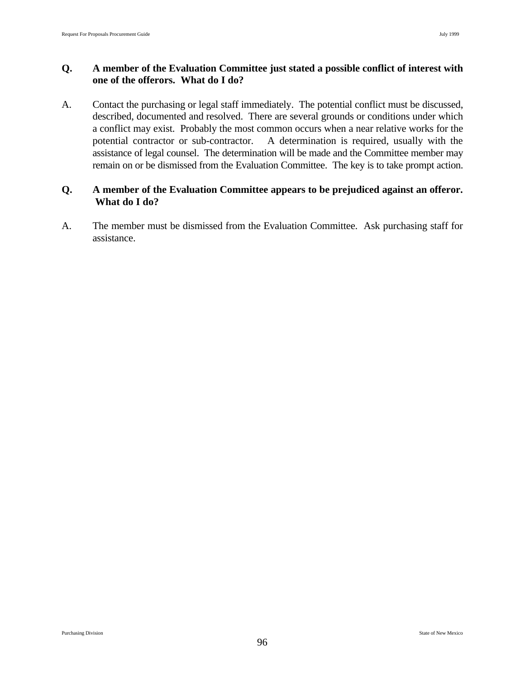### **Q. A member of the Evaluation Committee just stated a possible conflict of interest with one of the offerors. What do I do?**

A. Contact the purchasing or legal staff immediately. The potential conflict must be discussed, described, documented and resolved. There are several grounds or conditions under which a conflict may exist. Probably the most common occurs when a near relative works for the potential contractor or sub-contractor. A determination is required, usually with the assistance of legal counsel. The determination will be made and the Committee member may remain on or be dismissed from the Evaluation Committee. The key is to take prompt action.

### **Q. A member of the Evaluation Committee appears to be prejudiced against an offeror. What do I do?**

A. The member must be dismissed from the Evaluation Committee. Ask purchasing staff for assistance.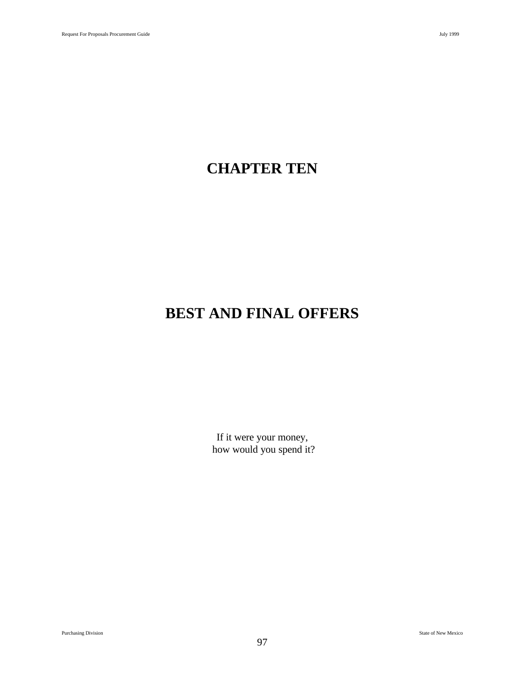# **CHAPTER TEN**

# **BEST AND FINAL OFFERS**

If it were your money, how would you spend it?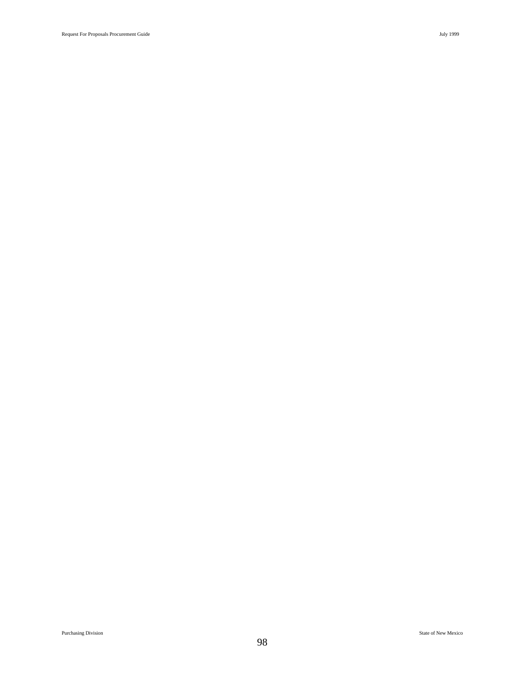Request For Proposals Procurement Guide July 1999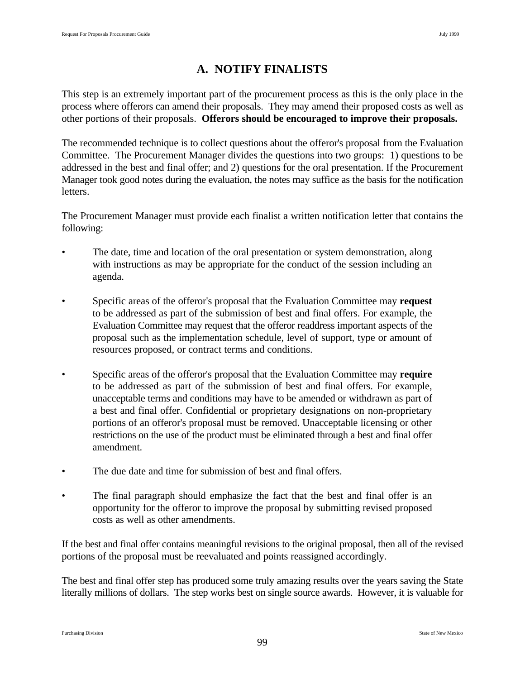# **A. NOTIFY FINALISTS**

This step is an extremely important part of the procurement process as this is the only place in the process where offerors can amend their proposals. They may amend their proposed costs as well as other portions of their proposals. **Offerors should be encouraged to improve their proposals.**

The recommended technique is to collect questions about the offeror's proposal from the Evaluation Committee. The Procurement Manager divides the questions into two groups: 1) questions to be addressed in the best and final offer; and 2) questions for the oral presentation. If the Procurement Manager took good notes during the evaluation, the notes may suffice as the basis for the notification letters.

The Procurement Manager must provide each finalist a written notification letter that contains the following:

- The date, time and location of the oral presentation or system demonstration, along with instructions as may be appropriate for the conduct of the session including an agenda.
- Specific areas of the offeror's proposal that the Evaluation Committee may **request** to be addressed as part of the submission of best and final offers. For example, the Evaluation Committee may request that the offeror readdress important aspects of the proposal such as the implementation schedule, level of support, type or amount of resources proposed, or contract terms and conditions.
- Specific areas of the offeror's proposal that the Evaluation Committee may **require** to be addressed as part of the submission of best and final offers. For example, unacceptable terms and conditions may have to be amended or withdrawn as part of a best and final offer. Confidential or proprietary designations on non-proprietary portions of an offeror's proposal must be removed. Unacceptable licensing or other restrictions on the use of the product must be eliminated through a best and final offer amendment.
- The due date and time for submission of best and final offers.
- The final paragraph should emphasize the fact that the best and final offer is an opportunity for the offeror to improve the proposal by submitting revised proposed costs as well as other amendments.

If the best and final offer contains meaningful revisions to the original proposal, then all of the revised portions of the proposal must be reevaluated and points reassigned accordingly.

The best and final offer step has produced some truly amazing results over the years saving the State literally millions of dollars. The step works best on single source awards. However, it is valuable for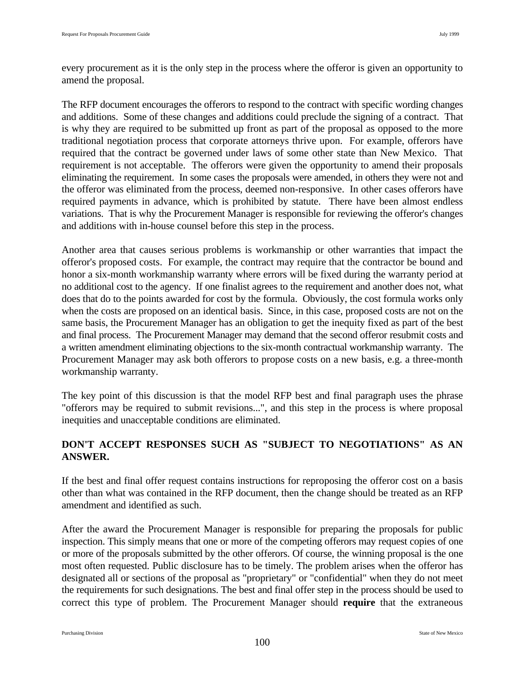every procurement as it is the only step in the process where the offeror is given an opportunity to amend the proposal.

The RFP document encourages the offerors to respond to the contract with specific wording changes and additions. Some of these changes and additions could preclude the signing of a contract. That is why they are required to be submitted up front as part of the proposal as opposed to the more traditional negotiation process that corporate attorneys thrive upon. For example, offerors have required that the contract be governed under laws of some other state than New Mexico. That requirement is not acceptable. The offerors were given the opportunity to amend their proposals eliminating the requirement. In some cases the proposals were amended, in others they were not and the offeror was eliminated from the process, deemed non-responsive. In other cases offerors have required payments in advance, which is prohibited by statute. There have been almost endless variations. That is why the Procurement Manager is responsible for reviewing the offeror's changes and additions with in-house counsel before this step in the process.

Another area that causes serious problems is workmanship or other warranties that impact the offeror's proposed costs. For example, the contract may require that the contractor be bound and honor a six-month workmanship warranty where errors will be fixed during the warranty period at no additional cost to the agency. If one finalist agrees to the requirement and another does not, what does that do to the points awarded for cost by the formula. Obviously, the cost formula works only when the costs are proposed on an identical basis. Since, in this case, proposed costs are not on the same basis, the Procurement Manager has an obligation to get the inequity fixed as part of the best and final process. The Procurement Manager may demand that the second offeror resubmit costs and a written amendment eliminating objections to the six-month contractual workmanship warranty. The Procurement Manager may ask both offerors to propose costs on a new basis, e.g. a three-month workmanship warranty.

The key point of this discussion is that the model RFP best and final paragraph uses the phrase "offerors may be required to submit revisions...", and this step in the process is where proposal inequities and unacceptable conditions are eliminated.

## **DON'T ACCEPT RESPONSES SUCH AS "SUBJECT TO NEGOTIATIONS" AS AN ANSWER.**

If the best and final offer request contains instructions for reproposing the offeror cost on a basis other than what was contained in the RFP document, then the change should be treated as an RFP amendment and identified as such.

After the award the Procurement Manager is responsible for preparing the proposals for public inspection. This simply means that one or more of the competing offerors may request copies of one or more of the proposals submitted by the other offerors. Of course, the winning proposal is the one most often requested. Public disclosure has to be timely. The problem arises when the offeror has designated all or sections of the proposal as "proprietary" or "confidential" when they do not meet the requirements for such designations. The best and final offer step in the process should be used to correct this type of problem. The Procurement Manager should **require** that the extraneous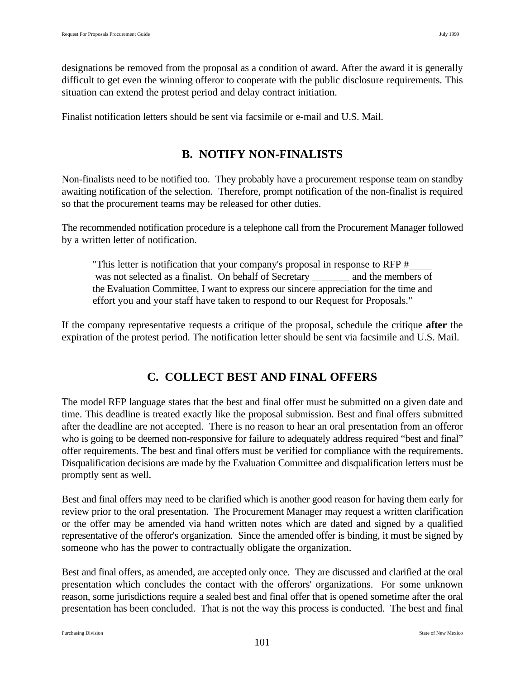designations be removed from the proposal as a condition of award. After the award it is generally difficult to get even the winning offeror to cooperate with the public disclosure requirements. This situation can extend the protest period and delay contract initiation.

Finalist notification letters should be sent via facsimile or e-mail and U.S. Mail.

## **B. NOTIFY NON-FINALISTS**

Non-finalists need to be notified too. They probably have a procurement response team on standby awaiting notification of the selection. Therefore, prompt notification of the non-finalist is required so that the procurement teams may be released for other duties.

The recommended notification procedure is a telephone call from the Procurement Manager followed by a written letter of notification.

"This letter is notification that your company's proposal in response to RFP # was not selected as a finalist. On behalf of Secretary \_\_\_\_\_\_\_ and the members of the Evaluation Committee, I want to express our sincere appreciation for the time and effort you and your staff have taken to respond to our Request for Proposals."

If the company representative requests a critique of the proposal, schedule the critique **after** the expiration of the protest period. The notification letter should be sent via facsimile and U.S. Mail.

## **C. COLLECT BEST AND FINAL OFFERS**

The model RFP language states that the best and final offer must be submitted on a given date and time. This deadline is treated exactly like the proposal submission. Best and final offers submitted after the deadline are not accepted. There is no reason to hear an oral presentation from an offeror who is going to be deemed non-responsive for failure to adequately address required "best and final" offer requirements. The best and final offers must be verified for compliance with the requirements. Disqualification decisions are made by the Evaluation Committee and disqualification letters must be promptly sent as well.

Best and final offers may need to be clarified which is another good reason for having them early for review prior to the oral presentation. The Procurement Manager may request a written clarification or the offer may be amended via hand written notes which are dated and signed by a qualified representative of the offeror's organization. Since the amended offer is binding, it must be signed by someone who has the power to contractually obligate the organization.

Best and final offers, as amended, are accepted only once. They are discussed and clarified at the oral presentation which concludes the contact with the offerors' organizations. For some unknown reason, some jurisdictions require a sealed best and final offer that is opened sometime after the oral presentation has been concluded. That is not the way this process is conducted. The best and final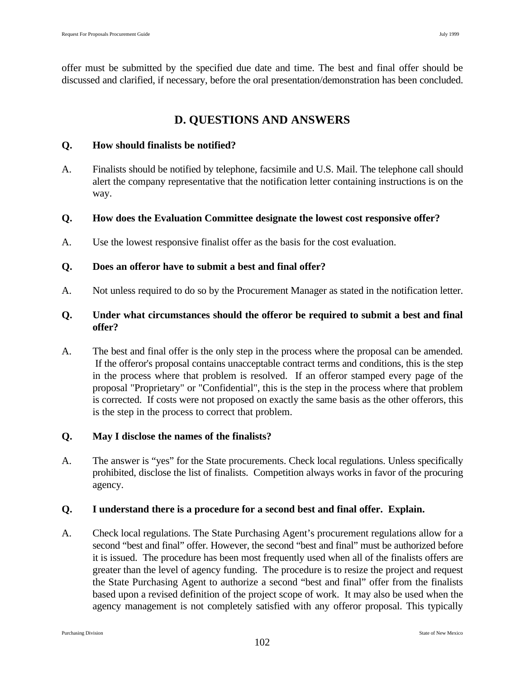offer must be submitted by the specified due date and time. The best and final offer should be discussed and clarified, if necessary, before the oral presentation/demonstration has been concluded.

## **D. QUESTIONS AND ANSWERS**

### **Q. How should finalists be notified?**

A. Finalists should be notified by telephone, facsimile and U.S. Mail. The telephone call should alert the company representative that the notification letter containing instructions is on the way.

### **Q. How does the Evaluation Committee designate the lowest cost responsive offer?**

A. Use the lowest responsive finalist offer as the basis for the cost evaluation.

### **Q. Does an offeror have to submit a best and final offer?**

A. Not unless required to do so by the Procurement Manager as stated in the notification letter.

### **Q. Under what circumstances should the offeror be required to submit a best and final offer?**

A. The best and final offer is the only step in the process where the proposal can be amended. If the offeror's proposal contains unacceptable contract terms and conditions, this is the step in the process where that problem is resolved. If an offeror stamped every page of the proposal "Proprietary" or "Confidential", this is the step in the process where that problem is corrected. If costs were not proposed on exactly the same basis as the other offerors, this is the step in the process to correct that problem.

### **Q. May I disclose the names of the finalists?**

A. The answer is "yes" for the State procurements. Check local regulations. Unless specifically prohibited, disclose the list of finalists. Competition always works in favor of the procuring agency.

### **Q. I understand there is a procedure for a second best and final offer. Explain.**

A. Check local regulations. The State Purchasing Agent's procurement regulations allow for a second "best and final" offer. However, the second "best and final" must be authorized before it is issued. The procedure has been most frequently used when all of the finalists offers are greater than the level of agency funding. The procedure is to resize the project and request the State Purchasing Agent to authorize a second "best and final" offer from the finalists based upon a revised definition of the project scope of work. It may also be used when the agency management is not completely satisfied with any offeror proposal. This typically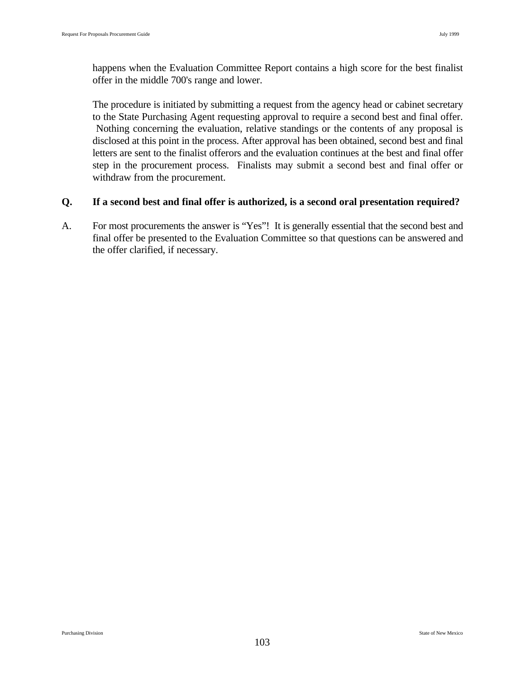The procedure is initiated by submitting a request from the agency head or cabinet secretary to the State Purchasing Agent requesting approval to require a second best and final offer. Nothing concerning the evaluation, relative standings or the contents of any proposal is disclosed at this point in the process. After approval has been obtained, second best and final letters are sent to the finalist offerors and the evaluation continues at the best and final offer step in the procurement process. Finalists may submit a second best and final offer or withdraw from the procurement.

### **Q. If a second best and final offer is authorized, is a second oral presentation required?**

A. For most procurements the answer is "Yes"! It is generally essential that the second best and final offer be presented to the Evaluation Committee so that questions can be answered and the offer clarified, if necessary.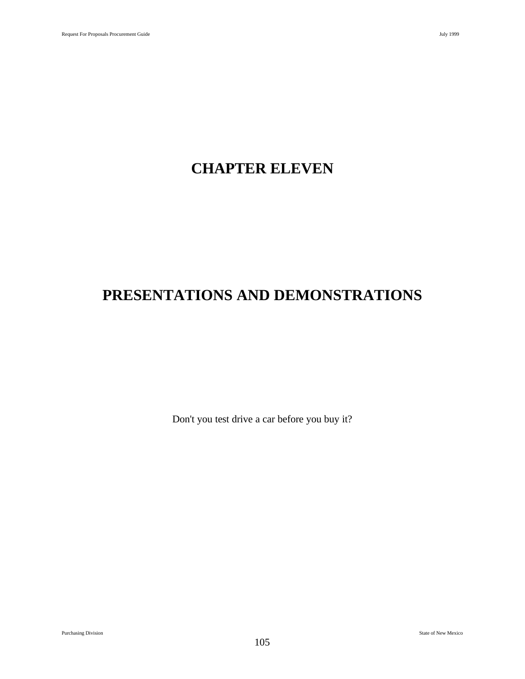## **CHAPTER ELEVEN**

## **PRESENTATIONS AND DEMONSTRATIONS**

Don't you test drive a car before you buy it?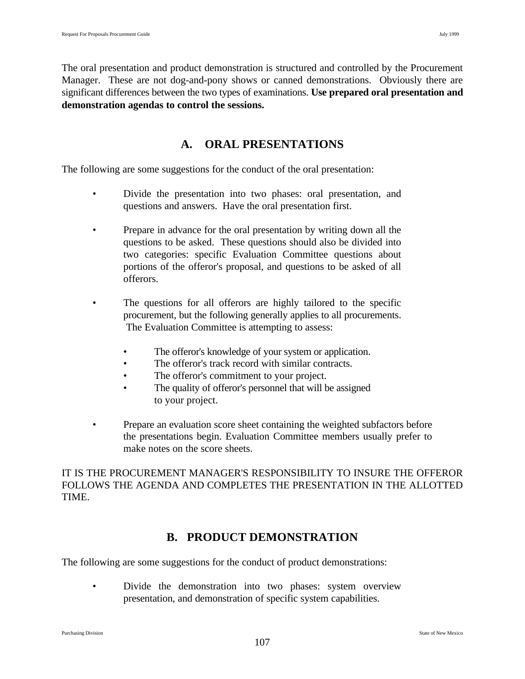The oral presentation and product demonstration is structured and controlled by the Procurement Manager. These are not dog-and-pony shows or canned demonstrations. Obviously there are significant differences between the two types of examinations. **Use prepared oral presentation and demonstration agendas to control the sessions.**

### **A. ORAL PRESENTATIONS**

The following are some suggestions for the conduct of the oral presentation:

- Divide the presentation into two phases: oral presentation, and questions and answers. Have the oral presentation first.
- Prepare in advance for the oral presentation by writing down all the questions to be asked. These questions should also be divided into two categories: specific Evaluation Committee questions about portions of the offeror's proposal, and questions to be asked of all offerors.
- The questions for all offerors are highly tailored to the specific procurement, but the following generally applies to all procurements. The Evaluation Committee is attempting to assess:
	- The offeror's knowledge of your system or application.
	- The offeror's track record with similar contracts.
	- The offeror's commitment to your project.
	- The quality of offeror's personnel that will be assigned to your project.
- Prepare an evaluation score sheet containing the weighted subfactors before the presentations begin. Evaluation Committee members usually prefer to make notes on the score sheets.

IT IS THE PROCUREMENT MANAGER'S RESPONSIBILITY TO INSURE THE OFFEROR FOLLOWS THE AGENDA AND COMPLETES THE PRESENTATION IN THE ALLOTTED TIME.

## **B. PRODUCT DEMONSTRATION**

The following are some suggestions for the conduct of product demonstrations:

• Divide the demonstration into two phases: system overview presentation, and demonstration of specific system capabilities.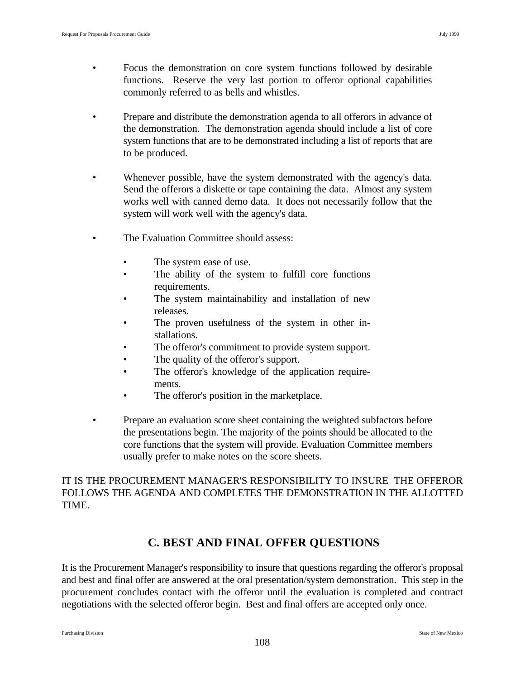- Focus the demonstration on core system functions followed by desirable functions. Reserve the very last portion to offeror optional capabilities commonly referred to as bells and whistles.
- Prepare and distribute the demonstration agenda to all offerors in advance of the demonstration. The demonstration agenda should include a list of core system functions that are to be demonstrated including a list of reports that are to be produced.
- Whenever possible, have the system demonstrated with the agency's data. Send the offerors a diskette or tape containing the data. Almost any system works well with canned demo data. It does not necessarily follow that the system will work well with the agency's data.
- The Evaluation Committee should assess:
	- The system ease of use.
	- The ability of the system to fulfill core functions requirements.
	- The system maintainability and installation of new releases.
	- The proven usefulness of the system in other installations.
	- The offeror's commitment to provide system support.
	- The quality of the offeror's support.
	- The offeror's knowledge of the application requirements.
	- The offeror's position in the marketplace.
- Prepare an evaluation score sheet containing the weighted subfactors before the presentations begin. The majority of the points should be allocated to the core functions that the system will provide. Evaluation Committee members usually prefer to make notes on the score sheets.

IT IS THE PROCUREMENT MANAGER'S RESPONSIBILITY TO INSURE THE OFFEROR FOLLOWS THE AGENDA AND COMPLETES THE DEMONSTRATION IN THE ALLOTTED TIME.

## **C. BEST AND FINAL OFFER QUESTIONS**

It is the Procurement Manager's responsibility to insure that questions regarding the offeror's proposal and best and final offer are answered at the oral presentation/system demonstration. This step in the procurement concludes contact with the offeror until the evaluation is completed and contract negotiations with the selected offeror begin. Best and final offers are accepted only once.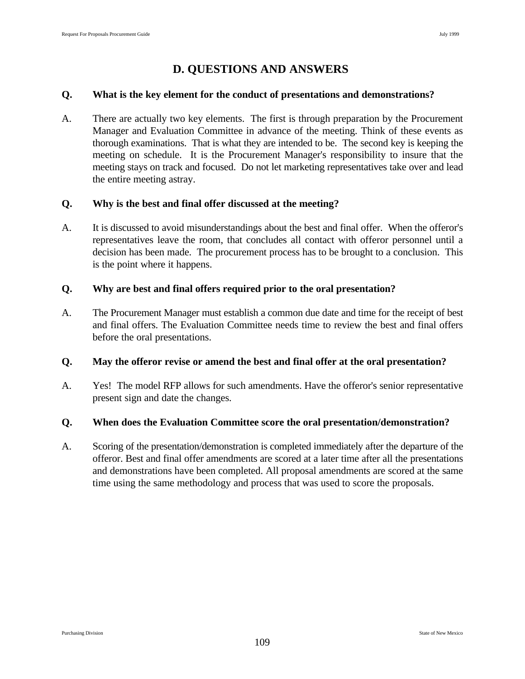## **D. QUESTIONS AND ANSWERS**

#### **Q. What is the key element for the conduct of presentations and demonstrations?**

A. There are actually two key elements. The first is through preparation by the Procurement Manager and Evaluation Committee in advance of the meeting. Think of these events as thorough examinations. That is what they are intended to be. The second key is keeping the meeting on schedule. It is the Procurement Manager's responsibility to insure that the meeting stays on track and focused. Do not let marketing representatives take over and lead the entire meeting astray.

#### **Q. Why is the best and final offer discussed at the meeting?**

A. It is discussed to avoid misunderstandings about the best and final offer. When the offeror's representatives leave the room, that concludes all contact with offeror personnel until a decision has been made. The procurement process has to be brought to a conclusion. This is the point where it happens.

#### **Q. Why are best and final offers required prior to the oral presentation?**

A. The Procurement Manager must establish a common due date and time for the receipt of best and final offers. The Evaluation Committee needs time to review the best and final offers before the oral presentations.

#### **Q. May the offeror revise or amend the best and final offer at the oral presentation?**

A. Yes! The model RFP allows for such amendments. Have the offeror's senior representative present sign and date the changes.

#### **Q. When does the Evaluation Committee score the oral presentation/demonstration?**

A. Scoring of the presentation/demonstration is completed immediately after the departure of the offeror. Best and final offer amendments are scored at a later time after all the presentations and demonstrations have been completed. All proposal amendments are scored at the same time using the same methodology and process that was used to score the proposals.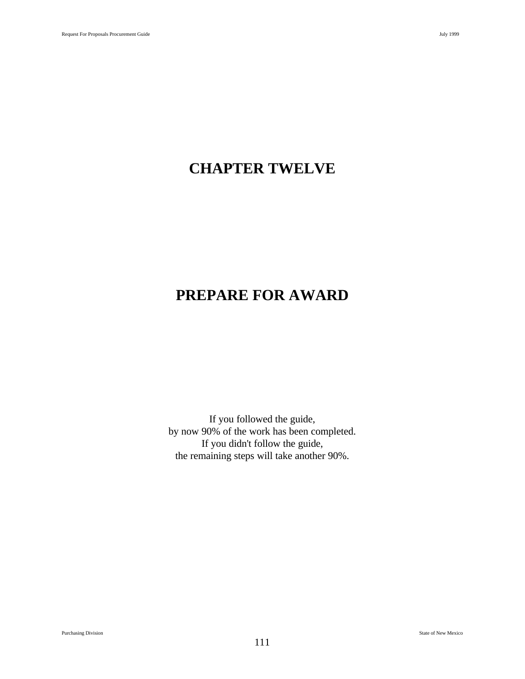## **CHAPTER TWELVE**

## **PREPARE FOR AWARD**

If you followed the guide, by now 90% of the work has been completed. If you didn't follow the guide, the remaining steps will take another 90%.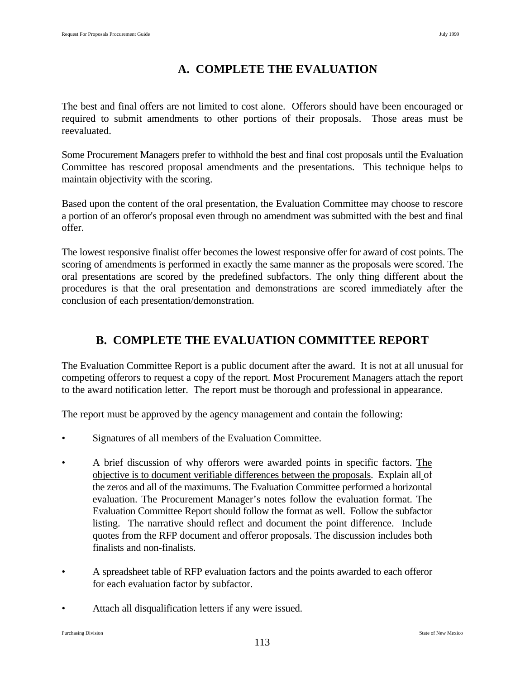## **A. COMPLETE THE EVALUATION**

The best and final offers are not limited to cost alone. Offerors should have been encouraged or required to submit amendments to other portions of their proposals. Those areas must be reevaluated.

Some Procurement Managers prefer to withhold the best and final cost proposals until the Evaluation Committee has rescored proposal amendments and the presentations. This technique helps to maintain objectivity with the scoring.

Based upon the content of the oral presentation, the Evaluation Committee may choose to rescore a portion of an offeror's proposal even through no amendment was submitted with the best and final offer.

The lowest responsive finalist offer becomes the lowest responsive offer for award of cost points. The scoring of amendments is performed in exactly the same manner as the proposals were scored. The oral presentations are scored by the predefined subfactors. The only thing different about the procedures is that the oral presentation and demonstrations are scored immediately after the conclusion of each presentation/demonstration.

## **B. COMPLETE THE EVALUATION COMMITTEE REPORT**

The Evaluation Committee Report is a public document after the award. It is not at all unusual for competing offerors to request a copy of the report. Most Procurement Managers attach the report to the award notification letter. The report must be thorough and professional in appearance.

The report must be approved by the agency management and contain the following:

- Signatures of all members of the Evaluation Committee.
- A brief discussion of why offerors were awarded points in specific factors. The objective is to document verifiable differences between the proposals. Explain all of the zeros and all of the maximums. The Evaluation Committee performed a horizontal evaluation. The Procurement Manager's notes follow the evaluation format. The Evaluation Committee Report should follow the format as well. Follow the subfactor listing. The narrative should reflect and document the point difference. Include quotes from the RFP document and offeror proposals. The discussion includes both finalists and non-finalists.
- A spreadsheet table of RFP evaluation factors and the points awarded to each offeror for each evaluation factor by subfactor.
- Attach all disqualification letters if any were issued.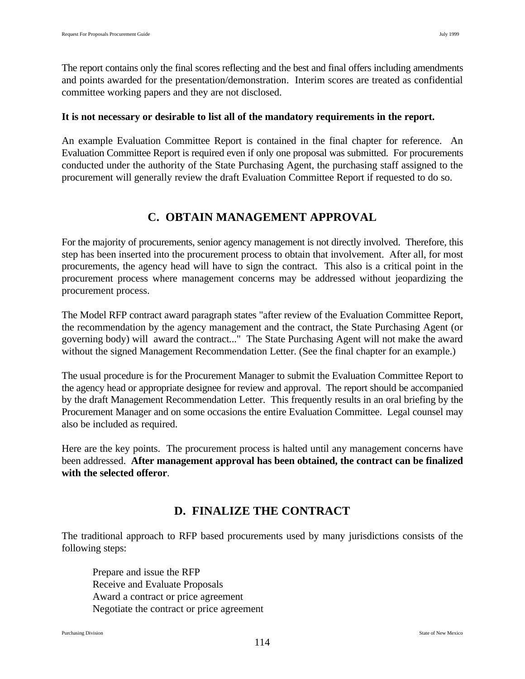The report contains only the final scores reflecting and the best and final offers including amendments and points awarded for the presentation/demonstration. Interim scores are treated as confidential committee working papers and they are not disclosed.

### **It is not necessary or desirable to list all of the mandatory requirements in the report.**

An example Evaluation Committee Report is contained in the final chapter for reference. An Evaluation Committee Report is required even if only one proposal was submitted. For procurements conducted under the authority of the State Purchasing Agent, the purchasing staff assigned to the procurement will generally review the draft Evaluation Committee Report if requested to do so.

## **C. OBTAIN MANAGEMENT APPROVAL**

For the majority of procurements, senior agency management is not directly involved. Therefore, this step has been inserted into the procurement process to obtain that involvement. After all, for most procurements, the agency head will have to sign the contract. This also is a critical point in the procurement process where management concerns may be addressed without jeopardizing the procurement process.

The Model RFP contract award paragraph states "after review of the Evaluation Committee Report, the recommendation by the agency management and the contract, the State Purchasing Agent (or governing body) will award the contract..." The State Purchasing Agent will not make the award without the signed Management Recommendation Letter. (See the final chapter for an example.)

The usual procedure is for the Procurement Manager to submit the Evaluation Committee Report to the agency head or appropriate designee for review and approval. The report should be accompanied by the draft Management Recommendation Letter. This frequently results in an oral briefing by the Procurement Manager and on some occasions the entire Evaluation Committee. Legal counsel may also be included as required.

Here are the key points. The procurement process is halted until any management concerns have been addressed. **After management approval has been obtained, the contract can be finalized with the selected offeror**.

## **D. FINALIZE THE CONTRACT**

The traditional approach to RFP based procurements used by many jurisdictions consists of the following steps:

Prepare and issue the RFP Receive and Evaluate Proposals Award a contract or price agreement Negotiate the contract or price agreement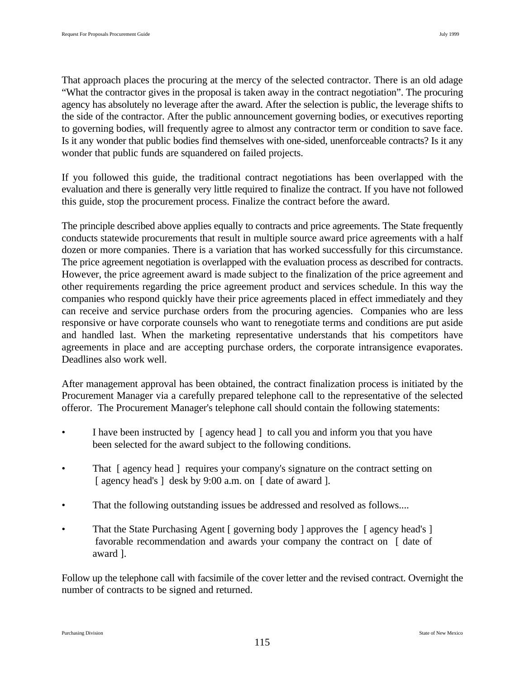That approach places the procuring at the mercy of the selected contractor. There is an old adage "What the contractor gives in the proposal is taken away in the contract negotiation". The procuring agency has absolutely no leverage after the award. After the selection is public, the leverage shifts to the side of the contractor. After the public announcement governing bodies, or executives reporting to governing bodies, will frequently agree to almost any contractor term or condition to save face. Is it any wonder that public bodies find themselves with one-sided, unenforceable contracts? Is it any wonder that public funds are squandered on failed projects.

If you followed this guide, the traditional contract negotiations has been overlapped with the evaluation and there is generally very little required to finalize the contract. If you have not followed this guide, stop the procurement process. Finalize the contract before the award.

The principle described above applies equally to contracts and price agreements. The State frequently conducts statewide procurements that result in multiple source award price agreements with a half dozen or more companies. There is a variation that has worked successfully for this circumstance. The price agreement negotiation is overlapped with the evaluation process as described for contracts. However, the price agreement award is made subject to the finalization of the price agreement and other requirements regarding the price agreement product and services schedule. In this way the companies who respond quickly have their price agreements placed in effect immediately and they can receive and service purchase orders from the procuring agencies. Companies who are less responsive or have corporate counsels who want to renegotiate terms and conditions are put aside and handled last. When the marketing representative understands that his competitors have agreements in place and are accepting purchase orders, the corporate intransigence evaporates. Deadlines also work well.

After management approval has been obtained, the contract finalization process is initiated by the Procurement Manager via a carefully prepared telephone call to the representative of the selected offeror. The Procurement Manager's telephone call should contain the following statements:

- I have been instructed by [ agency head ] to call you and inform you that you have been selected for the award subject to the following conditions.
- That [ agency head ] requires your company's signature on the contract setting on [ agency head's ] desk by 9:00 a.m. on [ date of award ].
- That the following outstanding issues be addressed and resolved as follows....
- That the State Purchasing Agent [ governing body ] approves the [ agency head's ] favorable recommendation and awards your company the contract on [ date of award ].

Follow up the telephone call with facsimile of the cover letter and the revised contract. Overnight the number of contracts to be signed and returned.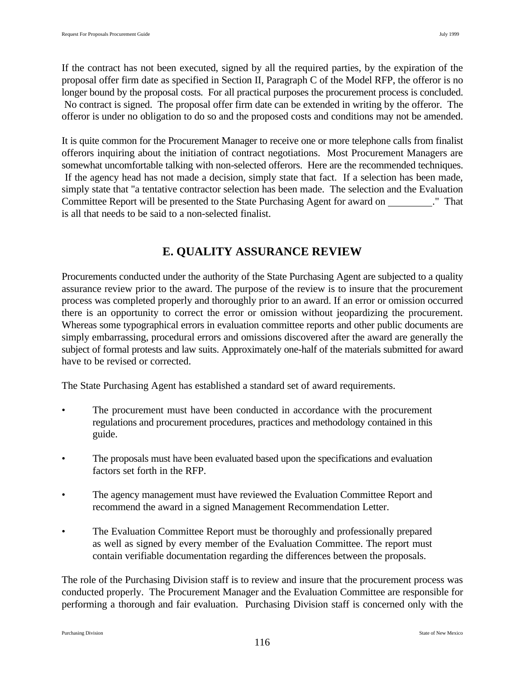If the contract has not been executed, signed by all the required parties, by the expiration of the proposal offer firm date as specified in Section II, Paragraph C of the Model RFP, the offeror is no longer bound by the proposal costs. For all practical purposes the procurement process is concluded. No contract is signed. The proposal offer firm date can be extended in writing by the offeror. The offeror is under no obligation to do so and the proposed costs and conditions may not be amended.

It is quite common for the Procurement Manager to receive one or more telephone calls from finalist offerors inquiring about the initiation of contract negotiations. Most Procurement Managers are somewhat uncomfortable talking with non-selected offerors. Here are the recommended techniques. If the agency head has not made a decision, simply state that fact. If a selection has been made, simply state that "a tentative contractor selection has been made. The selection and the Evaluation Committee Report will be presented to the State Purchasing Agent for award on \_\_\_\_\_\_\_." That is all that needs to be said to a non-selected finalist.

## **E. QUALITY ASSURANCE REVIEW**

Procurements conducted under the authority of the State Purchasing Agent are subjected to a quality assurance review prior to the award. The purpose of the review is to insure that the procurement process was completed properly and thoroughly prior to an award. If an error or omission occurred there is an opportunity to correct the error or omission without jeopardizing the procurement. Whereas some typographical errors in evaluation committee reports and other public documents are simply embarrassing, procedural errors and omissions discovered after the award are generally the subject of formal protests and law suits. Approximately one-half of the materials submitted for award have to be revised or corrected.

The State Purchasing Agent has established a standard set of award requirements.

- The procurement must have been conducted in accordance with the procurement regulations and procurement procedures, practices and methodology contained in this guide.
- The proposals must have been evaluated based upon the specifications and evaluation factors set forth in the RFP.
- The agency management must have reviewed the Evaluation Committee Report and recommend the award in a signed Management Recommendation Letter.
- The Evaluation Committee Report must be thoroughly and professionally prepared as well as signed by every member of the Evaluation Committee. The report must contain verifiable documentation regarding the differences between the proposals.

The role of the Purchasing Division staff is to review and insure that the procurement process was conducted properly. The Procurement Manager and the Evaluation Committee are responsible for performing a thorough and fair evaluation. Purchasing Division staff is concerned only with the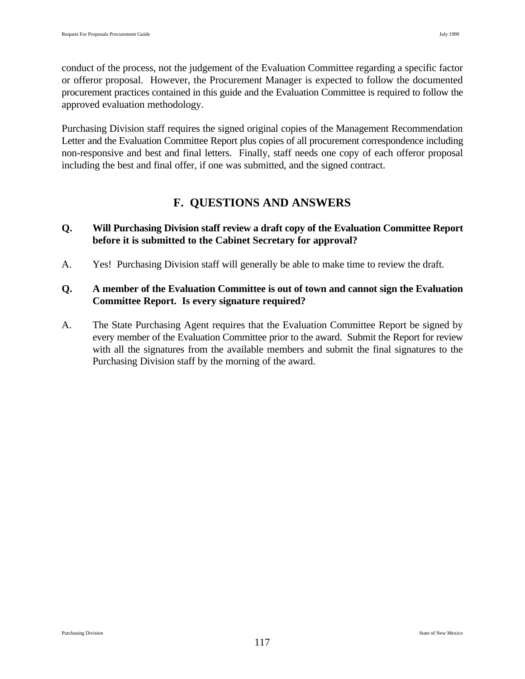conduct of the process, not the judgement of the Evaluation Committee regarding a specific factor or offeror proposal. However, the Procurement Manager is expected to follow the documented procurement practices contained in this guide and the Evaluation Committee is required to follow the approved evaluation methodology.

Purchasing Division staff requires the signed original copies of the Management Recommendation Letter and the Evaluation Committee Report plus copies of all procurement correspondence including non-responsive and best and final letters. Finally, staff needs one copy of each offeror proposal including the best and final offer, if one was submitted, and the signed contract.

### **F. QUESTIONS AND ANSWERS**

### **Q. Will Purchasing Division staff review a draft copy of the Evaluation Committee Report before it is submitted to the Cabinet Secretary for approval?**

A. Yes! Purchasing Division staff will generally be able to make time to review the draft.

### **Q. A member of the Evaluation Committee is out of town and cannot sign the Evaluation Committee Report. Is every signature required?**

A. The State Purchasing Agent requires that the Evaluation Committee Report be signed by every member of the Evaluation Committee prior to the award. Submit the Report for review with all the signatures from the available members and submit the final signatures to the Purchasing Division staff by the morning of the award.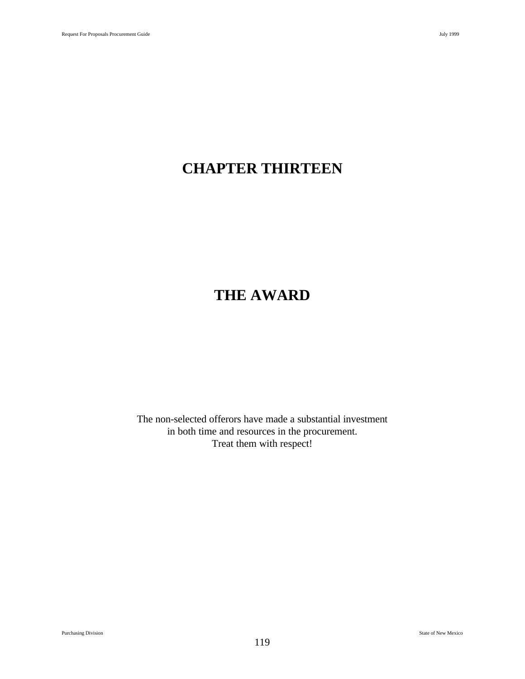## **CHAPTER THIRTEEN**

## **THE AWARD**

The non-selected offerors have made a substantial investment in both time and resources in the procurement. Treat them with respect!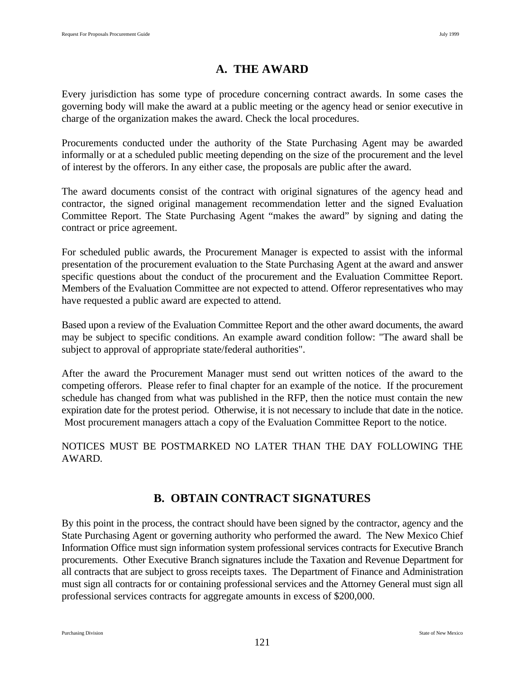### **A. THE AWARD**

Every jurisdiction has some type of procedure concerning contract awards. In some cases the governing body will make the award at a public meeting or the agency head or senior executive in charge of the organization makes the award. Check the local procedures.

Procurements conducted under the authority of the State Purchasing Agent may be awarded informally or at a scheduled public meeting depending on the size of the procurement and the level of interest by the offerors. In any either case, the proposals are public after the award.

The award documents consist of the contract with original signatures of the agency head and contractor, the signed original management recommendation letter and the signed Evaluation Committee Report. The State Purchasing Agent "makes the award" by signing and dating the contract or price agreement.

For scheduled public awards, the Procurement Manager is expected to assist with the informal presentation of the procurement evaluation to the State Purchasing Agent at the award and answer specific questions about the conduct of the procurement and the Evaluation Committee Report. Members of the Evaluation Committee are not expected to attend. Offeror representatives who may have requested a public award are expected to attend.

Based upon a review of the Evaluation Committee Report and the other award documents, the award may be subject to specific conditions. An example award condition follow: "The award shall be subject to approval of appropriate state/federal authorities".

After the award the Procurement Manager must send out written notices of the award to the competing offerors. Please refer to final chapter for an example of the notice. If the procurement schedule has changed from what was published in the RFP, then the notice must contain the new expiration date for the protest period. Otherwise, it is not necessary to include that date in the notice. Most procurement managers attach a copy of the Evaluation Committee Report to the notice.

NOTICES MUST BE POSTMARKED NO LATER THAN THE DAY FOLLOWING THE AWARD.

## **B. OBTAIN CONTRACT SIGNATURES**

By this point in the process, the contract should have been signed by the contractor, agency and the State Purchasing Agent or governing authority who performed the award. The New Mexico Chief Information Office must sign information system professional services contracts for Executive Branch procurements. Other Executive Branch signatures include the Taxation and Revenue Department for all contracts that are subject to gross receipts taxes. The Department of Finance and Administration must sign all contracts for or containing professional services and the Attorney General must sign all professional services contracts for aggregate amounts in excess of \$200,000.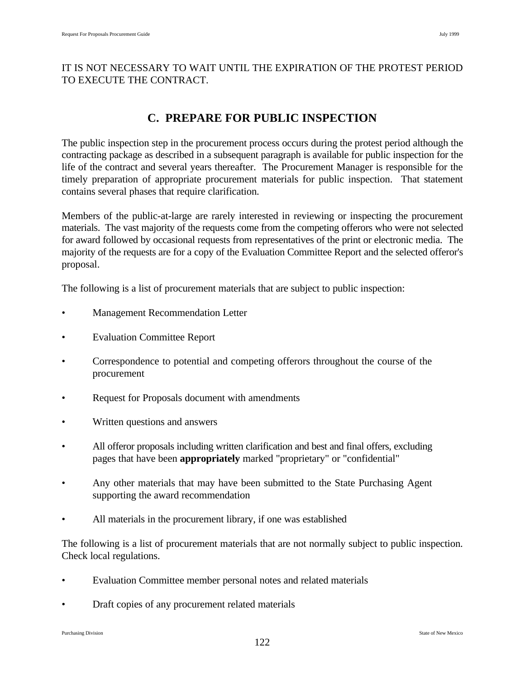### IT IS NOT NECESSARY TO WAIT UNTIL THE EXPIRATION OF THE PROTEST PERIOD TO EXECUTE THE CONTRACT.

## **C. PREPARE FOR PUBLIC INSPECTION**

The public inspection step in the procurement process occurs during the protest period although the contracting package as described in a subsequent paragraph is available for public inspection for the life of the contract and several years thereafter. The Procurement Manager is responsible for the timely preparation of appropriate procurement materials for public inspection. That statement contains several phases that require clarification.

Members of the public-at-large are rarely interested in reviewing or inspecting the procurement materials. The vast majority of the requests come from the competing offerors who were not selected for award followed by occasional requests from representatives of the print or electronic media. The majority of the requests are for a copy of the Evaluation Committee Report and the selected offeror's proposal.

The following is a list of procurement materials that are subject to public inspection:

- Management Recommendation Letter
- Evaluation Committee Report
- Correspondence to potential and competing offerors throughout the course of the procurement
- Request for Proposals document with amendments
- Written questions and answers
- All offeror proposals including written clarification and best and final offers, excluding pages that have been **appropriately** marked "proprietary" or "confidential"
- Any other materials that may have been submitted to the State Purchasing Agent supporting the award recommendation
- All materials in the procurement library, if one was established

The following is a list of procurement materials that are not normally subject to public inspection. Check local regulations.

- Evaluation Committee member personal notes and related materials
- Draft copies of any procurement related materials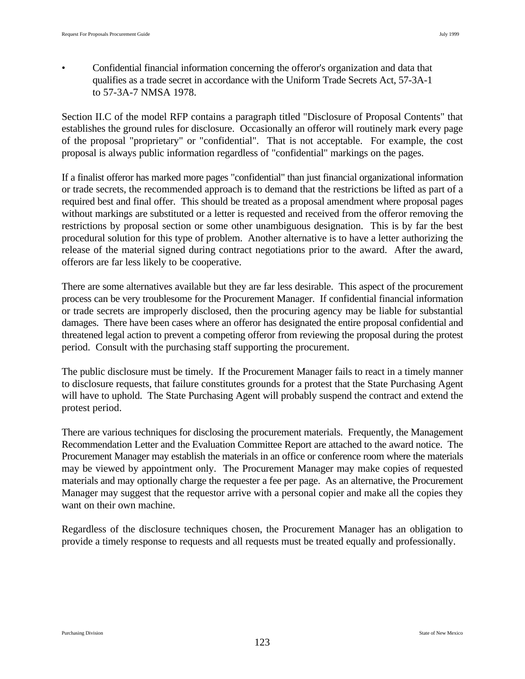• Confidential financial information concerning the offeror's organization and data that qualifies as a trade secret in accordance with the Uniform Trade Secrets Act, 57-3A-1 to 57-3A-7 NMSA 1978.

Section II.C of the model RFP contains a paragraph titled "Disclosure of Proposal Contents" that establishes the ground rules for disclosure. Occasionally an offeror will routinely mark every page of the proposal "proprietary" or "confidential". That is not acceptable. For example, the cost proposal is always public information regardless of "confidential" markings on the pages.

If a finalist offeror has marked more pages "confidential" than just financial organizational information or trade secrets, the recommended approach is to demand that the restrictions be lifted as part of a required best and final offer. This should be treated as a proposal amendment where proposal pages without markings are substituted or a letter is requested and received from the offeror removing the restrictions by proposal section or some other unambiguous designation. This is by far the best procedural solution for this type of problem. Another alternative is to have a letter authorizing the release of the material signed during contract negotiations prior to the award. After the award, offerors are far less likely to be cooperative.

There are some alternatives available but they are far less desirable. This aspect of the procurement process can be very troublesome for the Procurement Manager. If confidential financial information or trade secrets are improperly disclosed, then the procuring agency may be liable for substantial damages. There have been cases where an offeror has designated the entire proposal confidential and threatened legal action to prevent a competing offeror from reviewing the proposal during the protest period. Consult with the purchasing staff supporting the procurement.

The public disclosure must be timely. If the Procurement Manager fails to react in a timely manner to disclosure requests, that failure constitutes grounds for a protest that the State Purchasing Agent will have to uphold. The State Purchasing Agent will probably suspend the contract and extend the protest period.

There are various techniques for disclosing the procurement materials. Frequently, the Management Recommendation Letter and the Evaluation Committee Report are attached to the award notice. The Procurement Manager may establish the materials in an office or conference room where the materials may be viewed by appointment only. The Procurement Manager may make copies of requested materials and may optionally charge the requester a fee per page. As an alternative, the Procurement Manager may suggest that the requestor arrive with a personal copier and make all the copies they want on their own machine.

Regardless of the disclosure techniques chosen, the Procurement Manager has an obligation to provide a timely response to requests and all requests must be treated equally and professionally.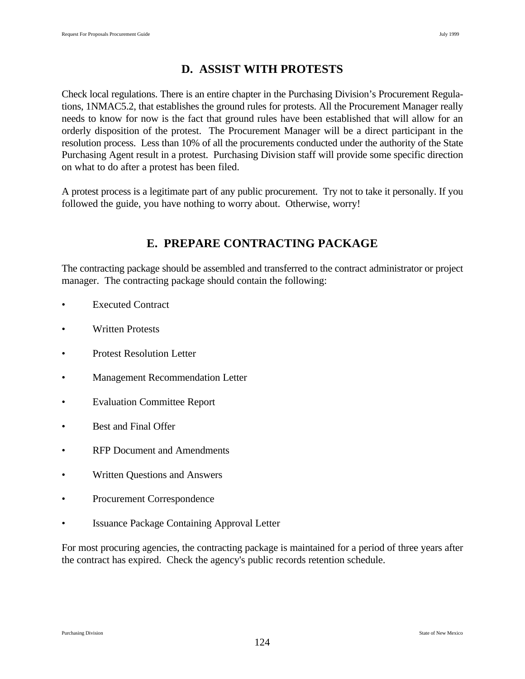### **D. ASSIST WITH PROTESTS**

Check local regulations. There is an entire chapter in the Purchasing Division's Procurement Regulations, 1NMAC5.2, that establishes the ground rules for protests. All the Procurement Manager really needs to know for now is the fact that ground rules have been established that will allow for an orderly disposition of the protest. The Procurement Manager will be a direct participant in the resolution process. Less than 10% of all the procurements conducted under the authority of the State Purchasing Agent result in a protest. Purchasing Division staff will provide some specific direction on what to do after a protest has been filed.

A protest process is a legitimate part of any public procurement. Try not to take it personally. If you followed the guide, you have nothing to worry about. Otherwise, worry!

## **E. PREPARE CONTRACTING PACKAGE**

The contracting package should be assembled and transferred to the contract administrator or project manager. The contracting package should contain the following:

- Executed Contract
- Written Protests
- Protest Resolution Letter
- Management Recommendation Letter
- Evaluation Committee Report
- Best and Final Offer
- RFP Document and Amendments
- Written Questions and Answers
- Procurement Correspondence
- **Issuance Package Containing Approval Letter**

For most procuring agencies, the contracting package is maintained for a period of three years after the contract has expired. Check the agency's public records retention schedule.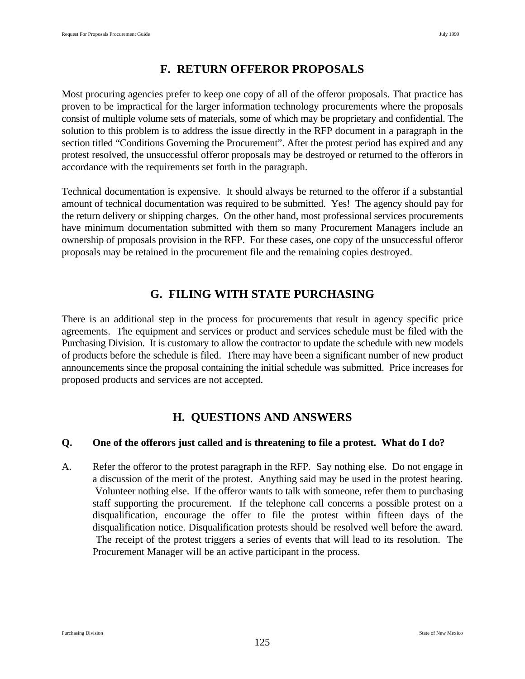### **F. RETURN OFFEROR PROPOSALS**

Most procuring agencies prefer to keep one copy of all of the offeror proposals. That practice has proven to be impractical for the larger information technology procurements where the proposals consist of multiple volume sets of materials, some of which may be proprietary and confidential. The solution to this problem is to address the issue directly in the RFP document in a paragraph in the section titled "Conditions Governing the Procurement". After the protest period has expired and any protest resolved, the unsuccessful offeror proposals may be destroyed or returned to the offerors in accordance with the requirements set forth in the paragraph.

Technical documentation is expensive. It should always be returned to the offeror if a substantial amount of technical documentation was required to be submitted. Yes! The agency should pay for the return delivery or shipping charges. On the other hand, most professional services procurements have minimum documentation submitted with them so many Procurement Managers include an ownership of proposals provision in the RFP. For these cases, one copy of the unsuccessful offeror proposals may be retained in the procurement file and the remaining copies destroyed.

## **G. FILING WITH STATE PURCHASING**

There is an additional step in the process for procurements that result in agency specific price agreements. The equipment and services or product and services schedule must be filed with the Purchasing Division. It is customary to allow the contractor to update the schedule with new models of products before the schedule is filed. There may have been a significant number of new product announcements since the proposal containing the initial schedule was submitted. Price increases for proposed products and services are not accepted.

## **H. QUESTIONS AND ANSWERS**

### **Q. One of the offerors just called and is threatening to file a protest. What do I do?**

A. Refer the offeror to the protest paragraph in the RFP. Say nothing else. Do not engage in a discussion of the merit of the protest. Anything said may be used in the protest hearing. Volunteer nothing else. If the offeror wants to talk with someone, refer them to purchasing staff supporting the procurement. If the telephone call concerns a possible protest on a disqualification, encourage the offer to file the protest within fifteen days of the disqualification notice. Disqualification protests should be resolved well before the award. The receipt of the protest triggers a series of events that will lead to its resolution. The Procurement Manager will be an active participant in the process.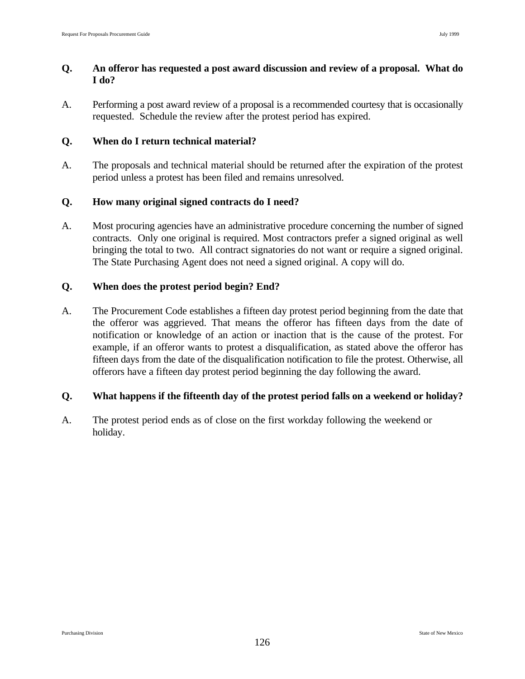### **Q. An offeror has requested a post award discussion and review of a proposal. What do I do?**

A. Performing a post award review of a proposal is a recommended courtesy that is occasionally requested. Schedule the review after the protest period has expired.

### **Q. When do I return technical material?**

A. The proposals and technical material should be returned after the expiration of the protest period unless a protest has been filed and remains unresolved.

### **Q. How many original signed contracts do I need?**

A. Most procuring agencies have an administrative procedure concerning the number of signed contracts. Only one original is required. Most contractors prefer a signed original as well bringing the total to two. All contract signatories do not want or require a signed original. The State Purchasing Agent does not need a signed original. A copy will do.

### **Q. When does the protest period begin? End?**

A. The Procurement Code establishes a fifteen day protest period beginning from the date that the offeror was aggrieved. That means the offeror has fifteen days from the date of notification or knowledge of an action or inaction that is the cause of the protest. For example, if an offeror wants to protest a disqualification, as stated above the offeror has fifteen days from the date of the disqualification notification to file the protest. Otherwise, all offerors have a fifteen day protest period beginning the day following the award.

### **Q. What happens if the fifteenth day of the protest period falls on a weekend or holiday?**

A. The protest period ends as of close on the first workday following the weekend or holiday.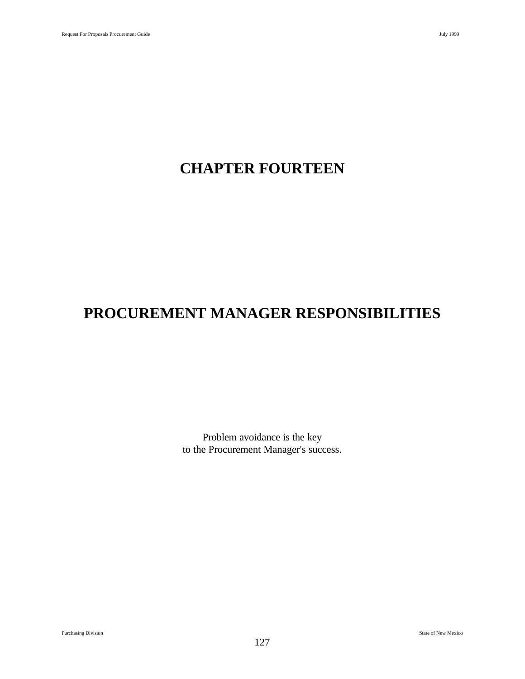## **CHAPTER FOURTEEN**

## **PROCUREMENT MANAGER RESPONSIBILITIES**

Problem avoidance is the key to the Procurement Manager's success.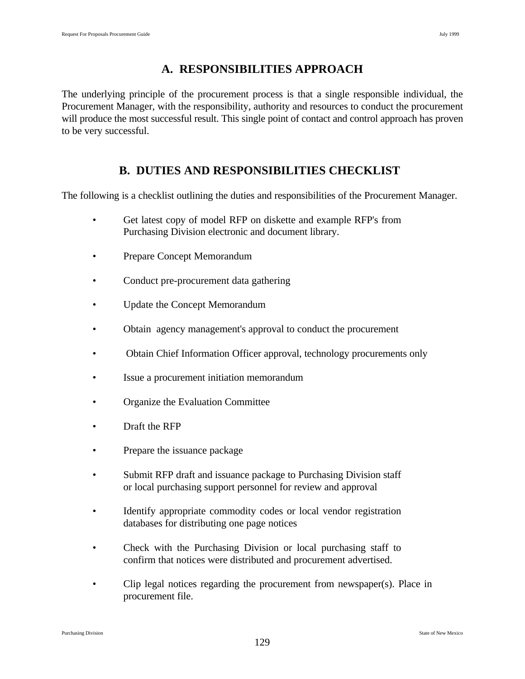### **A. RESPONSIBILITIES APPROACH**

The underlying principle of the procurement process is that a single responsible individual, the Procurement Manager, with the responsibility, authority and resources to conduct the procurement will produce the most successful result. This single point of contact and control approach has proven to be very successful.

## **B. DUTIES AND RESPONSIBILITIES CHECKLIST**

The following is a checklist outlining the duties and responsibilities of the Procurement Manager.

- Get latest copy of model RFP on diskette and example RFP's from Purchasing Division electronic and document library.
- Prepare Concept Memorandum
- Conduct pre-procurement data gathering
- Update the Concept Memorandum
- Obtain agency management's approval to conduct the procurement
- Obtain Chief Information Officer approval, technology procurements only
- Issue a procurement initiation memorandum
- Organize the Evaluation Committee
- Draft the RFP
- Prepare the issuance package
- Submit RFP draft and issuance package to Purchasing Division staff or local purchasing support personnel for review and approval
- Identify appropriate commodity codes or local vendor registration databases for distributing one page notices
- Check with the Purchasing Division or local purchasing staff to confirm that notices were distributed and procurement advertised.
- Clip legal notices regarding the procurement from newspaper(s). Place in procurement file.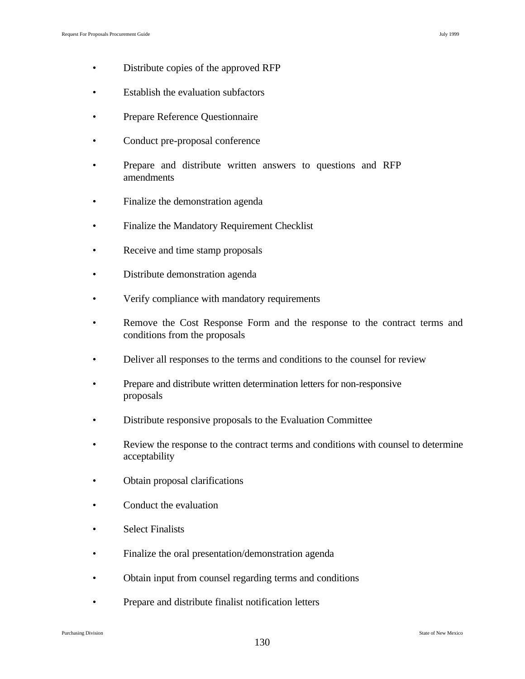- Distribute copies of the approved RFP
- Establish the evaluation subfactors
- Prepare Reference Questionnaire
- Conduct pre-proposal conference
- Prepare and distribute written answers to questions and RFP amendments
- Finalize the demonstration agenda
- Finalize the Mandatory Requirement Checklist
- Receive and time stamp proposals
- Distribute demonstration agenda
- Verify compliance with mandatory requirements
- Remove the Cost Response Form and the response to the contract terms and conditions from the proposals
- Deliver all responses to the terms and conditions to the counsel for review
- Prepare and distribute written determination letters for non-responsive proposals
- Distribute responsive proposals to the Evaluation Committee
- Review the response to the contract terms and conditions with counsel to determine acceptability
- Obtain proposal clarifications
- Conduct the evaluation
- **Select Finalists**
- Finalize the oral presentation/demonstration agenda
- Obtain input from counsel regarding terms and conditions
- Prepare and distribute finalist notification letters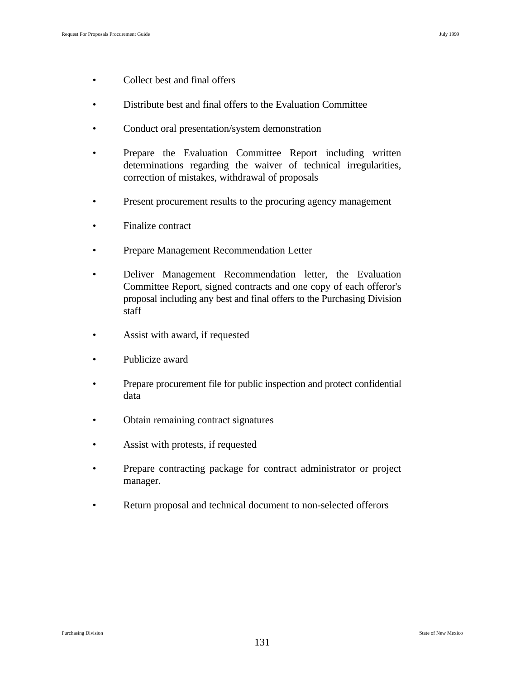- Collect best and final offers
- Distribute best and final offers to the Evaluation Committee
- Conduct oral presentation/system demonstration
- Prepare the Evaluation Committee Report including written determinations regarding the waiver of technical irregularities, correction of mistakes, withdrawal of proposals
- Present procurement results to the procuring agency management
- Finalize contract
- Prepare Management Recommendation Letter
- Deliver Management Recommendation letter, the Evaluation Committee Report, signed contracts and one copy of each offeror's proposal including any best and final offers to the Purchasing Division staff
- Assist with award, if requested
- Publicize award
- Prepare procurement file for public inspection and protect confidential data
- Obtain remaining contract signatures
- Assist with protests, if requested
- Prepare contracting package for contract administrator or project manager.
- Return proposal and technical document to non-selected offerors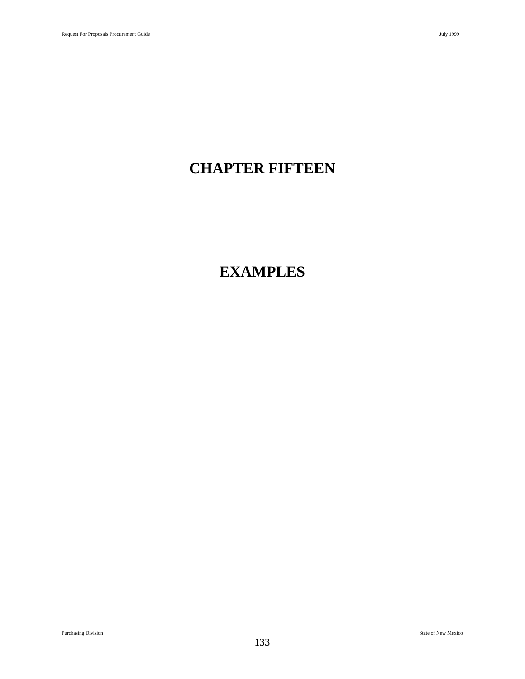## **CHAPTER FIFTEEN**

# **EXAMPLES**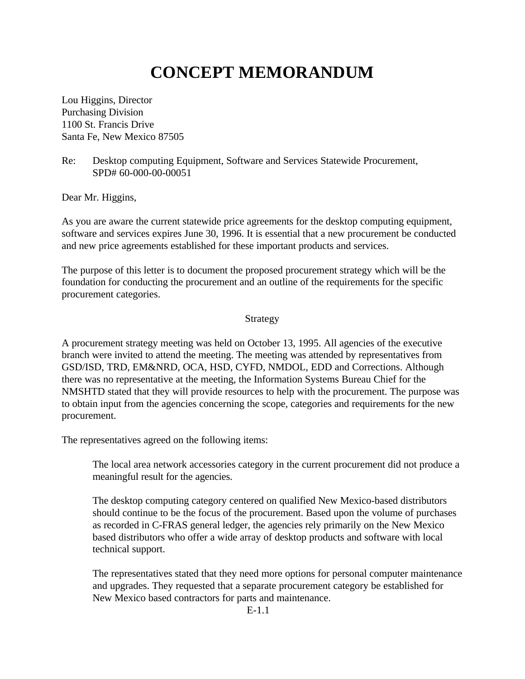# **CONCEPT MEMORANDUM**

Lou Higgins, Director Purchasing Division 1100 St. Francis Drive Santa Fe, New Mexico 87505

### Re: Desktop computing Equipment, Software and Services Statewide Procurement, SPD# 60-000-00-00051

Dear Mr. Higgins,

As you are aware the current statewide price agreements for the desktop computing equipment, software and services expires June 30, 1996. It is essential that a new procurement be conducted and new price agreements established for these important products and services.

The purpose of this letter is to document the proposed procurement strategy which will be the foundation for conducting the procurement and an outline of the requirements for the specific procurement categories.

### Strategy

A procurement strategy meeting was held on October 13, 1995. All agencies of the executive branch were invited to attend the meeting. The meeting was attended by representatives from GSD/ISD, TRD, EM&NRD, OCA, HSD, CYFD, NMDOL, EDD and Corrections. Although there was no representative at the meeting, the Information Systems Bureau Chief for the NMSHTD stated that they will provide resources to help with the procurement. The purpose was to obtain input from the agencies concerning the scope, categories and requirements for the new procurement.

The representatives agreed on the following items:

The local area network accessories category in the current procurement did not produce a meaningful result for the agencies.

The desktop computing category centered on qualified New Mexico-based distributors should continue to be the focus of the procurement. Based upon the volume of purchases as recorded in C-FRAS general ledger, the agencies rely primarily on the New Mexico based distributors who offer a wide array of desktop products and software with local technical support.

The representatives stated that they need more options for personal computer maintenance and upgrades. They requested that a separate procurement category be established for New Mexico based contractors for parts and maintenance.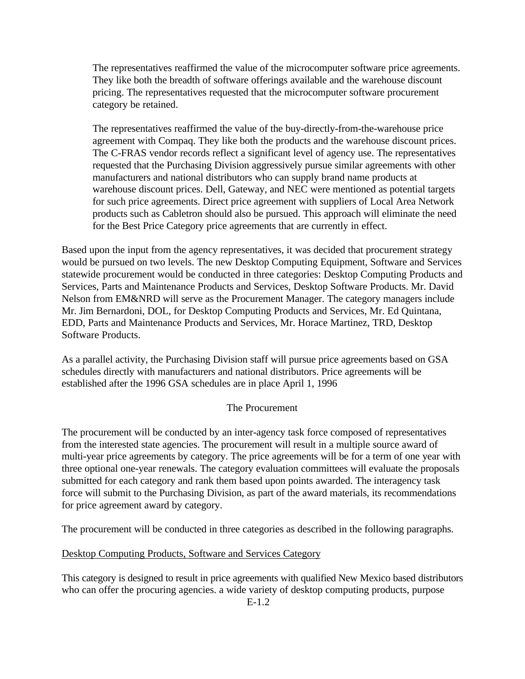The representatives reaffirmed the value of the microcomputer software price agreements. They like both the breadth of software offerings available and the warehouse discount pricing. The representatives requested that the microcomputer software procurement category be retained.

The representatives reaffirmed the value of the buy-directly-from-the-warehouse price agreement with Compaq. They like both the products and the warehouse discount prices. The C-FRAS vendor records reflect a significant level of agency use. The representatives requested that the Purchasing Division aggressively pursue similar agreements with other manufacturers and national distributors who can supply brand name products at warehouse discount prices. Dell, Gateway, and NEC were mentioned as potential targets for such price agreements. Direct price agreement with suppliers of Local Area Network products such as Cabletron should also be pursued. This approach will eliminate the need for the Best Price Category price agreements that are currently in effect.

Based upon the input from the agency representatives, it was decided that procurement strategy would be pursued on two levels. The new Desktop Computing Equipment, Software and Services statewide procurement would be conducted in three categories: Desktop Computing Products and Services, Parts and Maintenance Products and Services, Desktop Software Products. Mr. David Nelson from EM&NRD will serve as the Procurement Manager. The category managers include Mr. Jim Bernardoni, DOL, for Desktop Computing Products and Services, Mr. Ed Quintana, EDD, Parts and Maintenance Products and Services, Mr. Horace Martinez, TRD, Desktop Software Products.

As a parallel activity, the Purchasing Division staff will pursue price agreements based on GSA schedules directly with manufacturers and national distributors. Price agreements will be established after the 1996 GSA schedules are in place April 1, 1996

#### The Procurement

The procurement will be conducted by an inter-agency task force composed of representatives from the interested state agencies. The procurement will result in a multiple source award of multi-year price agreements by category. The price agreements will be for a term of one year with three optional one-year renewals. The category evaluation committees will evaluate the proposals submitted for each category and rank them based upon points awarded. The interagency task force will submit to the Purchasing Division, as part of the award materials, its recommendations for price agreement award by category.

The procurement will be conducted in three categories as described in the following paragraphs.

### Desktop Computing Products, Software and Services Category

This category is designed to result in price agreements with qualified New Mexico based distributors who can offer the procuring agencies. a wide variety of desktop computing products, purpose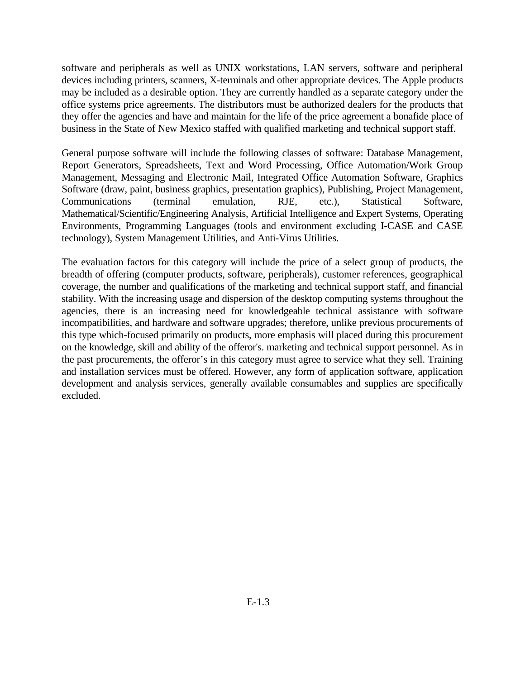software and peripherals as well as UNIX workstations, LAN servers, software and peripheral devices including printers, scanners, X-terminals and other appropriate devices. The Apple products may be included as a desirable option. They are currently handled as a separate category under the office systems price agreements. The distributors must be authorized dealers for the products that they offer the agencies and have and maintain for the life of the price agreement a bonafide place of business in the State of New Mexico staffed with qualified marketing and technical support staff.

General purpose software will include the following classes of software: Database Management, Report Generators, Spreadsheets, Text and Word Processing, Office Automation/Work Group Management, Messaging and Electronic Mail, Integrated Office Automation Software, Graphics Software (draw, paint, business graphics, presentation graphics), Publishing, Project Management, Communications (terminal emulation, RJE, etc.), Statistical Software, Mathematical/Scientific/Engineering Analysis, Artificial Intelligence and Expert Systems, Operating Environments, Programming Languages (tools and environment excluding I-CASE and CASE technology), System Management Utilities, and Anti-Virus Utilities.

The evaluation factors for this category will include the price of a select group of products, the breadth of offering (computer products, software, peripherals), customer references, geographical coverage, the number and qualifications of the marketing and technical support staff, and financial stability. With the increasing usage and dispersion of the desktop computing systems throughout the agencies, there is an increasing need for knowledgeable technical assistance with software incompatibilities, and hardware and software upgrades; therefore, unlike previous procurements of this type which-focused primarily on products, more emphasis will placed during this procurement on the knowledge, skill and ability of the offeror's. marketing and technical support personnel. As in the past procurements, the offeror's in this category must agree to service what they sell. Training and installation services must be offered. However, any form of application software, application development and analysis services, generally available consumables and supplies are specifically excluded.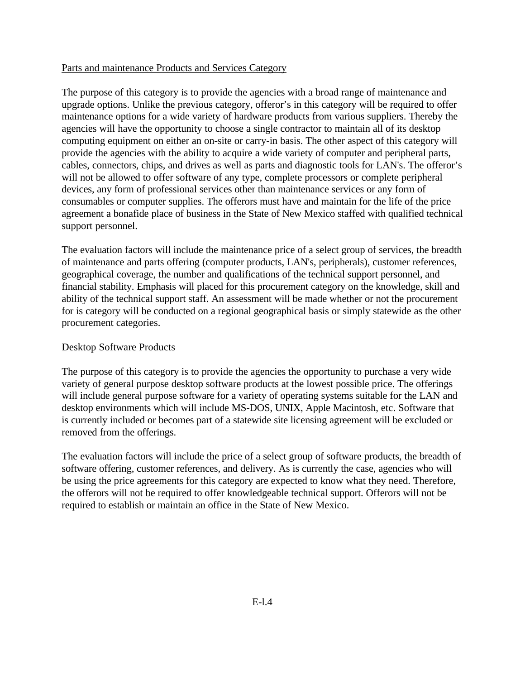### Parts and maintenance Products and Services Category

The purpose of this category is to provide the agencies with a broad range of maintenance and upgrade options. Unlike the previous category, offeror's in this category will be required to offer maintenance options for a wide variety of hardware products from various suppliers. Thereby the agencies will have the opportunity to choose a single contractor to maintain all of its desktop computing equipment on either an on-site or carry-in basis. The other aspect of this category will provide the agencies with the ability to acquire a wide variety of computer and peripheral parts, cables, connectors, chips, and drives as well as parts and diagnostic tools for LAN's. The offeror's will not be allowed to offer software of any type, complete processors or complete peripheral devices, any form of professional services other than maintenance services or any form of consumables or computer supplies. The offerors must have and maintain for the life of the price agreement a bonafide place of business in the State of New Mexico staffed with qualified technical support personnel.

The evaluation factors will include the maintenance price of a select group of services, the breadth of maintenance and parts offering (computer products, LAN's, peripherals), customer references, geographical coverage, the number and qualifications of the technical support personnel, and financial stability. Emphasis will placed for this procurement category on the knowledge, skill and ability of the technical support staff. An assessment will be made whether or not the procurement for is category will be conducted on a regional geographical basis or simply statewide as the other procurement categories.

## Desktop Software Products

The purpose of this category is to provide the agencies the opportunity to purchase a very wide variety of general purpose desktop software products at the lowest possible price. The offerings will include general purpose software for a variety of operating systems suitable for the LAN and desktop environments which will include MS-DOS, UNIX, Apple Macintosh, etc. Software that is currently included or becomes part of a statewide site licensing agreement will be excluded or removed from the offerings.

The evaluation factors will include the price of a select group of software products, the breadth of software offering, customer references, and delivery. As is currently the case, agencies who will be using the price agreements for this category are expected to know what they need. Therefore, the offerors will not be required to offer knowledgeable technical support. Offerors will not be required to establish or maintain an office in the State of New Mexico.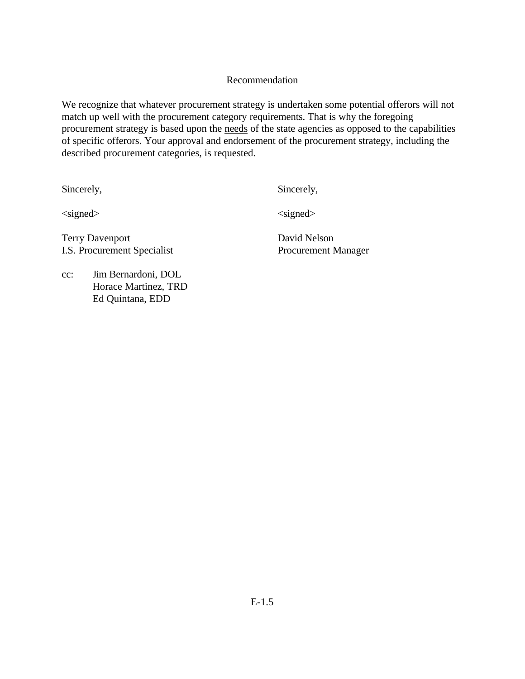## Recommendation

We recognize that whatever procurement strategy is undertaken some potential offerors will not match up well with the procurement category requirements. That is why the foregoing procurement strategy is based upon the needs of the state agencies as opposed to the capabilities of specific offerors. Your approval and endorsement of the procurement strategy, including the described procurement categories, is requested.

Sincerely, Sincerely,

<signed> <signed>

Terry Davenport David Nelson I.S. Procurement Specialist Procurement Manager

cc: Jim Bernardoni, DOL Horace Martinez, TRD Ed Quintana, EDD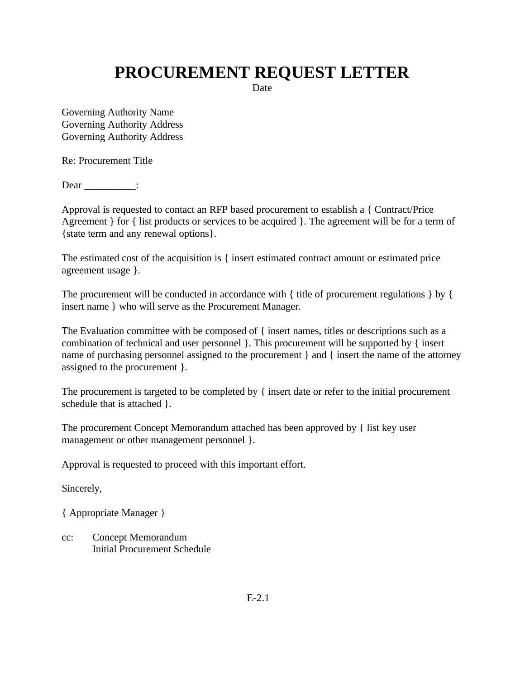# **PROCUREMENT REQUEST LETTER**

Date

Governing Authority Name Governing Authority Address Governing Authority Address

Re: Procurement Title

Dear \_\_\_\_\_\_\_\_\_:

Approval is requested to contact an RFP based procurement to establish a { Contract/Price Agreement } for { list products or services to be acquired }. The agreement will be for a term of {state term and any renewal options}.

The estimated cost of the acquisition is { insert estimated contract amount or estimated price agreement usage }.

The procurement will be conducted in accordance with { title of procurement regulations } by { insert name } who will serve as the Procurement Manager.

The Evaluation committee with be composed of { insert names, titles or descriptions such as a combination of technical and user personnel }. This procurement will be supported by { insert name of purchasing personnel assigned to the procurement } and { insert the name of the attorney assigned to the procurement }.

The procurement is targeted to be completed by { insert date or refer to the initial procurement schedule that is attached }.

The procurement Concept Memorandum attached has been approved by { list key user management or other management personnel }.

Approval is requested to proceed with this important effort.

Sincerely,

{ Appropriate Manager }

cc: Concept Memorandum Initial Procurement Schedule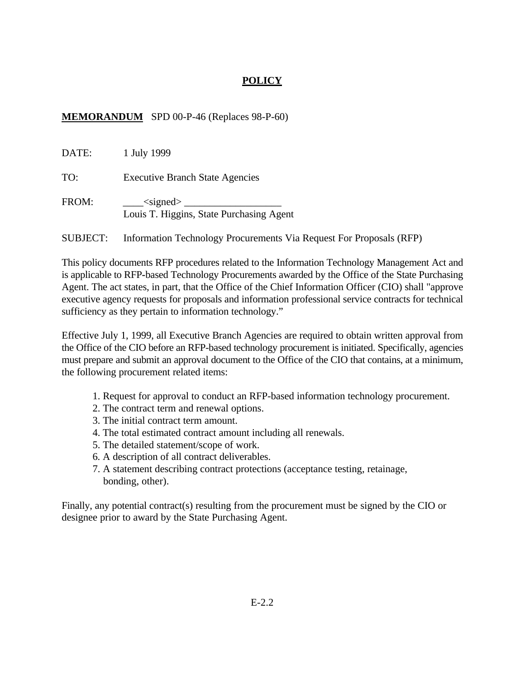# **POLICY**

## **MEMORANDUM** SPD 00-P-46 (Replaces 98-P-60)

| DATE: | 1 July 1999                                                  |
|-------|--------------------------------------------------------------|
| TO:   | <b>Executive Branch State Agencies</b>                       |
| FROM: | $\le$ signed $>$<br>Louis T. Higgins, State Purchasing Agent |

SUBJECT: Information Technology Procurements Via Request For Proposals (RFP)

This policy documents RFP procedures related to the Information Technology Management Act and is applicable to RFP**-**based Technology Procurements awarded by the Office of the State Purchasing Agent. The act states, in part, that the Office of the Chief Information Officer (CIO) shall "approve executive agency requests for proposals and information professional service contracts for technical sufficiency as they pertain to information technology."

Effective July 1, 1999, all Executive Branch Agencies are required to obtain written approval from the Office of the CIO before an RFP-based technology procurement is initiated. Specifically, agencies must prepare and submit an approval document to the Office of the CIO that contains, at a minimum, the following procurement related items:

- 1. Request for approval to conduct an RFP-based information technology procurement.
- 2. The contract term and renewal options.
- 3. The initial contract term amount.
- 4. The total estimated contract amount including all renewals.
- 5. The detailed statement/scope of work.
- 6. A description of all contract deliverables.
- 7. A statement describing contract protections (acceptance testing, retainage, bonding, other).

Finally, any potential contract(s) resulting from the procurement must be signed by the CIO or designee prior to award by the State Purchasing Agent.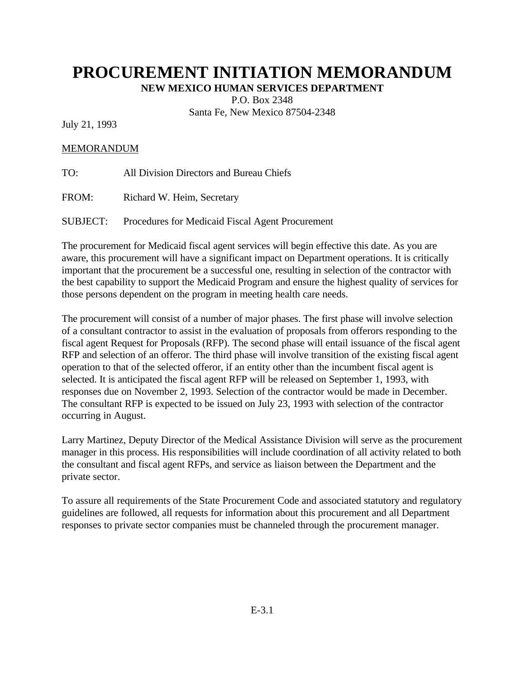# **PROCUREMENT INITIATION MEMORANDUM**

**NEW MEXICO HUMAN SERVICES DEPARTMENT**

P.O. Box 2348 Santa Fe, New Mexico 87504-2348

July 21, 1993

### MEMORANDUM

TO: All Division Directors and Bureau Chiefs FROM: Richard W. Heim, Secretary SUBJECT: Procedures for Medicaid Fiscal Agent Procurement

The procurement for Medicaid fiscal agent services will begin effective this date. As you are aware, this procurement will have a significant impact on Department operations. It is critically important that the procurement be a successful one, resulting in selection of the contractor with the best capability to support the Medicaid Program and ensure the highest quality of services for those persons dependent on the program in meeting health care needs.

The procurement will consist of a number of major phases. The first phase will involve selection of a consultant contractor to assist in the evaluation of proposals from offerors responding to the fiscal agent Request for Proposals (RFP). The second phase will entail issuance of the fiscal agent RFP and selection of an offeror. The third phase will involve transition of the existing fiscal agent operation to that of the selected offeror, if an entity other than the incumbent fiscal agent is selected. It is anticipated the fiscal agent RFP will be released on September 1, 1993, with responses due on November 2, 1993. Selection of the contractor would be made in December. The consultant RFP is expected to be issued on July 23, 1993 with selection of the contractor occurring in August.

Larry Martinez, Deputy Director of the Medical Assistance Division will serve as the procurement manager in this process. His responsibilities will include coordination of all activity related to both the consultant and fiscal agent RFPs, and service as liaison between the Department and the private sector.

To assure all requirements of the State Procurement Code and associated statutory and regulatory guidelines are followed, all requests for information about this procurement and all Department responses to private sector companies must be channeled through the procurement manager.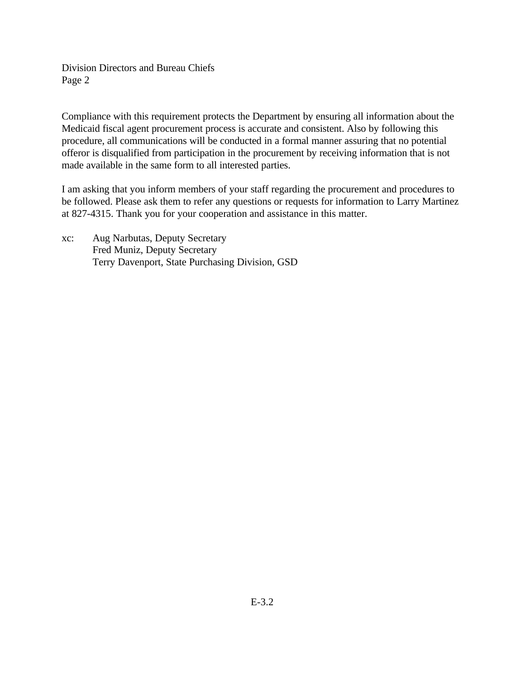Division Directors and Bureau Chiefs Page 2

Compliance with this requirement protects the Department by ensuring all information about the Medicaid fiscal agent procurement process is accurate and consistent. Also by following this procedure, all communications will be conducted in a formal manner assuring that no potential offeror is disqualified from participation in the procurement by receiving information that is not made available in the same form to all interested parties.

I am asking that you inform members of your staff regarding the procurement and procedures to be followed. Please ask them to refer any questions or requests for information to Larry Martinez at 827-4315. Thank you for your cooperation and assistance in this matter.

xc: Aug Narbutas, Deputy Secretary Fred Muniz, Deputy Secretary Terry Davenport, State Purchasing Division, GSD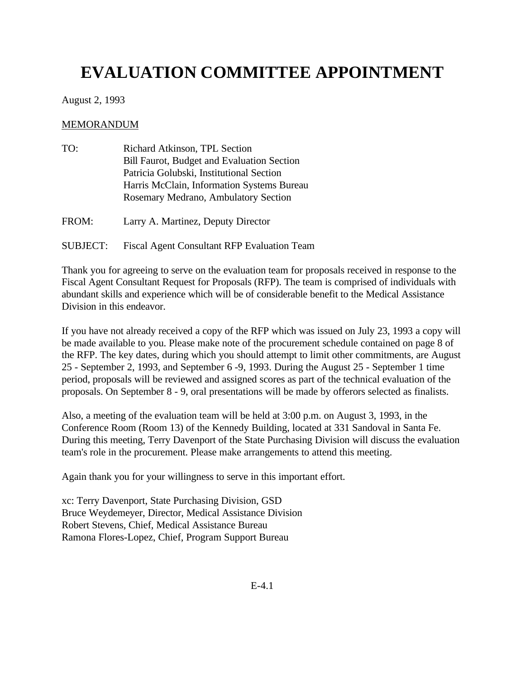# **EVALUATION COMMITTEE APPOINTMENT**

### August 2, 1993

### MEMORANDUM

- TO: Richard Atkinson, TPL Section Bill Faurot, Budget and Evaluation Section Patricia Golubski, Institutional Section Harris McClain, Information Systems Bureau Rosemary Medrano, Ambulatory Section
- FROM: Larry A. Martinez, Deputy Director

### SUBJECT: Fiscal Agent Consultant RFP Evaluation Team

Thank you for agreeing to serve on the evaluation team for proposals received in response to the Fiscal Agent Consultant Request for Proposals (RFP). The team is comprised of individuals with abundant skills and experience which will be of considerable benefit to the Medical Assistance Division in this endeavor.

If you have not already received a copy of the RFP which was issued on July 23, 1993 a copy will be made available to you. Please make note of the procurement schedule contained on page 8 of the RFP. The key dates, during which you should attempt to limit other commitments, are August 25 - September 2, 1993, and September 6 -9, 1993. During the August 25 - September 1 time period, proposals will be reviewed and assigned scores as part of the technical evaluation of the proposals. On September 8 - 9, oral presentations will be made by offerors selected as finalists.

Also, a meeting of the evaluation team will be held at 3:00 p.m. on August 3, 1993, in the Conference Room (Room 13) of the Kennedy Building, located at 331 Sandoval in Santa Fe. During this meeting, Terry Davenport of the State Purchasing Division will discuss the evaluation team's role in the procurement. Please make arrangements to attend this meeting.

Again thank you for your willingness to serve in this important effort.

xc: Terry Davenport, State Purchasing Division, GSD Bruce Weydemeyer, Director, Medical Assistance Division Robert Stevens, Chief, Medical Assistance Bureau Ramona Flores-Lopez, Chief, Program Support Bureau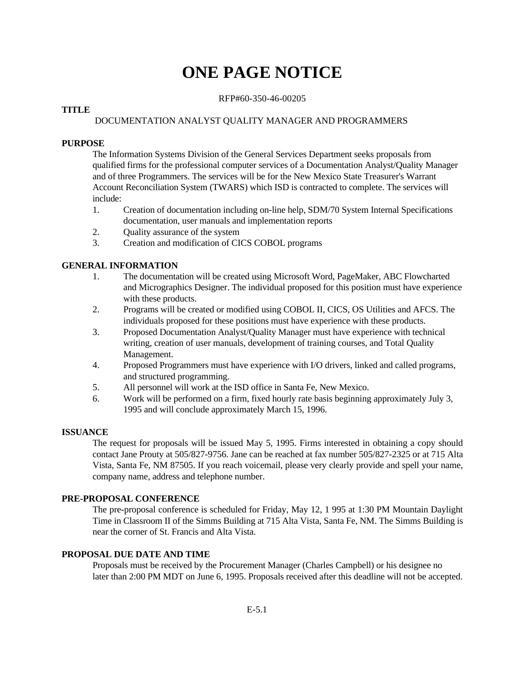# **ONE PAGE NOTICE**

#### RFP#60-350-46-00205

#### **TITLE**

#### DOCUMENTATION ANALYST QUALITY MANAGER AND PROGRAMMERS

#### **PURPOSE**

The Information Systems Division of the General Services Department seeks proposals from qualified firms for the professional computer services of a Documentation Analyst/Quality Manager and of three Programmers. The services will be for the New Mexico State Treasurer's Warrant Account Reconciliation System (TWARS) which ISD is contracted to complete. The services will include:

- 1. Creation of documentation including on-line help, SDM/70 System Internal Specifications documentation, user manuals and implementation reports
- 2. Quality assurance of the system
- 3. Creation and modification of CICS COBOL programs

#### **GENERAL INFORMATION**

- 1. The documentation will be created using Microsoft Word, PageMaker, ABC Flowcharted and Micrographics Designer. The individual proposed for this position must have experience with these products.
- 2. Programs will be created or modified using COBOL II, CICS, OS Utilities and AFCS. The individuals proposed for these positions must have experience with these products.
- 3. Proposed Documentation Analyst/Quality Manager must have experience with technical writing, creation of user manuals, development of training courses, and Total Quality Management.
- 4. Proposed Programmers must have experience with I/O drivers, linked and called programs, and structured programming.
- 5. All personnel will work at the ISD office in Santa Fe, New Mexico.
- 6. Work will be performed on a firm, fixed hourly rate basis beginning approximately July 3, 1995 and will conclude approximately March 15, 1996.

#### **ISSUANCE**

The request for proposals will be issued May 5, 1995. Firms interested in obtaining a copy should contact Jane Prouty at 505/827-9756. Jane can be reached at fax number 505/827-2325 or at 715 Alta Vista, Santa Fe, NM 87505. If you reach voicemail, please very clearly provide and spell your name, company name, address and telephone number.

#### **PRE-PROPOSAL CONFERENCE**

The pre-proposal conference is scheduled for Friday, May 12, 1 995 at 1:30 PM Mountain Daylight Time in Classroom II of the Simms Building at 715 Alta Vista, Santa Fe, NM. The Simms Building is near the corner of St. Francis and Alta Vista.

#### **PROPOSAL DUE DATE AND TIME**

Proposals must be received by the Procurement Manager (Charles Campbell) or his designee no later than 2:00 PM MDT on June 6, 1995. Proposals received after this deadline will not be accepted.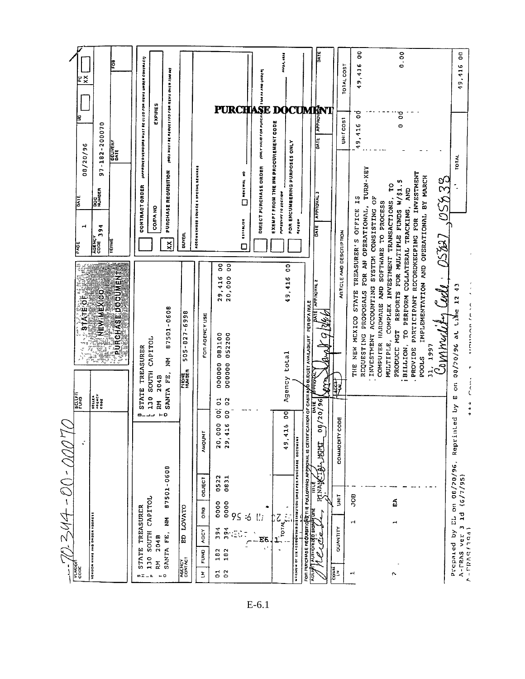

E-6.1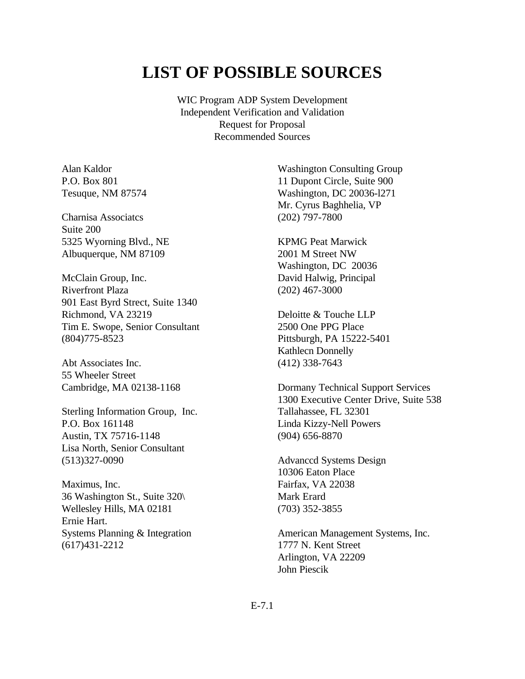# **LIST OF POSSIBLE SOURCES**

WIC Program ADP System Development Independent Verification and Validation Request for Proposal Recommended Sources

Charnisa Associatcs (202) 797-7800 Suite 200 5325 Wyorning Blvd., NE KPMG Peat Marwick Albuquerque, NM 87109 2001 M Street NW

McClain Group, Inc. David Halwig, Principal Riverfront Plaza (202) 467-3000 901 East Byrd Strect, Suite 1340 Richmond, VA 23219 Deloitte & Touche LLP Tim E. Swope, Senior Consultant 2500 One PPG Place (804)775-8523 Pittsburgh, PA 15222-5401

Abt Associates Inc. (412) 338-7643 55 Wheeler Street

Sterling Information Group, Inc. Tallahassee, FL 32301 P.O. Box 161148 Linda Kizzy-Nell Powers Austin, TX 75716-1148 (904) 656-8870 Lisa North, Senior Consultant (513)327-0090 Advanccd Systems Design

Maximus, Inc. Fairfax, VA 22038 36 Washington St., Suite 320\ Mark Erard Wellesley Hills, MA 02181 (703) 352-3855 Ernie Hart. (617)431-2212 1777 N. Kent Street

Alan Kaldor Washington Consulting Group P.O. Box 801 11 Dupont Circle, Suite 900 Tesuque, NM 87574 Washington, DC 20036-1271 Mr. Cyrus Baghhelia, VP

Washington, DC 20036

Kathlecn Donnelly

Cambridge, MA 02138-1168 Dormany Technical Support Services 1300 Executive Center Drive, Suite 538

10306 Eaton Place

Systems Planning & Integration American Management Systems, Inc. Arlington, VA 22209 John Piescik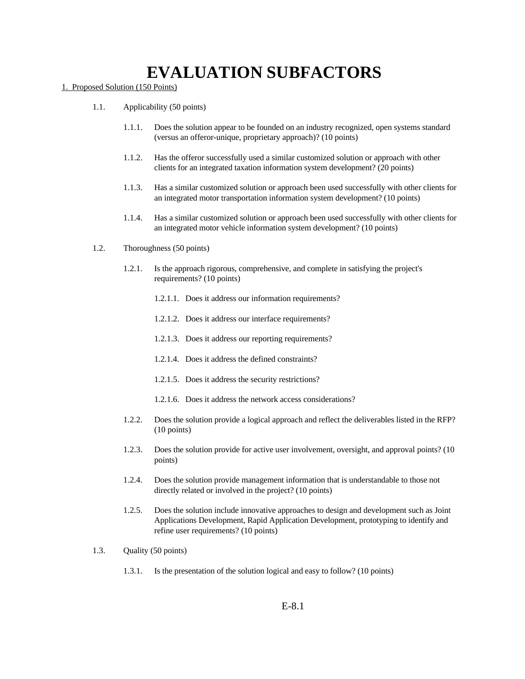# **EVALUATION SUBFACTORS**

- 1. Proposed Solution (150 Points)
	- 1.1. Applicability (50 points)
		- 1.1.1. Does the solution appear to be founded on an industry recognized, open systems standard (versus an offeror-unique, proprietary approach)? (10 points)
		- 1.1.2. Has the offeror successfully used a similar customized solution or approach with other clients for an integrated taxation information system development? (20 points)
		- 1.1.3. Has a similar customized solution or approach been used successfully with other clients for an integrated motor transportation information system development? (10 points)
		- 1.1.4. Has a similar customized solution or approach been used successfully with other clients for an integrated motor vehicle information system development? (10 points)
	- 1.2. Thoroughness (50 points)
		- 1.2.1. Is the approach rigorous, comprehensive, and complete in satisfying the project's requirements? (10 points)
			- 1.2.1.1. Does it address our information requirements?
			- 1.2.1.2. Does it address our interface requirements?
			- 1.2.1.3. Does it address our reporting requirements?
			- 1.2.1.4. Does it address the defined constraints?
			- 1.2.1.5. Does it address the security restrictions?
			- 1.2.1.6. Does it address the network access considerations?
		- 1.2.2. Does the solution provide a logical approach and reflect the deliverables listed in the RFP? (10 points)
		- 1.2.3. Does the solution provide for active user involvement, oversight, and approval points? (10 points)
		- 1.2.4. Does the solution provide management information that is understandable to those not directly related or involved in the project? (10 points)
		- 1.2.5. Does the solution include innovative approaches to design and development such as Joint Applications Development, Rapid Application Development, prototyping to identify and refine user requirements? (10 points)
	- 1.3. Quality (50 points)
		- 1.3.1. Is the presentation of the solution logical and easy to follow? (10 points)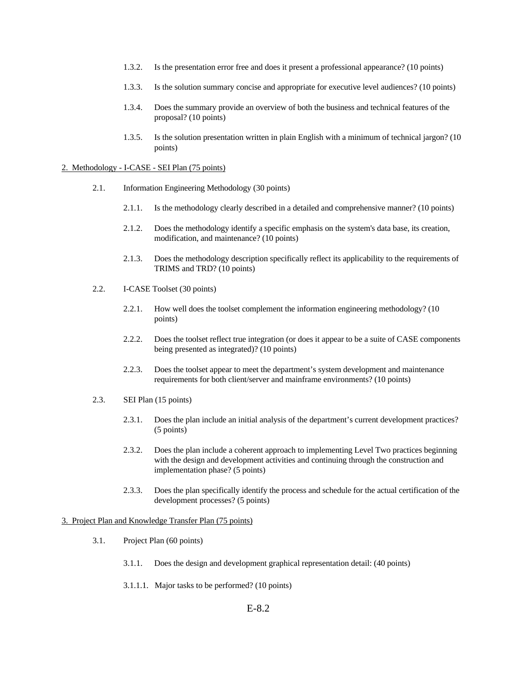- 1.3.2. Is the presentation error free and does it present a professional appearance? (10 points)
- 1.3.3. Is the solution summary concise and appropriate for executive level audiences? (10 points)
- 1.3.4. Does the summary provide an overview of both the business and technical features of the proposal? (10 points)
- 1.3.5. Is the solution presentation written in plain English with a minimum of technical jargon? (10 points)

#### 2. Methodology - I-CASE - SEI Plan (75 points)

- 2.1. Information Engineering Methodology (30 points)
	- 2.1.1. Is the methodology clearly described in a detailed and comprehensive manner? (10 points)
	- 2.1.2. Does the methodology identify a specific emphasis on the system's data base, its creation, modification, and maintenance? (10 points)
	- 2.1.3. Does the methodology description specifically reflect its applicability to the requirements of TRIMS and TRD? (10 points)
- 2.2. I-CASE Toolset (30 points)
	- 2.2.1. How well does the toolset complement the information engineering methodology? (10 points)
	- 2.2.2. Does the toolset reflect true integration (or does it appear to be a suite of CASE components being presented as integrated)? (10 points)
	- 2.2.3. Does the toolset appear to meet the department's system development and maintenance requirements for both client/server and mainframe environments? (10 points)
- 2.3. SEI Plan (15 points)
	- 2.3.1. Does the plan include an initial analysis of the department's current development practices? (5 points)
	- 2.3.2. Does the plan include a coherent approach to implementing Level Two practices beginning with the design and development activities and continuing through the construction and implementation phase? (5 points)
	- 2.3.3. Does the plan specifically identify the process and schedule for the actual certification of the development processes? (5 points)

#### 3. Project Plan and Knowledge Transfer Plan (75 points)

- 3.1. Project Plan (60 points)
	- 3.1.1. Does the design and development graphical representation detail: (40 points)
	- 3.1.1.1. Major tasks to be performed? (10 points)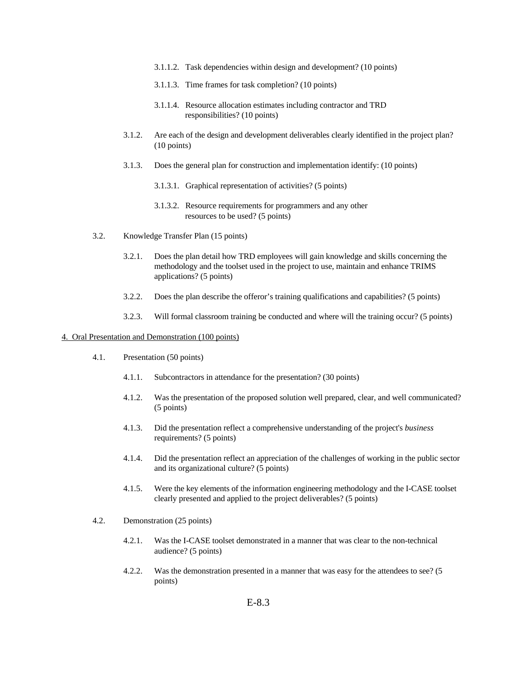- 3.1.1.2. Task dependencies within design and development? (10 points)
- 3.1.1.3. Time frames for task completion? (10 points)
- 3.1.1.4. Resource allocation estimates including contractor and TRD responsibilities? (10 points)
- 3.1.2. Are each of the design and development deliverables clearly identified in the project plan? (10 points)
- 3.1.3. Does the general plan for construction and implementation identify: (10 points)
	- 3.1.3.1. Graphical representation of activities? (5 points)
	- 3.1.3.2. Resource requirements for programmers and any other resources to be used? (5 points)
- 3.2. Knowledge Transfer Plan (15 points)
	- 3.2.1. Does the plan detail how TRD employees will gain knowledge and skills concerning the methodology and the toolset used in the project to use, maintain and enhance TRIMS applications? (5 points)
	- 3.2.2. Does the plan describe the offeror's training qualifications and capabilities? (5 points)
	- 3.2.3. Will formal classroom training be conducted and where will the training occur? (5 points)

#### 4. Oral Presentation and Demonstration (100 points)

- 4.1. Presentation (50 points)
	- 4.1.1. Subcontractors in attendance for the presentation? (30 points)
	- 4.1.2. Was the presentation of the proposed solution well prepared, clear, and well communicated? (5 points)
	- 4.1.3. Did the presentation reflect a comprehensive understanding of the project's *business* requirements? (5 points)
	- 4.1.4. Did the presentation reflect an appreciation of the challenges of working in the public sector and its organizational culture? (5 points)
	- 4.1.5. Were the key elements of the information engineering methodology and the I-CASE toolset clearly presented and applied to the project deliverables? (5 points)
- 4.2. Demonstration (25 points)
	- 4.2.1. Was the I-CASE toolset demonstrated in a manner that was clear to the non-technical audience? (5 points)
	- 4.2.2. Was the demonstration presented in a manner that was easy for the attendees to see? (5 points)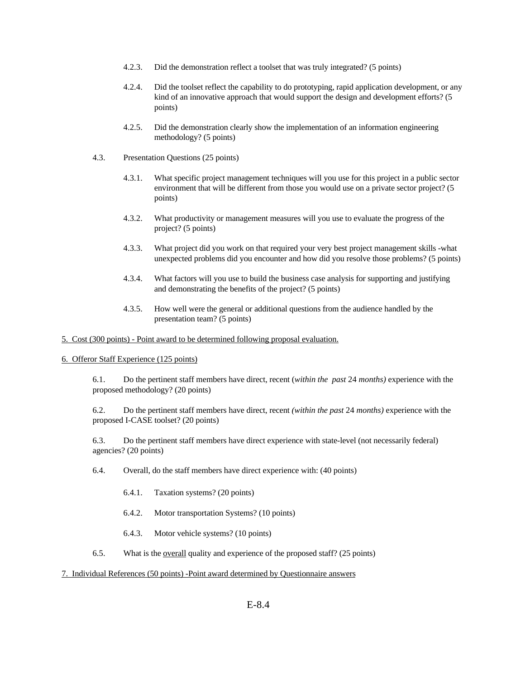- 4.2.3. Did the demonstration reflect a toolset that was truly integrated? (5 points)
- 4.2.4. Did the toolset reflect the capability to do prototyping, rapid application development, or any kind of an innovative approach that would support the design and development efforts? (5) points)
- 4.2.5. Did the demonstration clearly show the implementation of an information engineering methodology? (5 points)
- 4.3. Presentation Questions (25 points)
	- 4.3.1. What specific project management techniques will you use for this project in a public sector environment that will be different from those you would use on a private sector project? (5 points)
	- 4.3.2. What productivity or management measures will you use to evaluate the progress of the project? (5 points)
	- 4.3.3. What project did you work on that required your very best project management skills -what unexpected problems did you encounter and how did you resolve those problems? (5 points)
	- 4.3.4. What factors will you use to build the business case analysis for supporting and justifying and demonstrating the benefits of the project? (5 points)
	- 4.3.5. How well were the general or additional questions from the audience handled by the presentation team? (5 points)

#### 5. Cost (300 points) - Point award to be determined following proposal evaluation.

#### 6. Offeror Staff Experience (125 points)

6.1. Do the pertinent staff members have direct, recent (*within the past* 24 *months)* experience with the proposed methodology? (20 points)

6.2. Do the pertinent staff members have direct, recent *(within the past* 24 *months)* experience with the proposed I-CASE toolset? (20 points)

6.3. Do the pertinent staff members have direct experience with state-level (not necessarily federal) agencies? (20 points)

- 6.4. Overall, do the staff members have direct experience with: (40 points)
	- 6.4.1. Taxation systems? (20 points)
	- 6.4.2. Motor transportation Systems? (10 points)
	- 6.4.3. Motor vehicle systems? (10 points)
- 6.5. What is the overall quality and experience of the proposed staff? (25 points)

#### 7. Individual References (50 points) -Point award determined by Questionnaire answers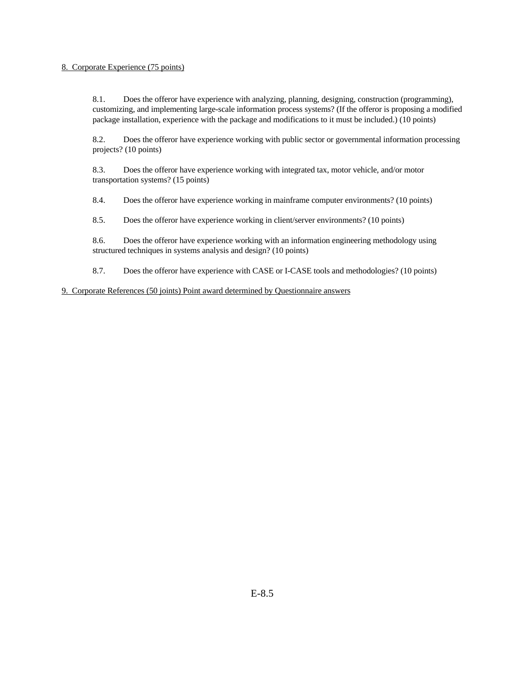#### 8. Corporate Experience (75 points)

8.1. Does the offeror have experience with analyzing, planning, designing, construction (programming), customizing, and implementing large-scale information process systems? (If the offeror is proposing a modified package installation, experience with the package and modifications to it must be included.) (10 points)

8.2. Does the offeror have experience working with public sector or governmental information processing projects? (10 points)

8.3. Does the offeror have experience working with integrated tax, motor vehicle, and/or motor transportation systems? (15 points)

8.4. Does the offeror have experience working in mainframe computer environments? (10 points)

8.5. Does the offeror have experience working in client/server environments? (10 points)

8.6. Does the offeror have experience working with an information engineering methodology using structured techniques in systems analysis and design? (10 points)

8.7. Does the offeror have experience with CASE or I-CASE tools and methodologies? (10 points)

9. Corporate References (50 joints) Point award determined by Questionnaire answers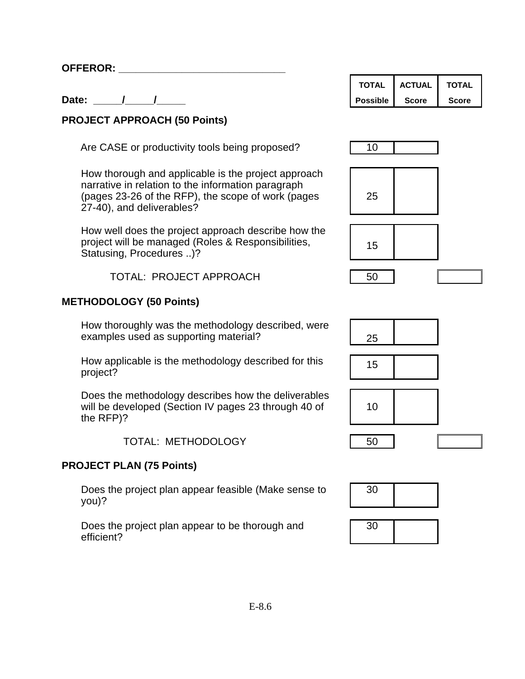**OFFEROR: \_\_\_\_\_\_\_\_\_\_\_\_\_\_\_\_\_\_\_\_\_\_\_\_\_\_\_\_\_**

Date: 1 /

# **PROJECT APPROACH (50 Points)**

Are CASE or productivity tools being proposed? 10

How thorough and applicable is the project approach narrative in relation to the information paragraph (pages 23-26 of the RFP), the scope of work (pages 27-40), and deliverables?

How well does the project approach describe how the project will be managed (Roles & Responsibilities, Statusing, Procedures ..)?

TOTAL: PROJECT APPROACH 1999 1999 1999

# **METHODOLOGY (50 Points)**

How thoroughly was the methodology described, were examples used as supporting material? The material of the same parameters and the set of the set of the set of the set of the set of the set of the set of the set of the set of the set of the set of the set of the set of t

How applicable is the methodology described for this project?

Does the methodology describes how the deliverables will be developed (Section IV pages 23 through 40 of the RFP)?

TOTAL: METHODOLOGY **1 50** 

# **PROJECT PLAN (75 Points)**

Does the project plan appear feasible (Make sense to you)?

Does the project plan appear to be thorough and efficient?

| TOTAL           | <b>ACTUAL</b> | <b>TOTAL</b> |  |  |
|-----------------|---------------|--------------|--|--|
| <b>Possible</b> | <b>Score</b>  | <b>Score</b> |  |  |











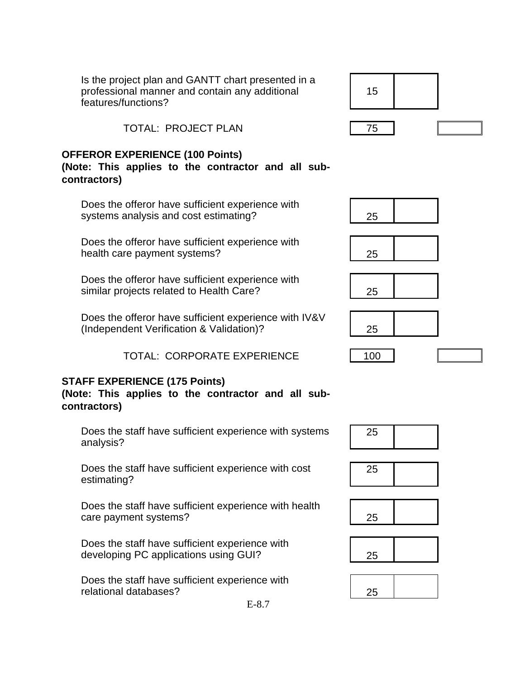Is the project plan and GANTT chart presented in a professional manner and contain any additional features/functions?

## TOTAL: PROJECT PLAN 75

## **OFFEROR EXPERIENCE (100 Points) (Note: This applies to the contractor and all subcontractors)**

Does the offeror have sufficient experience with systems analysis and cost estimating? 1 25

Does the offeror have sufficient experience with health care payment systems? 25

Does the offeror have sufficient experience with similar projects related to Health Care? 25

Does the offeror have sufficient experience with IV&V (Independent Verification & Validation)? 25

TOTAL: CORPORATE EXPERIENCE

## **STAFF EXPERIENCE (175 Points)**

### **(Note: This applies to the contractor and all subcontractors)**

Does the staff have sufficient experience with systems analysis?

Does the staff have sufficient experience with cost estimating?

Does the staff have sufficient experience with health care payment systems? 25

Does the staff have sufficient experience with developing PC applications using GUI?

Does the staff have sufficient experience with relational databases? 25











$$
100\quad \boxed{\qquad \qquad }
$$







$$
\begin{array}{c|c}\n25 & \\
25 & \\
\hline\n\end{array}
$$

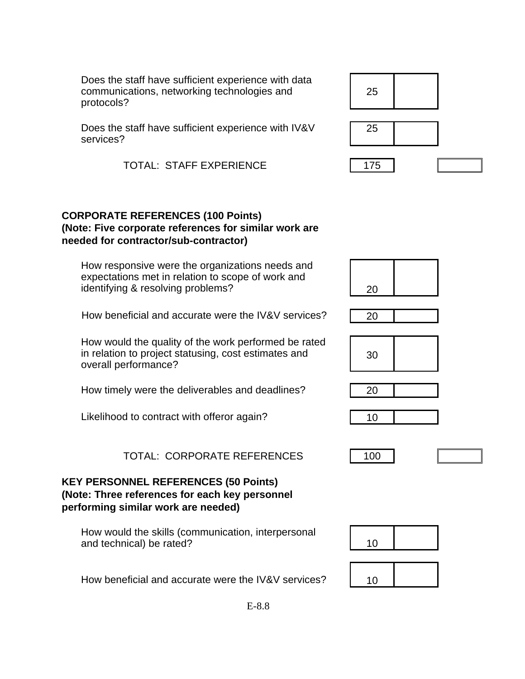Does the staff have sufficient experience with data communications, networking technologies and protocols?

Does the staff have sufficient experience with IV&V services?

TOTAL: STAFF EXPERIENCE | 175

## **CORPORATE REFERENCES (100 Points) (Note: Five corporate references for similar work are needed for contractor/sub-contractor)**

How responsive were the organizations needs and expectations met in relation to scope of work and identifying & resolving problems?

How beneficial and accurate were the IV&V services? | 20

How would the quality of the work performed be rated in relation to project statusing, cost estimates and overall performance?

How timely were the deliverables and deadlines? 1 20

Likelihood to contract with offeror again?

TOTAL: CORPORATE REFERENCES | 100

## **KEY PERSONNEL REFERENCES (50 Points) (Note: Three references for each key personnel performing similar work are needed)**

How would the skills (communication, interpersonal and technical) be rated? 10



















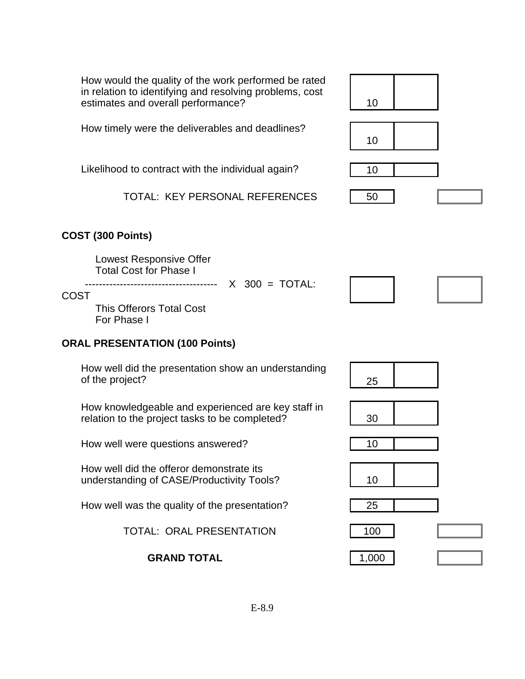How would the quality of the work performed be rated in relation to identifying and resolving problems, cost estimates and overall performance? 10

How timely were the deliverables and deadlines?

Likelihood to contract with the individual again? 10

TOTAL: KEY PERSONAL REFERENCES | 50

# **COST (300 Points)**

 Lowest Responsive Offer Total Cost for Phase I

-------------------------------------- X 300 = TOTAL:

### COST

 This Offerors Total Cost For Phase I

## **ORAL PRESENTATION (100 Points)**

How well did the presentation show an understanding of the project? 25

How knowledgeable and experienced are key staff in relation to the project tasks to be completed? 130

How well were questions answered? 10

How well did the offeror demonstrate its understanding of CASE/Productivity Tools? 10

How well was the quality of the presentation? 25

TOTAL: ORAL PRESENTATION 100

**GRAND TOTAL 1,000** 



















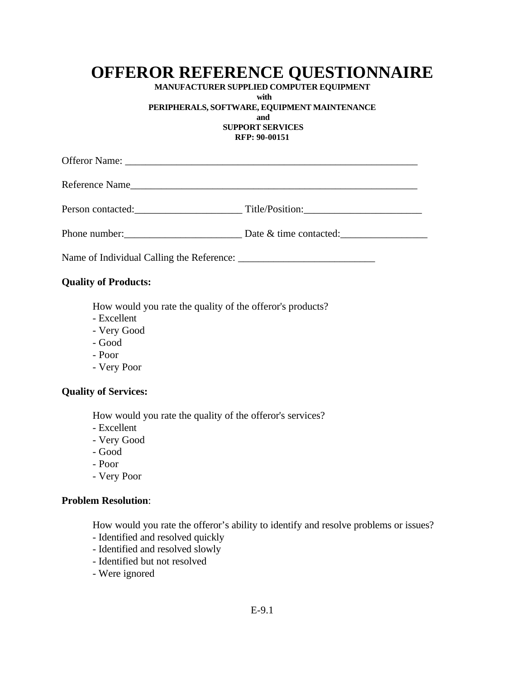# **OFFEROR REFERENCE QUESTIONNAIRE**

### **MANUFACTURER SUPPLIED COMPUTER EQUIPMENT**

#### **with**

#### **PERIPHERALS, SOFTWARE, EQUIPMENT MAINTENANCE**

 **and**

#### **SUPPORT SERVICES RFP: 90-00151**

| Offeror Name: Name: |                        |
|---------------------|------------------------|
| Reference Name      |                        |
| Person contacted:   | Title/Position:        |
| Phone number:       | Date & time contacted: |

Name of Individual Calling the Reference: \_\_\_\_\_\_\_\_\_\_\_\_\_\_\_\_\_\_\_\_\_\_\_\_\_\_\_

### **Quality of Products:**

How would you rate the quality of the offeror's products?

- Excellent
- Very Good
- Good
- Poor
- Very Poor

### **Quality of Services:**

How would you rate the quality of the offeror's services?

- Excellent
- Very Good
- Good
- Poor
- Very Poor

### **Problem Resolution**:

How would you rate the offeror's ability to identify and resolve problems or issues?

- Identified and resolved quickly
- Identified and resolved slowly
- Identified but not resolved
- Were ignored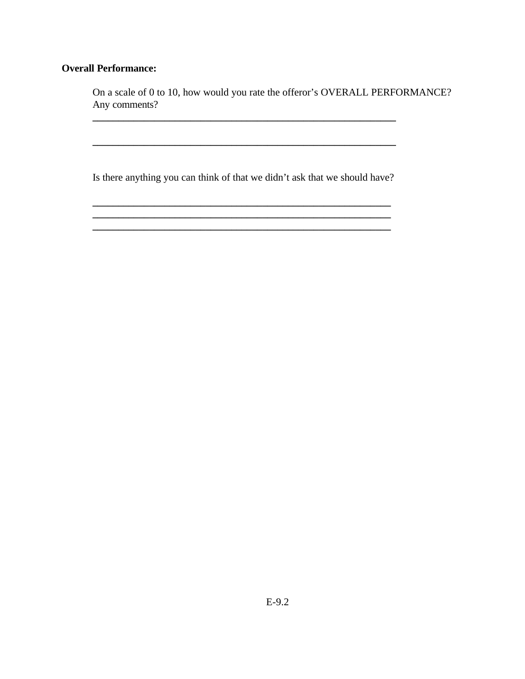## **Overall Performance:**

On a scale of 0 to 10, how would you rate the offeror's OVERALL PERFORMANCE? Any comments?

**\_\_\_\_\_\_\_\_\_\_\_\_\_\_\_\_\_\_\_\_\_\_\_\_\_\_\_\_\_\_\_\_\_\_\_\_\_\_\_\_\_\_\_\_\_\_\_\_\_\_\_\_\_\_\_\_\_\_\_**

**\_\_\_\_\_\_\_\_\_\_\_\_\_\_\_\_\_\_\_\_\_\_\_\_\_\_\_\_\_\_\_\_\_\_\_\_\_\_\_\_\_\_\_\_\_\_\_\_\_\_\_\_\_\_\_\_\_\_**

Is there anything you can think of that we didn't ask that we should have?

**\_\_\_\_\_\_\_\_\_\_\_\_\_\_\_\_\_\_\_\_\_\_\_\_\_\_\_\_\_\_\_\_\_\_\_\_\_\_\_\_\_\_\_\_\_\_\_\_\_\_\_\_\_\_\_\_\_\_ \_\_\_\_\_\_\_\_\_\_\_\_\_\_\_\_\_\_\_\_\_\_\_\_\_\_\_\_\_\_\_\_\_\_\_\_\_\_\_\_\_\_\_\_\_\_\_\_\_\_\_\_\_\_\_\_\_\_**

**\_\_\_\_\_\_\_\_\_\_\_\_\_\_\_\_\_\_\_\_\_\_\_\_\_\_\_\_\_\_\_\_\_\_\_\_\_\_\_\_\_\_\_\_\_\_\_\_\_\_\_\_\_\_\_\_\_\_\_**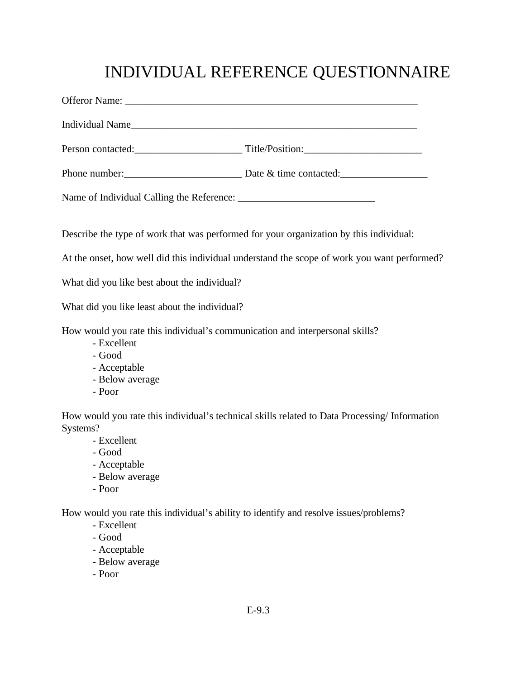# INDIVIDUAL REFERENCE QUESTIONNAIRE

| Individual Name                                                                                                                                    |                                                                                              |
|----------------------------------------------------------------------------------------------------------------------------------------------------|----------------------------------------------------------------------------------------------|
|                                                                                                                                                    |                                                                                              |
|                                                                                                                                                    | Phone number: Date & time contacted:                                                         |
|                                                                                                                                                    |                                                                                              |
|                                                                                                                                                    | Describe the type of work that was performed for your organization by this individual:       |
|                                                                                                                                                    | At the onset, how well did this individual understand the scope of work you want performed?  |
| What did you like best about the individual?                                                                                                       |                                                                                              |
| What did you like least about the individual?                                                                                                      |                                                                                              |
| How would you rate this individual's communication and interpersonal skills?<br>- Excellent<br>- Good<br>- Acceptable<br>- Below average<br>- Poor |                                                                                              |
| Systems?<br>- Excellent<br>- Good<br>- Acceptable<br>- Below average<br>- Poor                                                                     | How would you rate this individual's technical skills related to Data Processing/Information |
| How would you rate this individual's ability to identify and resolve issues/problems?                                                              |                                                                                              |

- Excellent
- Good
- Acceptable
- Below average
- Poor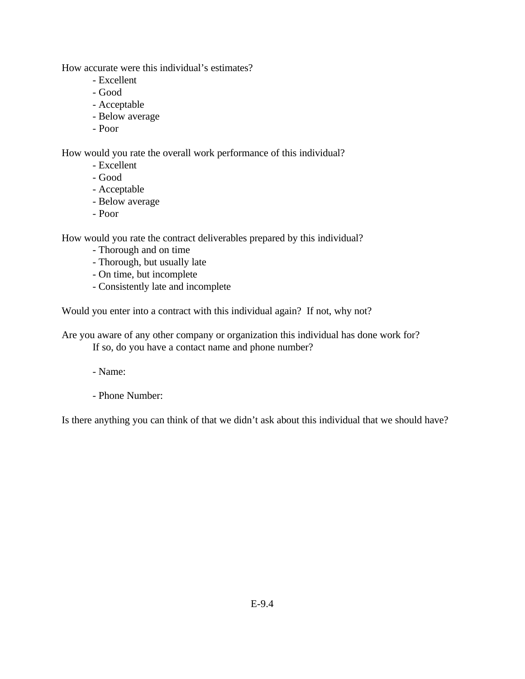How accurate were this individual's estimates?

- Excellent
- Good
- Acceptable
- Below average
- Poor

How would you rate the overall work performance of this individual?

- Excellent
- Good
- Acceptable
- Below average
- Poor

How would you rate the contract deliverables prepared by this individual?

- Thorough and on time
- Thorough, but usually late
- On time, but incomplete
- Consistently late and incomplete

Would you enter into a contract with this individual again? If not, why not?

Are you aware of any other company or organization this individual has done work for?

If so, do you have a contact name and phone number?

- Name:
- Phone Number:

Is there anything you can think of that we didn't ask about this individual that we should have?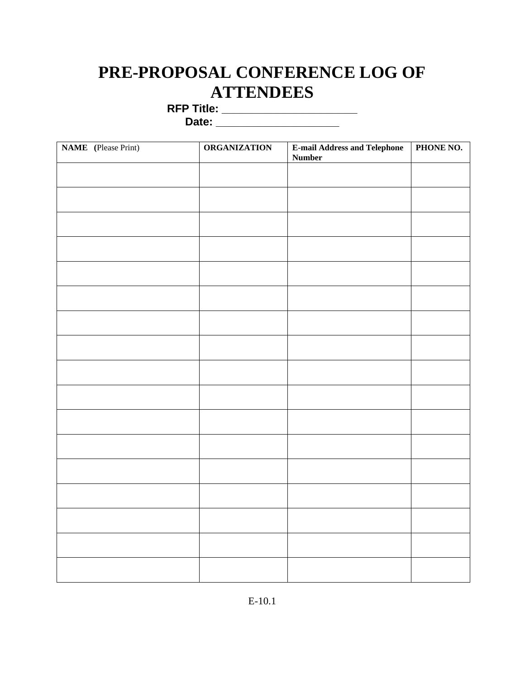# **PRE-PROPOSAL CONFERENCE LOG OF ATTENDEES**

# **RFP Title: \_\_\_\_\_\_\_\_\_\_\_\_\_\_\_\_\_\_\_\_\_\_**

**Date: \_\_\_\_\_\_\_\_\_\_\_\_\_\_\_\_\_\_\_\_**

| <b>NAME</b> (Please Print) | <b>ORGANIZATION</b> | <b>E-mail Address and Telephone</b><br><b>Number</b> | PHONE NO. |
|----------------------------|---------------------|------------------------------------------------------|-----------|
|                            |                     |                                                      |           |
|                            |                     |                                                      |           |
|                            |                     |                                                      |           |
|                            |                     |                                                      |           |
|                            |                     |                                                      |           |
|                            |                     |                                                      |           |
|                            |                     |                                                      |           |
|                            |                     |                                                      |           |
|                            |                     |                                                      |           |
|                            |                     |                                                      |           |
|                            |                     |                                                      |           |
|                            |                     |                                                      |           |
|                            |                     |                                                      |           |
|                            |                     |                                                      |           |
|                            |                     |                                                      |           |
|                            |                     |                                                      |           |
|                            |                     |                                                      |           |
|                            |                     |                                                      |           |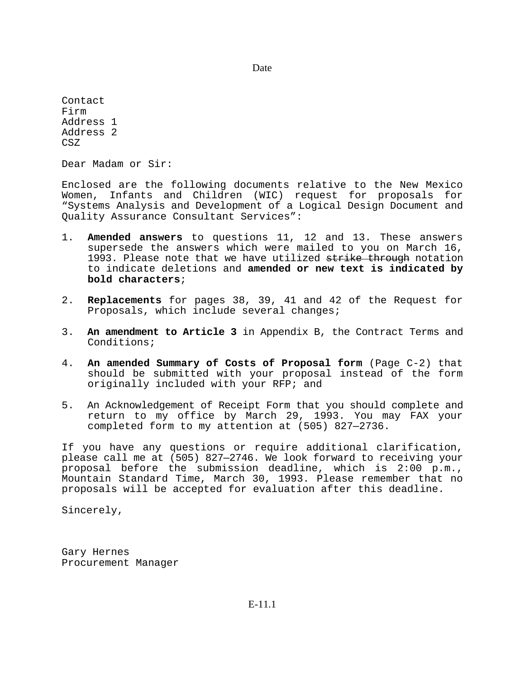Contact Firm Address 1 Address 2 CSZ

Dear Madam or Sir:

Enclosed are the following documents relative to the New Mexico Women, Infants and Children (WIC) request for proposals for "Systems Analysis and Development of a Logical Design Document and Quality Assurance Consultant Services":

- 1. **Amended answers** to questions 11, 12 and 13. These answers supersede the answers which were mailed to you on March 16, 1993. Please note that we have utilized strike through notation to indicate deletions and **amended or new text is indicated by bold characters**;
- 2. **Replacements** for pages 38, 39, 41 and 42 of the Request for Proposals, which include several changes;
- 3. **An amendment to Article 3** in Appendix B, the Contract Terms and Conditions;
- 4. **An amended Summary of Costs of Proposal form** (Page C-2) that should be submitted with your proposal instead of the form originally included with your RFP; and
- 5. An Acknowledgement of Receipt Form that you should complete and return to my office by March 29, 1993. You may FAX your completed form to my attention at (505) 827—2736.

If you have any questions or require additional clarification, please call me at (505) 827—2746. We look forward to receiving your proposal before the submission deadline, which is 2:00 p.m., Mountain Standard Time, March 30, 1993. Please remember that no proposals will be accepted for evaluation after this deadline.

Sincerely,

Gary Hernes Procurement Manager Date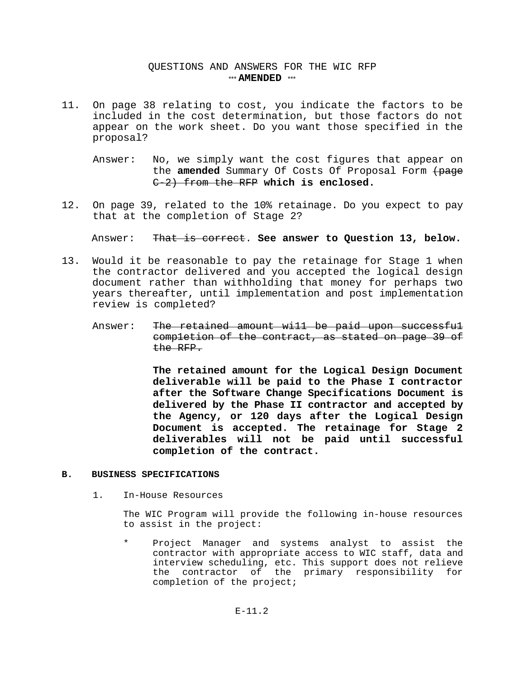#### QUESTIONS AND ANSWERS FOR THE WIC RFP \*\*\* **AMENDED** \*\*\*

- 11. On page 38 relating to cost, you indicate the factors to be included in the cost determination, but those factors do not appear on the work sheet. Do you want those specified in the proposal?
	- Answer: No, we simply want the cost figures that appear on the **amended** Summary Of Costs Of Proposal Form (page C-2) from the RFP **which is enclosed.**
- 12. On page 39, related to the 10% retainage. Do you expect to pay that at the completion of Stage 2?

Answer: That is correct. **See answer to Question 13, below.**

- 13. Would it be reasonable to pay the retainage for Stage 1 when the contractor delivered and you accepted the logical design document rather than withholding that money for perhaps two years thereafter, until implementation and post implementation review is completed?
	- Answer: The retained amount will be paid upon successful comp1etion of the contract, as stated on page 39 of the RFP.

**The retained amount for the Logical Design Document deliverable will be paid to the Phase I contractor after the Software Change Specifications Document is delivered by the Phase II contractor and accepted by the Agency, or 120 days after the Logical Design Document is accepted. The retainage for Stage 2 deliverables will not be paid until successful completion of the contract.**

#### **B. BUSINESS SPECIFICATIONS**

1. In-House Resources

The WIC Program will provide the following in-house resources to assist in the project:

Project Manager and systems analyst to assist the contractor with appropriate access to WIC staff, data and interview scheduling, etc. This support does not relieve the contractor of the primary responsibility for completion of the project;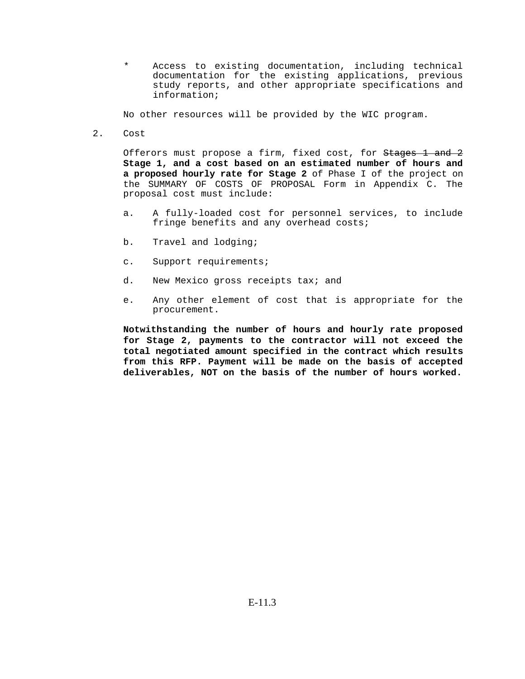\* Access to existing documentation, including technical documentation for the existing applications, previous study reports, and other appropriate specifications and information;

No other resources will be provided by the WIC program.

2. Cost

Offerors must propose a firm, fixed cost, for Stages 1 and 2 **Stage 1, and a cost based on an estimated number of hours and a proposed hourly rate for Stage 2** of Phase I of the project on the SUMMARY OF COSTS OF PROPOSAL Form in Appendix C. The proposal cost must include:

- a. A fully-loaded cost for personnel services, to include fringe benefits and any overhead costs;
- b. Travel and lodging;
- c. Support requirements;
- d. New Mexico gross receipts tax; and
- e. Any other element of cost that is appropriate for the procurement.

**Notwithstanding the number of hours and hourly rate proposed for Stage 2, payments to the contractor will not exceed the total negotiated amount specified in the contract which results from this RFP. Payment will be made on the basis of accepted deliverables, NOT on the basis of the number of hours worked.**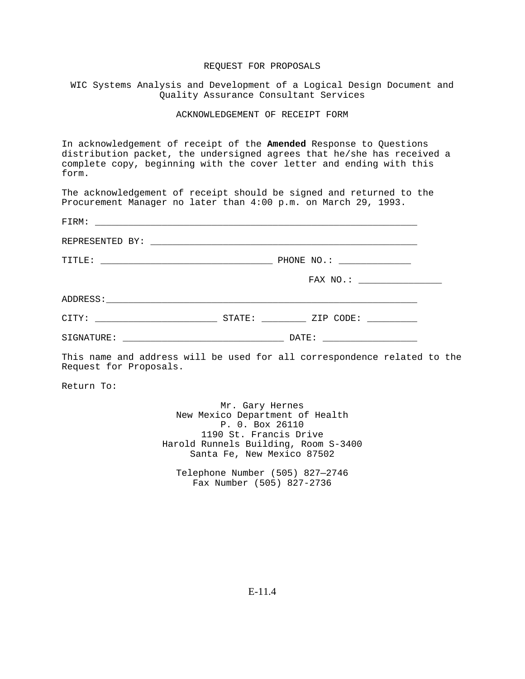#### REQUEST FOR PROPOSALS

WIC Systems Analysis and Development of a Logical Design Document and Quality Assurance Consultant Services

ACKNOWLEDGEMENT OF RECEIPT FORM

In acknowledgement of receipt of the **Amended** Response to Questions distribution packet, the undersigned agrees that he/she has received a complete copy, beginning with the cover letter and ending with this form.

The acknowledgement of receipt should be signed and returned to the Procurement Manager no later than 4:00 p.m. on March 29, 1993.

| FIRM:<br><u> 1980 - Jan Berlin, margaret amerikan bestean ingila (h. 1980).</u>                                                 |        |                              |
|---------------------------------------------------------------------------------------------------------------------------------|--------|------------------------------|
|                                                                                                                                 |        |                              |
| TITLE:<br><u> 1980 - Jan Barbarat, martin a shekara 1980 - An tsa a tsa a tsa a tsa a tsa a tsa a tsa a tsa a tsa a tsa a t</u> |        | PHONE NO.: _________________ |
|                                                                                                                                 |        |                              |
|                                                                                                                                 |        |                              |
| CITY:                                                                                                                           | STATE: | ZIP CODE:                    |
| SIGNATURE:                                                                                                                      |        | DATE:                        |

This name and address will be used for all correspondence related to the Request for Proposals.

Return To:

Mr. Gary Hernes New Mexico Department of Health P. 0. Box 26110 1190 St. Francis Drive Harold Runnels Building, Room S-3400 Santa Fe, New Mexico 87502

Telephone Number (505) 827—2746 Fax Number (505) 827-2736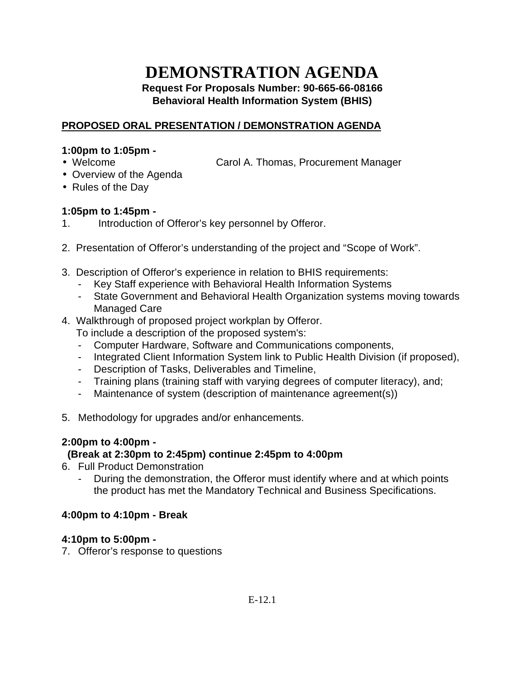# **DEMONSTRATION AGENDA Request For Proposals Number: 90-665-66-08166**

**Behavioral Health Information System (BHIS)**

# **PROPOSED ORAL PRESENTATION / DEMONSTRATION AGENDA**

# **1:00pm to 1:05pm -**

• Welcome **Carol A. Thomas, Procurement Manager** 

- Overview of the Agenda
- Rules of the Day

# **1:05pm to 1:45pm -**

- 1. Introduction of Offeror's key personnel by Offeror.
- 2. Presentation of Offeror's understanding of the project and "Scope of Work".
- 3. Description of Offeror's experience in relation to BHIS requirements:
	- Key Staff experience with Behavioral Health Information Systems
	- State Government and Behavioral Health Organization systems moving towards Managed Care
- 4. Walkthrough of proposed project workplan by Offeror.
	- To include a description of the proposed system's:
	- Computer Hardware, Software and Communications components,
	- Integrated Client Information System link to Public Health Division (if proposed),
	- Description of Tasks, Deliverables and Timeline,
	- Training plans (training staff with varying degrees of computer literacy), and;
	- Maintenance of system (description of maintenance agreement(s))
- 5. Methodology for upgrades and/or enhancements.

# **2:00pm to 4:00pm -**

# **(Break at 2:30pm to 2:45pm) continue 2:45pm to 4:00pm**

- 6. Full Product Demonstration
	- During the demonstration, the Offeror must identify where and at which points the product has met the Mandatory Technical and Business Specifications.

# **4:00pm to 4:10pm - Break**

# **4:10pm to 5:00pm -**

7. Offeror's response to questions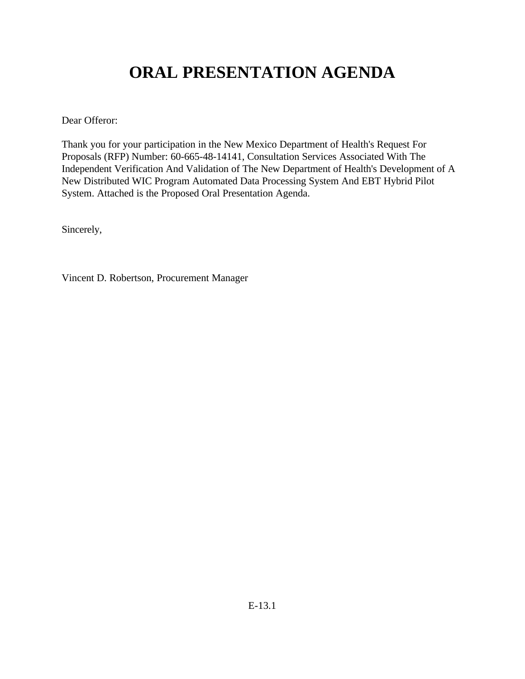# **ORAL PRESENTATION AGENDA**

Dear Offeror:

Thank you for your participation in the New Mexico Department of Health's Request For Proposals (RFP) Number: 60-665-48-14141, Consultation Services Associated With The Independent Verification And Validation of The New Department of Health's Development of A New Distributed WIC Program Automated Data Processing System And EBT Hybrid Pilot System. Attached is the Proposed Oral Presentation Agenda.

Sincerely,

Vincent D. Robertson, Procurement Manager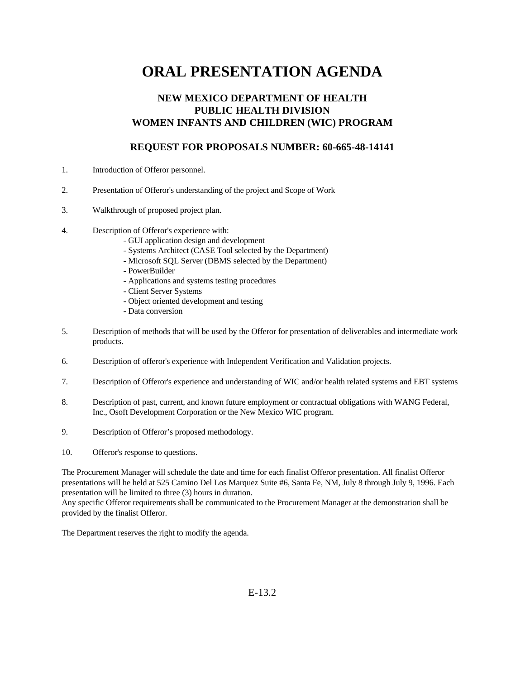# **ORAL PRESENTATION AGENDA**

## **NEW MEXICO DEPARTMENT OF HEALTH PUBLIC HEALTH DIVISION WOMEN INFANTS AND CHILDREN (WIC) PROGRAM**

### **REQUEST FOR PROPOSALS NUMBER: 60-665-48-14141**

- 1. Introduction of Offeror personnel.
- 2. Presentation of Offeror's understanding of the project and Scope of Work
- 3. Walkthrough of proposed project plan.
- 4. Description of Offeror's experience with:
	- GUI application design and development
	- Systems Architect (CASE Tool selected by the Department)
	- Microsoft SQL Server (DBMS selected by the Department)
	- PowerBuilder
	- Applications and systems testing procedures
	- Client Server Systems
	- Object oriented development and testing
	- Data conversion
- 5. Description of methods that will be used by the Offeror for presentation of deliverables and intermediate work products.
- 6. Description of offeror's experience with Independent Verification and Validation projects.
- 7. Description of Offeror's experience and understanding of WIC and/or health related systems and EBT systems
- 8. Description of past, current, and known future employment or contractual obligations with WANG Federal, Inc., Osoft Development Corporation or the New Mexico WIC program.
- 9. Description of Offeror's proposed methodology.
- 10. Offeror's response to questions.

The Procurement Manager will schedule the date and time for each finalist Offeror presentation. All finalist Offeror presentations will he held at 525 Camino Del Los Marquez Suite #6, Santa Fe, NM, July 8 through July 9, 1996. Each presentation will be limited to three (3) hours in duration.

Any specific Offeror requirements shall be communicated to the Procurement Manager at the demonstration shall be provided by the finalist Offeror.

The Department reserves the right to modify the agenda.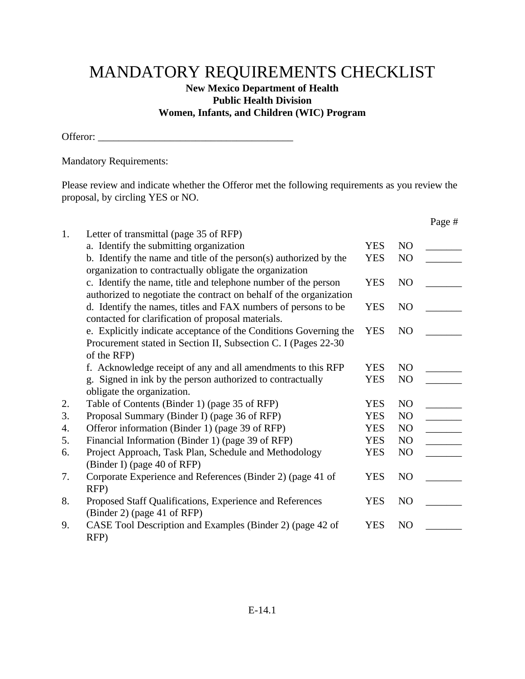# MANDATORY REQUIREMENTS CHECKLIST

## **New Mexico Department of Health Public Health Division Women, Infants, and Children (WIC) Program**

Offeror: \_\_\_\_\_\_\_\_\_\_\_\_\_\_\_\_\_\_\_\_\_\_\_\_\_\_\_\_\_\_\_\_\_\_\_\_\_\_

Mandatory Requirements:

Please review and indicate whether the Offeror met the following requirements as you review the proposal, by circling YES or NO.

|    |                                                                    |            |                | Page # |
|----|--------------------------------------------------------------------|------------|----------------|--------|
| 1. | Letter of transmittal (page 35 of RFP)                             |            |                |        |
|    | a. Identify the submitting organization                            | <b>YES</b> | N <sub>O</sub> |        |
|    | b. Identify the name and title of the person(s) authorized by the  | <b>YES</b> | N <sub>O</sub> |        |
|    | organization to contractually obligate the organization            |            |                |        |
|    | c. Identify the name, title and telephone number of the person     | <b>YES</b> | N <sub>O</sub> |        |
|    | authorized to negotiate the contract on behalf of the organization |            |                |        |
|    | d. Identify the names, titles and FAX numbers of persons to be     | <b>YES</b> | N <sub>O</sub> |        |
|    | contacted for clarification of proposal materials.                 |            |                |        |
|    | e. Explicitly indicate acceptance of the Conditions Governing the  | <b>YES</b> | N <sub>O</sub> |        |
|    | Procurement stated in Section II, Subsection C. I (Pages 22-30)    |            |                |        |
|    | of the RFP)                                                        |            |                |        |
|    | f. Acknowledge receipt of any and all amendments to this RFP       | <b>YES</b> | N <sub>O</sub> |        |
|    | g. Signed in ink by the person authorized to contractually         | <b>YES</b> | N <sub>O</sub> |        |
|    | obligate the organization.                                         |            |                |        |
| 2. | Table of Contents (Binder 1) (page 35 of RFP)                      | <b>YES</b> | N <sub>O</sub> |        |
| 3. | Proposal Summary (Binder I) (page 36 of RFP)                       | <b>YES</b> | N <sub>O</sub> |        |
| 4. | Offeror information (Binder 1) (page 39 of RFP)                    | <b>YES</b> | N <sub>O</sub> |        |
| 5. | Financial Information (Binder 1) (page 39 of RFP)                  | <b>YES</b> | N <sub>O</sub> |        |
| 6. | Project Approach, Task Plan, Schedule and Methodology              | <b>YES</b> | N <sub>O</sub> |        |
|    | (Binder I) (page 40 of RFP)                                        |            |                |        |
| 7. | Corporate Experience and References (Binder 2) (page 41 of         | <b>YES</b> | NO             |        |
|    | RFP)                                                               |            |                |        |
| 8. | Proposed Staff Qualifications, Experience and References           | <b>YES</b> | N <sub>O</sub> |        |
|    | (Binder 2) (page 41 of RFP)                                        |            |                |        |
| 9. | CASE Tool Description and Examples (Binder 2) (page 42 of          | <b>YES</b> | N <sub>O</sub> |        |
|    | RFP)                                                               |            |                |        |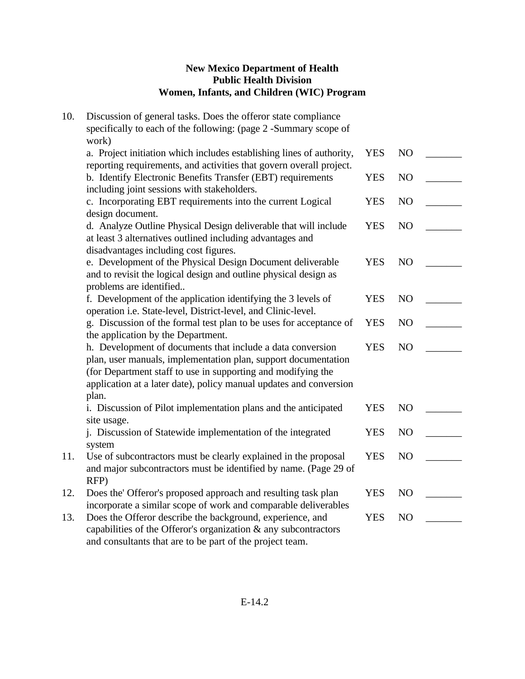# **New Mexico Department of Health Public Health Division Women, Infants, and Children (WIC) Program**

| 10. | Discussion of general tasks. Does the offeror state compliance<br>specifically to each of the following: (page 2 -Summary scope of  |            |                |  |
|-----|-------------------------------------------------------------------------------------------------------------------------------------|------------|----------------|--|
|     | work)                                                                                                                               |            |                |  |
|     | a. Project initiation which includes establishing lines of authority,                                                               | <b>YES</b> | N <sub>O</sub> |  |
|     | reporting requirements, and activities that govern overall project.                                                                 |            |                |  |
|     | b. Identify Electronic Benefits Transfer (EBT) requirements<br>including joint sessions with stakeholders.                          | <b>YES</b> | N <sub>O</sub> |  |
|     | c. Incorporating EBT requirements into the current Logical                                                                          | <b>YES</b> | N <sub>O</sub> |  |
|     | design document.                                                                                                                    |            |                |  |
|     | d. Analyze Outline Physical Design deliverable that will include                                                                    | <b>YES</b> | NO             |  |
|     | at least 3 alternatives outlined including advantages and                                                                           |            |                |  |
|     | disadvantages including cost figures.                                                                                               |            |                |  |
|     | e. Development of the Physical Design Document deliverable                                                                          | <b>YES</b> | NO             |  |
|     | and to revisit the logical design and outline physical design as                                                                    |            |                |  |
|     | problems are identified                                                                                                             |            |                |  |
|     | f. Development of the application identifying the 3 levels of                                                                       | <b>YES</b> | N <sub>O</sub> |  |
|     | operation i.e. State-level, District-level, and Clinic-level.<br>g. Discussion of the formal test plan to be uses for acceptance of | <b>YES</b> | NO             |  |
|     | the application by the Department.                                                                                                  |            |                |  |
|     | h. Development of documents that include a data conversion                                                                          | <b>YES</b> | NO             |  |
|     | plan, user manuals, implementation plan, support documentation                                                                      |            |                |  |
|     | (for Department staff to use in supporting and modifying the                                                                        |            |                |  |
|     | application at a later date), policy manual updates and conversion                                                                  |            |                |  |
|     | plan.                                                                                                                               |            |                |  |
|     | i. Discussion of Pilot implementation plans and the anticipated                                                                     | <b>YES</b> | NO             |  |
|     | site usage.                                                                                                                         |            |                |  |
|     | j. Discussion of Statewide implementation of the integrated                                                                         | <b>YES</b> | N <sub>O</sub> |  |
|     | system                                                                                                                              |            |                |  |
| 11. | Use of subcontractors must be clearly explained in the proposal                                                                     | <b>YES</b> | NO             |  |
|     | and major subcontractors must be identified by name. (Page 29 of                                                                    |            |                |  |
|     | RFP)                                                                                                                                |            |                |  |
| 12. | Does the' Offeror's proposed approach and resulting task plan                                                                       | <b>YES</b> | N <sub>O</sub> |  |
|     | incorporate a similar scope of work and comparable deliverables                                                                     |            |                |  |
| 13. | Does the Offeror describe the background, experience, and                                                                           | <b>YES</b> | NO             |  |
|     | capabilities of the Offeror's organization & any subcontractors                                                                     |            |                |  |
|     | and consultants that are to be part of the project team.                                                                            |            |                |  |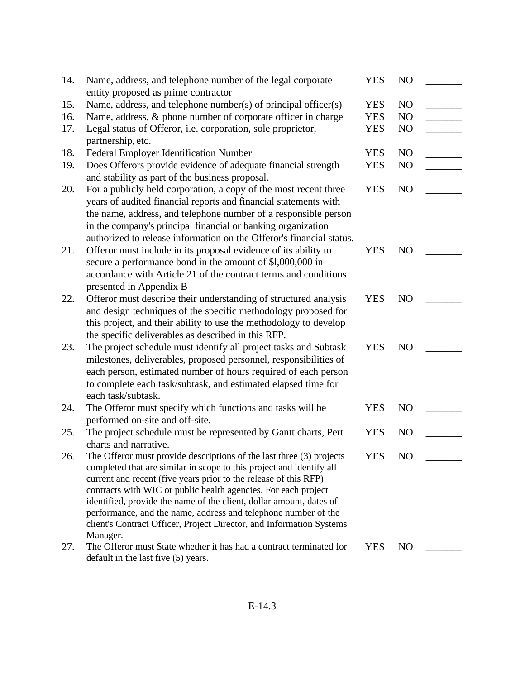| 14. | Name, address, and telephone number of the legal corporate<br>entity proposed as prime contractor                                                                                                                                                                                                                                                                                                                                                                                                               | <b>YES</b> | N <sub>O</sub> |  |
|-----|-----------------------------------------------------------------------------------------------------------------------------------------------------------------------------------------------------------------------------------------------------------------------------------------------------------------------------------------------------------------------------------------------------------------------------------------------------------------------------------------------------------------|------------|----------------|--|
| 15. | Name, address, and telephone number(s) of principal officer(s)                                                                                                                                                                                                                                                                                                                                                                                                                                                  | <b>YES</b> | N <sub>O</sub> |  |
| 16. | Name, address, & phone number of corporate officer in charge                                                                                                                                                                                                                                                                                                                                                                                                                                                    | <b>YES</b> | N <sub>O</sub> |  |
|     |                                                                                                                                                                                                                                                                                                                                                                                                                                                                                                                 | <b>YES</b> | NO             |  |
| 17. | Legal status of Offeror, i.e. corporation, sole proprietor,                                                                                                                                                                                                                                                                                                                                                                                                                                                     |            |                |  |
|     | partnership, etc.                                                                                                                                                                                                                                                                                                                                                                                                                                                                                               |            |                |  |
| 18. | Federal Employer Identification Number                                                                                                                                                                                                                                                                                                                                                                                                                                                                          | <b>YES</b> | N <sub>O</sub> |  |
| 19. | Does Offerors provide evidence of adequate financial strength<br>and stability as part of the business proposal.                                                                                                                                                                                                                                                                                                                                                                                                | <b>YES</b> | N <sub>O</sub> |  |
| 20. | For a publicly held corporation, a copy of the most recent three<br>years of audited financial reports and financial statements with<br>the name, address, and telephone number of a responsible person<br>in the company's principal financial or banking organization<br>authorized to release information on the Offeror's financial status.                                                                                                                                                                 | <b>YES</b> | N <sub>O</sub> |  |
| 21. | Offeror must include in its proposal evidence of its ability to<br>secure a performance bond in the amount of \$1,000,000 in<br>accordance with Article 21 of the contract terms and conditions<br>presented in Appendix B                                                                                                                                                                                                                                                                                      | <b>YES</b> | N <sub>O</sub> |  |
| 22. | Offeror must describe their understanding of structured analysis<br>and design techniques of the specific methodology proposed for<br>this project, and their ability to use the methodology to develop<br>the specific deliverables as described in this RFP.                                                                                                                                                                                                                                                  | <b>YES</b> | N <sub>O</sub> |  |
| 23. | The project schedule must identify all project tasks and Subtask<br>milestones, deliverables, proposed personnel, responsibilities of<br>each person, estimated number of hours required of each person<br>to complete each task/subtask, and estimated elapsed time for<br>each task/subtask.                                                                                                                                                                                                                  | <b>YES</b> | N <sub>O</sub> |  |
| 24. | The Offeror must specify which functions and tasks will be<br>performed on-site and off-site.                                                                                                                                                                                                                                                                                                                                                                                                                   | <b>YES</b> | N <sub>O</sub> |  |
| 25. | The project schedule must be represented by Gantt charts, Pert<br>charts and narrative.                                                                                                                                                                                                                                                                                                                                                                                                                         | <b>YES</b> | N <sub>O</sub> |  |
| 26. | The Offeror must provide descriptions of the last three (3) projects<br>completed that are similar in scope to this project and identify all<br>current and recent (five years prior to the release of this RFP)<br>contracts with WIC or public health agencies. For each project<br>identified, provide the name of the client, dollar amount, dates of<br>performance, and the name, address and telephone number of the<br>client's Contract Officer, Project Director, and Information Systems<br>Manager. | YES        | N <sub>O</sub> |  |
| 27. | The Offeror must State whether it has had a contract terminated for<br>default in the last five (5) years.                                                                                                                                                                                                                                                                                                                                                                                                      | <b>YES</b> | N <sub>O</sub> |  |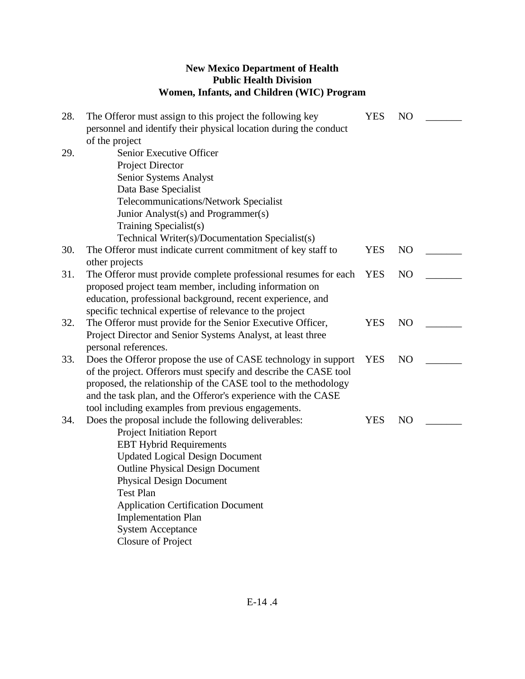# **New Mexico Department of Health Public Health Division Women, Infants, and Children (WIC) Program**

| 28. | The Offeror must assign to this project the following key         | <b>YES</b> | N <sub>O</sub> |  |
|-----|-------------------------------------------------------------------|------------|----------------|--|
|     | personnel and identify their physical location during the conduct |            |                |  |
|     | of the project                                                    |            |                |  |
| 29. | Senior Executive Officer                                          |            |                |  |
|     | Project Director                                                  |            |                |  |
|     | Senior Systems Analyst                                            |            |                |  |
|     | Data Base Specialist                                              |            |                |  |
|     | Telecommunications/Network Specialist                             |            |                |  |
|     | Junior Analyst(s) and Programmer(s)                               |            |                |  |
|     | Training Specialist(s)                                            |            |                |  |
|     | Technical Writer(s)/Documentation Specialist(s)                   |            |                |  |
| 30. | The Offeror must indicate current commitment of key staff to      | <b>YES</b> | N <sub>O</sub> |  |
|     | other projects                                                    |            |                |  |
| 31. | The Offeror must provide complete professional resumes for each   | <b>YES</b> | N <sub>O</sub> |  |
|     | proposed project team member, including information on            |            |                |  |
|     | education, professional background, recent experience, and        |            |                |  |
|     | specific technical expertise of relevance to the project          |            |                |  |
| 32. | The Offeror must provide for the Senior Executive Officer,        | <b>YES</b> | NO             |  |
|     | Project Director and Senior Systems Analyst, at least three       |            |                |  |
|     | personal references.                                              |            |                |  |
| 33. | Does the Offeror propose the use of CASE technology in support    | <b>YES</b> | N <sub>O</sub> |  |
|     | of the project. Offerors must specify and describe the CASE tool  |            |                |  |
|     | proposed, the relationship of the CASE tool to the methodology    |            |                |  |
|     | and the task plan, and the Offeror's experience with the CASE     |            |                |  |
|     | tool including examples from previous engagements.                |            |                |  |
| 34. | Does the proposal include the following deliverables:             | <b>YES</b> | N <sub>O</sub> |  |
|     | <b>Project Initiation Report</b>                                  |            |                |  |
|     | <b>EBT Hybrid Requirements</b>                                    |            |                |  |
|     | <b>Updated Logical Design Document</b>                            |            |                |  |
|     | <b>Outline Physical Design Document</b>                           |            |                |  |
|     | <b>Physical Design Document</b>                                   |            |                |  |
|     | <b>Test Plan</b>                                                  |            |                |  |
|     | <b>Application Certification Document</b>                         |            |                |  |
|     | <b>Implementation Plan</b>                                        |            |                |  |
|     | <b>System Acceptance</b>                                          |            |                |  |
|     | Closure of Project                                                |            |                |  |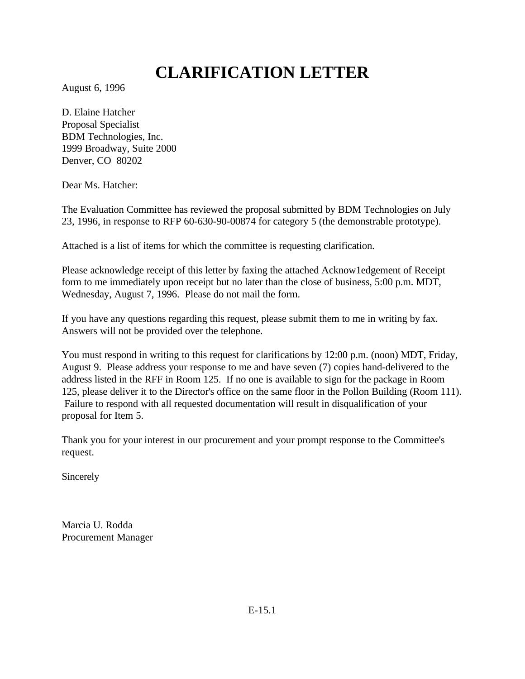# **CLARIFICATION LETTER**

August 6, 1996

D. Elaine Hatcher Proposal Specialist BDM Technologies, Inc. 1999 Broadway, Suite 2000 Denver, CO 80202

Dear Ms. Hatcher:

The Evaluation Committee has reviewed the proposal submitted by BDM Technologies on July 23, 1996, in response to RFP 60-630-90-00874 for category 5 (the demonstrable prototype).

Attached is a list of items for which the committee is requesting clarification.

Please acknowledge receipt of this letter by faxing the attached Acknow1edgement of Receipt form to me immediately upon receipt but no later than the close of business, 5:00 p.m. MDT, Wednesday, August 7, 1996. Please do not mail the form.

If you have any questions regarding this request, please submit them to me in writing by fax. Answers will not be provided over the telephone.

You must respond in writing to this request for clarifications by 12:00 p.m. (noon) MDT, Friday, August 9. Please address your response to me and have seven (7) copies hand-delivered to the address listed in the RFF in Room 125. If no one is available to sign for the package in Room 125, please deliver it to the Director's office on the same floor in the Pollon Building (Room 111). Failure to respond with all requested documentation will result in disqualification of your proposal for Item 5.

Thank you for your interest in our procurement and your prompt response to the Committee's request.

Sincerely

Marcia U. Rodda Procurement Manager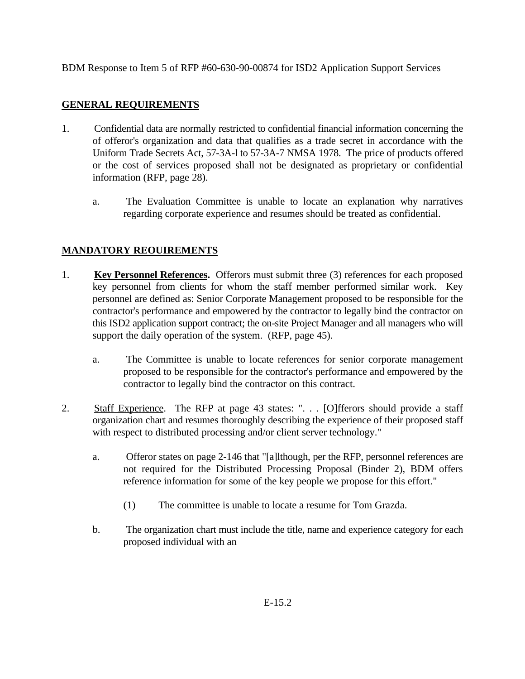BDM Response to Item 5 of RFP #60-630-90-00874 for ISD2 Application Support Services

### **GENERAL REQUIREMENTS**

- 1. Confidential data are normally restricted to confidential financial information concerning the of offeror's organization and data that qualifies as a trade secret in accordance with the Uniform Trade Secrets Act, 57-3A-l to 57-3A-7 NMSA 1978. The price of products offered or the cost of services proposed shall not be designated as proprietary or confidential information (RFP, page 28).
	- a. The Evaluation Committee is unable to locate an explanation why narratives regarding corporate experience and resumes should be treated as confidential.

## **MANDATORY REOUIREMENTS**

- 1. **Key Personnel References.** Offerors must submit three (3) references for each proposed key personnel from clients for whom the staff member performed similar work. Key personnel are defined as: Senior Corporate Management proposed to be responsible for the contractor's performance and empowered by the contractor to legally bind the contractor on this ISD2 application support contract; the on-site Project Manager and all managers who will support the daily operation of the system. (RFP, page 45).
	- a. The Committee is unable to locate references for senior corporate management proposed to be responsible for the contractor's performance and empowered by the contractor to legally bind the contractor on this contract.
- 2. Staff Experience. The RFP at page 43 states: ". . . [O]fferors should provide a staff organization chart and resumes thoroughly describing the experience of their proposed staff with respect to distributed processing and/or client server technology."
	- a. Offeror states on page 2-146 that "[a]lthough, per the RFP, personnel references are not required for the Distributed Processing Proposal (Binder 2), BDM offers reference information for some of the key people we propose for this effort."
		- (1) The committee is unable to locate a resume for Tom Grazda.
	- b. The organization chart must include the title, name and experience category for each proposed individual with an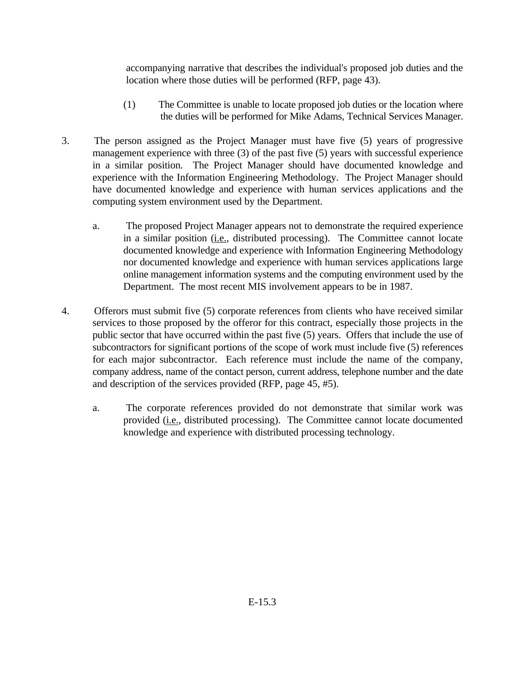accompanying narrative that describes the individual's proposed job duties and the location where those duties will be performed (RFP, page 43).

- (1) The Committee is unable to locate proposed job duties or the location where the duties will be performed for Mike Adams, Technical Services Manager.
- 3. The person assigned as the Project Manager must have five (5) years of progressive management experience with three (3) of the past five (5) years with successful experience in a similar position. The Project Manager should have documented knowledge and experience with the Information Engineering Methodology. The Project Manager should have documented knowledge and experience with human services applications and the computing system environment used by the Department.
	- a. The proposed Project Manager appears not to demonstrate the required experience in a similar position (i.e., distributed processing). The Committee cannot locate documented knowledge and experience with Information Engineering Methodology nor documented knowledge and experience with human services applications large online management information systems and the computing environment used by the Department. The most recent MIS involvement appears to be in 1987.
- 4. Offerors must submit five (5) corporate references from clients who have received similar services to those proposed by the offeror for this contract, especially those projects in the public sector that have occurred within the past five (5) years. Offers that include the use of subcontractors for significant portions of the scope of work must include five (5) references for each major subcontractor. Each reference must include the name of the company, company address, name of the contact person, current address, telephone number and the date and description of the services provided (RFP, page 45, #5).
	- a. The corporate references provided do not demonstrate that similar work was provided (*i.e.*, distributed processing). The Committee cannot locate documented knowledge and experience with distributed processing technology.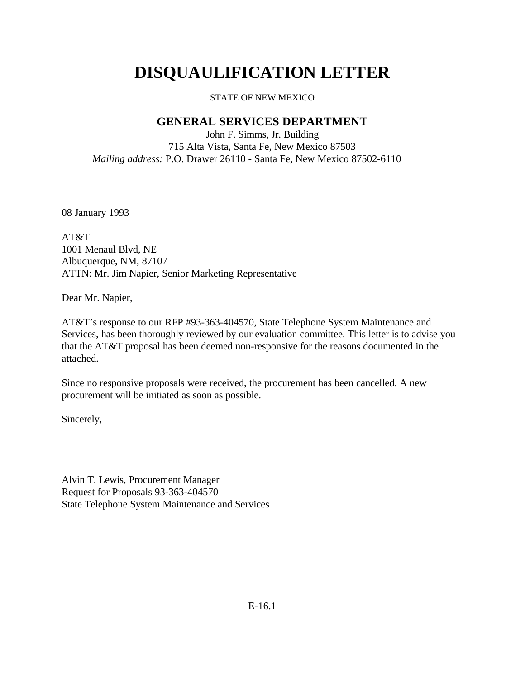# **DISQUAULIFICATION LETTER**

#### STATE OF NEW MEXICO

## **GENERAL SERVICES DEPARTMENT**

John F. Simms, Jr. Building 715 Alta Vista, Santa Fe, New Mexico 87503 *Mailing address:* P.O. Drawer 26110 - Santa Fe, New Mexico 87502-6110

08 January 1993

AT&T 1001 Menaul Blvd, NE Albuquerque, NM, 87107 ATTN: Mr. Jim Napier, Senior Marketing Representative

Dear Mr. Napier,

AT&T's response to our RFP #93-363-404570, State Telephone System Maintenance and Services, has been thoroughly reviewed by our evaluation committee. This letter is to advise you that the AT&T proposal has been deemed non-responsive for the reasons documented in the attached.

Since no responsive proposals were received, the procurement has been cancelled. A new procurement will be initiated as soon as possible.

Sincerely,

Alvin T. Lewis, Procurement Manager Request for Proposals 93-363-404570 State Telephone System Maintenance and Services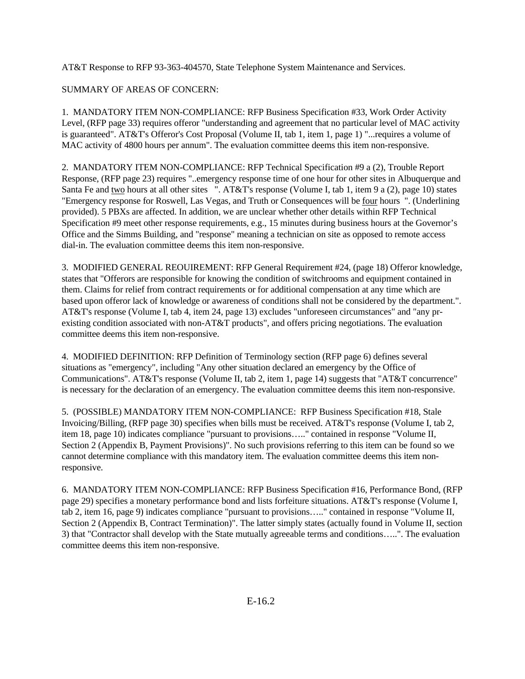AT&T Response to RFP 93-363-404570, State Telephone System Maintenance and Services.

#### SUMMARY OF AREAS OF CONCERN:

1. MANDATORY ITEM NON-COMPLIANCE: RFP Business Specification #33, Work Order Activity Level, (RFP page 33) requires offeror "understanding and agreement that no particular level of MAC activity is guaranteed". AT&T's Offeror's Cost Proposal (Volume II, tab 1, item 1, page 1) "...requires a volume of MAC activity of 4800 hours per annum". The evaluation committee deems this item non-responsive.

2. MANDATORY ITEM NON-COMPLIANCE: RFP Technical Specification #9 a (2), Trouble Report Response, (RFP page 23) requires "..emergency response time of one hour for other sites in Albuquerque and Santa Fe and two hours at all other sites ". AT&T's response (Volume I, tab 1, item 9 a (2), page 10) states "Emergency response for Roswell, Las Vegas, and Truth or Consequences will be four hours ". (Underlining provided). 5 PBXs are affected. In addition, we are unclear whether other details within RFP Technical Specification #9 meet other response requirements, e.g., 15 minutes during business hours at the Governor's Office and the Simms Building, and "response" meaning a technician on site as opposed to remote access dial-in. The evaluation committee deems this item non-responsive.

3. MODIFIED GENERAL REOUIREMENT: RFP General Requirement #24, (page 18) Offeror knowledge, states that "Offerors are responsible for knowing the condition of switchrooms and equipment contained in them. Claims for relief from contract requirements or for additional compensation at any time which are based upon offeror lack of knowledge or awareness of conditions shall not be considered by the department.". AT&T's response (Volume I, tab 4, item 24, page 13) excludes "unforeseen circumstances" and "any prexisting condition associated with non-AT&T products", and offers pricing negotiations. The evaluation committee deems this item non-responsive.

4. MODIFIED DEFINITION: RFP Definition of Terminology section (RFP page 6) defines several situations as "emergency", including "Any other situation declared an emergency by the Office of Communications". AT&T's response (Volume II, tab 2, item 1, page 14) suggests that "AT&T concurrence" is necessary for the declaration of an emergency. The evaluation committee deems this item non-responsive.

5. (POSSIBLE) MANDATORY ITEM NON-COMPLIANCE: RFP Business Specification #18, Stale Invoicing/Billing, (RFP page 30) specifies when bills must be received. AT&T's response (Volume I, tab 2, item 18, page 10) indicates compliance "pursuant to provisions….." contained in response "Volume II, Section 2 (Appendix B, Payment Provisions)". No such provisions referring to this item can be found so we cannot determine compliance with this mandatory item. The evaluation committee deems this item nonresponsive.

6. MANDATORY ITEM NON-COMPLIANCE: RFP Business Specification #16, Performance Bond, (RFP page 29) specifies a monetary performance bond and lists forfeiture situations. AT&T's response (Volume I, tab 2, item 16, page 9) indicates compliance "pursuant to provisions….." contained in response "Volume II, Section 2 (Appendix B, Contract Termination)". The latter simply states (actually found in Volume II, section 3) that "Contractor shall develop with the State mutually agreeable terms and conditions…..". The evaluation committee deems this item non-responsive.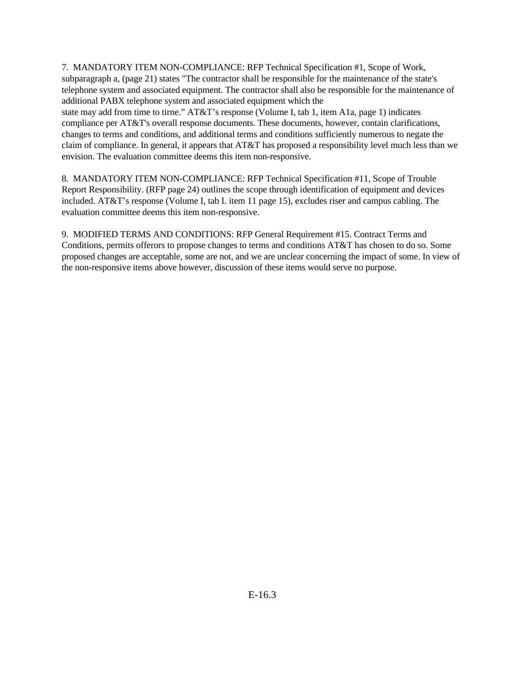7. MANDATORY ITEM NON-COMPLIANCE: RFP Technical Specification #1, Scope of Work, subparagraph a, (page 21) states "The contractor shall be responsible for the maintenance of the state's telephone system and associated equipment. The contractor shall also be responsible for the maintenance of additional PABX telephone system and associated equipment which the state may add from time to tirne." AT&T's response (Volume I, tab 1, item A1a, page 1) indicates

compliance per AT&T's overall response documents. These documents, however, contain clarifications, changes to terms and conditions, and additional terms and conditions sufficiently numerous to negate the claim of compliance. In general, it appears that AT&T has proposed a responsibility level much less than we envision. The evaluation committee deems this item non-responsive.

8. MANDATORY ITEM NON-COMPLIANCE: RFP Technical Specification #11, Scope of Trouble Report Responsibility. (RFP page 24) outlines the scope through identification of equipment and devices included. AT&T's response (Volume I, tab I. item 11 page 15), excludes riser and campus cabling. The evaluation committee deems this item non-responsive.

9. MODIFIED TERMS AND CONDITIONS: RFP General Requirement #15. Contract Terms and Conditions, permits offerors to propose changes to terms and conditions AT&T has chosen to do so. Some proposed changes are acceptable, some are not, and we are unclear concerning the impact of some. In view of the non-responsive items above however, discussion of these items would serve no purpose.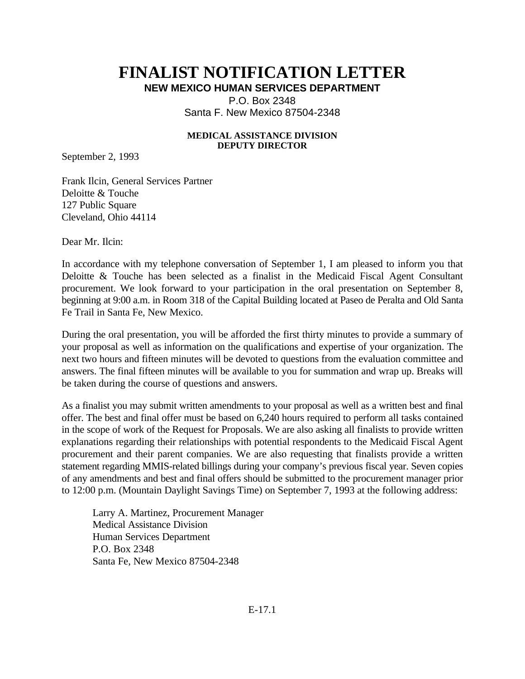## **FINALIST NOTIFICATION LETTER NEW MEXICO HUMAN SERVICES DEPARTMENT**

P.O. Box 2348 Santa F. New Mexico 87504-2348

#### **MEDICAL ASSISTANCE DIVISION DEPUTY DIRECTOR**

September 2, 1993

Frank Ilcin, General Services Partner Deloitte & Touche 127 Public Square Cleveland, Ohio 44114

Dear Mr. Ilcin:

In accordance with my telephone conversation of September 1, I am pleased to inform you that Deloitte & Touche has been selected as a finalist in the Medicaid Fiscal Agent Consultant procurement. We look forward to your participation in the oral presentation on September 8, beginning at 9:00 a.m. in Room 318 of the Capital Building located at Paseo de Peralta and Old Santa Fe Trail in Santa Fe, New Mexico.

During the oral presentation, you will be afforded the first thirty minutes to provide a summary of your proposal as well as information on the qualifications and expertise of your organization. The next two hours and fifteen minutes will be devoted to questions from the evaluation committee and answers. The final fifteen minutes will be available to you for summation and wrap up. Breaks will be taken during the course of questions and answers.

As a finalist you may submit written amendments to your proposal as well as a written best and final offer. The best and final offer must be based on 6,240 hours required to perform all tasks contained in the scope of work of the Request for Proposals. We are also asking all finalists to provide written explanations regarding their relationships with potential respondents to the Medicaid Fiscal Agent procurement and their parent companies. We are also requesting that finalists provide a written statement regarding MMIS-related billings during your company's previous fiscal year. Seven copies of any amendments and best and final offers should be submitted to the procurement manager prior to 12:00 p.m. (Mountain Daylight Savings Time) on September 7, 1993 at the following address:

Larry A. Martinez, Procurement Manager Medical Assistance Division Human Services Department P.O. Box 2348 Santa Fe, New Mexico 87504-2348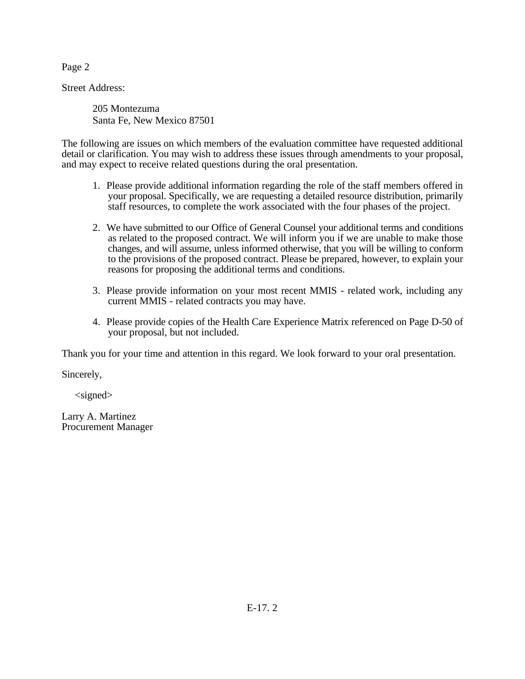Page 2

Street Address:

205 Montezuma Santa Fe, New Mexico 87501

The following are issues on which members of the evaluation committee have requested additional detail or clarification. You may wish to address these issues through amendments to your proposal, and may expect to receive related questions during the oral presentation.

- 1. Please provide additional information regarding the role of the staff members offered in your proposal. Specifically, we are requesting a detailed resource distribution, primarily staff resources, to complete the work associated with the four phases of the project.
- 2. We have submitted to our Office of General Counsel your additional terms and conditions as related to the proposed contract. We will inform you if we are unable to make those changes, and will assume, unless informed otherwise, that you will be willing to conform to the provisions of the proposed contract. Please be prepared, however, to explain your reasons for proposing the additional terms and conditions.
- 3. Please provide information on your most recent MMIS related work, including any current MMIS - related contracts you may have.
- 4. Please provide copies of the Health Care Experience Matrix referenced on Page D-50 of your proposal, but not included.

Thank you for your time and attention in this regard. We look forward to your oral presentation.

Sincerely,

 $\langle$ signed $\rangle$ 

Larry A. Martinez Procurement Manager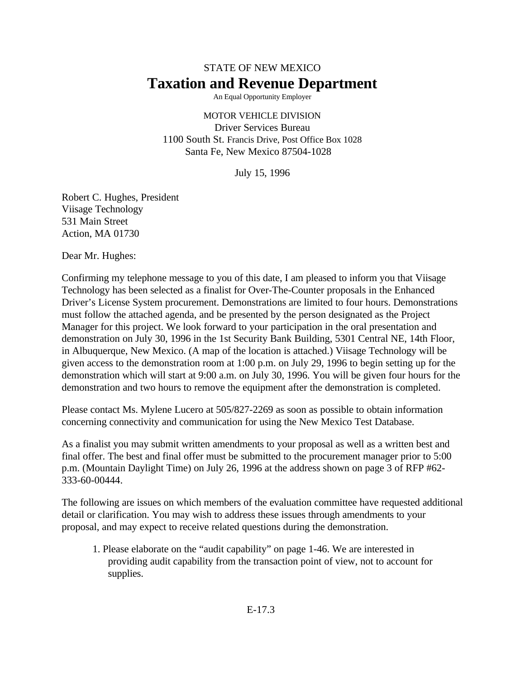## STATE OF NEW MEXICO **Taxation and Revenue Department**

An Equal Opportunity Employer

MOTOR VEHICLE DIVISION Driver Services Bureau 1100 South St. Francis Drive, Post Office Box 1028 Santa Fe, New Mexico 87504-1028

July 15, 1996

Robert C. Hughes, President Viisage Technology 531 Main Street Action, MA 01730

Dear Mr. Hughes:

Confirming my telephone message to you of this date, I am pleased to inform you that Viisage Technology has been selected as a finalist for Over-The-Counter proposals in the Enhanced Driver's License System procurement. Demonstrations are limited to four hours. Demonstrations must follow the attached agenda, and be presented by the person designated as the Project Manager for this project. We look forward to your participation in the oral presentation and demonstration on July 30, 1996 in the 1st Security Bank Building, 5301 Central NE, 14th Floor, in Albuquerque, New Mexico. (A map of the location is attached.) Viisage Technology will be given access to the demonstration room at 1:00 p.m. on July 29, 1996 to begin setting up for the demonstration which will start at 9:00 a.m. on July 30, 1996. You will be given four hours for the demonstration and two hours to remove the equipment after the demonstration is completed.

Please contact Ms. Mylene Lucero at 505/827-2269 as soon as possible to obtain information concerning connectivity and communication for using the New Mexico Test Database.

As a finalist you may submit written amendments to your proposal as well as a written best and final offer. The best and final offer must be submitted to the procurement manager prior to 5:00 p.m. (Mountain Daylight Time) on July 26, 1996 at the address shown on page 3 of RFP #62- 333-60-00444.

The following are issues on which members of the evaluation committee have requested additional detail or clarification. You may wish to address these issues through amendments to your proposal, and may expect to receive related questions during the demonstration.

1. Please elaborate on the "audit capability" on page 1-46. We are interested in providing audit capability from the transaction point of view, not to account for supplies.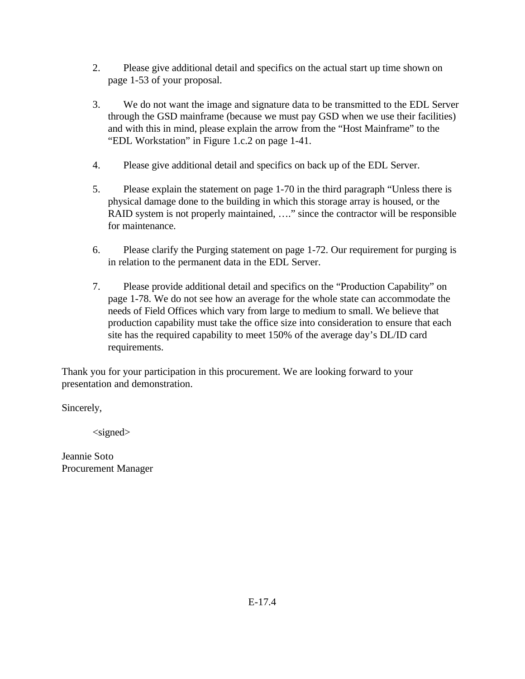- 2. Please give additional detail and specifics on the actual start up time shown on page 1-53 of your proposal.
- 3. We do not want the image and signature data to be transmitted to the EDL Server through the GSD mainframe (because we must pay GSD when we use their facilities) and with this in mind, please explain the arrow from the "Host Mainframe" to the "EDL Workstation" in Figure 1.c.2 on page 1-41.
- 4. Please give additional detail and specifics on back up of the EDL Server.
- 5. Please explain the statement on page 1-70 in the third paragraph "Unless there is physical damage done to the building in which this storage array is housed, or the RAID system is not properly maintained, ...." since the contractor will be responsible for maintenance.
- 6. Please clarify the Purging statement on page 1-72. Our requirement for purging is in relation to the permanent data in the EDL Server.
- 7. Please provide additional detail and specifics on the "Production Capability" on page 1-78. We do not see how an average for the whole state can accommodate the needs of Field Offices which vary from large to medium to small. We believe that production capability must take the office size into consideration to ensure that each site has the required capability to meet 150% of the average day's DL/ID card requirements.

Thank you for your participation in this procurement. We are looking forward to your presentation and demonstration.

Sincerely,

 $\langle$ signed $\rangle$ 

Jeannie Soto Procurement Manager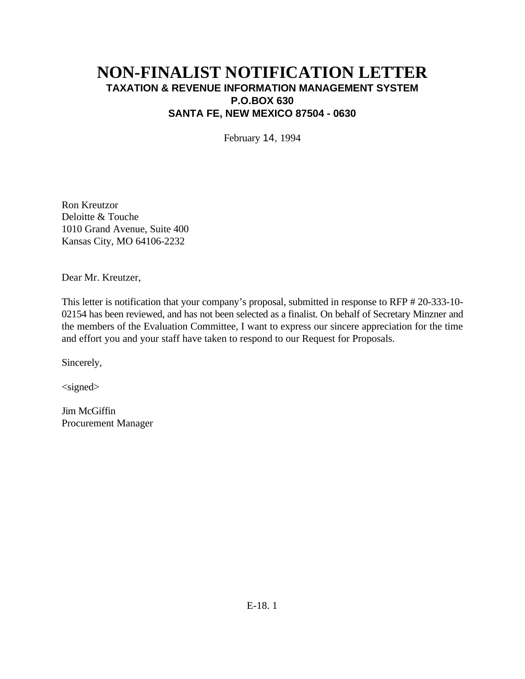## **NON-FINALIST NOTIFICATION LETTER TAXATION & REVENUE INFORMATION MANAGEMENT SYSTEM P.O.BOX 630 SANTA FE, NEW MEXICO 87504 - 0630**

February 14, 1994

Ron Kreutzor Deloitte & Touche 1010 Grand Avenue, Suite 400 Kansas City, MO 64106-2232

Dear Mr. Kreutzer,

This letter is notification that your company's proposal, submitted in response to RFP # 20-333-10- 02154 has been reviewed, and has not been selected as a finalist. On behalf of Secretary Minzner and the members of the Evaluation Committee, I want to express our sincere appreciation for the time and effort you and your staff have taken to respond to our Request for Proposals.

Sincerely,

 $\langle$ signed $\rangle$ 

Jim McGiffin Procurement Manager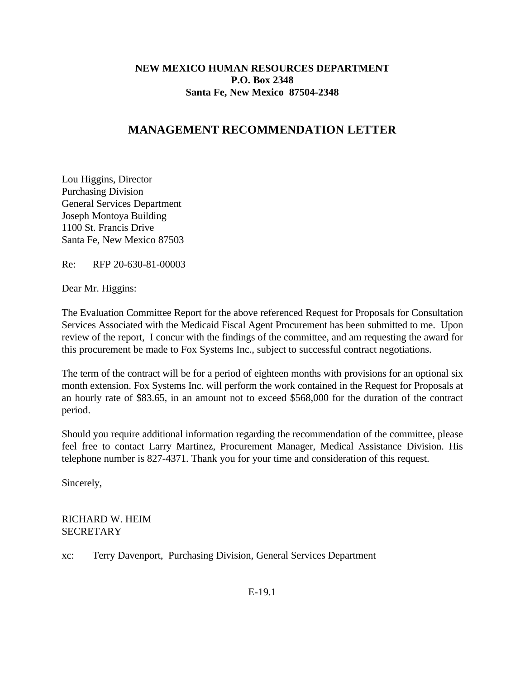#### **NEW MEXICO HUMAN RESOURCES DEPARTMENT P.O. Box 2348 Santa Fe, New Mexico 87504-2348**

### **MANAGEMENT RECOMMENDATION LETTER**

Lou Higgins, Director Purchasing Division General Services Department Joseph Montoya Building 1100 St. Francis Drive Santa Fe, New Mexico 87503

Re: RFP 20-630-81-00003

Dear Mr. Higgins:

The Evaluation Committee Report for the above referenced Request for Proposals for Consultation Services Associated with the Medicaid Fiscal Agent Procurement has been submitted to me. Upon review of the report, I concur with the findings of the committee, and am requesting the award for this procurement be made to Fox Systems Inc., subject to successful contract negotiations.

The term of the contract will be for a period of eighteen months with provisions for an optional six month extension. Fox Systems Inc. will perform the work contained in the Request for Proposals at an hourly rate of \$83.65, in an amount not to exceed \$568,000 for the duration of the contract period.

Should you require additional information regarding the recommendation of the committee, please feel free to contact Larry Martinez, Procurement Manager, Medical Assistance Division. His telephone number is 827-4371. Thank you for your time and consideration of this request.

Sincerely,

#### RICHARD W. HEIM SECRETARY

xc: Terry Davenport, Purchasing Division, General Services Department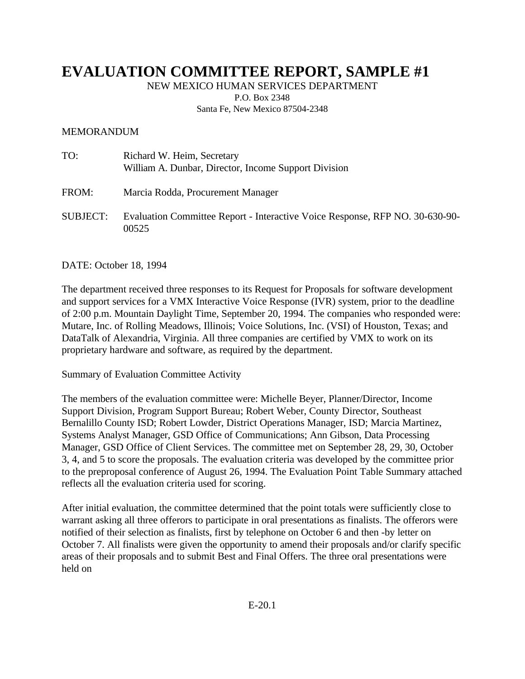## **EVALUATION COMMITTEE REPORT, SAMPLE #1**

NEW MEXICO HUMAN SERVICES DEPARTMENT

P.O. Box 2348

Santa Fe, New Mexico 87504-2348

#### MEMORANDUM

| TO:             | Richard W. Heim, Secretary<br>William A. Dunbar, Director, Income Support Division    |
|-----------------|---------------------------------------------------------------------------------------|
| FROM:           | Marcia Rodda, Procurement Manager                                                     |
| <b>SUBJECT:</b> | Evaluation Committee Report - Interactive Voice Response, RFP NO. 30-630-90-<br>00525 |

DATE: October 18, 1994

The department received three responses to its Request for Proposals for software development and support services for a VMX Interactive Voice Response (IVR) system, prior to the deadline of 2:00 p.m. Mountain Daylight Time, September 20, 1994. The companies who responded were: Mutare, Inc. of Rolling Meadows, Illinois; Voice Solutions, Inc. (VSI) of Houston, Texas; and DataTalk of Alexandria, Virginia. All three companies are certified by VMX to work on its proprietary hardware and software, as required by the department.

Summary of Evaluation Committee Activity

The members of the evaluation committee were: Michelle Beyer, Planner/Director, Income Support Division, Program Support Bureau; Robert Weber, County Director, Southeast Bernalillo County ISD; Robert Lowder, District Operations Manager, ISD; Marcia Martinez, Systems Analyst Manager, GSD Office of Communications; Ann Gibson, Data Processing Manager, GSD Office of Client Services. The committee met on September 28, 29, 30, October 3, 4, and 5 to score the proposals. The evaluation criteria was developed by the committee prior to the preproposal conference of August 26, 1994. The Evaluation Point Table Summary attached reflects all the evaluation criteria used for scoring.

After initial evaluation, the committee determined that the point totals were sufficiently close to warrant asking all three offerors to participate in oral presentations as finalists. The offerors were notified of their selection as finalists, first by telephone on October 6 and then -by letter on October 7. All finalists were given the opportunity to amend their proposals and/or clarify specific areas of their proposals and to submit Best and Final Offers. The three oral presentations were held on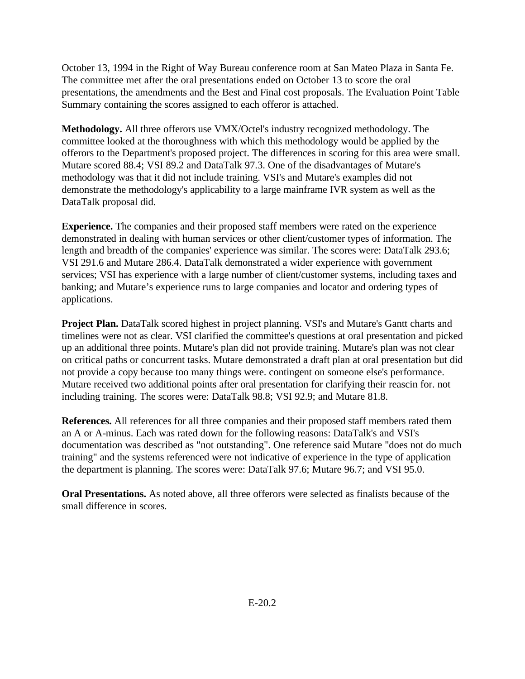October 13, 1994 in the Right of Way Bureau conference room at San Mateo Plaza in Santa Fe. The committee met after the oral presentations ended on October 13 to score the oral presentations, the amendments and the Best and Final cost proposals. The Evaluation Point Table Summary containing the scores assigned to each offeror is attached.

**Methodology.** All three offerors use VMX/Octel's industry recognized methodology. The committee looked at the thoroughness with which this methodology would be applied by the offerors to the Department's proposed project. The differences in scoring for this area were small. Mutare scored 88.4; VSI 89.2 and DataTalk 97.3. One of the disadvantages of Mutare's methodology was that it did not include training. VSI's and Mutare's examples did not demonstrate the methodology's applicability to a large mainframe IVR system as well as the DataTalk proposal did.

**Experience.** The companies and their proposed staff members were rated on the experience demonstrated in dealing with human services or other client/customer types of information. The length and breadth of the companies' experience was similar. The scores were: DataTalk 293.6; VSI 291.6 and Mutare 286.4. DataTalk demonstrated a wider experience with government services; VSI has experience with a large number of client/customer systems, including taxes and banking; and Mutare's experience runs to large companies and locator and ordering types of applications.

**Project Plan.** DataTalk scored highest in project planning. VSI's and Mutare's Gantt charts and timelines were not as clear. VSI clarified the committee's questions at oral presentation and picked up an additional three points. Mutare's plan did not provide training. Mutare's plan was not clear on critical paths or concurrent tasks. Mutare demonstrated a draft plan at oral presentation but did not provide a copy because too many things were. contingent on someone else's performance. Mutare received two additional points after oral presentation for clarifying their reascin for. not including training. The scores were: DataTalk 98.8; VSI 92.9; and Mutare 81.8.

**References.** All references for all three companies and their proposed staff members rated them an A or A-minus. Each was rated down for the following reasons: DataTalk's and VSI's documentation was described as "not outstanding". One reference said Mutare "does not do much training" and the systems referenced were not indicative of experience in the type of application the department is planning. The scores were: DataTalk 97.6; Mutare 96.7; and VSI 95.0.

**Oral Presentations.** As noted above, all three offerors were selected as finalists because of the small difference in scores.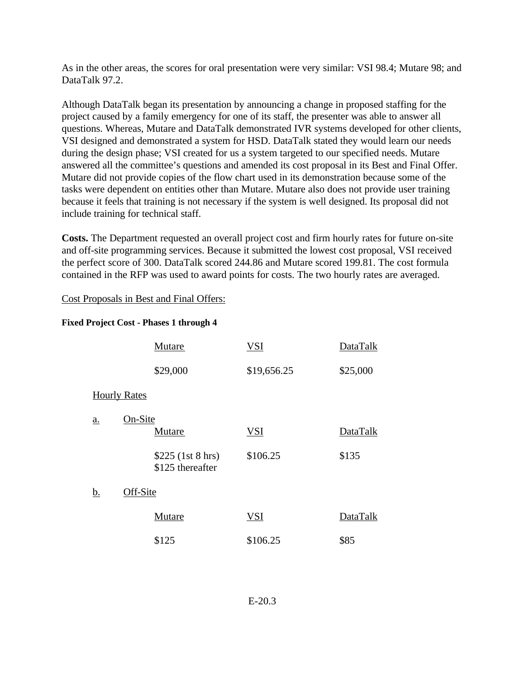As in the other areas, the scores for oral presentation were very similar: VSI 98.4; Mutare 98; and DataTalk 97.2.

Although DataTalk began its presentation by announcing a change in proposed staffing for the project caused by a family emergency for one of its staff, the presenter was able to answer all questions. Whereas, Mutare and DataTalk demonstrated IVR systems developed for other clients, VSI designed and demonstrated a system for HSD. DataTalk stated they would learn our needs during the design phase; VSI created for us a system targeted to our specified needs. Mutare answered all the committee's questions and amended its cost proposal in its Best and Final Offer. Mutare did not provide copies of the flow chart used in its demonstration because some of the tasks were dependent on entities other than Mutare. Mutare also does not provide user training because it feels that training is not necessary if the system is well designed. Its proposal did not include training for technical staff.

**Costs.** The Department requested an overall project cost and firm hourly rates for future on-site and off-site programming services. Because it submitted the lowest cost proposal, VSI received the perfect score of 300. DataTalk scored 244.86 and Mutare scored 199.81. The cost formula contained in the RFP was used to award points for costs. The two hourly rates are averaged.

#### Cost Proposals in Best and Final Offers:

#### **Fixed Project Cost - Phases 1 through 4**

|           |                     | Mutare                                 | <u>VSI</u>  | DataTalk        |
|-----------|---------------------|----------------------------------------|-------------|-----------------|
|           |                     | \$29,000                               | \$19,656.25 | \$25,000        |
|           | <b>Hourly Rates</b> |                                        |             |                 |
| <u>a.</u> | On-Site             | Mutare                                 | <b>VSI</b>  | DataTalk        |
|           |                     | $$225$ (1st 8 hrs)<br>\$125 thereafter | \$106.25    | \$135           |
| <u>b.</u> | Off-Site            |                                        |             |                 |
|           |                     | <b>Mutare</b>                          | <b>VSI</b>  | <b>DataTalk</b> |
|           |                     | \$125                                  | \$106.25    | \$85            |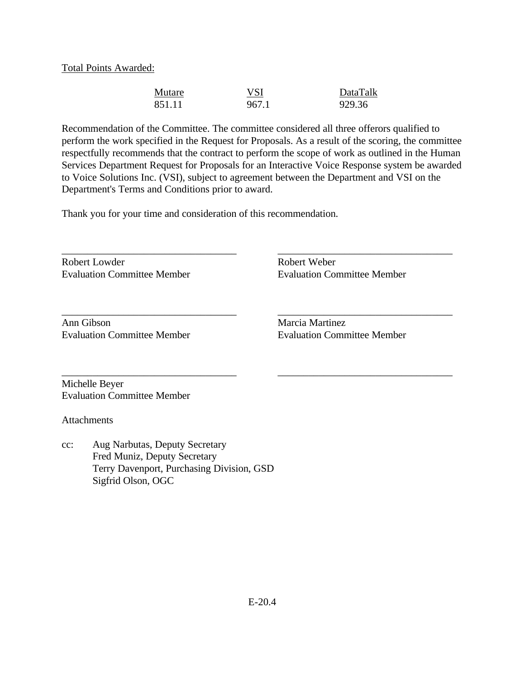Total Points Awarded:

| <b>Mutare</b> | VSI   | DataTalk |
|---------------|-------|----------|
| 851.11        | 967.1 | 929.36   |

Recommendation of the Committee. The committee considered all three offerors qualified to perform the work specified in the Request for Proposals. As a result of the scoring, the committee respectfully recommends that the contract to perform the scope of work as outlined in the Human Services Department Request for Proposals for an Interactive Voice Response system be awarded to Voice Solutions Inc. (VSI), subject to agreement between the Department and VSI on the Department's Terms and Conditions prior to award.

\_\_\_\_\_\_\_\_\_\_\_\_\_\_\_\_\_\_\_\_\_\_\_\_\_\_\_\_\_\_\_\_\_\_ \_\_\_\_\_\_\_\_\_\_\_\_\_\_\_\_\_\_\_\_\_\_\_\_\_\_\_\_\_\_\_\_\_\_

\_\_\_\_\_\_\_\_\_\_\_\_\_\_\_\_\_\_\_\_\_\_\_\_\_\_\_\_\_\_\_\_\_\_ \_\_\_\_\_\_\_\_\_\_\_\_\_\_\_\_\_\_\_\_\_\_\_\_\_\_\_\_\_\_\_\_\_\_

\_\_\_\_\_\_\_\_\_\_\_\_\_\_\_\_\_\_\_\_\_\_\_\_\_\_\_\_\_\_\_\_\_\_ \_\_\_\_\_\_\_\_\_\_\_\_\_\_\_\_\_\_\_\_\_\_\_\_\_\_\_\_\_\_\_\_\_\_

Thank you for your time and consideration of this recommendation.

Robert Lowder **Robert Weber** Evaluation Committee Member Evaluation Committee Member

Ann Gibson Marcia Martinez Evaluation Committee Member Evaluation Committee Member

Michelle Beyer Evaluation Committee Member

Attachments

cc: Aug Narbutas, Deputy Secretary Fred Muniz, Deputy Secretary Terry Davenport, Purchasing Division, GSD Sigfrid Olson, OGC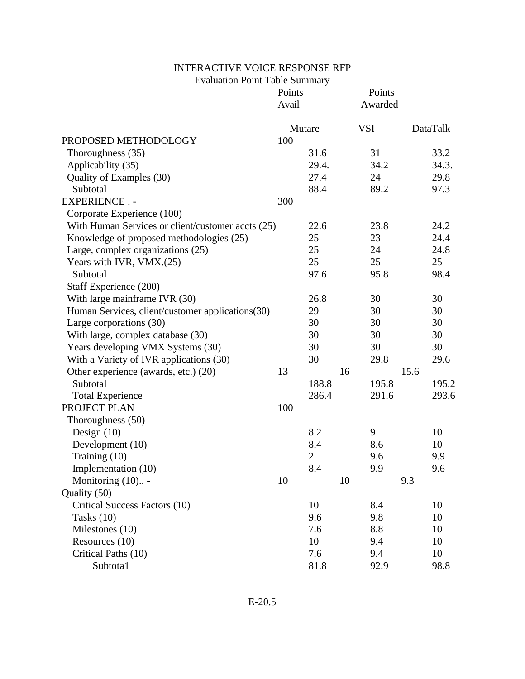## INTERACTIVE VOICE RESPONSE RFP

Evaluation Point Table Summary

|                                                   | Points         |       | Points     |      |                 |
|---------------------------------------------------|----------------|-------|------------|------|-----------------|
|                                                   | Avail          |       | Awarded    |      |                 |
|                                                   |                |       |            |      |                 |
|                                                   | Mutare         |       | <b>VSI</b> |      | <b>DataTalk</b> |
| PROPOSED METHODOLOGY                              | 100            |       |            |      |                 |
| Thoroughness (35)                                 |                | 31.6  | 31         |      | 33.2            |
| Applicability (35)                                |                | 29.4. | 34.2       |      | 34.3.           |
| Quality of Examples (30)                          |                | 27.4  | 24         |      | 29.8            |
| Subtotal                                          |                | 88.4  | 89.2       |      | 97.3            |
| <b>EXPERIENCE. -</b>                              | 300            |       |            |      |                 |
| Corporate Experience (100)                        |                |       |            |      |                 |
| With Human Services or client/customer accts (25) |                | 22.6  | 23.8       |      | 24.2            |
| Knowledge of proposed methodologies (25)          | 25             |       | 23         |      | 24.4            |
| Large, complex organizations (25)                 | 25             |       | 24         |      | 24.8            |
| Years with IVR, VMX.(25)                          | 25             |       | 25         |      | 25              |
| Subtotal                                          |                | 97.6  | 95.8       |      | 98.4            |
| Staff Experience (200)                            |                |       |            |      |                 |
| With large mainframe IVR (30)                     |                | 26.8  | 30         |      | 30              |
| Human Services, client/customer applications(30)  | 29             |       | 30         |      | 30              |
| Large corporations (30)                           | 30             |       | 30         |      | 30              |
| With large, complex database (30)                 | 30             |       | 30         |      | 30              |
| Years developing VMX Systems (30)                 | 30             |       | 30         |      | 30              |
| With a Variety of IVR applications (30)           | 30             |       | 29.8       |      | 29.6            |
| 13<br>Other experience (awards, etc.) (20)        |                | 16    |            | 15.6 |                 |
| Subtotal                                          |                | 188.8 | 195.8      |      | 195.2           |
| <b>Total Experience</b>                           |                | 286.4 | 291.6      |      | 293.6           |
| PROJECT PLAN                                      | 100            |       |            |      |                 |
| Thoroughness (50)                                 |                |       |            |      |                 |
| Design $(10)$                                     | 8.2            |       | 9          |      | 10              |
| Development (10)                                  | 8.4            |       | 8.6        |      | 10              |
| Training (10)                                     | $\overline{2}$ |       | 9.6        |      | 9.9             |
| Implementation (10)                               | 8.4            |       | 9.9        |      | 9.6             |
| 10<br>Monitoring (10) -                           |                | 10    |            | 9.3  |                 |
| Quality (50)                                      |                |       |            |      |                 |
| Critical Success Factors (10)                     | 10             |       | 8.4        |      | 10              |
| Tasks $(10)$                                      | 9.6            |       | 9.8        |      | 10              |
| Milestones (10)                                   | 7.6            |       | 8.8        |      | 10              |
| Resources (10)                                    | 10             |       | 9.4        |      | 10              |
| Critical Paths (10)                               | 7.6            |       | 9.4        |      | 10              |
| Subtota1                                          |                | 81.8  | 92.9       |      | 98.8            |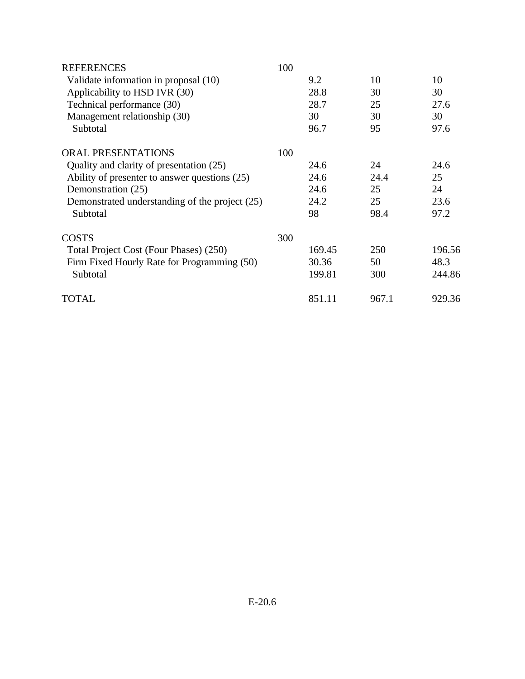| <b>REFERENCES</b>                              | 100 |        |       |        |
|------------------------------------------------|-----|--------|-------|--------|
| Validate information in proposal (10)          |     | 9.2    | 10    | 10     |
| Applicability to HSD IVR (30)                  |     | 28.8   | 30    | 30     |
| Technical performance (30)                     |     | 28.7   | 25    | 27.6   |
| Management relationship (30)                   |     | 30     | 30    | 30     |
| Subtotal                                       |     | 96.7   | 95    | 97.6   |
| ORAL PRESENTATIONS                             | 100 |        |       |        |
| Quality and clarity of presentation (25)       |     | 24.6   | 24    | 24.6   |
| Ability of presenter to answer questions (25)  |     | 24.6   | 24.4  | 25     |
| Demonstration (25)                             |     | 24.6   | 25    | 24     |
| Demonstrated understanding of the project (25) |     | 24.2   | 25    | 23.6   |
| Subtotal                                       |     | 98     | 98.4  | 97.2   |
| <b>COSTS</b>                                   | 300 |        |       |        |
| Total Project Cost (Four Phases) (250)         |     | 169.45 | 250   | 196.56 |
| Firm Fixed Hourly Rate for Programming (50)    |     | 30.36  | 50    | 48.3   |
| Subtotal                                       |     | 199.81 | 300   | 244.86 |
| <b>TOTAL</b>                                   |     | 851.11 | 967.1 | 929.36 |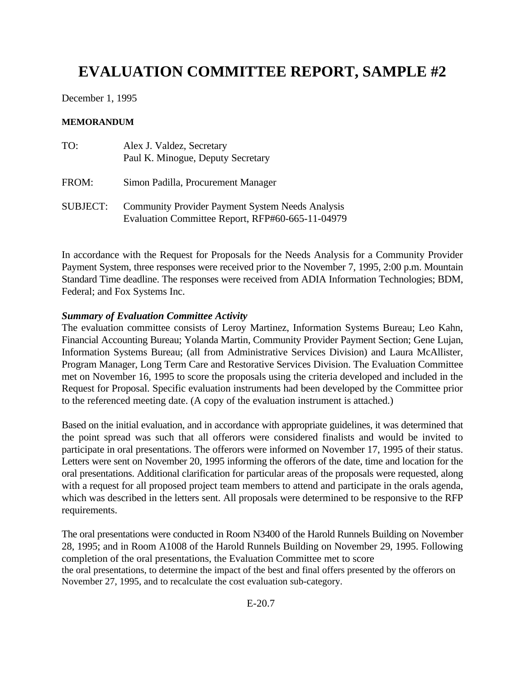## **EVALUATION COMMITTEE REPORT, SAMPLE #2**

December 1, 1995

#### **MEMORANDUM**

| TO:             | Alex J. Valdez, Secretary<br>Paul K. Minogue, Deputy Secretary                                              |
|-----------------|-------------------------------------------------------------------------------------------------------------|
| FROM:           | Simon Padilla, Procurement Manager                                                                          |
| <b>SUBJECT:</b> | <b>Community Provider Payment System Needs Analysis</b><br>Evaluation Committee Report, RFP#60-665-11-04979 |

In accordance with the Request for Proposals for the Needs Analysis for a Community Provider Payment System, three responses were received prior to the November 7, 1995, 2:00 p.m. Mountain Standard Time deadline. The responses were received from ADIA Information Technologies; BDM, Federal; and Fox Systems Inc.

#### *Summary of Evaluation Committee Activity*

The evaluation committee consists of Leroy Martinez, Information Systems Bureau; Leo Kahn, Financial Accounting Bureau; Yolanda Martin, Community Provider Payment Section; Gene Lujan, Information Systems Bureau; (all from Administrative Services Division) and Laura McAllister, Program Manager, Long Term Care and Restorative Services Division. The Evaluation Committee met on November 16, 1995 to score the proposals using the criteria developed and included in the Request for Proposal. Specific evaluation instruments had been developed by the Committee prior to the referenced meeting date. (A copy of the evaluation instrument is attached.)

Based on the initial evaluation, and in accordance with appropriate guidelines, it was determined that the point spread was such that all offerors were considered finalists and would be invited to participate in oral presentations. The offerors were informed on November 17, 1995 of their status. Letters were sent on November 20, 1995 informing the offerors of the date, time and location for the oral presentations. Additional clarification for particular areas of the proposals were requested, along with a request for all proposed project team members to attend and participate in the orals agenda, which was described in the letters sent. All proposals were determined to be responsive to the RFP requirements.

The oral presentations were conducted in Room N3400 of the Harold Runnels Building on November 28, 1995; and in Room A1008 of the Harold Runnels Building on November 29, 1995. Following completion of the oral presentations, the Evaluation Committee met to score the oral presentations, to determine the impact of the best and final offers presented by the offerors on November 27, 1995, and to recalculate the cost evaluation sub-category.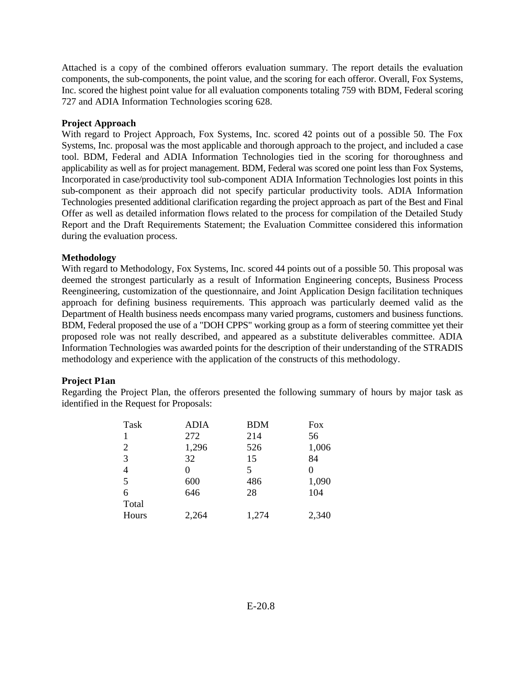Attached is a copy of the combined offerors evaluation summary. The report details the evaluation components, the sub-components, the point value, and the scoring for each offeror. Overall, Fox Systems, Inc. scored the highest point value for all evaluation components totaling 759 with BDM, Federal scoring 727 and ADIA Information Technologies scoring 628.

#### **Project Approach**

With regard to Project Approach, Fox Systems, Inc. scored 42 points out of a possible 50. The Fox Systems, Inc. proposal was the most applicable and thorough approach to the project, and included a case tool. BDM, Federal and ADIA Information Technologies tied in the scoring for thoroughness and applicability as well as for project management. BDM, Federal was scored one point less than Fox Systems, Incorporated in case/productivity tool sub-component ADIA Information Technologies lost points in this sub-component as their approach did not specify particular productivity tools. ADIA Information Technologies presented additional clarification regarding the project approach as part of the Best and Final Offer as well as detailed information flows related to the process for compilation of the Detailed Study Report and the Draft Requirements Statement; the Evaluation Committee considered this information during the evaluation process.

#### **Methodology**

With regard to Methodology, Fox Systems, Inc. scored 44 points out of a possible 50. This proposal was deemed the strongest particularly as a result of Information Engineering concepts, Business Process Reengineering, customization of the questionnaire, and Joint Application Design facilitation techniques approach for defining business requirements. This approach was particularly deemed valid as the Department of Health business needs encompass many varied programs, customers and business functions. BDM, Federal proposed the use of a "DOH CPPS" working group as a form of steering committee yet their proposed role was not really described, and appeared as a substitute deliverables committee. ADIA Information Technologies was awarded points for the description of their understanding of the STRADIS methodology and experience with the application of the constructs of this methodology.

#### **Project P1an**

Regarding the Project Plan, the offerors presented the following summary of hours by major task as identified in the Request for Proposals:

| Task           | <b>ADIA</b> | <b>BDM</b> | <b>Fox</b> |
|----------------|-------------|------------|------------|
| 1              | 272         | 214        | 56         |
| $\overline{2}$ | 1,296       | 526        | 1,006      |
| $\overline{3}$ | 32          | 15         | 84         |
| $\overline{4}$ | $_{0}$      | 5          | 0          |
| 5              | 600         | 486        | 1,090      |
| 6              | 646         | 28         | 104        |
| Total          |             |            |            |
| Hours          | 2,264       | 1,274      | 2,340      |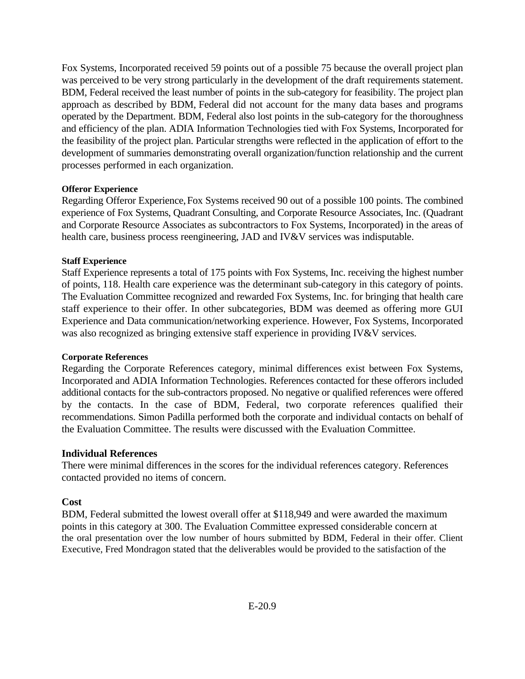Fox Systems, Incorporated received 59 points out of a possible 75 because the overall project plan was perceived to be very strong particularly in the development of the draft requirements statement. BDM, Federal received the least number of points in the sub-category for feasibility. The project plan approach as described by BDM, Federal did not account for the many data bases and programs operated by the Department. BDM, Federal also lost points in the sub-category for the thoroughness and efficiency of the plan. ADIA Information Technologies tied with Fox Systems, Incorporated for the feasibility of the project plan. Particular strengths were reflected in the application of effort to the development of summaries demonstrating overall organization/function relationship and the current processes performed in each organization.

#### **Offeror Experience**

Regarding Offeror Experience,Fox Systems received 90 out of a possible 100 points. The combined experience of Fox Systems, Quadrant Consulting, and Corporate Resource Associates, Inc. (Quadrant and Corporate Resource Associates as subcontractors to Fox Systems, Incorporated) in the areas of health care, business process reengineering, JAD and IV&V services was indisputable.

#### **Staff Experience**

Staff Experience represents a total of 175 points with Fox Systems, Inc. receiving the highest number of points, 118. Health care experience was the determinant sub-category in this category of points. The Evaluation Committee recognized and rewarded Fox Systems, Inc. for bringing that health care staff experience to their offer. In other subcategories, BDM was deemed as offering more GUI Experience and Data communication/networking experience. However, Fox Systems, Incorporated was also recognized as bringing extensive staff experience in providing IV&V services.

#### **Corporate References**

Regarding the Corporate References category, minimal differences exist between Fox Systems, Incorporated and ADIA Information Technologies. References contacted for these offerors included additional contacts for the sub-contractors proposed. No negative or qualified references were offered by the contacts. In the case of BDM, Federal, two corporate references qualified their recommendations. Simon Padilla performed both the corporate and individual contacts on behalf of the Evaluation Committee. The results were discussed with the Evaluation Committee.

#### **Individual References**

There were minimal differences in the scores for the individual references category. References contacted provided no items of concern.

### **Cost**

BDM, Federal submitted the lowest overall offer at \$118,949 and were awarded the maximum points in this category at 300. The Evaluation Committee expressed considerable concern at the oral presentation over the low number of hours submitted by BDM, Federal in their offer. Client Executive, Fred Mondragon stated that the deliverables would be provided to the satisfaction of the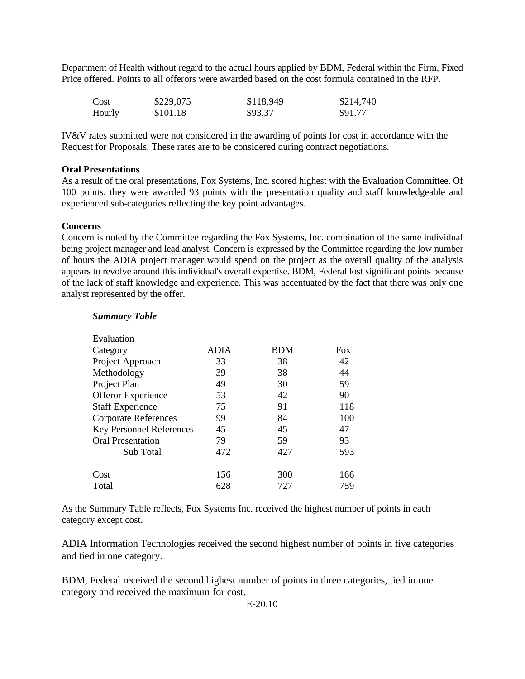Department of Health without regard to the actual hours applied by BDM, Federal within the Firm, Fixed Price offered. Points to all offerors were awarded based on the cost formula contained in the RFP.

| Cost   | \$229,075 | \$118,949 | \$214,740 |
|--------|-----------|-----------|-----------|
| Hourly | \$101.18  | \$93.37   | \$91.77   |

IV&V rates submitted were not considered in the awarding of points for cost in accordance with the Request for Proposals. These rates are to be considered during contract negotiations.

#### **Oral Presentations**

As a result of the oral presentations, Fox Systems, Inc. scored highest with the Evaluation Committee. Of 100 points, they were awarded 93 points with the presentation quality and staff knowledgeable and experienced sub-categories reflecting the key point advantages.

#### **Concerns**

Concern is noted by the Committee regarding the Fox Systems, Inc. combination of the same individual being project manager and lead analyst. Concern is expressed by the Committee regarding the low number of hours the ADIA project manager would spend on the project as the overall quality of the analysis appears to revolve around this individual's overall expertise. BDM, Federal lost significant points because of the lack of staff knowledge and experience. This was accentuated by the fact that there was only one analyst represented by the offer.

| Evaluation                      |             |            |            |
|---------------------------------|-------------|------------|------------|
| Category                        | <b>ADIA</b> | <b>BDM</b> | <b>Fox</b> |
| Project Approach                | 33          | 38         | 42         |
| Methodology                     | 39          | 38         | 44         |
| Project Plan                    | 49          | 30         | 59         |
| Offeror Experience              | 53          | 42         | 90         |
| <b>Staff Experience</b>         | 75          | 91         | 118        |
| <b>Corporate References</b>     | 99          | 84         | 100        |
| <b>Key Personnel References</b> | 45          | 45         | 47         |
| <b>Oral Presentation</b>        | 79          | 59         | 93         |
| Sub Total                       | 472         | 427        | 593        |
| Cost                            | 156         | 300        | 166        |
| Total                           | 628         | 727        | 759        |

#### *Summary Table*

As the Summary Table reflects, Fox Systems Inc. received the highest number of points in each category except cost.

ADIA Information Technologies received the second highest number of points in five categories and tied in one category.

BDM, Federal received the second highest number of points in three categories, tied in one category and received the maximum for cost.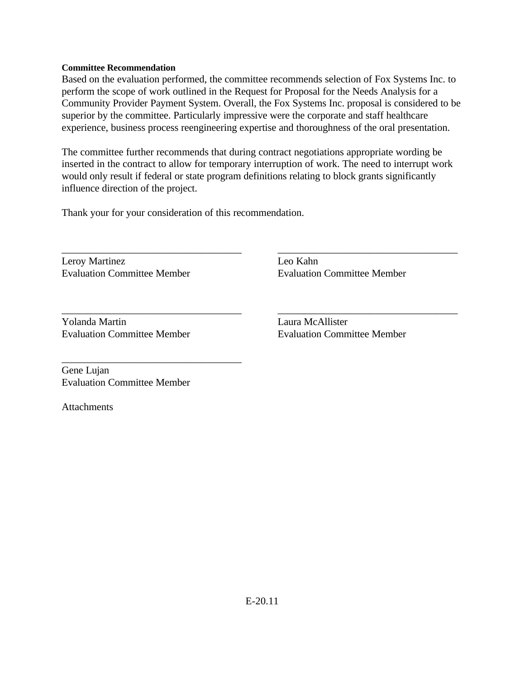#### **Committee Recommendation**

Based on the evaluation performed, the committee recommends selection of Fox Systems Inc. to perform the scope of work outlined in the Request for Proposal for the Needs Analysis for a Community Provider Payment System. Overall, the Fox Systems Inc. proposal is considered to be superior by the committee. Particularly impressive were the corporate and staff healthcare experience, business process reengineering expertise and thoroughness of the oral presentation.

The committee further recommends that during contract negotiations appropriate wording be inserted in the contract to allow for temporary interruption of work. The need to interrupt work would only result if federal or state program definitions relating to block grants significantly influence direction of the project.

\_\_\_\_\_\_\_\_\_\_\_\_\_\_\_\_\_\_\_\_\_\_\_\_\_\_\_\_\_\_\_\_\_\_\_ \_\_\_\_\_\_\_\_\_\_\_\_\_\_\_\_\_\_\_\_\_\_\_\_\_\_\_\_\_\_\_\_\_\_\_

\_\_\_\_\_\_\_\_\_\_\_\_\_\_\_\_\_\_\_\_\_\_\_\_\_\_\_\_\_\_\_\_\_\_\_ \_\_\_\_\_\_\_\_\_\_\_\_\_\_\_\_\_\_\_\_\_\_\_\_\_\_\_\_\_\_\_\_\_\_\_

Thank your for your consideration of this recommendation.

Leroy Martinez Leo Kahn Evaluation Committee Member Evaluation Committee Member

Yolanda Martin Laura McAllister Evaluation Committee Member Evaluation Committee Member

Gene Lujan Evaluation Committee Member

\_\_\_\_\_\_\_\_\_\_\_\_\_\_\_\_\_\_\_\_\_\_\_\_\_\_\_\_\_\_\_\_\_\_\_

Attachments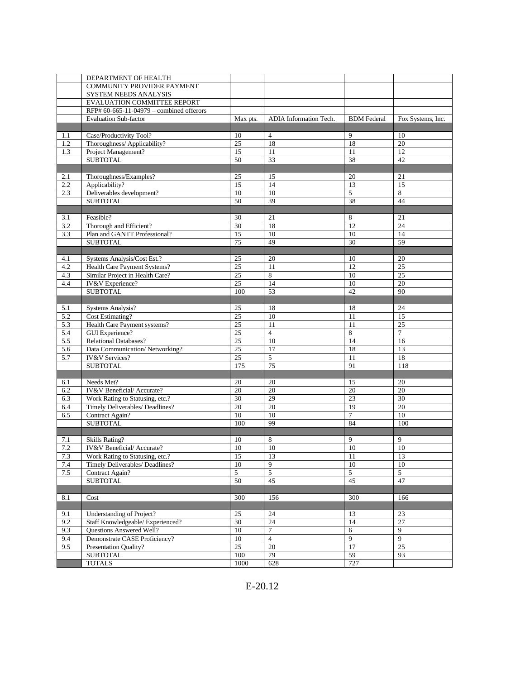|            | DEPARTMENT OF HEALTH                                               |                 |                        |                    |                   |
|------------|--------------------------------------------------------------------|-----------------|------------------------|--------------------|-------------------|
|            | <b>COMMUNITY PROVIDER PAYMENT</b>                                  |                 |                        |                    |                   |
|            | SYSTEM NEEDS ANALYSIS                                              |                 |                        |                    |                   |
|            | <b>EVALUATION COMMITTEE REPORT</b>                                 |                 |                        |                    |                   |
|            | RFP# 60-665-11-04979 - combined offerors                           |                 |                        |                    |                   |
|            | <b>Evaluation Sub-factor</b>                                       | Max pts.        | ADIA Information Tech. | <b>BDM</b> Federal | Fox Systems, Inc. |
|            |                                                                    |                 |                        |                    |                   |
| 1.1        | Case/Productivity Tool?                                            | 10              | $\overline{4}$         | 9                  | 10                |
| 1.2        | Thoroughness/ Applicability?                                       | 25              | 18                     | $\overline{18}$    | 20                |
| 1.3        | Project Management?                                                | $\overline{15}$ | 11                     | 11                 | 12                |
|            | <b>SUBTOTAL</b>                                                    | 50              | 33                     | 38                 | 42                |
|            |                                                                    |                 |                        |                    |                   |
| 2.1        | Thoroughness/Examples?                                             | 25              | 15                     | 20                 | 21                |
| 2.2        | Applicability?                                                     | 15              | 14                     | 13                 | 15                |
| 2.3        | Deliverables development?                                          | 10              | 10                     | 5                  | 8                 |
|            | <b>SUBTOTAL</b>                                                    | 50              | 39                     | 38                 | 44                |
|            |                                                                    |                 |                        |                    |                   |
| 3.1        | Feasible?                                                          | 30              | 21                     | 8                  | 21                |
| 3.2        | Thorough and Efficient?                                            | 30              | 18                     | $\overline{12}$    | 24                |
| 3.3        | Plan and GANTT Professional?                                       | $\overline{15}$ | 10                     | 10                 | 14                |
|            | <b>SUBTOTAL</b>                                                    | 75              | 49                     | 30                 | 59                |
|            |                                                                    |                 |                        |                    |                   |
| 4.1        | Systems Analysis/Cost Est.?                                        | 25              | 20                     | 10                 | 20                |
| 4.2        | Health Care Payment Systems?                                       | $\overline{25}$ | 11                     | $\overline{12}$    | $\overline{25}$   |
| 4.3        | Similar Project in Health Care?                                    | $\overline{25}$ | 8                      | 10                 | 25                |
| 4.4        | <b>IV&amp;V</b> Experience?                                        | 25              | 14                     | 10                 | 20                |
|            | <b>SUBTOTAL</b>                                                    | 100             | 53                     | 42                 | 90                |
|            |                                                                    |                 |                        |                    |                   |
| 5.1        | <b>Systems Analysis?</b>                                           | 25              | 18                     | 18                 | 24                |
| 5.2        | Cost Estimating?                                                   | $\overline{25}$ | 10                     | 11                 | 15                |
| 5.3        | Health Care Payment systems?                                       | 25              | 11                     | 11                 | $25\,$            |
| 5.4        | <b>GUI</b> Experience?                                             | 25              | $\overline{4}$         | 8                  | $\overline{7}$    |
| 5.5        | <b>Relational Databases?</b>                                       | 25              | 10                     | 14                 | 16                |
| 5.6        | Data Communication/Networking?                                     | $\overline{25}$ | 17                     | $\overline{18}$    | 13                |
| 5.7        | <b>IV&amp;V Services?</b>                                          | $\overline{25}$ | 5                      | 11                 | 18                |
|            | <b>SUBTOTAL</b>                                                    | 175             | 75                     | 91                 | 118               |
|            |                                                                    |                 |                        |                    |                   |
| 6.1        | Needs Met?                                                         | 20              | 20                     | 15                 | 20                |
| 6.2        | IV&V Beneficial/Accurate?                                          | 20              | 20                     | $\overline{20}$    | 20                |
| 6.3        | Work Rating to Statusing, etc.?                                    | 30              | 29                     | 23                 | 30                |
| 6.4        | Timely Deliverables/ Deadlines?                                    | 20              | 20                     | 19                 | 20                |
| 6.5        | Contract Again?                                                    | 10              | 10                     | $\overline{7}$     | 10                |
|            | <b>SUBTOTAL</b>                                                    | 100             | 99                     | 84                 | 100               |
|            | <b>Skills Rating?</b>                                              |                 |                        | 9                  | 9                 |
| 7.1        | <b>IV&amp;V</b> Beneficial/Accurate?                               | 10              | 8<br>10                |                    |                   |
| 7.2<br>7.3 |                                                                    | 10<br>15        | 13                     | 10<br>11           | $10\,$<br>13      |
| 7.4        | Work Rating to Statusing, etc.?<br>Timely Deliverables/ Deadlines? | 10              | $\overline{9}$         | $10\,$             | 10                |
| 7.5        | Contract Again?                                                    | $5\phantom{.0}$ | 5                      | 5                  | 5                 |
|            | <b>SUBTOTAL</b>                                                    | $\overline{50}$ | 45                     | 45                 | 47                |
|            |                                                                    |                 |                        |                    |                   |
| 8.1        | Cost                                                               | 300             | 156                    | 300                | 166               |
|            |                                                                    |                 |                        |                    |                   |
| 9.1        | Understanding of Project?                                          | 25              | 24                     | 13                 | 23                |
| 9.2        | Staff Knowledgeable/ Experienced?                                  | 30              | 24                     | 14                 | $\overline{27}$   |
| 9.3        | Questions Answered Well?                                           | 10              | 7                      | 6                  | 9                 |
| 9.4        | Demonstrate CASE Proficiency?                                      | 10              | $\overline{4}$         | 9                  | 9                 |
| 9.5        | Presentation Quality?                                              | $25\,$          | 20                     | $17\,$             | 25                |
|            | <b>SUBTOTAL</b>                                                    | 100             | 79                     | 59                 | 93                |
|            | <b>TOTALS</b>                                                      | 1000            | 628                    | 727                |                   |
|            |                                                                    |                 |                        |                    |                   |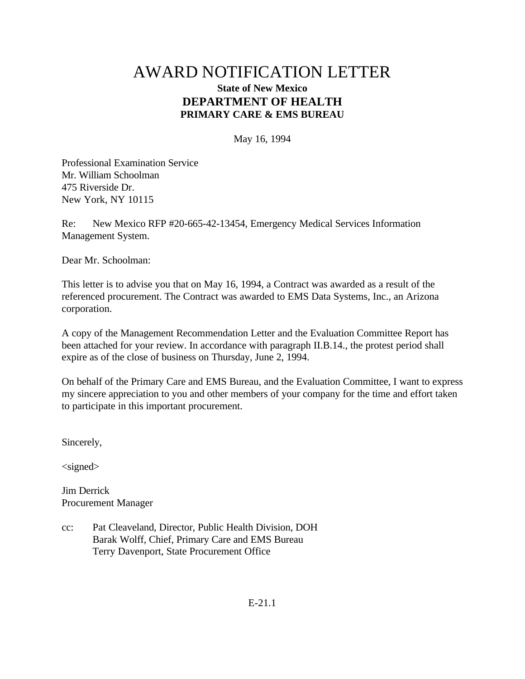## AWARD NOTIFICATION LETTER **State of New Mexico DEPARTMENT OF HEALTH PRIMARY CARE & EMS BUREAU**

May 16, 1994

Professional Examination Service Mr. William Schoolman 475 Riverside Dr. New York, NY 10115

Re: New Mexico RFP #20-665-42-13454, Emergency Medical Services Information Management System.

Dear Mr. Schoolman:

This letter is to advise you that on May 16, 1994, a Contract was awarded as a result of the referenced procurement. The Contract was awarded to EMS Data Systems, Inc., an Arizona corporation.

A copy of the Management Recommendation Letter and the Evaluation Committee Report has been attached for your review. In accordance with paragraph II.B.14., the protest period shall expire as of the close of business on Thursday, June 2, 1994.

On behalf of the Primary Care and EMS Bureau, and the Evaluation Committee, I want to express my sincere appreciation to you and other members of your company for the time and effort taken to participate in this important procurement.

Sincerely,

 $<$ signed $>$ 

Jim Derrick Procurement Manager

cc: Pat Cleaveland, Director, Public Health Division, DOH Barak Wolff, Chief, Primary Care and EMS Bureau Terry Davenport, State Procurement Office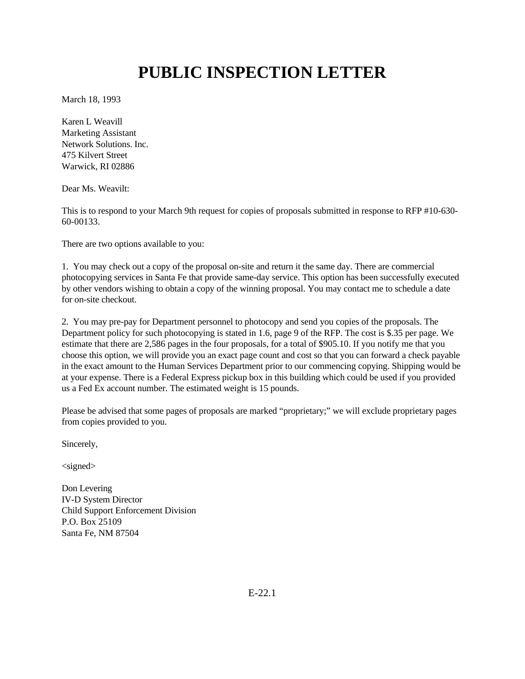# **PUBLIC INSPECTION LETTER**

March 18, 1993

Karen L Weavill Marketing Assistant Network Solutions. Inc. 475 Kilvert Street Warwick, RI 02886

Dear Ms. Weavilt:

This is to respond to your March 9th request for copies of proposals submitted in response to RFP #10-630- 60-00133.

There are two options available to you:

1. You may check out a copy of the proposal on-site and return it the same day. There are commercial photocopying services in Santa Fe that provide same-day service. This option has been successfully executed by other vendors wishing to obtain a copy of the winning proposal. You may contact me to schedule a date for on-site checkout.

2. You may pre-pay for Department personnel to photocopy and send you copies of the proposals. The Department policy for such photocopying is stated in 1.6, page 9 of the RFP. The cost is \$.35 per page. We estimate that there are 2,586 pages in the four proposals, for a total of \$905.10. If you notify me that you choose this option, we will provide you an exact page count and cost so that you can forward a check payable in the exact amount to the Human Services Department prior to our commencing copying. Shipping would be at your expense. There is a Federal Express pickup box in this building which could be used if you provided us a Fed Ex account number. The estimated weight is 15 pounds.

Please be advised that some pages of proposals are marked "proprietary;" we will exclude proprietary pages from copies provided to you.

Sincerely,

<signed>

Don Levering IV-D System Director Child Support Enforcement Division P.O. Box 25109 Santa Fe, NM 87504

E-22.1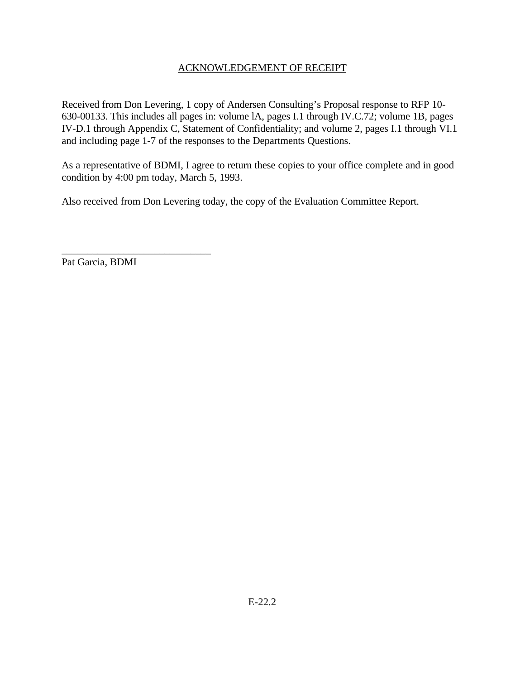#### ACKNOWLEDGEMENT OF RECEIPT

Received from Don Levering, 1 copy of Andersen Consulting's Proposal response to RFP 10- 630-00133. This includes all pages in: volume lA, pages I.1 through IV.C.72; volume 1B, pages IV-D.1 through Appendix C, Statement of Confidentiality; and volume 2, pages I.1 through VI.1 and including page 1-7 of the responses to the Departments Questions.

As a representative of BDMI, I agree to return these copies to your office complete and in good condition by 4:00 pm today, March 5, 1993.

Also received from Don Levering today, the copy of the Evaluation Committee Report.

Pat Garcia, BDMI

\_\_\_\_\_\_\_\_\_\_\_\_\_\_\_\_\_\_\_\_\_\_\_\_\_\_\_\_\_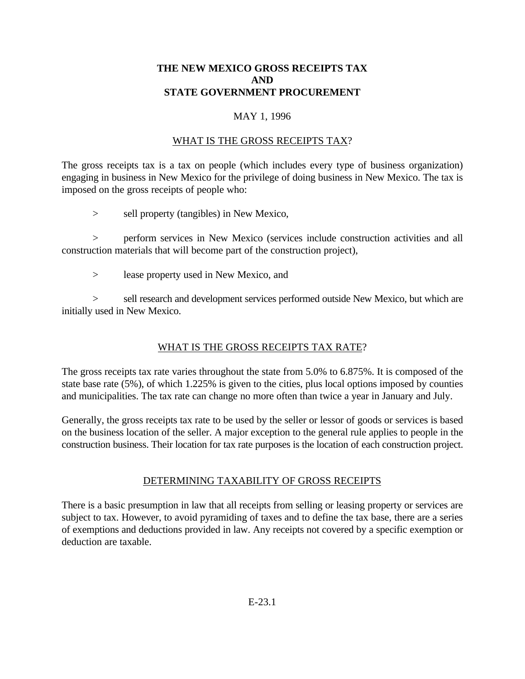#### **THE NEW MEXICO GROSS RECEIPTS TAX AND STATE GOVERNMENT PROCUREMENT**

#### MAY 1, 1996

#### WHAT IS THE GROSS RECEIPTS TAX?

The gross receipts tax is a tax on people (which includes every type of business organization) engaging in business in New Mexico for the privilege of doing business in New Mexico. The tax is imposed on the gross receipts of people who:

> sell property (tangibles) in New Mexico,

> perform services in New Mexico (services include construction activities and all construction materials that will become part of the construction project),

> lease property used in New Mexico, and

> sell research and development services performed outside New Mexico, but which are initially used in New Mexico.

### WHAT IS THE GROSS RECEIPTS TAX RATE?

The gross receipts tax rate varies throughout the state from 5.0% to 6.875%. It is composed of the state base rate (5%), of which 1.225% is given to the cities, plus local options imposed by counties and municipalities. The tax rate can change no more often than twice a year in January and July.

Generally, the gross receipts tax rate to be used by the seller or lessor of goods or services is based on the business location of the seller. A major exception to the general rule applies to people in the construction business. Their location for tax rate purposes is the location of each construction project.

#### DETERMINING TAXABILITY OF GROSS RECEIPTS

There is a basic presumption in law that all receipts from selling or leasing property or services are subject to tax. However, to avoid pyramiding of taxes and to define the tax base, there are a series of exemptions and deductions provided in law. Any receipts not covered by a specific exemption or deduction are taxable.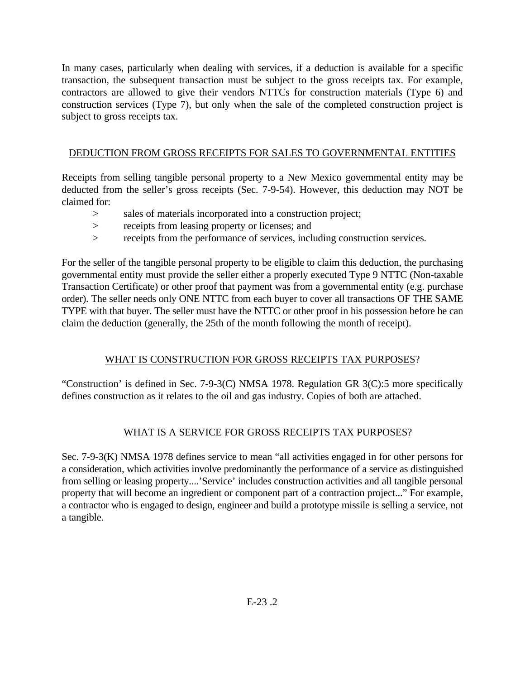In many cases, particularly when dealing with services, if a deduction is available for a specific transaction, the subsequent transaction must be subject to the gross receipts tax. For example, contractors are allowed to give their vendors NTTCs for construction materials (Type 6) and construction services (Type 7), but only when the sale of the completed construction project is subject to gross receipts tax.

### DEDUCTION FROM GROSS RECEIPTS FOR SALES TO GOVERNMENTAL ENTITIES

Receipts from selling tangible personal property to a New Mexico governmental entity may be deducted from the seller's gross receipts (Sec. 7-9-54). However, this deduction may NOT be claimed for:

- > sales of materials incorporated into a construction project;
- > receipts from leasing property or licenses; and
- > receipts from the performance of services, including construction services.

For the seller of the tangible personal property to be eligible to claim this deduction, the purchasing governmental entity must provide the seller either a properly executed Type 9 NTTC (Non-taxable Transaction Certificate) or other proof that payment was from a governmental entity (e.g. purchase order). The seller needs only ONE NTTC from each buyer to cover all transactions OF THE SAME TYPE with that buyer. The seller must have the NTTC or other proof in his possession before he can claim the deduction (generally, the 25th of the month following the month of receipt).

## WHAT IS CONSTRUCTION FOR GROSS RECEIPTS TAX PURPOSES?

"Construction' is defined in Sec. 7-9-3(C) NMSA 1978. Regulation GR 3(C):5 more specifically defines construction as it relates to the oil and gas industry. Copies of both are attached.

## WHAT IS A SERVICE FOR GROSS RECEIPTS TAX PURPOSES?

Sec. 7-9-3(K) NMSA 1978 defines service to mean "all activities engaged in for other persons for a consideration, which activities involve predominantly the performance of a service as distinguished from selling or leasing property....'Service' includes construction activities and all tangible personal property that will become an ingredient or component part of a contraction project..." For example, a contractor who is engaged to design, engineer and build a prototype missile is selling a service, not a tangible.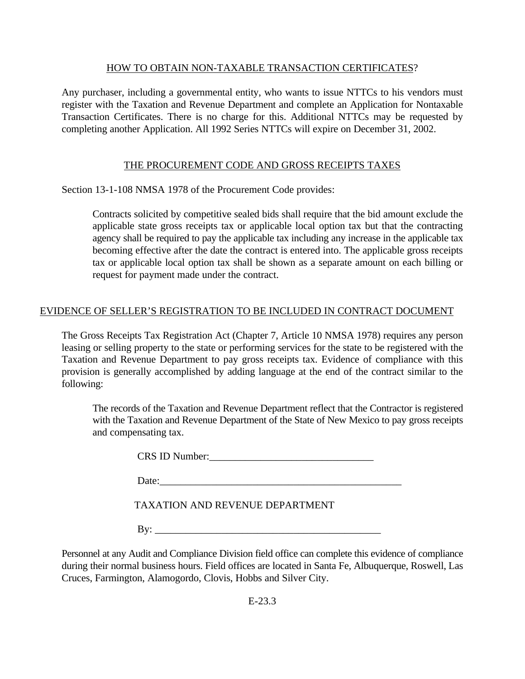#### HOW TO OBTAIN NON-TAXABLE TRANSACTION CERTIFICATES?

Any purchaser, including a governmental entity, who wants to issue NTTCs to his vendors must register with the Taxation and Revenue Department and complete an Application for Nontaxable Transaction Certificates. There is no charge for this. Additional NTTCs may be requested by completing another Application. All 1992 Series NTTCs will expire on December 31, 2002.

#### THE PROCUREMENT CODE AND GROSS RECEIPTS TAXES

Section 13-1-108 NMSA 1978 of the Procurement Code provides:

Contracts solicited by competitive sealed bids shall require that the bid amount exclude the applicable state gross receipts tax or applicable local option tax but that the contracting agency shall be required to pay the applicable tax including any increase in the applicable tax becoming effective after the date the contract is entered into. The applicable gross receipts tax or applicable local option tax shall be shown as a separate amount on each billing or request for payment made under the contract.

#### EVIDENCE OF SELLER'S REGISTRATION TO BE INCLUDED IN CONTRACT DOCUMENT

The Gross Receipts Tax Registration Act (Chapter 7, Article 10 NMSA 1978) requires any person leasing or selling property to the state or performing services for the state to be registered with the Taxation and Revenue Department to pay gross receipts tax. Evidence of compliance with this provision is generally accomplished by adding language at the end of the contract similar to the following:

The records of the Taxation and Revenue Department reflect that the Contractor is registered with the Taxation and Revenue Department of the State of New Mexico to pay gross receipts and compensating tax.

CRS ID Number:

Date:\_\_\_\_\_\_\_\_\_\_\_\_\_\_\_\_\_\_\_\_\_\_\_\_\_\_\_\_\_\_\_\_\_\_\_\_\_\_\_\_\_\_\_\_\_\_\_

TAXATION AND REVENUE DEPARTMENT

 $\mathbf{By:}$ 

Personnel at any Audit and Compliance Division field office can complete this evidence of compliance during their normal business hours. Field offices are located in Santa Fe, Albuquerque, Roswell, Las Cruces, Farmington, Alamogordo, Clovis, Hobbs and Silver City.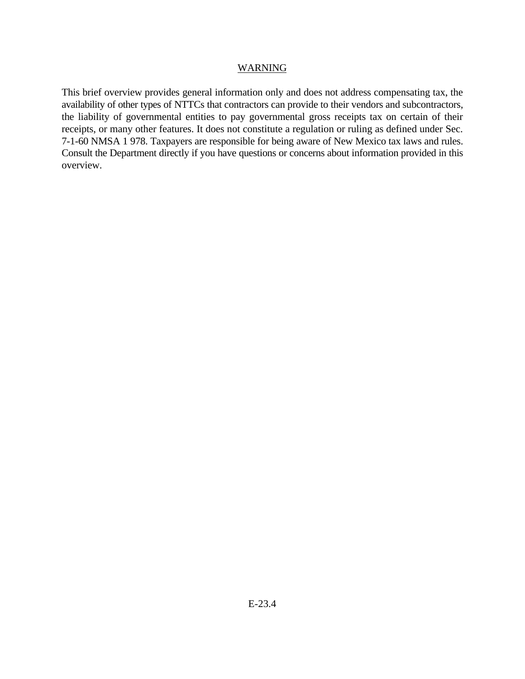#### WARNING

This brief overview provides general information only and does not address compensating tax, the availability of other types of NTTCs that contractors can provide to their vendors and subcontractors, the liability of governmental entities to pay governmental gross receipts tax on certain of their receipts, or many other features. It does not constitute a regulation or ruling as defined under Sec. 7-1-60 NMSA 1 978. Taxpayers are responsible for being aware of New Mexico tax laws and rules. Consult the Department directly if you have questions or concerns about information provided in this overview.